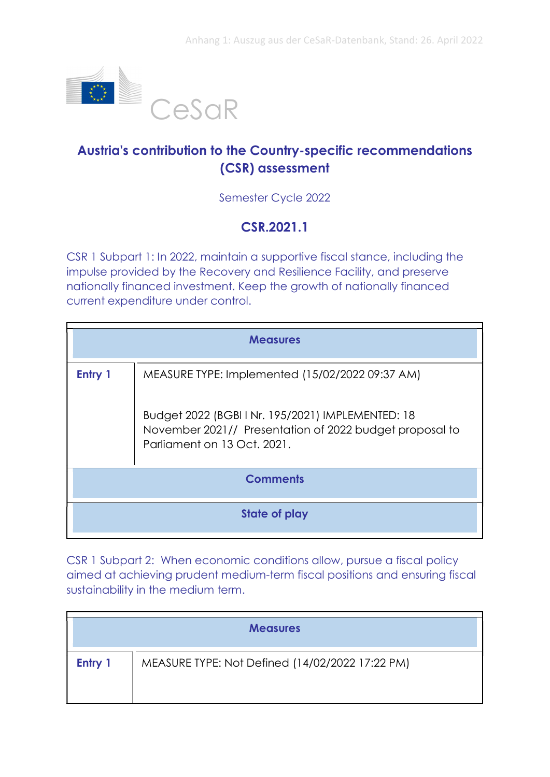

## Austria's contribution to the Country-specific recommendations (CSR) assessment

Semester Cycle 2022

## CSR.2021.1

CSR 1 Subpart 1: In 2022, maintain a supportive fiscal stance, including the impulse provided by the Recovery and Resilience Facility, and preserve nationally financed investment. Keep the growth of nationally financed current expenditure under control.

| <b>Measures</b> |                                                                                                                                             |
|-----------------|---------------------------------------------------------------------------------------------------------------------------------------------|
| Entry 1         | MEASURE TYPE: Implemented (15/02/2022 09:37 AM)                                                                                             |
|                 | Budget 2022 (BGBI I Nr. 195/2021) IMPLEMENTED: 18<br>November 2021// Presentation of 2022 budget proposal to<br>Parliament on 13 Oct. 2021. |
| <b>Comments</b> |                                                                                                                                             |
| State of play   |                                                                                                                                             |

CSR 1 Subpart 2: When economic conditions allow, pursue a fiscal policy aimed at achieving prudent medium-term fiscal positions and ensuring fiscal sustainability in the medium term.

| <b>Measures</b> |                                                 |
|-----------------|-------------------------------------------------|
| Entry 1         | MEASURE TYPE: Not Defined (14/02/2022 17:22 PM) |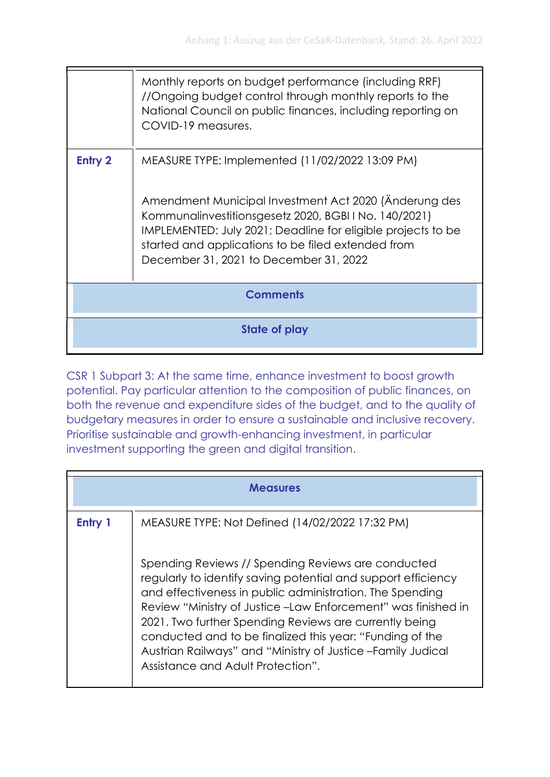|                 | Monthly reports on budget performance (including RRF)<br>//Ongoing budget control through monthly reports to the<br>National Council on public finances, including reporting on<br>COVID-19 measures.                                                                                                                             |
|-----------------|-----------------------------------------------------------------------------------------------------------------------------------------------------------------------------------------------------------------------------------------------------------------------------------------------------------------------------------|
| <b>Entry 2</b>  | MEASURE TYPE: Implemented (11/02/2022 13:09 PM)<br>Amendment Municipal Investment Act 2020 (Anderung des<br>Kommunalinvestitionsgesetz 2020, BGBI I No. 140/2021)<br>IMPLEMENTED: July 2021; Deadline for eligible projects to be<br>started and applications to be filed extended from<br>December 31, 2021 to December 31, 2022 |
| <b>Comments</b> |                                                                                                                                                                                                                                                                                                                                   |
|                 | State of play                                                                                                                                                                                                                                                                                                                     |

CSR 1 Subpart 3: At the same time, enhance investment to boost growth potential. Pay particular attention to the composition of public finances, on both the revenue and expenditure sides of the budget, and to the quality of budgetary measures in order to ensure a sustainable and inclusive recovery. Prioritise sustainable and growth-enhancing investment, in particular investment supporting the green and digital transition.

| <b>Measures</b> |                                                                                                                                                                                                                                                                                                                                                                                                                                                                             |
|-----------------|-----------------------------------------------------------------------------------------------------------------------------------------------------------------------------------------------------------------------------------------------------------------------------------------------------------------------------------------------------------------------------------------------------------------------------------------------------------------------------|
| Entry 1         | MEASURE TYPE: Not Defined (14/02/2022 17:32 PM)                                                                                                                                                                                                                                                                                                                                                                                                                             |
|                 | Spending Reviews // Spending Reviews are conducted<br>regularly to identify saving potential and support efficiency<br>and effectiveness in public administration. The Spending<br>Review "Ministry of Justice -Law Enforcement" was finished in<br>2021. Two further Spending Reviews are currently being<br>conducted and to be finalized this year: "Funding of the<br>Austrian Railways" and "Ministry of Justice - Family Judical<br>Assistance and Adult Protection". |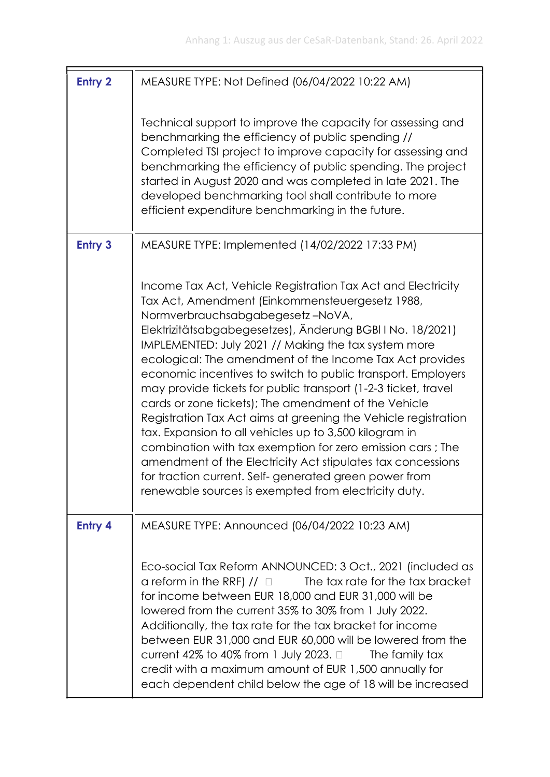| <b>Entry 2</b> | MEASURE TYPE: Not Defined (06/04/2022 10:22 AM)                                                                                                                                                                                                                                                                                                                                                                                                                                                                                                                                                                                                                                                                                                                                                                                                                                                           |
|----------------|-----------------------------------------------------------------------------------------------------------------------------------------------------------------------------------------------------------------------------------------------------------------------------------------------------------------------------------------------------------------------------------------------------------------------------------------------------------------------------------------------------------------------------------------------------------------------------------------------------------------------------------------------------------------------------------------------------------------------------------------------------------------------------------------------------------------------------------------------------------------------------------------------------------|
|                | Technical support to improve the capacity for assessing and<br>benchmarking the efficiency of public spending //<br>Completed TSI project to improve capacity for assessing and<br>benchmarking the efficiency of public spending. The project<br>started in August 2020 and was completed in late 2021. The<br>developed benchmarking tool shall contribute to more<br>efficient expenditure benchmarking in the future.                                                                                                                                                                                                                                                                                                                                                                                                                                                                                 |
| <b>Entry 3</b> | MEASURE TYPE: Implemented (14/02/2022 17:33 PM)                                                                                                                                                                                                                                                                                                                                                                                                                                                                                                                                                                                                                                                                                                                                                                                                                                                           |
|                | Income Tax Act, Vehicle Registration Tax Act and Electricity<br>Tax Act, Amendment (Einkommensteuergesetz 1988,<br>Normverbrauchsabgabegesetz-NoVA,<br>Elektrizitätsabgabegesetzes), Änderung BGBI I No. 18/2021)<br>IMPLEMENTED: July 2021 // Making the tax system more<br>ecological: The amendment of the Income Tax Act provides<br>economic incentives to switch to public transport. Employers<br>may provide tickets for public transport (1-2-3 ticket, travel<br>cards or zone tickets); The amendment of the Vehicle<br>Registration Tax Act aims at greening the Vehicle registration<br>tax. Expansion to all vehicles up to 3,500 kilogram in<br>combination with tax exemption for zero emission cars; The<br>amendment of the Electricity Act stipulates tax concessions<br>for traction current. Self-generated green power from<br>renewable sources is exempted from electricity duty. |
| <b>Entry 4</b> | MEASURE TYPE: Announced (06/04/2022 10:23 AM)                                                                                                                                                                                                                                                                                                                                                                                                                                                                                                                                                                                                                                                                                                                                                                                                                                                             |
|                | Eco-social Tax Reform ANNOUNCED: 3 Oct., 2021 (included as<br>a reform in the RRF) $// \Box$ The tax rate for the tax bracket<br>for income between EUR 18,000 and EUR 31,000 will be<br>lowered from the current 35% to 30% from 1 July 2022.<br>Additionally, the tax rate for the tax bracket for income<br>between EUR 31,000 and EUR 60,000 will be lowered from the<br>current 42% to 40% from 1 July 2023. $\Box$<br>The family tax<br>credit with a maximum amount of EUR 1,500 annually for<br>each dependent child below the age of 18 will be increased                                                                                                                                                                                                                                                                                                                                        |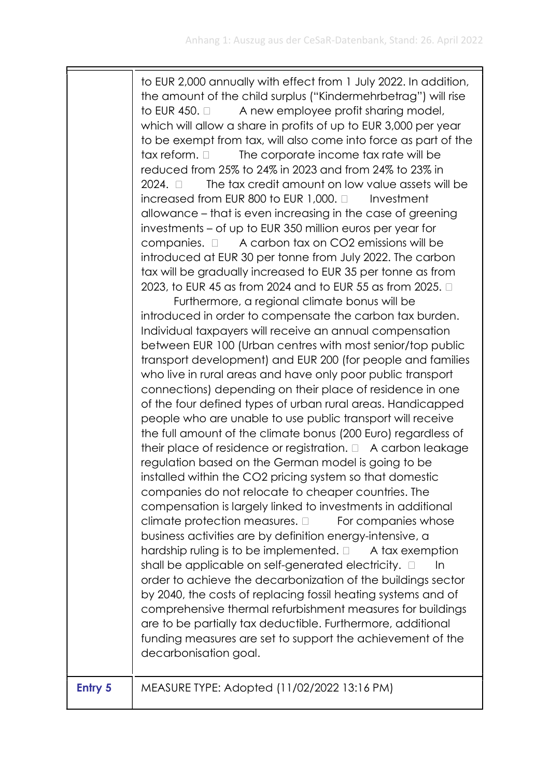to EUR 2,000 annually with effect from 1 July 2022. In addition, the amount of the child surplus ("Kindermehrbetrag") will rise to EUR 450.  $\Box$  A new employee profit sharing model, which will allow a share in profits of up to EUR 3,000 per year to be exempt from tax, will also come into force as part of the  $tax$  reform.  $\Box$  The corporate income tax rate will be reduced from 25% to 24% in 2023 and from 24% to 23% in 2024.  $\Box$  The tax credit amount on low value assets will be  $increased$  from EUR 800 to EUR 1,000.  $\Box$  Investment allowance – that is even increasing in the case of greening investments – of up to EUR 350 million euros per year for companies.  $\Box$  A carbon tax on CO2 emissions will be introduced at EUR 30 per tonne from July 2022. The carbon tax will be gradually increased to EUR 35 per tonne as from 2023, to EUR 45 as from 2024 and to EUR 55 as from 2025. Furthermore, a regional climate bonus will be introduced in order to compensate the carbon tax burden. Individual taxpayers will receive an annual compensation between EUR 100 (Urban centres with most senior/top public transport development) and EUR 200 (for people and families who live in rural areas and have only poor public transport connections) depending on their place of residence in one of the four defined types of urban rural areas. Handicapped people who are unable to use public transport will receive the full amount of the climate bonus (200 Euro) regardless of their place of residence or registration.  $\Box$  A carbon leakage regulation based on the German model is going to be installed within the CO2 pricing system so that domestic companies do not relocate to cheaper countries. The compensation is largely linked to investments in additional climate protection measures.  $\Box$  For companies whose business activities are by definition energy-intensive, a hardship ruling is to be implemented.  $\Box$  A tax exemption shall be applicable on self-generated electricity.  $\Box$  In order to achieve the decarbonization of the buildings sector by 2040, the costs of replacing fossil heating systems and of comprehensive thermal refurbishment measures for buildings are to be partially tax deductible. Furthermore, additional funding measures are set to support the achievement of the decarbonisation goal.

| Entry 5 | MEASURE TYPE: Adopted (11/02/2022 13:16 PM) |
|---------|---------------------------------------------|
|---------|---------------------------------------------|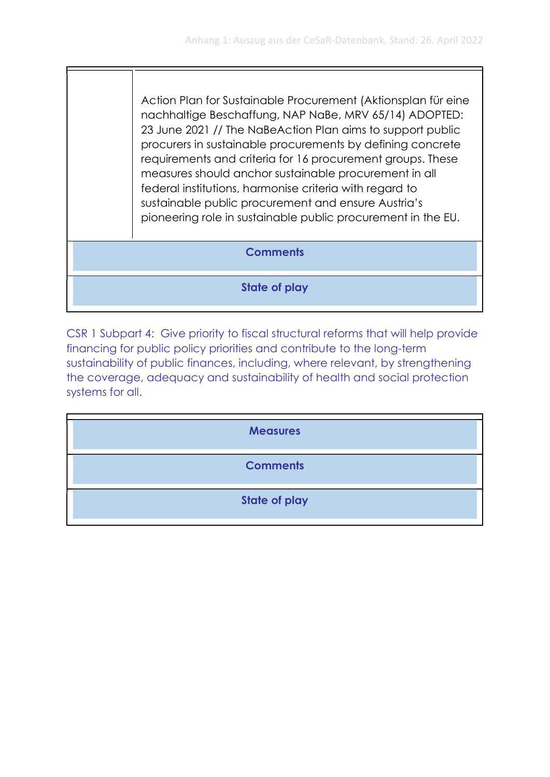Action Plan for Sustainable Procurement (Aktionsplan für eine nachhaltige Beschaffung, NAP NaBe, MRV 65/14) ADOPTED: 23 June 2021 // The NaBeAction Plan aims to support public procurers in sustainable procurements by defining concrete requirements and criteria for 16 procurement groups. These measures should anchor sustainable procurement in all federal institutions, harmonise criteria with regard to sustainable public procurement and ensure Austria's pioneering role in sustainable public procurement in the EU.

## **Comments**

State of play

CSR 1 Subpart 4: Give priority to fiscal structural reforms that will help provide financing for public policy priorities and contribute to the long-term sustainability of public finances, including, where relevant, by strengthening the coverage, adequacy and sustainability of health and social protection systems for all.

| <b>Measures</b>      |
|----------------------|
| <b>Comments</b>      |
| <b>State of play</b> |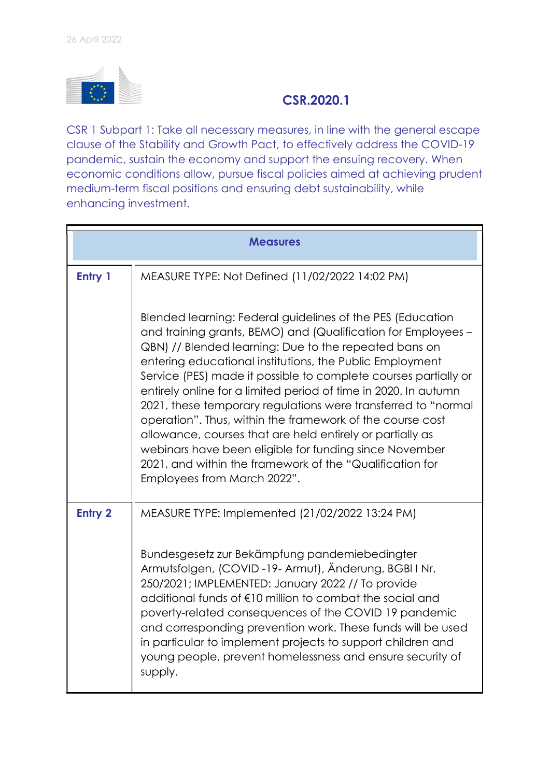

## CSR.2020.1

CSR 1 Subpart 1: Take all necessary measures, in line with the general escape clause of the Stability and Growth Pact, to effectively address the COVID-19 pandemic, sustain the economy and support the ensuing recovery. When economic conditions allow, pursue fiscal policies aimed at achieving prudent medium-term fiscal positions and ensuring debt sustainability, while enhancing investment.

|                | <b>Measures</b>                                                                                                                                                                                                                                                                                                                                                                                                                                                                                                                                                                                                                                                                                                                        |
|----------------|----------------------------------------------------------------------------------------------------------------------------------------------------------------------------------------------------------------------------------------------------------------------------------------------------------------------------------------------------------------------------------------------------------------------------------------------------------------------------------------------------------------------------------------------------------------------------------------------------------------------------------------------------------------------------------------------------------------------------------------|
| Entry 1        | MEASURE TYPE: Not Defined (11/02/2022 14:02 PM)                                                                                                                                                                                                                                                                                                                                                                                                                                                                                                                                                                                                                                                                                        |
|                | Blended learning: Federal guidelines of the PES (Education<br>and training grants, BEMO) and (Qualification for Employees -<br>QBN) // Blended learning: Due to the repeated bans on<br>entering educational institutions, the Public Employment<br>Service (PES) made it possible to complete courses partially or<br>entirely online for a limited period of time in 2020. In autumn<br>2021, these temporary regulations were transferred to "normal<br>operation". Thus, within the framework of the course cost<br>allowance, courses that are held entirely or partially as<br>webinars have been eligible for funding since November<br>2021, and within the framework of the "Qualification for<br>Employees from March 2022". |
| <b>Entry 2</b> | MEASURE TYPE: Implemented (21/02/2022 13:24 PM)                                                                                                                                                                                                                                                                                                                                                                                                                                                                                                                                                                                                                                                                                        |
|                | Bundesgesetz zur Bekämpfung pandemiebedingter<br>Armutsfolgen, (COVID-19-Armut), Änderung, BGBI I Nr.<br>250/2021; IMPLEMENTED: January 2022 // To provide<br>additional funds of €10 million to combat the social and<br>poverty-related consequences of the COVID 19 pandemic<br>and corresponding prevention work. These funds will be used<br>in particular to implement projects to support children and<br>young people, prevent homelessness and ensure security of<br>supply.                                                                                                                                                                                                                                                  |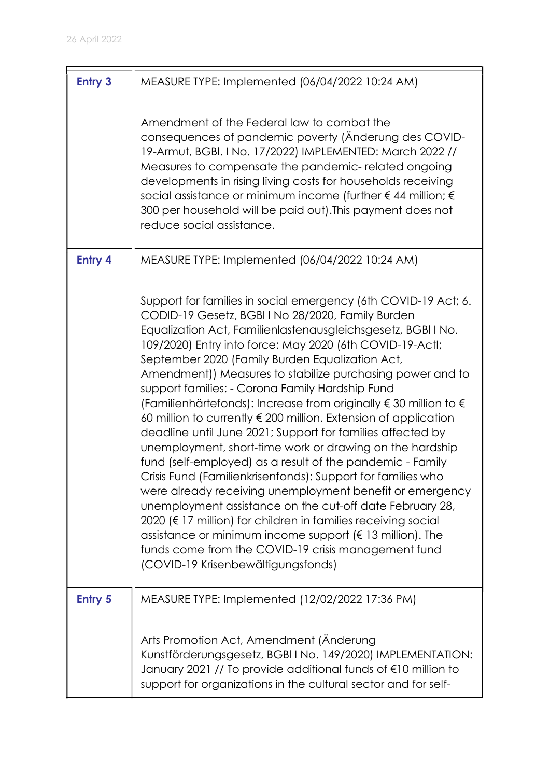| <b>Entry 3</b> | MEASURE TYPE: Implemented (06/04/2022 10:24 AM)                                                                                                                                                                                                                                                                                                                                                                                                                                                                                                                                                                                                                                                                                                                                                                                                                                                                                                                                                                                                                                                                                                                                                        |
|----------------|--------------------------------------------------------------------------------------------------------------------------------------------------------------------------------------------------------------------------------------------------------------------------------------------------------------------------------------------------------------------------------------------------------------------------------------------------------------------------------------------------------------------------------------------------------------------------------------------------------------------------------------------------------------------------------------------------------------------------------------------------------------------------------------------------------------------------------------------------------------------------------------------------------------------------------------------------------------------------------------------------------------------------------------------------------------------------------------------------------------------------------------------------------------------------------------------------------|
|                | Amendment of the Federal law to combat the<br>consequences of pandemic poverty (Anderung des COVID-<br>19-Armut, BGBI. I No. 17/2022) IMPLEMENTED: March 2022 //<br>Measures to compensate the pandemic-related ongoing<br>developments in rising living costs for households receiving<br>social assistance or minimum income (further $\epsilon$ 44 million; $\epsilon$<br>300 per household will be paid out). This payment does not<br>reduce social assistance.                                                                                                                                                                                                                                                                                                                                                                                                                                                                                                                                                                                                                                                                                                                                   |
| <b>Entry 4</b> | MEASURE TYPE: Implemented (06/04/2022 10:24 AM)                                                                                                                                                                                                                                                                                                                                                                                                                                                                                                                                                                                                                                                                                                                                                                                                                                                                                                                                                                                                                                                                                                                                                        |
|                | Support for families in social emergency (6th COVID-19 Act; 6.<br>CODID-19 Gesetz, BGBI I No 28/2020, Family Burden<br>Equalization Act, Familienlastenausgleichsgesetz, BGBI I No.<br>109/2020) Entry into force: May 2020 (6th COVID-19-Actl;<br>September 2020 (Family Burden Equalization Act,<br>Amendment)) Measures to stabilize purchasing power and to<br>support families: - Corona Family Hardship Fund<br>(Familienhärtefonds): Increase from originally $\epsilon$ 30 million to $\epsilon$<br>60 million to currently $\epsilon$ 200 million. Extension of application<br>deadline until June 2021; Support for families affected by<br>unemployment, short-time work or drawing on the hardship<br>fund (self-employed) as a result of the pandemic - Family<br>Crisis Fund (Familienkrisenfonds): Support for families who<br>were already receiving unemployment benefit or emergency<br>unemployment assistance on the cut-off date February 28,<br>2020 (€ 17 million) for children in families receiving social<br>assistance or minimum income support ( $\epsilon$ 13 million). The<br>funds come from the COVID-19 crisis management fund<br>(COVID-19 Krisenbewältigungsfonds) |
| <b>Entry 5</b> | MEASURE TYPE: Implemented (12/02/2022 17:36 PM)                                                                                                                                                                                                                                                                                                                                                                                                                                                                                                                                                                                                                                                                                                                                                                                                                                                                                                                                                                                                                                                                                                                                                        |
|                | Arts Promotion Act, Amendment (Änderung<br>Kunstförderungsgesetz, BGBI I No. 149/2020) IMPLEMENTATION:<br>January 2021 // To provide additional funds of €10 million to<br>support for organizations in the cultural sector and for self-                                                                                                                                                                                                                                                                                                                                                                                                                                                                                                                                                                                                                                                                                                                                                                                                                                                                                                                                                              |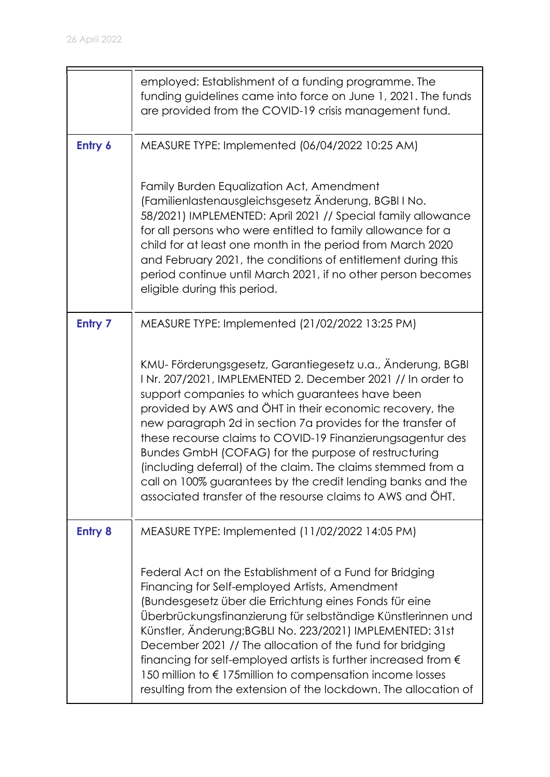$\blacksquare$ 

|                | employed: Establishment of a funding programme. The<br>funding guidelines came into force on June 1, 2021. The funds<br>are provided from the COVID-19 crisis management fund.                                                                                                                                                                                                                                                                                                                                                                                                                                          |
|----------------|-------------------------------------------------------------------------------------------------------------------------------------------------------------------------------------------------------------------------------------------------------------------------------------------------------------------------------------------------------------------------------------------------------------------------------------------------------------------------------------------------------------------------------------------------------------------------------------------------------------------------|
| Entry 6        | MEASURE TYPE: Implemented (06/04/2022 10:25 AM)                                                                                                                                                                                                                                                                                                                                                                                                                                                                                                                                                                         |
|                | Family Burden Equalization Act, Amendment<br>(Familienlastenausgleichsgesetz Änderung, BGBI I No.<br>58/2021) IMPLEMENTED: April 2021 // Special family allowance<br>for all persons who were entitled to family allowance for a<br>child for at least one month in the period from March 2020<br>and February 2021, the conditions of entitlement during this<br>period continue until March 2021, if no other person becomes<br>eligible during this period.                                                                                                                                                          |
| <b>Entry 7</b> | MEASURE TYPE: Implemented (21/02/2022 13:25 PM)                                                                                                                                                                                                                                                                                                                                                                                                                                                                                                                                                                         |
|                | KMU-Förderungsgesetz, Garantiegesetz u.a., Änderung, BGBI<br>INr. 207/2021, IMPLEMENTED 2. December 2021 // In order to<br>support companies to which guarantees have been<br>provided by AWS and ÖHT in their economic recovery, the<br>new paragraph 2d in section 7a provides for the transfer of<br>these recourse claims to COVID-19 Finanzierungsagentur des<br>Bundes GmbH (COFAG) for the purpose of restructuring<br>(including deferral) of the claim. The claims stemmed from a<br>call on 100% guarantees by the credit lending banks and the<br>associated transfer of the resourse claims to AWS and ÖHT. |
| <b>Entry 8</b> | MEASURE TYPE: Implemented (11/02/2022 14:05 PM)                                                                                                                                                                                                                                                                                                                                                                                                                                                                                                                                                                         |
|                | Federal Act on the Establishment of a Fund for Bridging<br>Financing for Self-employed Artists, Amendment<br>(Bundesgesetz über die Errichtung eines Fonds für eine<br>Überbrückungsfinanzierung für selbständige Künstlerinnen und<br>Künstler, Änderung;BGBLI No. 223/2021) IMPLEMENTED: 31st<br>December 2021 // The allocation of the fund for bridging<br>financing for self-employed artists is further increased from $\epsilon$<br>150 million to € 175 million to compensation income losses<br>resulting from the extension of the lockdown. The allocation of                                                |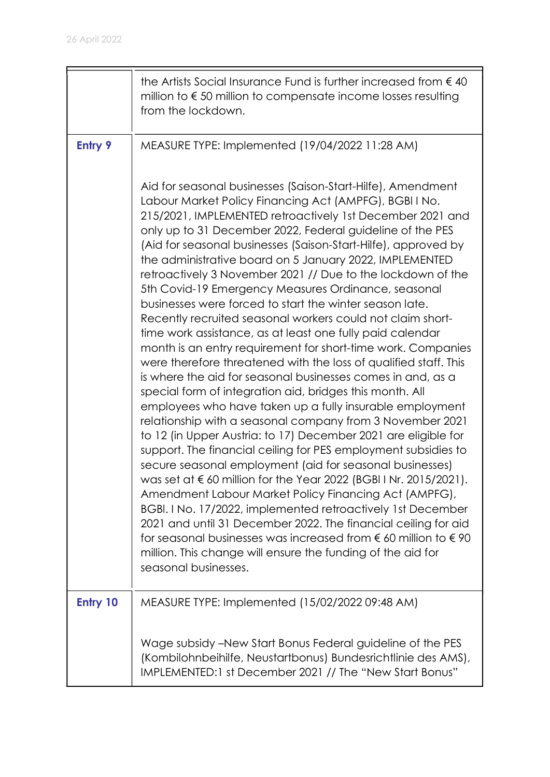|                | the Artists Social Insurance Fund is further increased from $\epsilon$ 40<br>million to $\epsilon$ 50 million to compensate income losses resulting<br>from the lockdown.                                                                                                                                                                                                                                                                                                                                                                                                                                                                                                                                                                                                                                                                                                                                                                                                                                                                                                                                                                                                                                                                                                                                                                                                                                                                                                                                                                                                                                                                                                                                                            |
|----------------|--------------------------------------------------------------------------------------------------------------------------------------------------------------------------------------------------------------------------------------------------------------------------------------------------------------------------------------------------------------------------------------------------------------------------------------------------------------------------------------------------------------------------------------------------------------------------------------------------------------------------------------------------------------------------------------------------------------------------------------------------------------------------------------------------------------------------------------------------------------------------------------------------------------------------------------------------------------------------------------------------------------------------------------------------------------------------------------------------------------------------------------------------------------------------------------------------------------------------------------------------------------------------------------------------------------------------------------------------------------------------------------------------------------------------------------------------------------------------------------------------------------------------------------------------------------------------------------------------------------------------------------------------------------------------------------------------------------------------------------|
| <b>Entry 9</b> | MEASURE TYPE: Implemented (19/04/2022 11:28 AM)                                                                                                                                                                                                                                                                                                                                                                                                                                                                                                                                                                                                                                                                                                                                                                                                                                                                                                                                                                                                                                                                                                                                                                                                                                                                                                                                                                                                                                                                                                                                                                                                                                                                                      |
|                | Aid for seasonal businesses (Saison-Start-Hilfe), Amendment<br>Labour Market Policy Financing Act (AMPFG), BGBI I No.<br>215/2021, IMPLEMENTED retroactively 1st December 2021 and<br>only up to 31 December 2022, Federal guideline of the PES<br>(Aid for seasonal businesses (Saison-Start-Hilfe), approved by<br>the administrative board on 5 January 2022, IMPLEMENTED<br>retroactively 3 November 2021 // Due to the lockdown of the<br>5th Covid-19 Emergency Measures Ordinance, seasonal<br>businesses were forced to start the winter season late.<br>Recently recruited seasonal workers could not claim short-<br>time work assistance, as at least one fully paid calendar<br>month is an entry requirement for short-time work. Companies<br>were therefore threatened with the loss of qualified staff. This<br>is where the aid for seasonal businesses comes in and, as a<br>special form of integration aid, bridges this month. All<br>employees who have taken up a fully insurable employment<br>relationship with a seasonal company from 3 November 2021<br>to 12 (in Upper Austria: to 17) December 2021 are eligible for<br>support. The financial ceiling for PES employment subsidies to<br>secure seasonal employment (aid for seasonal businesses)<br>was set at $\epsilon$ 60 million for the Year 2022 (BGBI I Nr. 2015/2021).<br>Amendment Labour Market Policy Financing Act (AMPFG),<br>BGBI. I No. 17/2022, implemented retroactively 1st December<br>2021 and until 31 December 2022. The financial ceiling for aid<br>for seasonal businesses was increased from $\epsilon$ 60 million to $\epsilon$ 90<br>million. This change will ensure the funding of the aid for<br>seasonal businesses. |
| Entry 10       | MEASURE TYPE: Implemented (15/02/2022 09:48 AM)                                                                                                                                                                                                                                                                                                                                                                                                                                                                                                                                                                                                                                                                                                                                                                                                                                                                                                                                                                                                                                                                                                                                                                                                                                                                                                                                                                                                                                                                                                                                                                                                                                                                                      |
|                | Wage subsidy – New Start Bonus Federal guideline of the PES<br>(Kombilohnbeihilfe, Neustartbonus) Bundesrichtlinie des AMS),<br>IMPLEMENTED:1 st December 2021 // The "New Start Bonus"                                                                                                                                                                                                                                                                                                                                                                                                                                                                                                                                                                                                                                                                                                                                                                                                                                                                                                                                                                                                                                                                                                                                                                                                                                                                                                                                                                                                                                                                                                                                              |

 $\blacksquare$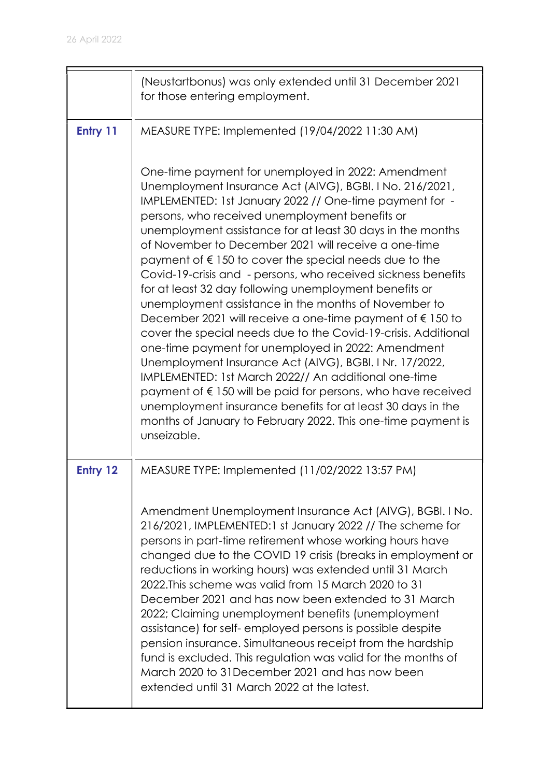|          | (Neustartbonus) was only extended until 31 December 2021<br>for those entering employment.                                                                                                                                                                                                                                                                                                                                                                                                                                                                                                                                                                                                                                                                                                                                                                                                                                                                                                                                                                                                                                                      |
|----------|-------------------------------------------------------------------------------------------------------------------------------------------------------------------------------------------------------------------------------------------------------------------------------------------------------------------------------------------------------------------------------------------------------------------------------------------------------------------------------------------------------------------------------------------------------------------------------------------------------------------------------------------------------------------------------------------------------------------------------------------------------------------------------------------------------------------------------------------------------------------------------------------------------------------------------------------------------------------------------------------------------------------------------------------------------------------------------------------------------------------------------------------------|
| Entry 11 | MEASURE TYPE: Implemented (19/04/2022 11:30 AM)                                                                                                                                                                                                                                                                                                                                                                                                                                                                                                                                                                                                                                                                                                                                                                                                                                                                                                                                                                                                                                                                                                 |
|          | One-time payment for unemployed in 2022: Amendment<br>Unemployment Insurance Act (AIVG), BGBI. I No. 216/2021,<br>IMPLEMENTED: 1st January 2022 // One-time payment for -<br>persons, who received unemployment benefits or<br>unemployment assistance for at least 30 days in the months<br>of November to December 2021 will receive a one-time<br>payment of $\epsilon$ 150 to cover the special needs due to the<br>Covid-19-crisis and - persons, who received sickness benefits<br>for at least 32 day following unemployment benefits or<br>unemployment assistance in the months of November to<br>December 2021 will receive a one-time payment of $\epsilon$ 150 to<br>cover the special needs due to the Covid-19-crisis. Additional<br>one-time payment for unemployed in 2022: Amendment<br>Unemployment Insurance Act (AIVG), BGBI. I Nr. 17/2022,<br>IMPLEMENTED: 1st March 2022// An additional one-time<br>payment of $\epsilon$ 150 will be paid for persons, who have received<br>unemployment insurance benefits for at least 30 days in the<br>months of January to February 2022. This one-time payment is<br>unseizable. |
| Entry 12 | MEASURE TYPE: Implemented (11/02/2022 13:57 PM)                                                                                                                                                                                                                                                                                                                                                                                                                                                                                                                                                                                                                                                                                                                                                                                                                                                                                                                                                                                                                                                                                                 |
|          | Amendment Unemployment Insurance Act (AIVG), BGBI. I No.<br>216/2021, IMPLEMENTED:1 st January 2022 // The scheme for<br>persons in part-time retirement whose working hours have<br>changed due to the COVID 19 crisis (breaks in employment or<br>reductions in working hours) was extended until 31 March<br>2022. This scheme was valid from 15 March 2020 to 31<br>December 2021 and has now been extended to 31 March<br>2022; Claiming unemployment benefits (unemployment<br>assistance) for self-employed persons is possible despite<br>pension insurance. Simultaneous receipt from the hardship<br>fund is excluded. This regulation was valid for the months of<br>March 2020 to 31 December 2021 and has now been<br>extended until 31 March 2022 at the latest.                                                                                                                                                                                                                                                                                                                                                                  |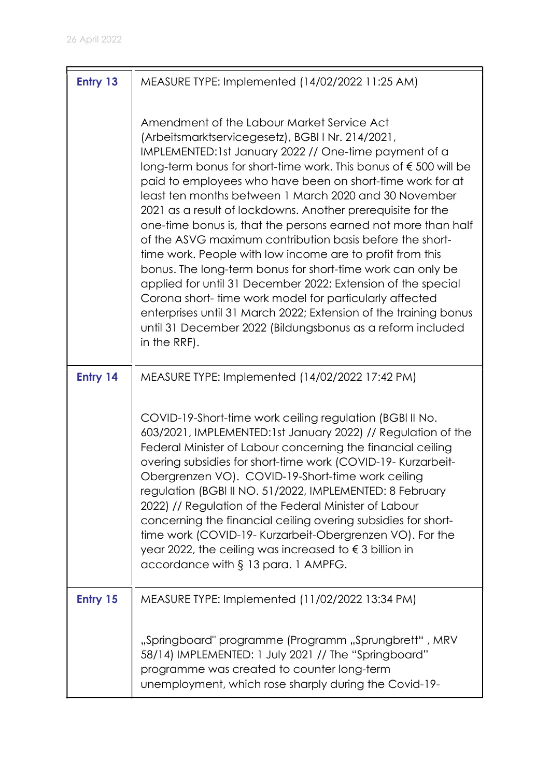| Entry 13 | MEASURE TYPE: Implemented (14/02/2022 11:25 AM)                                                                                                                                                                                                                                                                                                                                                                                                                                                                                                                                                                                                                                                                                                                                                                                                                                                                                                      |
|----------|------------------------------------------------------------------------------------------------------------------------------------------------------------------------------------------------------------------------------------------------------------------------------------------------------------------------------------------------------------------------------------------------------------------------------------------------------------------------------------------------------------------------------------------------------------------------------------------------------------------------------------------------------------------------------------------------------------------------------------------------------------------------------------------------------------------------------------------------------------------------------------------------------------------------------------------------------|
|          | Amendment of the Labour Market Service Act<br>(Arbeitsmarktservicegesetz), BGBI I Nr. 214/2021,<br>IMPLEMENTED:1st January 2022 // One-time payment of a<br>long-term bonus for short-time work. This bonus of €500 will be<br>paid to employees who have been on short-time work for at<br>least ten months between 1 March 2020 and 30 November<br>2021 as a result of lockdowns. Another prerequisite for the<br>one-time bonus is, that the persons earned not more than half<br>of the ASVG maximum contribution basis before the short-<br>time work. People with low income are to profit from this<br>bonus. The long-term bonus for short-time work can only be<br>applied for until 31 December 2022; Extension of the special<br>Corona short-time work model for particularly affected<br>enterprises until 31 March 2022; Extension of the training bonus<br>until 31 December 2022 (Bildungsbonus as a reform included<br>in the RRF). |
| Entry 14 | MEASURE TYPE: Implemented (14/02/2022 17:42 PM)                                                                                                                                                                                                                                                                                                                                                                                                                                                                                                                                                                                                                                                                                                                                                                                                                                                                                                      |
|          | COVID-19-Short-time work ceiling regulation (BGBI II No.<br>603/2021, IMPLEMENTED:1st January 2022) // Regulation of the<br>Federal Minister of Labour concerning the financial ceiling<br>overing subsidies for short-time work (COVID-19- Kurzarbeit-<br>Obergrenzen VO). COVID-19-Short-time work ceiling<br>regulation (BGBI II NO. 51/2022, IMPLEMENTED: 8 February<br>2022) // Regulation of the Federal Minister of Labour<br>concerning the financial ceiling overing subsidies for short-<br>time work (COVID-19- Kurzarbeit-Obergrenzen VO). For the<br>year 2022, the ceiling was increased to $\epsilon$ 3 billion in<br>accordance with § 13 para. 1 AMPFG.                                                                                                                                                                                                                                                                             |
| Entry 15 | MEASURE TYPE: Implemented (11/02/2022 13:34 PM)                                                                                                                                                                                                                                                                                                                                                                                                                                                                                                                                                                                                                                                                                                                                                                                                                                                                                                      |
|          | "Springboard" programme (Programm "Sprungbrett", MRV<br>58/14) IMPLEMENTED: 1 July 2021 // The "Springboard"<br>programme was created to counter long-term<br>unemployment, which rose sharply during the Covid-19-                                                                                                                                                                                                                                                                                                                                                                                                                                                                                                                                                                                                                                                                                                                                  |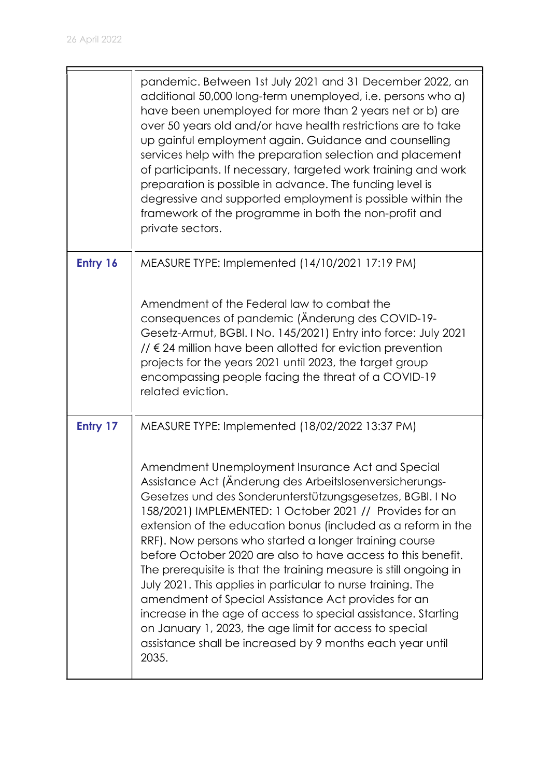|          | pandemic. Between 1st July 2021 and 31 December 2022, an<br>additional 50,000 long-term unemployed, i.e. persons who a)<br>have been unemployed for more than 2 years net or b) are<br>over 50 years old and/or have health restrictions are to take<br>up gainful employment again. Guidance and counselling<br>services help with the preparation selection and placement<br>of participants. If necessary, targeted work training and work<br>preparation is possible in advance. The funding level is<br>degressive and supported employment is possible within the<br>framework of the programme in both the non-profit and<br>private sectors.                                                                                                                                                                          |
|----------|-------------------------------------------------------------------------------------------------------------------------------------------------------------------------------------------------------------------------------------------------------------------------------------------------------------------------------------------------------------------------------------------------------------------------------------------------------------------------------------------------------------------------------------------------------------------------------------------------------------------------------------------------------------------------------------------------------------------------------------------------------------------------------------------------------------------------------|
| Entry 16 | MEASURE TYPE: Implemented (14/10/2021 17:19 PM)                                                                                                                                                                                                                                                                                                                                                                                                                                                                                                                                                                                                                                                                                                                                                                               |
|          | Amendment of the Federal law to combat the<br>consequences of pandemic (Anderung des COVID-19-<br>Gesetz-Armut, BGBI. I No. 145/2021) Entry into force: July 2021<br>$\frac{1}{6}$ 24 million have been allotted for eviction prevention<br>projects for the years 2021 until 2023, the target group<br>encompassing people facing the threat of a COVID-19<br>related eviction.                                                                                                                                                                                                                                                                                                                                                                                                                                              |
| Entry 17 | MEASURE TYPE: Implemented (18/02/2022 13:37 PM)                                                                                                                                                                                                                                                                                                                                                                                                                                                                                                                                                                                                                                                                                                                                                                               |
|          | Amendment Unemployment Insurance Act and Special<br>Assistance Act (Änderung des Arbeitslosenversicherungs-<br>Gesetzes und des Sonderunterstützungsgesetzes, BGBI. I No<br>158/2021) IMPLEMENTED: 1 October 2021 // Provides for an<br>extension of the education bonus (included as a reform in the<br>RRF). Now persons who started a longer training course<br>before October 2020 are also to have access to this benefit.<br>The prerequisite is that the training measure is still ongoing in<br>July 2021. This applies in particular to nurse training. The<br>amendment of Special Assistance Act provides for an<br>increase in the age of access to special assistance. Starting<br>on January 1, 2023, the age limit for access to special<br>assistance shall be increased by 9 months each year until<br>2035. |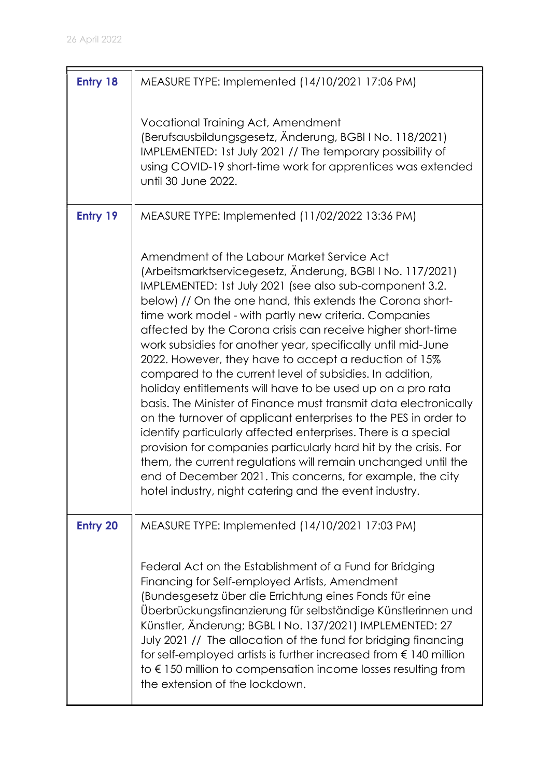| <b>Entry 18</b> | MEASURE TYPE: Implemented (14/10/2021 17:06 PM)                                                                                                                                                                                                                                                                                                                                                                                                                                                                                                                                                                                                                                                                                                                                                                                                                                                                                                                                                                                                                                 |
|-----------------|---------------------------------------------------------------------------------------------------------------------------------------------------------------------------------------------------------------------------------------------------------------------------------------------------------------------------------------------------------------------------------------------------------------------------------------------------------------------------------------------------------------------------------------------------------------------------------------------------------------------------------------------------------------------------------------------------------------------------------------------------------------------------------------------------------------------------------------------------------------------------------------------------------------------------------------------------------------------------------------------------------------------------------------------------------------------------------|
|                 | Vocational Training Act, Amendment<br>(Berufsausbildungsgesetz, Änderung, BGBI I No. 118/2021)<br>IMPLEMENTED: 1st July 2021 // The temporary possibility of<br>using COVID-19 short-time work for apprentices was extended<br>until 30 June 2022.                                                                                                                                                                                                                                                                                                                                                                                                                                                                                                                                                                                                                                                                                                                                                                                                                              |
| Entry 19        | MEASURE TYPE: Implemented (11/02/2022 13:36 PM)                                                                                                                                                                                                                                                                                                                                                                                                                                                                                                                                                                                                                                                                                                                                                                                                                                                                                                                                                                                                                                 |
|                 | Amendment of the Labour Market Service Act<br>(Arbeitsmarktservicegesetz, Änderung, BGBIINo. 117/2021)<br>IMPLEMENTED: 1st July 2021 (see also sub-component 3.2.<br>below) // On the one hand, this extends the Corona short-<br>time work model - with partly new criteria. Companies<br>affected by the Corona crisis can receive higher short-time<br>work subsidies for another year, specifically until mid-June<br>2022. However, they have to accept a reduction of 15%<br>compared to the current level of subsidies. In addition,<br>holiday entitlements will have to be used up on a pro rata<br>basis. The Minister of Finance must transmit data electronically<br>on the turnover of applicant enterprises to the PES in order to<br>identify particularly affected enterprises. There is a special<br>provision for companies particularly hard hit by the crisis. For<br>them, the current regulations will remain unchanged until the<br>end of December 2021. This concerns, for example, the city<br>hotel industry, night catering and the event industry. |
| <b>Entry 20</b> | MEASURE TYPE: Implemented (14/10/2021 17:03 PM)                                                                                                                                                                                                                                                                                                                                                                                                                                                                                                                                                                                                                                                                                                                                                                                                                                                                                                                                                                                                                                 |
|                 | Federal Act on the Establishment of a Fund for Bridging<br>Financing for Self-employed Artists, Amendment<br>(Bundesgesetz über die Errichtung eines Fonds für eine<br>Überbrückungsfinanzierung für selbständige Künstlerinnen und<br>Künstler, Änderung; BGBL I No. 137/2021) IMPLEMENTED: 27<br>July 2021 // The allocation of the fund for bridging financing<br>for self-employed artists is further increased from $\epsilon$ 140 million<br>to $\epsilon$ 150 million to compensation income losses resulting from<br>the extension of the lockdown.                                                                                                                                                                                                                                                                                                                                                                                                                                                                                                                     |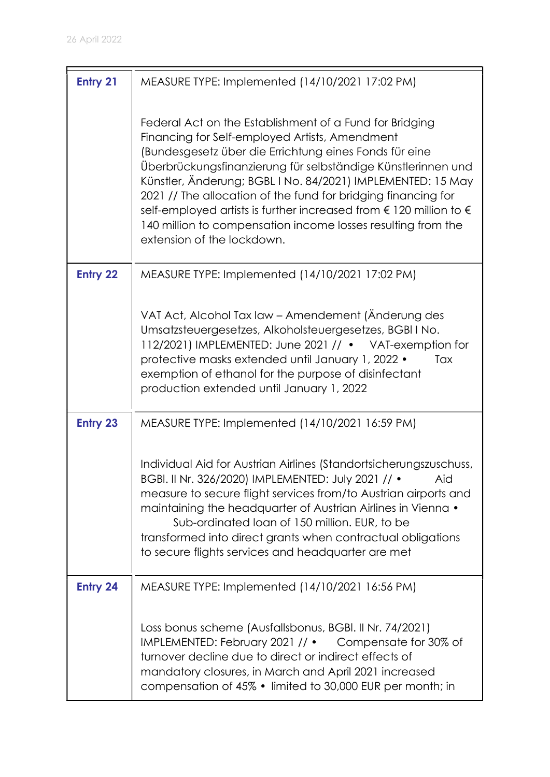| <b>Entry 21</b> | MEASURE TYPE: Implemented (14/10/2021 17:02 PM)                                                                                                                                                                                                                                                                                                                                                                                                                                                                                                           |
|-----------------|-----------------------------------------------------------------------------------------------------------------------------------------------------------------------------------------------------------------------------------------------------------------------------------------------------------------------------------------------------------------------------------------------------------------------------------------------------------------------------------------------------------------------------------------------------------|
|                 | Federal Act on the Establishment of a Fund for Bridging<br>Financing for Self-employed Artists, Amendment<br>(Bundesgesetz über die Errichtung eines Fonds für eine<br>Überbrückungsfinanzierung für selbständige Künstlerinnen und<br>Künstler, Änderung; BGBL I No. 84/2021) IMPLEMENTED: 15 May<br>2021 // The allocation of the fund for bridging financing for<br>self-employed artists is further increased from $\epsilon$ 120 million to $\epsilon$<br>140 million to compensation income losses resulting from the<br>extension of the lockdown. |
| <b>Entry 22</b> | MEASURE TYPE: Implemented (14/10/2021 17:02 PM)                                                                                                                                                                                                                                                                                                                                                                                                                                                                                                           |
|                 | VAT Act, Alcohol Tax law - Amendement (Änderung des<br>Umsatzsteuergesetzes, Alkoholsteuergesetzes, BGBI I No.<br>112/2021) IMPLEMENTED: June 2021 // • VAT-exemption for<br>protective masks extended until January 1, 2022 .<br>Tax<br>exemption of ethanol for the purpose of disinfectant<br>production extended until January 1, 2022                                                                                                                                                                                                                |
| <b>Entry 23</b> | MEASURE TYPE: Implemented (14/10/2021 16:59 PM)                                                                                                                                                                                                                                                                                                                                                                                                                                                                                                           |
|                 | Individual Aid for Austrian Airlines (Standortsicherungszuschuss,<br>BGBI. II Nr. 326/2020) IMPLEMENTED: July 2021 // •<br>Aid<br>measure to secure flight services from/to Austrian airports and<br>maintaining the headquarter of Austrian Airlines in Vienna •<br>Sub-ordinated loan of 150 million. EUR, to be<br>transformed into direct grants when contractual obligations<br>to secure flights services and headquarter are met                                                                                                                   |
| Entry 24        | MEASURE TYPE: Implemented (14/10/2021 16:56 PM)                                                                                                                                                                                                                                                                                                                                                                                                                                                                                                           |
|                 | Loss bonus scheme (Ausfallsbonus, BGBI. II Nr. 74/2021)<br>IMPLEMENTED: February 2021 // • Compensate for 30% of<br>turnover decline due to direct or indirect effects of<br>mandatory closures, in March and April 2021 increased<br>compensation of 45% • limited to 30,000 EUR per month; in                                                                                                                                                                                                                                                           |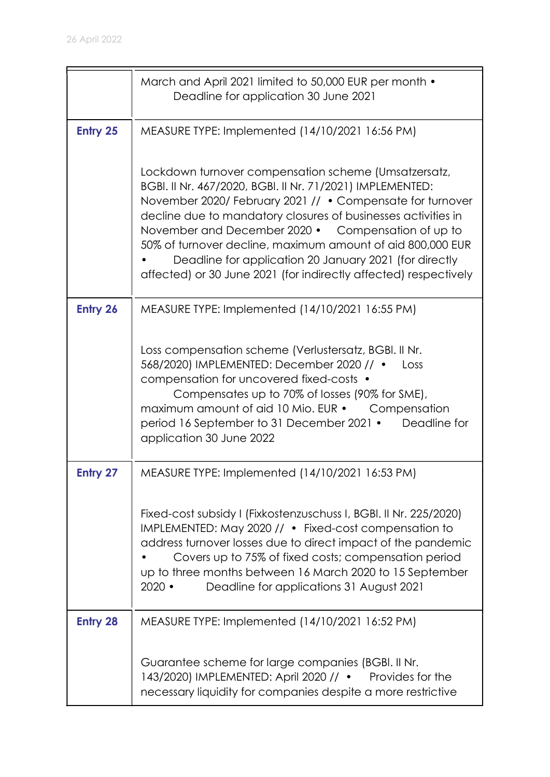|                 | March and April 2021 limited to 50,000 EUR per month •<br>Deadline for application 30 June 2021                                                                                                                                                                                                                                                                                                                                                                                                   |
|-----------------|---------------------------------------------------------------------------------------------------------------------------------------------------------------------------------------------------------------------------------------------------------------------------------------------------------------------------------------------------------------------------------------------------------------------------------------------------------------------------------------------------|
| Entry 25        | MEASURE TYPE: Implemented (14/10/2021 16:56 PM)                                                                                                                                                                                                                                                                                                                                                                                                                                                   |
|                 | Lockdown turnover compensation scheme (Umsatzersatz,<br>BGBI. II Nr. 467/2020, BGBI. II Nr. 71/2021) IMPLEMENTED:<br>November 2020/ February 2021 // . Compensate for turnover<br>decline due to mandatory closures of businesses activities in<br>November and December 2020 • Compensation of up to<br>50% of turnover decline, maximum amount of aid 800,000 EUR<br>Deadline for application 20 January 2021 (for directly<br>affected) or 30 June 2021 (for indirectly affected) respectively |
| Entry 26        | MEASURE TYPE: Implemented (14/10/2021 16:55 PM)                                                                                                                                                                                                                                                                                                                                                                                                                                                   |
|                 | Loss compensation scheme (Verlustersatz, BGBI. II Nr.<br>568/2020) IMPLEMENTED: December 2020 // •<br>Loss<br>compensation for uncovered fixed-costs •<br>Compensates up to 70% of losses (90% for SME),<br>maximum amount of aid 10 Mio. EUR • Compensation<br>period 16 September to 31 December 2021 •<br>Deadline for<br>application 30 June 2022                                                                                                                                             |
| Entry 27        | MEASURE TYPE: Implemented (14/10/2021 16:53 PM)                                                                                                                                                                                                                                                                                                                                                                                                                                                   |
|                 | Fixed-cost subsidy I (Fixkostenzuschuss I, BGBI. II Nr. 225/2020)<br>IMPLEMENTED: May 2020 // • Fixed-cost compensation to<br>address turnover losses due to direct impact of the pandemic<br>Covers up to 75% of fixed costs; compensation period<br>up to three months between 16 March 2020 to 15 September<br>$2020$ $\bullet$<br>Deadline for applications 31 August 2021                                                                                                                    |
| <b>Entry 28</b> | MEASURE TYPE: Implemented (14/10/2021 16:52 PM)                                                                                                                                                                                                                                                                                                                                                                                                                                                   |
|                 | Guarantee scheme for large companies (BGBI. II Nr.<br>143/2020) IMPLEMENTED: April 2020 // • Provides for the<br>necessary liquidity for companies despite a more restrictive                                                                                                                                                                                                                                                                                                                     |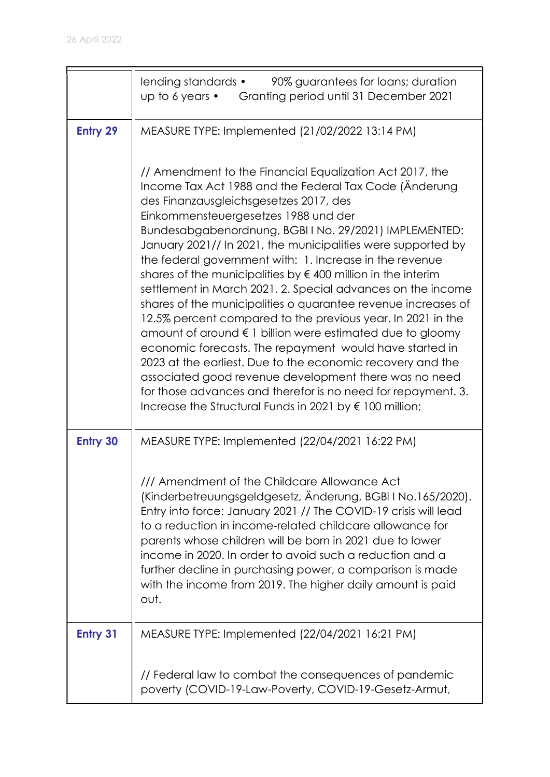|                 | 90% guarantees for loans; duration<br>lending standards •<br>up to 6 years • Granting period until 31 December 2021                                                                                                                                                                                                                                                                                                                                                                                                                                                                                                                                                                                                                                                                                                                                                                                                                                                                                                                              |
|-----------------|--------------------------------------------------------------------------------------------------------------------------------------------------------------------------------------------------------------------------------------------------------------------------------------------------------------------------------------------------------------------------------------------------------------------------------------------------------------------------------------------------------------------------------------------------------------------------------------------------------------------------------------------------------------------------------------------------------------------------------------------------------------------------------------------------------------------------------------------------------------------------------------------------------------------------------------------------------------------------------------------------------------------------------------------------|
| <b>Entry 29</b> | MEASURE TYPE: Implemented (21/02/2022 13:14 PM)                                                                                                                                                                                                                                                                                                                                                                                                                                                                                                                                                                                                                                                                                                                                                                                                                                                                                                                                                                                                  |
|                 | // Amendment to the Financial Equalization Act 2017, the<br>Income Tax Act 1988 and the Federal Tax Code (Anderung<br>des Finanzausgleichsgesetzes 2017, des<br>Einkommensteuergesetzes 1988 und der<br>Bundesabgabenordnung, BGBIINo. 29/2021) IMPLEMENTED:<br>January 2021// In 2021, the municipalities were supported by<br>the federal government with: 1. Increase in the revenue<br>shares of the municipalities by $\notin$ 400 million in the interim<br>settlement in March 2021. 2. Special advances on the income<br>shares of the municipalities o quarantee revenue increases of<br>12.5% percent compared to the previous year. In 2021 in the<br>amount of around € 1 billion were estimated due to gloomy<br>economic forecasts. The repayment would have started in<br>2023 at the earliest. Due to the economic recovery and the<br>associated good revenue development there was no need<br>for those advances and therefor is no need for repayment. 3.<br>Increase the Structural Funds in 2021 by $\epsilon$ 100 million; |
| <b>Entry 30</b> | MEASURE TYPE: Implemented (22/04/2021 16:22 PM)                                                                                                                                                                                                                                                                                                                                                                                                                                                                                                                                                                                                                                                                                                                                                                                                                                                                                                                                                                                                  |
|                 | /// Amendment of the Childcare Allowance Act<br>(Kinderbetreuungsgeldgesetz, Änderung, BGBI I No.165/2020).<br>Entry into force: January 2021 // The COVID-19 crisis will lead<br>to a reduction in income-related childcare allowance for<br>parents whose children will be born in 2021 due to lower<br>income in 2020. In order to avoid such a reduction and a<br>further decline in purchasing power, a comparison is made<br>with the income from 2019. The higher daily amount is paid<br>out.                                                                                                                                                                                                                                                                                                                                                                                                                                                                                                                                            |
| <b>Entry 31</b> | MEASURE TYPE: Implemented (22/04/2021 16:21 PM)                                                                                                                                                                                                                                                                                                                                                                                                                                                                                                                                                                                                                                                                                                                                                                                                                                                                                                                                                                                                  |
|                 | // Federal law to combat the consequences of pandemic<br>poverty (COVID-19-Law-Poverty, COVID-19-Gesetz-Armut,                                                                                                                                                                                                                                                                                                                                                                                                                                                                                                                                                                                                                                                                                                                                                                                                                                                                                                                                   |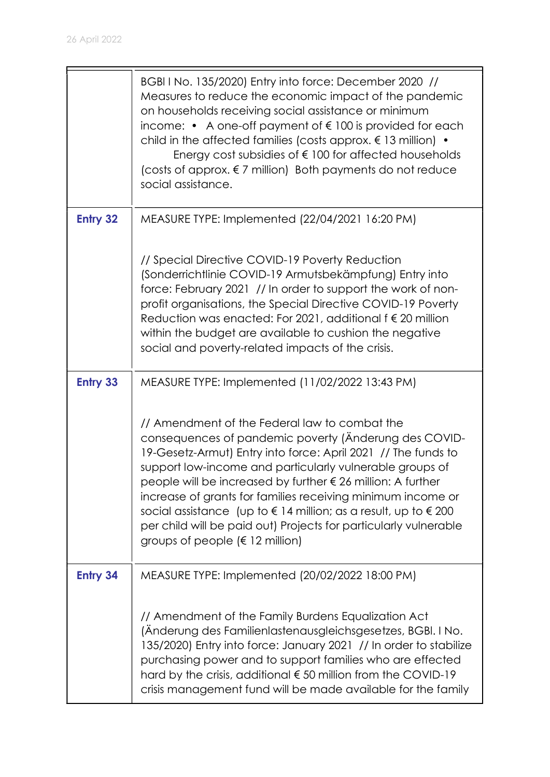$\blacksquare$ 

|                 | BGBI I No. 135/2020) Entry into force: December 2020 //<br>Measures to reduce the economic impact of the pandemic<br>on households receiving social assistance or minimum<br>income: $\bullet$ A one-off payment of $\epsilon$ 100 is provided for each<br>child in the affected families (costs approx. $\epsilon$ 13 million) $\bullet$<br>Energy cost subsidies of $\epsilon$ 100 for affected households<br>(costs of approx. $\epsilon$ 7 million) Both payments do not reduce<br>social assistance.                                                               |
|-----------------|-------------------------------------------------------------------------------------------------------------------------------------------------------------------------------------------------------------------------------------------------------------------------------------------------------------------------------------------------------------------------------------------------------------------------------------------------------------------------------------------------------------------------------------------------------------------------|
| <b>Entry 32</b> | MEASURE TYPE: Implemented (22/04/2021 16:20 PM)                                                                                                                                                                                                                                                                                                                                                                                                                                                                                                                         |
|                 | // Special Directive COVID-19 Poverty Reduction<br>(Sonderrichtlinie COVID-19 Armutsbekämpfung) Entry into<br>force: February 2021 // In order to support the work of non-<br>profit organisations, the Special Directive COVID-19 Poverty<br>Reduction was enacted: For 2021, additional $f \in 20$ million<br>within the budget are available to cushion the negative<br>social and poverty-related impacts of the crisis.                                                                                                                                            |
| <b>Entry 33</b> | MEASURE TYPE: Implemented (11/02/2022 13:43 PM)                                                                                                                                                                                                                                                                                                                                                                                                                                                                                                                         |
|                 | // Amendment of the Federal law to combat the<br>consequences of pandemic poverty (Anderung des COVID-<br>19-Gesetz-Armut) Entry into force: April 2021 // The funds to<br>support low-income and particularly vulnerable groups of<br>people will be increased by further € 26 million: A further<br>increase of grants for families receiving minimum income or<br>social assistance (up to $\epsilon$ 14 million; as a result, up to $\epsilon$ 200<br>per child will be paid out) Projects for particularly vulnerable<br>groups of people ( $\epsilon$ 12 million) |
| <b>Entry 34</b> | MEASURE TYPE: Implemented (20/02/2022 18:00 PM)                                                                                                                                                                                                                                                                                                                                                                                                                                                                                                                         |
|                 | // Amendment of the Family Burdens Equalization Act<br>(Änderung des Familienlastenausgleichsgesetzes, BGBI. I No.<br>135/2020) Entry into force: January 2021 // In order to stabilize<br>purchasing power and to support families who are effected<br>hard by the crisis, additional $\epsilon$ 50 million from the COVID-19<br>crisis management fund will be made available for the family                                                                                                                                                                          |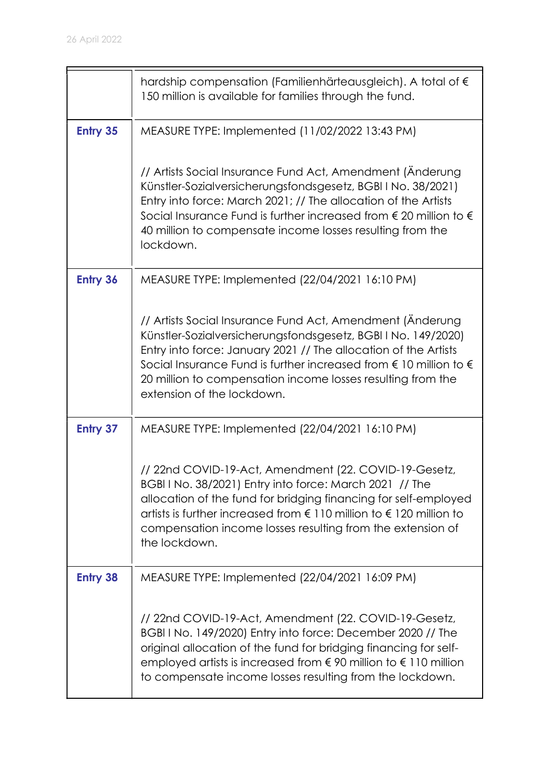|                 | hardship compensation (Familienhärteausgleich). A total of $\epsilon$<br>150 million is available for families through the fund.                                                                                                                                                                                                                                                   |
|-----------------|------------------------------------------------------------------------------------------------------------------------------------------------------------------------------------------------------------------------------------------------------------------------------------------------------------------------------------------------------------------------------------|
| <b>Entry 35</b> | MEASURE TYPE: Implemented (11/02/2022 13:43 PM)                                                                                                                                                                                                                                                                                                                                    |
|                 | // Artists Social Insurance Fund Act, Amendment (Änderung<br>Künstler-Sozialversicherungsfondsgesetz, BGBI I No. 38/2021)<br>Entry into force: March 2021; // The allocation of the Artists<br>Social Insurance Fund is further increased from $\epsilon$ 20 million to $\epsilon$<br>40 million to compensate income losses resulting from the<br>lockdown.                       |
| <b>Entry 36</b> | MEASURE TYPE: Implemented (22/04/2021 16:10 PM)                                                                                                                                                                                                                                                                                                                                    |
|                 | // Artists Social Insurance Fund Act, Amendment (Änderung)<br>Künstler-Sozialversicherungsfondsgesetz, BGBI I No. 149/2020)<br>Entry into force: January 2021 // The allocation of the Artists<br>Social Insurance Fund is further increased from $\epsilon$ 10 million to $\epsilon$<br>20 million to compensation income losses resulting from the<br>extension of the lockdown. |
| <b>Entry 37</b> | MEASURE TYPE: Implemented (22/04/2021 16:10 PM)                                                                                                                                                                                                                                                                                                                                    |
|                 | // 22nd COVID-19-Act, Amendment (22. COVID-19-Gesetz,<br>BGBI I No. 38/2021) Entry into force: March 2021 // The<br>allocation of the fund for bridging financing for self-employed<br>artists is further increased from $\epsilon$ 110 million to $\epsilon$ 120 million to<br>compensation income losses resulting from the extension of<br>the lockdown.                        |
| <b>Entry 38</b> | MEASURE TYPE: Implemented (22/04/2021 16:09 PM)                                                                                                                                                                                                                                                                                                                                    |
|                 | // 22nd COVID-19-Act, Amendment (22. COVID-19-Gesetz,<br>BGBI I No. 149/2020) Entry into force: December 2020 // The<br>original allocation of the fund for bridging financing for self-<br>employed artists is increased from $\epsilon$ 90 million to $\epsilon$ 110 million<br>to compensate income losses resulting from the lockdown.                                         |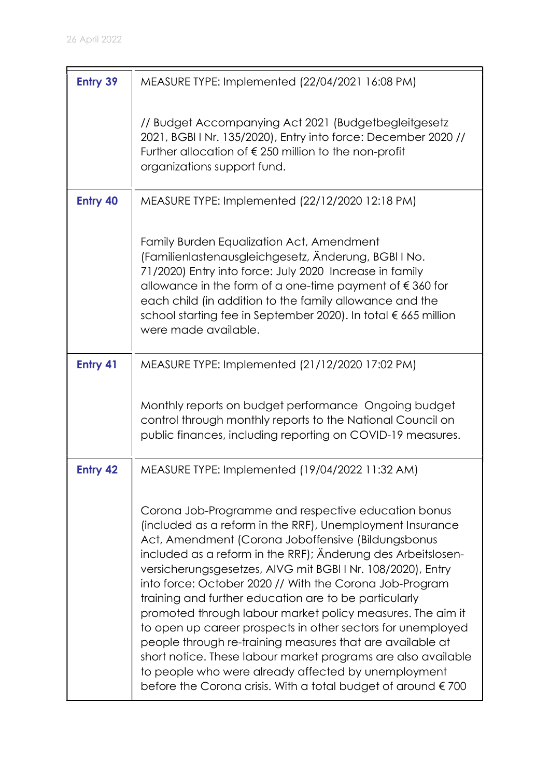| <b>Entry 39</b> | MEASURE TYPE: Implemented (22/04/2021 16:08 PM)                                                                                                                                                                                                                                                                                                                                                                                                                                                                                                                                                                                                                                                                                                                                                                       |
|-----------------|-----------------------------------------------------------------------------------------------------------------------------------------------------------------------------------------------------------------------------------------------------------------------------------------------------------------------------------------------------------------------------------------------------------------------------------------------------------------------------------------------------------------------------------------------------------------------------------------------------------------------------------------------------------------------------------------------------------------------------------------------------------------------------------------------------------------------|
|                 | // Budget Accompanying Act 2021 (Budgetbegleitgesetz)<br>2021, BGBI I Nr. 135/2020), Entry into force: December 2020 //<br>Further allocation of €250 million to the non-profit<br>organizations support fund.                                                                                                                                                                                                                                                                                                                                                                                                                                                                                                                                                                                                        |
| <b>Entry 40</b> | MEASURE TYPE: Implemented (22/12/2020 12:18 PM)                                                                                                                                                                                                                                                                                                                                                                                                                                                                                                                                                                                                                                                                                                                                                                       |
|                 | Family Burden Equalization Act, Amendment<br>(Familienlastenausgleichgesetz, Änderung, BGBI I No.<br>71/2020) Entry into force: July 2020 Increase in family<br>allowance in the form of a one-time payment of $\epsilon$ 360 for<br>each child (in addition to the family allowance and the<br>school starting fee in September 2020). In total € 665 million<br>were made available.                                                                                                                                                                                                                                                                                                                                                                                                                                |
| Entry 41        | MEASURE TYPE: Implemented (21/12/2020 17:02 PM)                                                                                                                                                                                                                                                                                                                                                                                                                                                                                                                                                                                                                                                                                                                                                                       |
|                 | Monthly reports on budget performance Ongoing budget<br>control through monthly reports to the National Council on<br>public finances, including reporting on COVID-19 measures.                                                                                                                                                                                                                                                                                                                                                                                                                                                                                                                                                                                                                                      |
| <b>Entry 42</b> | MEASURE TYPE: Implemented (19/04/2022 11:32 AM)                                                                                                                                                                                                                                                                                                                                                                                                                                                                                                                                                                                                                                                                                                                                                                       |
|                 | Corona Job-Programme and respective education bonus<br>(included as a reform in the RRF), Unemployment Insurance<br>Act, Amendment (Corona Joboffensive (Bildungsbonus<br>included as a reform in the RRF); Anderung des Arbeitslosen-<br>versicherungsgesetzes, AIVG mit BGBI I Nr. 108/2020), Entry<br>into force: October 2020 // With the Corona Job-Program<br>training and further education are to be particularly<br>promoted through labour market policy measures. The aim it<br>to open up career prospects in other sectors for unemployed<br>people through re-training measures that are available at<br>short notice. These labour market programs are also available<br>to people who were already affected by unemployment<br>before the Corona crisis. With a total budget of around $\epsilon$ 700 |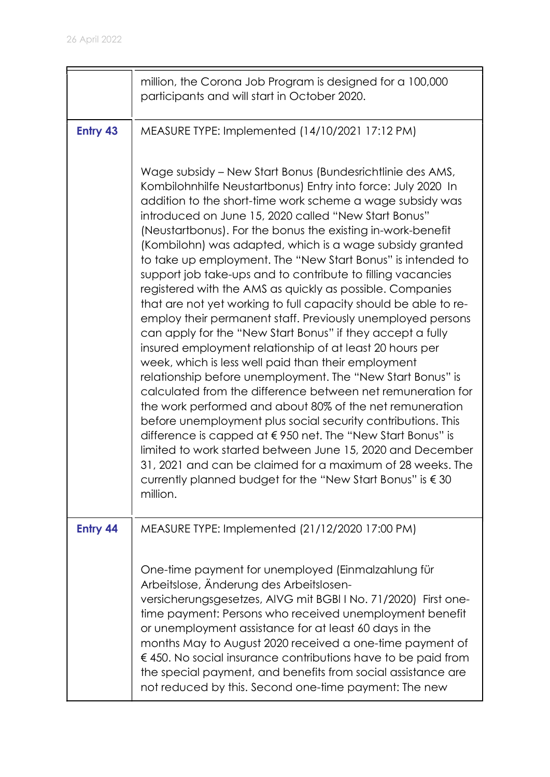|                 | million, the Corona Job Program is designed for a 100,000<br>participants and will start in October 2020.                                                                                                                                                                                                                                                                                                                                                                                                                                                                                                                                                                                                                                                                                                                                                                                                                                                                                                                                                                                                                                                                                                                                                                                                                                                                                                           |
|-----------------|---------------------------------------------------------------------------------------------------------------------------------------------------------------------------------------------------------------------------------------------------------------------------------------------------------------------------------------------------------------------------------------------------------------------------------------------------------------------------------------------------------------------------------------------------------------------------------------------------------------------------------------------------------------------------------------------------------------------------------------------------------------------------------------------------------------------------------------------------------------------------------------------------------------------------------------------------------------------------------------------------------------------------------------------------------------------------------------------------------------------------------------------------------------------------------------------------------------------------------------------------------------------------------------------------------------------------------------------------------------------------------------------------------------------|
| <b>Entry 43</b> | MEASURE TYPE: Implemented (14/10/2021 17:12 PM)                                                                                                                                                                                                                                                                                                                                                                                                                                                                                                                                                                                                                                                                                                                                                                                                                                                                                                                                                                                                                                                                                                                                                                                                                                                                                                                                                                     |
|                 | Wage subsidy – New Start Bonus (Bundesrichtlinie des AMS,<br>Kombilohnhilfe Neustartbonus) Entry into force: July 2020 In<br>addition to the short-time work scheme a wage subsidy was<br>introduced on June 15, 2020 called "New Start Bonus"<br>(Neustartbonus). For the bonus the existing in-work-benefit<br>(Kombilohn) was adapted, which is a wage subsidy granted<br>to take up employment. The "New Start Bonus" is intended to<br>support job take-ups and to contribute to filling vacancies<br>registered with the AMS as quickly as possible. Companies<br>that are not yet working to full capacity should be able to re-<br>employ their permanent staff. Previously unemployed persons<br>can apply for the "New Start Bonus" if they accept a fully<br>insured employment relationship of at least 20 hours per<br>week, which is less well paid than their employment<br>relationship before unemployment. The "New Start Bonus" is<br>calculated from the difference between net remuneration for<br>the work performed and about 80% of the net remuneration<br>before unemployment plus social security contributions. This<br>difference is capped at €950 net. The "New Start Bonus" is<br>limited to work started between June 15, 2020 and December<br>31, 2021 and can be claimed for a maximum of 28 weeks. The<br>currently planned budget for the "New Start Bonus" is €30<br>million. |
| Entry 44        | MEASURE TYPE: Implemented (21/12/2020 17:00 PM)                                                                                                                                                                                                                                                                                                                                                                                                                                                                                                                                                                                                                                                                                                                                                                                                                                                                                                                                                                                                                                                                                                                                                                                                                                                                                                                                                                     |
|                 | One-time payment for unemployed (Einmalzahlung für<br>Arbeitslose, Änderung des Arbeitslosen-<br>versicherungsgesetzes, AIVG mit BGBI I No. 71/2020) First one-<br>time payment: Persons who received unemployment benefit<br>or unemployment assistance for at least 60 days in the<br>months May to August 2020 received a one-time payment of<br>$\epsilon$ 450. No social insurance contributions have to be paid from<br>the special payment, and benefits from social assistance are<br>not reduced by this. Second one-time payment: The new                                                                                                                                                                                                                                                                                                                                                                                                                                                                                                                                                                                                                                                                                                                                                                                                                                                                 |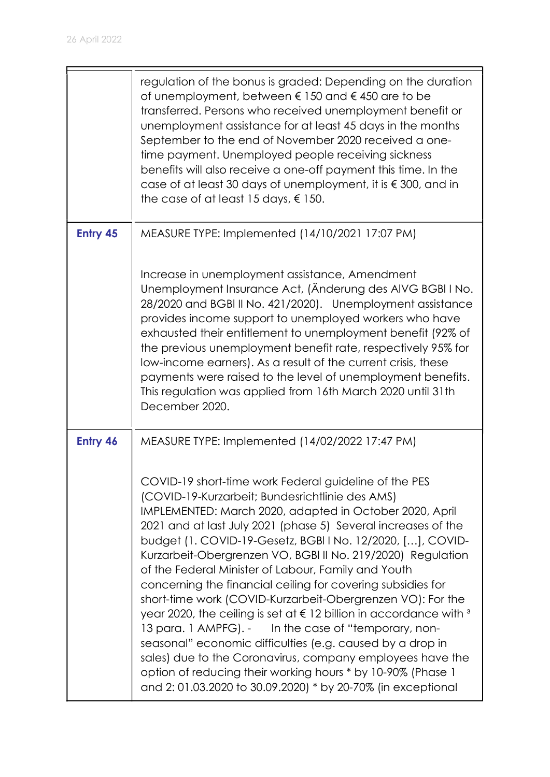|          | regulation of the bonus is graded: Depending on the duration<br>of unemployment, between $\epsilon$ 150 and $\epsilon$ 450 are to be<br>transferred. Persons who received unemployment benefit or<br>unemployment assistance for at least 45 days in the months<br>September to the end of November 2020 received a one-<br>time payment. Unemployed people receiving sickness<br>benefits will also receive a one-off payment this time. In the<br>case of at least 30 days of unemployment, it is $\epsilon$ 300, and in<br>the case of at least 15 days, $\epsilon$ 150.                                                                                                                                                                                                                                                                                                                                                                                                                               |
|----------|-----------------------------------------------------------------------------------------------------------------------------------------------------------------------------------------------------------------------------------------------------------------------------------------------------------------------------------------------------------------------------------------------------------------------------------------------------------------------------------------------------------------------------------------------------------------------------------------------------------------------------------------------------------------------------------------------------------------------------------------------------------------------------------------------------------------------------------------------------------------------------------------------------------------------------------------------------------------------------------------------------------|
| Entry 45 | MEASURE TYPE: Implemented (14/10/2021 17:07 PM)<br>Increase in unemployment assistance, Amendment<br>Unemployment Insurance Act, (Anderung des AIVG BGBI I No.<br>28/2020 and BGBI II No. 421/2020). Unemployment assistance<br>provides income support to unemployed workers who have<br>exhausted their entitlement to unemployment benefit (92% of<br>the previous unemployment benefit rate, respectively 95% for<br>low-income earners). As a result of the current crisis, these<br>payments were raised to the level of unemployment benefits.<br>This regulation was applied from 16th March 2020 until 31th<br>December 2020.                                                                                                                                                                                                                                                                                                                                                                    |
| Entry 46 | MEASURE TYPE: Implemented (14/02/2022 17:47 PM)<br>COVID-19 short-time work Federal guideline of the PES<br>(COVID-19-Kurzarbeit; Bundesrichtlinie des AMS)<br>IMPLEMENTED: March 2020, adapted in October 2020, April<br>2021 and at last July 2021 (phase 5) Several increases of the<br>budget (1. COVID-19-Gesetz, BGBI I No. 12/2020, [], COVID-<br>Kurzarbeit-Obergrenzen VO, BGBI II No. 219/2020) Regulation<br>of the Federal Minister of Labour, Family and Youth<br>concerning the financial ceiling for covering subsidies for<br>short-time work (COVID-Kurzarbeit-Obergrenzen VO): For the<br>year 2020, the ceiling is set at $\epsilon$ 12 billion in accordance with $3$<br>13 para. 1 AMPFG). - In the case of "temporary, non-<br>seasonal" economic difficulties (e.g. caused by a drop in<br>sales) due to the Coronavirus, company employees have the<br>option of reducing their working hours * by 10-90% (Phase 1<br>and 2:01.03.2020 to 30.09.2020) * by 20-70% (in exceptional |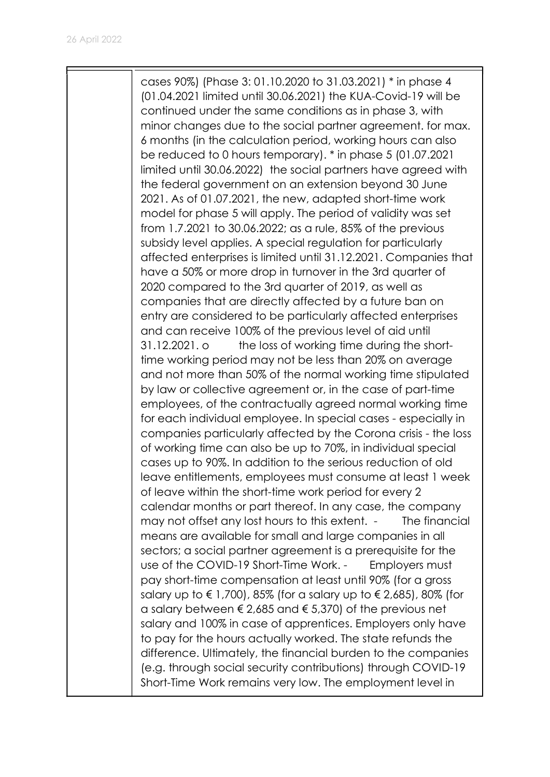cases 90%) (Phase 3: 01.10.2020 to 31.03.2021) \* in phase 4 (01.04.2021 limited until 30.06.2021) the KUA-Covid-19 will be continued under the same conditions as in phase 3, with minor changes due to the social partner agreement. for max. 6 months (in the calculation period, working hours can also be reduced to 0 hours temporary). \* in phase 5 (01.07.2021 limited until 30.06.2022) the social partners have agreed with the federal government on an extension beyond 30 June 2021. As of 01.07.2021, the new, adapted short-time work model for phase 5 will apply. The period of validity was set from 1.7.2021 to 30.06.2022; as a rule, 85% of the previous subsidy level applies. A special regulation for particularly affected enterprises is limited until 31.12.2021. Companies that have a 50% or more drop in turnover in the 3rd quarter of 2020 compared to the 3rd quarter of 2019, as well as companies that are directly affected by a future ban on entry are considered to be particularly affected enterprises and can receive 100% of the previous level of aid until 31.12.2021. o the loss of working time during the shorttime working period may not be less than 20% on average and not more than 50% of the normal working time stipulated by law or collective agreement or, in the case of part-time employees, of the contractually agreed normal working time for each individual employee. In special cases - especially in companies particularly affected by the Corona crisis - the loss of working time can also be up to 70%, in individual special cases up to 90%. In addition to the serious reduction of old leave entitlements, employees must consume at least 1 week of leave within the short-time work period for every 2 calendar months or part thereof. In any case, the company may not offset any lost hours to this extent. - The financial means are available for small and large companies in all sectors; a social partner agreement is a prerequisite for the use of the COVID-19 Short-Time Work. - Employers must pay short-time compensation at least until 90% (for a gross salary up to  $\epsilon$  1,700), 85% (for a salary up to  $\epsilon$  2,685), 80% (for a salary between  $\epsilon$  2,685 and  $\epsilon$  5,370) of the previous net salary and 100% in case of apprentices. Employers only have to pay for the hours actually worked. The state refunds the difference. Ultimately, the financial burden to the companies (e.g. through social security contributions) through COVID-19 Short-Time Work remains very low. The employment level in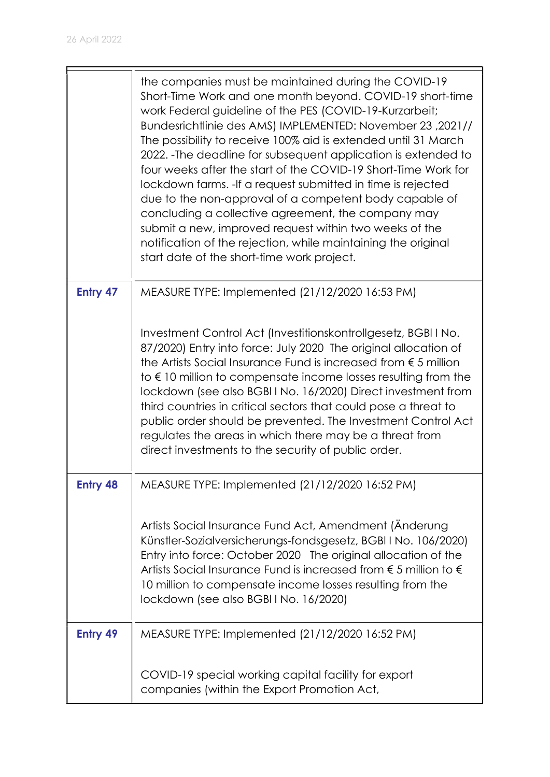|                 | the companies must be maintained during the COVID-19<br>Short-Time Work and one month beyond. COVID-19 short-time<br>work Federal guideline of the PES (COVID-19-Kurzarbeit;<br>Bundesrichtlinie des AMS) IMPLEMENTED: November 23, 2021//<br>The possibility to receive 100% aid is extended until 31 March<br>2022. - The deadline for subsequent application is extended to<br>four weeks after the start of the COVID-19 Short-Time Work for<br>lockdown farms. - If a request submitted in time is rejected<br>due to the non-approval of a competent body capable of<br>concluding a collective agreement, the company may<br>submit a new, improved request within two weeks of the<br>notification of the rejection, while maintaining the original<br>start date of the short-time work project. |
|-----------------|-----------------------------------------------------------------------------------------------------------------------------------------------------------------------------------------------------------------------------------------------------------------------------------------------------------------------------------------------------------------------------------------------------------------------------------------------------------------------------------------------------------------------------------------------------------------------------------------------------------------------------------------------------------------------------------------------------------------------------------------------------------------------------------------------------------|
| Entry 47        | MEASURE TYPE: Implemented (21/12/2020 16:53 PM)                                                                                                                                                                                                                                                                                                                                                                                                                                                                                                                                                                                                                                                                                                                                                           |
|                 | Investment Control Act (Investitionskontrollgesetz, BGBI I No.<br>87/2020) Entry into force: July 2020 The original allocation of<br>the Artists Social Insurance Fund is increased from $\epsilon$ 5 million<br>to $\epsilon$ 10 million to compensate income losses resulting from the<br>lockdown (see also BGBI I No. 16/2020) Direct investment from<br>third countries in critical sectors that could pose a threat to<br>public order should be prevented. The Investment Control Act<br>regulates the areas in which there may be a threat from<br>direct investments to the security of public order.                                                                                                                                                                                            |
| <b>Entry 48</b> | MEASURE TYPE: Implemented (21/12/2020 16:52 PM)                                                                                                                                                                                                                                                                                                                                                                                                                                                                                                                                                                                                                                                                                                                                                           |
|                 | Artists Social Insurance Fund Act, Amendment (Änderung<br>Künstler-Sozialversicherungs-fondsgesetz, BGBI I No. 106/2020)<br>Entry into force: October 2020 The original allocation of the<br>Artists Social Insurance Fund is increased from $\epsilon$ 5 million to $\epsilon$<br>10 million to compensate income losses resulting from the<br>lockdown (see also BGBI I No. 16/2020)                                                                                                                                                                                                                                                                                                                                                                                                                    |
| Entry 49        | MEASURE TYPE: Implemented (21/12/2020 16:52 PM)                                                                                                                                                                                                                                                                                                                                                                                                                                                                                                                                                                                                                                                                                                                                                           |
|                 | COVID-19 special working capital facility for export<br>companies (within the Export Promotion Act,                                                                                                                                                                                                                                                                                                                                                                                                                                                                                                                                                                                                                                                                                                       |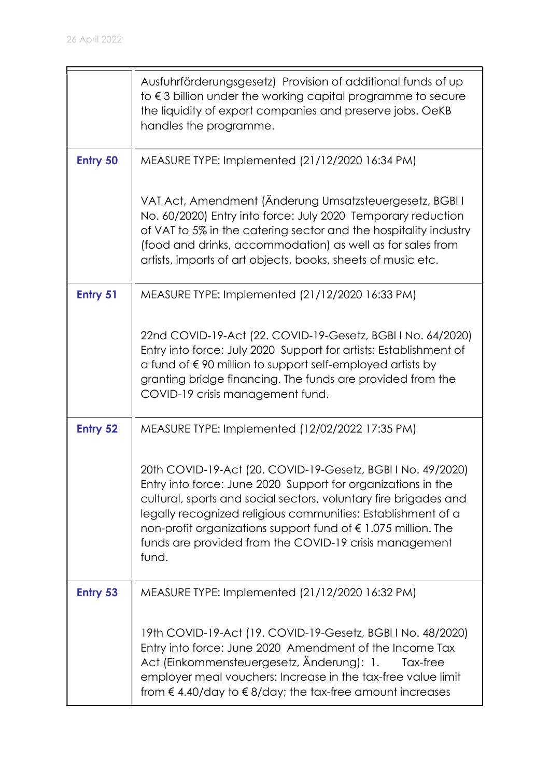|                 | Ausfuhrförderungsgesetz) Provision of additional funds of up<br>to $\epsilon$ 3 billion under the working capital programme to secure<br>the liquidity of export companies and preserve jobs. OeKB<br>handles the programme.                                                                                                                                                                                 |
|-----------------|--------------------------------------------------------------------------------------------------------------------------------------------------------------------------------------------------------------------------------------------------------------------------------------------------------------------------------------------------------------------------------------------------------------|
| <b>Entry 50</b> | MEASURE TYPE: Implemented (21/12/2020 16:34 PM)                                                                                                                                                                                                                                                                                                                                                              |
|                 | VAT Act, Amendment (Änderung Umsatzsteuergesetz, BGBI I<br>No. 60/2020) Entry into force: July 2020 Temporary reduction<br>of VAT to 5% in the catering sector and the hospitality industry<br>(food and drinks, accommodation) as well as for sales from<br>artists, imports of art objects, books, sheets of music etc.                                                                                    |
| <b>Entry 51</b> | MEASURE TYPE: Implemented (21/12/2020 16:33 PM)                                                                                                                                                                                                                                                                                                                                                              |
|                 | 22nd COVID-19-Act (22. COVID-19-Gesetz, BGBI I No. 64/2020)<br>Entry into force: July 2020 Support for artists: Establishment of<br>a fund of €90 million to support self-employed artists by<br>granting bridge financing. The funds are provided from the<br>COVID-19 crisis management fund.                                                                                                              |
| <b>Entry 52</b> | MEASURE TYPE: Implemented (12/02/2022 17:35 PM)                                                                                                                                                                                                                                                                                                                                                              |
|                 | 20th COVID-19-Act (20. COVID-19-Gesetz, BGBI I No. 49/2020)<br>Entry into force: June 2020 Support for organizations in the<br>cultural, sports and social sectors, voluntary fire brigades and<br>legally recognized religious communities: Establishment of a<br>non-profit organizations support fund of $\epsilon$ 1.075 million. The<br>funds are provided from the COVID-19 crisis management<br>fund. |
| <b>Entry 53</b> | MEASURE TYPE: Implemented (21/12/2020 16:32 PM)                                                                                                                                                                                                                                                                                                                                                              |
|                 | 19th COVID-19-Act (19. COVID-19-Gesetz, BGBI I No. 48/2020)<br>Entry into force: June 2020 Amendment of the Income Tax<br>Act (Einkommensteuergesetz, Änderung): 1.<br>Tax-free<br>employer meal vouchers: Increase in the tax-free value limit<br>from $\epsilon$ 4.40/day to $\epsilon$ 8/day; the tax-free amount increases                                                                               |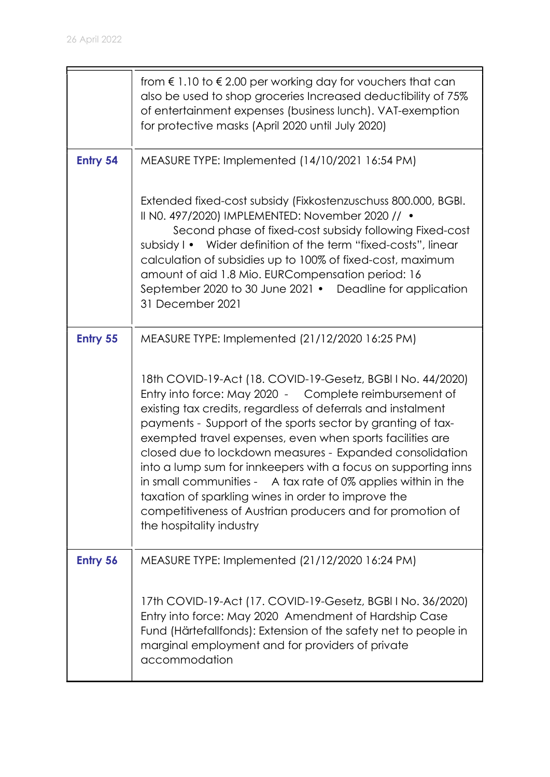|                 | from $\epsilon$ 1.10 to $\epsilon$ 2.00 per working day for vouchers that can<br>also be used to shop groceries Increased deductibility of 75%<br>of entertainment expenses (business lunch). VAT-exemption<br>for protective masks (April 2020 until July 2020)                                                                                                                                                                                                                                                                                                                                 |
|-----------------|--------------------------------------------------------------------------------------------------------------------------------------------------------------------------------------------------------------------------------------------------------------------------------------------------------------------------------------------------------------------------------------------------------------------------------------------------------------------------------------------------------------------------------------------------------------------------------------------------|
| <b>Entry 54</b> | MEASURE TYPE: Implemented (14/10/2021 16:54 PM)                                                                                                                                                                                                                                                                                                                                                                                                                                                                                                                                                  |
|                 | Extended fixed-cost subsidy (Fixkostenzuschuss 800.000, BGBI.<br>II N0. 497/2020) IMPLEMENTED: November 2020 // •<br>Second phase of fixed-cost subsidy following Fixed-cost<br>Wider definition of the term "fixed-costs", linear<br>subsidy I •<br>calculation of subsidies up to 100% of fixed-cost, maximum<br>amount of aid 1.8 Mio. EURCompensation period: 16<br>September 2020 to 30 June 2021 • Deadline for application<br>31 December 2021                                                                                                                                            |
| Entry 55        | MEASURE TYPE: Implemented (21/12/2020 16:25 PM)                                                                                                                                                                                                                                                                                                                                                                                                                                                                                                                                                  |
|                 | 18th COVID-19-Act (18. COVID-19-Gesetz, BGBI I No. 44/2020)<br>Entry into force: May 2020 - Complete reimbursement of<br>existing tax credits, regardless of deferrals and instalment<br>payments - Support of the sports sector by granting of tax-<br>exempted travel expenses, even when sports facilities are<br>closed due to lockdown measures - Expanded consolidation<br>into a lump sum for innkeepers with a focus on supporting inns<br>taxation of sparkling wines in order to improve the<br>competitiveness of Austrian producers and for promotion of<br>the hospitality industry |
| <b>Entry 56</b> | MEASURE TYPE: Implemented (21/12/2020 16:24 PM)                                                                                                                                                                                                                                                                                                                                                                                                                                                                                                                                                  |
|                 | 17th COVID-19-Act (17. COVID-19-Gesetz, BGBI I No. 36/2020)<br>Entry into force: May 2020 Amendment of Hardship Case<br>Fund (Härtefallfonds): Extension of the safety net to people in<br>marginal employment and for providers of private<br>accommodation                                                                                                                                                                                                                                                                                                                                     |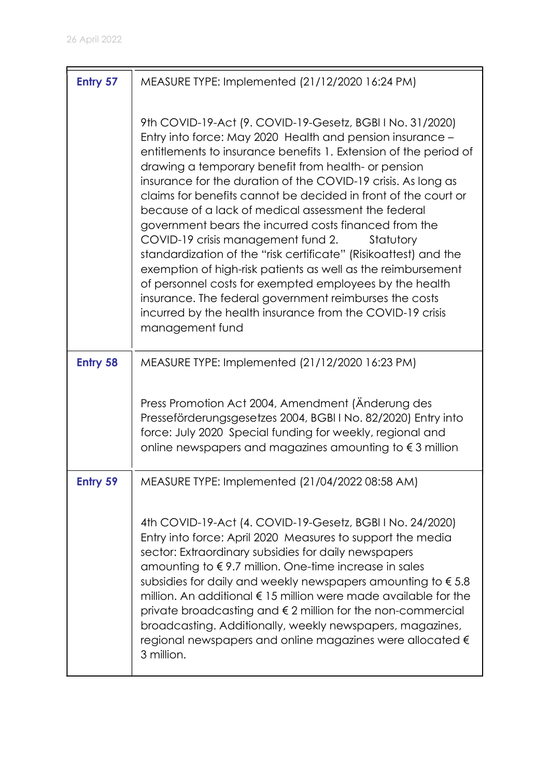| Entry 57        | MEASURE TYPE: Implemented (21/12/2020 16:24 PM)                                                                                                                                                                                                                                                                                                                                                                                                                                                                                                                                                                                                                                                                                                                                                                                                                                                  |
|-----------------|--------------------------------------------------------------------------------------------------------------------------------------------------------------------------------------------------------------------------------------------------------------------------------------------------------------------------------------------------------------------------------------------------------------------------------------------------------------------------------------------------------------------------------------------------------------------------------------------------------------------------------------------------------------------------------------------------------------------------------------------------------------------------------------------------------------------------------------------------------------------------------------------------|
|                 | 9th COVID-19-Act (9. COVID-19-Gesetz, BGBI I No. 31/2020)<br>Entry into force: May 2020 Health and pension insurance -<br>entitlements to insurance benefits 1. Extension of the period of<br>drawing a temporary benefit from health- or pension<br>insurance for the duration of the COVID-19 crisis. As long as<br>claims for benefits cannot be decided in front of the court or<br>because of a lack of medical assessment the federal<br>government bears the incurred costs financed from the<br>COVID-19 crisis management fund 2.<br>Statutory<br>standardization of the "risk certificate" (Risikoattest) and the<br>exemption of high-risk patients as well as the reimbursement<br>of personnel costs for exempted employees by the health<br>insurance. The federal government reimburses the costs<br>incurred by the health insurance from the COVID-19 crisis<br>management fund |
| <b>Entry 58</b> | MEASURE TYPE: Implemented (21/12/2020 16:23 PM)                                                                                                                                                                                                                                                                                                                                                                                                                                                                                                                                                                                                                                                                                                                                                                                                                                                  |
|                 | Press Promotion Act 2004, Amendment (Anderung des<br>Presseförderungsgesetzes 2004, BGBI I No. 82/2020) Entry into<br>force: July 2020 Special funding for weekly, regional and<br>online newspapers and magazines amounting to $\epsilon$ 3 million                                                                                                                                                                                                                                                                                                                                                                                                                                                                                                                                                                                                                                             |
| <b>Entry 59</b> | MEASURE TYPE: Implemented (21/04/2022 08:58 AM)                                                                                                                                                                                                                                                                                                                                                                                                                                                                                                                                                                                                                                                                                                                                                                                                                                                  |
|                 | 4th COVID-19-Act (4. COVID-19-Gesetz, BGBI I No. 24/2020)<br>Entry into force: April 2020 Measures to support the media<br>sector: Extraordinary subsidies for daily newspapers<br>amounting to $\epsilon$ 9.7 million. One-time increase in sales<br>subsidies for daily and weekly newspapers amounting to $\epsilon$ 5.8<br>million. An additional $\epsilon$ 15 million were made available for the<br>private broadcasting and $\epsilon$ 2 million for the non-commercial<br>broadcasting. Additionally, weekly newspapers, magazines,<br>regional newspapers and online magazines were allocated $\epsilon$<br>3 million.                                                                                                                                                                                                                                                                 |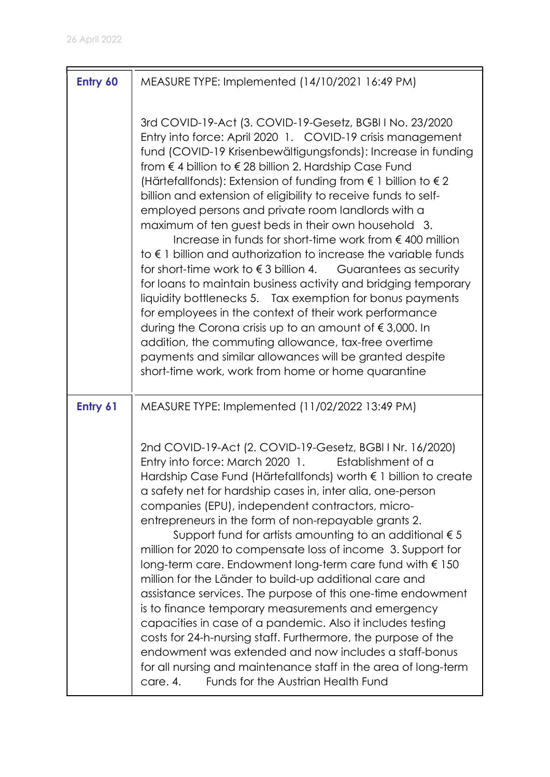| Entry 60 | MEASURE TYPE: Implemented (14/10/2021 16:49 PM)                                                                                                                                                                                                                                                                                                                                                                                                                                                                                                                                                                                                                                                                                                                                                                                                                                                                                                                                                                                                                                                                                                                      |
|----------|----------------------------------------------------------------------------------------------------------------------------------------------------------------------------------------------------------------------------------------------------------------------------------------------------------------------------------------------------------------------------------------------------------------------------------------------------------------------------------------------------------------------------------------------------------------------------------------------------------------------------------------------------------------------------------------------------------------------------------------------------------------------------------------------------------------------------------------------------------------------------------------------------------------------------------------------------------------------------------------------------------------------------------------------------------------------------------------------------------------------------------------------------------------------|
|          | 3rd COVID-19-Act (3. COVID-19-Gesetz, BGBI I No. 23/2020<br>Entry into force: April 2020 1. COVID-19 crisis management<br>fund (COVID-19 Krisenbewältigungsfonds): Increase in funding<br>from € 4 billion to € 28 billion 2. Hardship Case Fund<br>(Härtefallfonds): Extension of funding from € 1 billion to € 2<br>billion and extension of eligibility to receive funds to self-<br>employed persons and private room landlords with a<br>maximum of ten guest beds in their own household 3.<br>Increase in funds for short-time work from $\epsilon$ 400 million<br>to $\epsilon$ 1 billion and authorization to increase the variable funds<br>for short-time work to $\epsilon$ 3 billion 4.<br>Guarantees as security<br>for loans to maintain business activity and bridging temporary<br>liquidity bottlenecks 5. Tax exemption for bonus payments<br>for employees in the context of their work performance<br>during the Corona crisis up to an amount of $\epsilon$ 3,000. In<br>addition, the commuting allowance, tax-free overtime<br>payments and similar allowances will be granted despite<br>short-time work, work from home or home quarantine |
| Entry 61 | MEASURE TYPE: Implemented (11/02/2022 13:49 PM)                                                                                                                                                                                                                                                                                                                                                                                                                                                                                                                                                                                                                                                                                                                                                                                                                                                                                                                                                                                                                                                                                                                      |
|          | 2nd COVID-19-Act (2. COVID-19-Gesetz, BGBI I Nr. 16/2020)<br>Entry into force: March 2020 1.<br>Establishment of a<br>Hardship Case Fund (Härtefallfonds) worth € 1 billion to create<br>a safety net for hardship cases in, inter alia, one-person<br>companies (EPU), independent contractors, micro-<br>entrepreneurs in the form of non-repayable grants 2.<br>Support fund for artists amounting to an additional $\epsilon$ 5<br>million for 2020 to compensate loss of income 3. Support for<br>long-term care. Endowment long-term care fund with € 150<br>million for the Länder to build-up additional care and<br>assistance services. The purpose of this one-time endowment<br>is to finance temporary measurements and emergency<br>capacities in case of a pandemic. Also it includes testing<br>costs for 24-h-nursing staff. Furthermore, the purpose of the<br>endowment was extended and now includes a staff-bonus<br>for all nursing and maintenance staff in the area of long-term<br>Funds for the Austrian Health Fund<br>care. 4.                                                                                                           |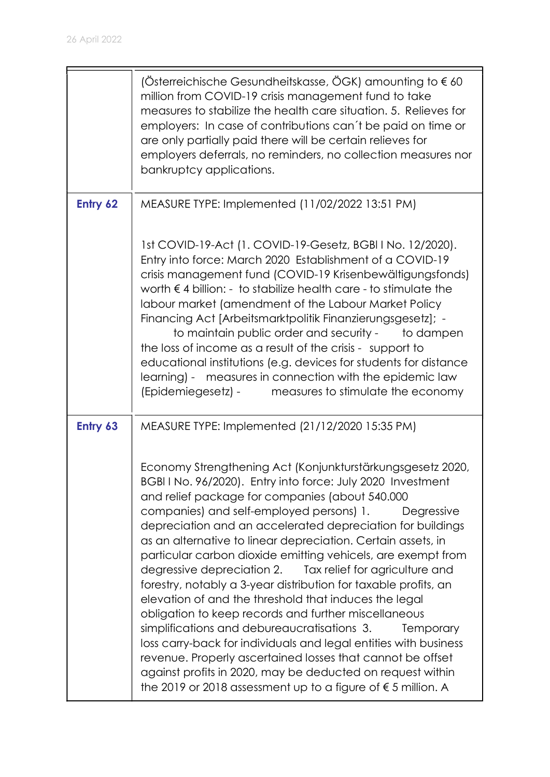|          | (Österreichische Gesundheitskasse, ÖGK) amounting to $\epsilon$ 60<br>million from COVID-19 crisis management fund to take<br>measures to stabilize the health care situation. 5. Relieves for<br>employers: In case of contributions can't be paid on time or<br>are only partially paid there will be certain relieves for<br>employers deferrals, no reminders, no collection measures nor<br>bankruptcy applications.                                                                                                                                                                                                                                                                                                                                                                                                                                                                                                                                                                                                       |
|----------|---------------------------------------------------------------------------------------------------------------------------------------------------------------------------------------------------------------------------------------------------------------------------------------------------------------------------------------------------------------------------------------------------------------------------------------------------------------------------------------------------------------------------------------------------------------------------------------------------------------------------------------------------------------------------------------------------------------------------------------------------------------------------------------------------------------------------------------------------------------------------------------------------------------------------------------------------------------------------------------------------------------------------------|
| Entry 62 | MEASURE TYPE: Implemented (11/02/2022 13:51 PM)                                                                                                                                                                                                                                                                                                                                                                                                                                                                                                                                                                                                                                                                                                                                                                                                                                                                                                                                                                                 |
|          | 1st COVID-19-Act (1. COVID-19-Gesetz, BGBI I No. 12/2020).<br>Entry into force: March 2020 Establishment of a COVID-19<br>crisis management fund (COVID-19 Krisenbewältigungsfonds)<br>worth $\epsilon$ 4 billion: - to stabilize health care - to stimulate the<br>labour market (amendment of the Labour Market Policy<br>Financing Act [Arbeitsmarktpolitik Finanzierungsgesetz]; -<br>to maintain public order and security -<br>to dampen<br>the loss of income as a result of the crisis - support to<br>educational institutions (e.g. devices for students for distance<br>learning) - measures in connection with the epidemic law<br>measures to stimulate the economy<br>(Epidemiegesetz) -                                                                                                                                                                                                                                                                                                                          |
| Entry 63 | MEASURE TYPE: Implemented (21/12/2020 15:35 PM)                                                                                                                                                                                                                                                                                                                                                                                                                                                                                                                                                                                                                                                                                                                                                                                                                                                                                                                                                                                 |
|          | Economy Strengthening Act (Konjunkturstärkungsgesetz 2020,<br>BGBITNo. 96/2020). Entry into force: July 2020 Investment<br>and relief package for companies (about 540.000<br>companies) and self-employed persons) 1.<br>Degressive<br>depreciation and an accelerated depreciation for buildings<br>as an alternative to linear depreciation. Certain assets, in<br>particular carbon dioxide emitting vehicels, are exempt from<br>degressive depreciation 2. Tax relief for agriculture and<br>forestry, notably a 3-year distribution for taxable profits, an<br>elevation of and the threshold that induces the legal<br>obligation to keep records and further miscellaneous<br>simplifications and debureaucratisations 3.<br><b>Temporary</b><br>loss carry-back for individuals and legal entities with business<br>revenue. Properly ascertained losses that cannot be offset<br>against profits in 2020, may be deducted on request within<br>the 2019 or 2018 assessment up to a figure of $\epsilon$ 5 million. A |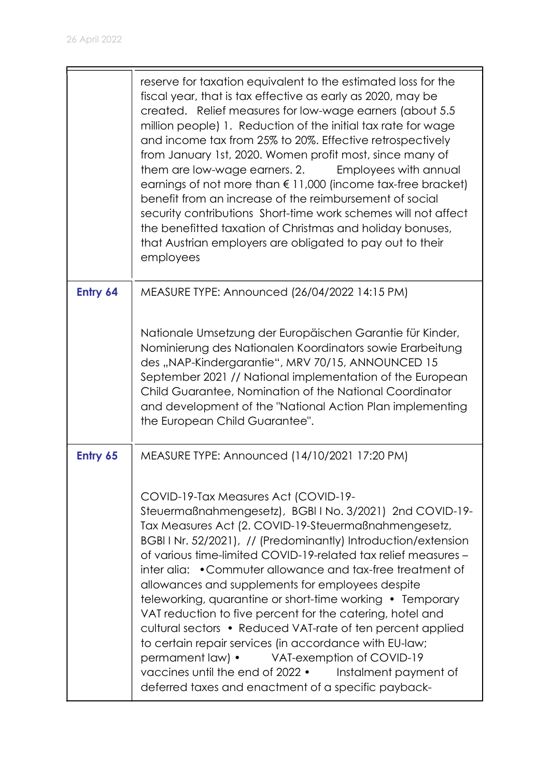|          | reserve for taxation equivalent to the estimated loss for the<br>fiscal year, that is tax effective as early as 2020, may be<br>created. Relief measures for low-wage earners (about 5.5)<br>million people) 1. Reduction of the initial tax rate for wage<br>and income tax from 25% to 20%. Effective retrospectively<br>from January 1st, 2020. Women profit most, since many of<br>them are low-wage earners. 2. Employees with annual<br>earnings of not more than € 11,000 (income tax-free bracket)<br>benefit from an increase of the reimbursement of social<br>security contributions Short-time work schemes will not affect<br>the benefitted taxation of Christmas and holiday bonuses,<br>that Austrian employers are obligated to pay out to their<br>employees                                                   |
|----------|----------------------------------------------------------------------------------------------------------------------------------------------------------------------------------------------------------------------------------------------------------------------------------------------------------------------------------------------------------------------------------------------------------------------------------------------------------------------------------------------------------------------------------------------------------------------------------------------------------------------------------------------------------------------------------------------------------------------------------------------------------------------------------------------------------------------------------|
| Entry 64 | MEASURE TYPE: Announced (26/04/2022 14:15 PM)                                                                                                                                                                                                                                                                                                                                                                                                                                                                                                                                                                                                                                                                                                                                                                                    |
|          | Nationale Umsetzung der Europäischen Garantie für Kinder,<br>Nominierung des Nationalen Koordinators sowie Erarbeitung<br>des "NAP-Kindergarantie", MRV 70/15, ANNOUNCED 15<br>September 2021 // National implementation of the European<br>Child Guarantee, Nomination of the National Coordinator<br>and development of the "National Action Plan implementing<br>the European Child Guarantee".                                                                                                                                                                                                                                                                                                                                                                                                                               |
| Entry 65 | MEASURE TYPE: Announced (14/10/2021 17:20 PM)                                                                                                                                                                                                                                                                                                                                                                                                                                                                                                                                                                                                                                                                                                                                                                                    |
|          | COVID-19-Tax Measures Act (COVID-19-<br>Steuermaßnahmengesetz), BGBIINo. 3/2021) 2nd COVID-19-<br>Tax Measures Act (2. COVID-19-Steuermaßnahmengesetz,<br>BGBI I Nr. 52/2021), // (Predominantly) Introduction/extension<br>of various time-limited COVID-19-related tax relief measures -<br>inter alia: • Commuter allowance and tax-free treatment of<br>allowances and supplements for employees despite<br>teleworking, quarantine or short-time working • Temporary<br>VAT reduction to five percent for the catering, hotel and<br>cultural sectors • Reduced VAT-rate of ten percent applied<br>to certain repair services (in accordance with EU-law;<br>permament law) •<br>VAT-exemption of COVID-19<br>vaccines until the end of 2022 • Instalment payment of<br>deferred taxes and enactment of a specific payback- |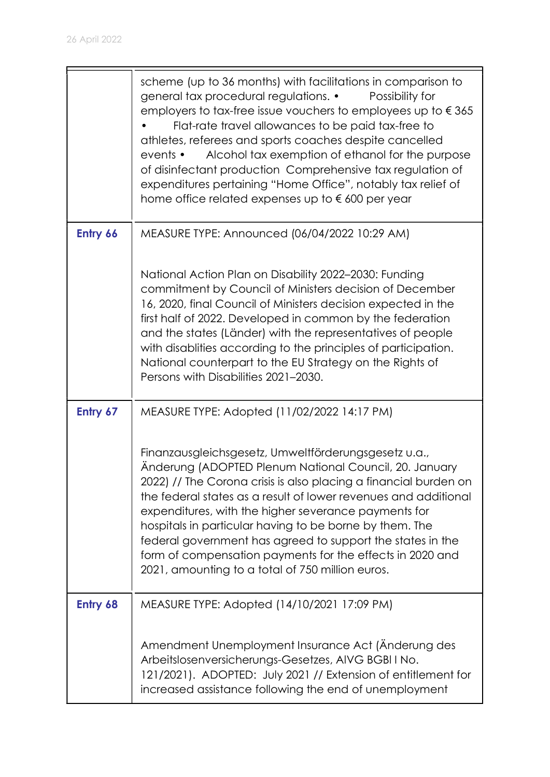|          | scheme (up to 36 months) with facilitations in comparison to<br>general tax procedural regulations. •<br>Possibility for<br>employers to tax-free issue vouchers to employees up to $\epsilon$ 365<br>Flat-rate travel allowances to be paid tax-free to<br>athletes, referees and sports coaches despite cancelled<br>Alcohol tax exemption of ethanol for the purpose<br>events •<br>of disinfectant production Comprehensive tax regulation of<br>expenditures pertaining "Home Office", notably tax relief of<br>home office related expenses up to €600 per year |
|----------|-----------------------------------------------------------------------------------------------------------------------------------------------------------------------------------------------------------------------------------------------------------------------------------------------------------------------------------------------------------------------------------------------------------------------------------------------------------------------------------------------------------------------------------------------------------------------|
| Entry 66 | MEASURE TYPE: Announced (06/04/2022 10:29 AM)                                                                                                                                                                                                                                                                                                                                                                                                                                                                                                                         |
|          | National Action Plan on Disability 2022-2030: Funding<br>commitment by Council of Ministers decision of December<br>16, 2020, final Council of Ministers decision expected in the<br>first half of 2022. Developed in common by the federation<br>and the states (Länder) with the representatives of people<br>with disablities according to the principles of participation.<br>National counterpart to the EU Strategy on the Rights of<br>Persons with Disabilities 2021-2030.                                                                                    |
| Entry 67 | MEASURE TYPE: Adopted (11/02/2022 14:17 PM)                                                                                                                                                                                                                                                                                                                                                                                                                                                                                                                           |
|          | Finanzausgleichsgesetz, Umweltförderungsgesetz u.a.,<br>Änderung (ADOPTED Plenum National Council, 20. January<br>2022) // The Corona crisis is also placing a financial burden on<br>the federal states as a result of lower revenues and additional<br>expenditures, with the higher severance payments for<br>hospitals in particular having to be borne by them. The<br>federal government has agreed to support the states in the<br>form of compensation payments for the effects in 2020 and<br>2021, amounting to a total of 750 million euros.               |
| Entry 68 | MEASURE TYPE: Adopted (14/10/2021 17:09 PM)                                                                                                                                                                                                                                                                                                                                                                                                                                                                                                                           |
|          | Amendment Unemployment Insurance Act (Anderung des<br>Arbeitslosenversicherungs-Gesetzes, AIVG BGBI I No.<br>121/2021). ADOPTED: July 2021 // Extension of entitlement for<br>increased assistance following the end of unemployment                                                                                                                                                                                                                                                                                                                                  |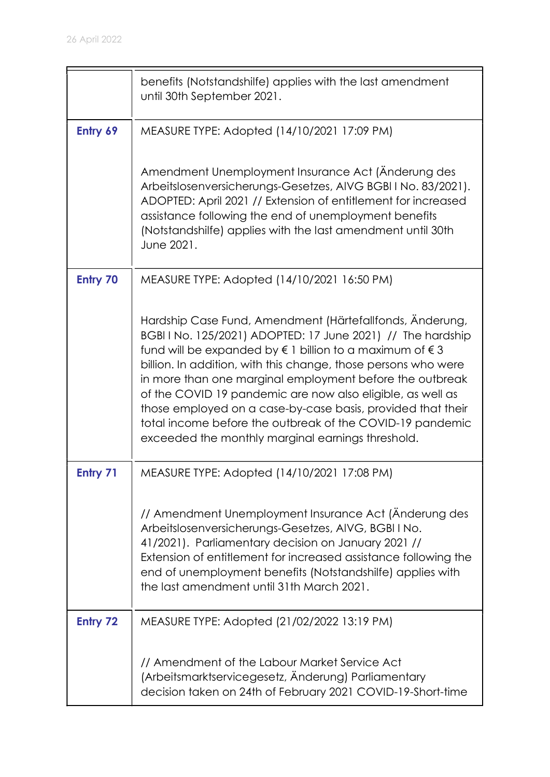|          | benefits (Notstandshilfe) applies with the last amendment<br>until 30th September 2021.                                                                                                                                                                                                                                                                                                                                                                                                                                                                                            |
|----------|------------------------------------------------------------------------------------------------------------------------------------------------------------------------------------------------------------------------------------------------------------------------------------------------------------------------------------------------------------------------------------------------------------------------------------------------------------------------------------------------------------------------------------------------------------------------------------|
| Entry 69 | MEASURE TYPE: Adopted (14/10/2021 17:09 PM)                                                                                                                                                                                                                                                                                                                                                                                                                                                                                                                                        |
|          | Amendment Unemployment Insurance Act (Änderung des<br>Arbeitslosenversicherungs-Gesetzes, AIVG BGBI I No. 83/2021).<br>ADOPTED: April 2021 // Extension of entitlement for increased<br>assistance following the end of unemployment benefits<br>(Notstandshilfe) applies with the last amendment until 30th<br>June 2021.                                                                                                                                                                                                                                                         |
| Entry 70 | MEASURE TYPE: Adopted (14/10/2021 16:50 PM)                                                                                                                                                                                                                                                                                                                                                                                                                                                                                                                                        |
|          | Hardship Case Fund, Amendment (Härtefallfonds, Änderung,<br>BGBI I No. 125/2021) ADOPTED: 17 June 2021) // The hardship<br>fund will be expanded by $\epsilon$ 1 billion to a maximum of $\epsilon$ 3<br>billion. In addition, with this change, those persons who were<br>in more than one marginal employment before the outbreak<br>of the COVID 19 pandemic are now also eligible, as well as<br>those employed on a case-by-case basis, provided that their<br>total income before the outbreak of the COVID-19 pandemic<br>exceeded the monthly marginal earnings threshold. |
| Entry 71 | MEASURE TYPE: Adopted (14/10/2021 17:08 PM)                                                                                                                                                                                                                                                                                                                                                                                                                                                                                                                                        |
|          | // Amendment Unemployment Insurance Act (Änderung des<br>Arbeitslosenversicherungs-Gesetzes, AIVG, BGBI I No.<br>41/2021). Parliamentary decision on January 2021 //<br>Extension of entitlement for increased assistance following the<br>end of unemployment benefits (Notstandshilfe) applies with<br>the last amendment until 31th March 2021.                                                                                                                                                                                                                                 |
| Entry 72 | MEASURE TYPE: Adopted (21/02/2022 13:19 PM)                                                                                                                                                                                                                                                                                                                                                                                                                                                                                                                                        |
|          | // Amendment of the Labour Market Service Act<br>(Arbeitsmarktservicegesetz, Änderung) Parliamentary<br>decision taken on 24th of February 2021 COVID-19-Short-time                                                                                                                                                                                                                                                                                                                                                                                                                |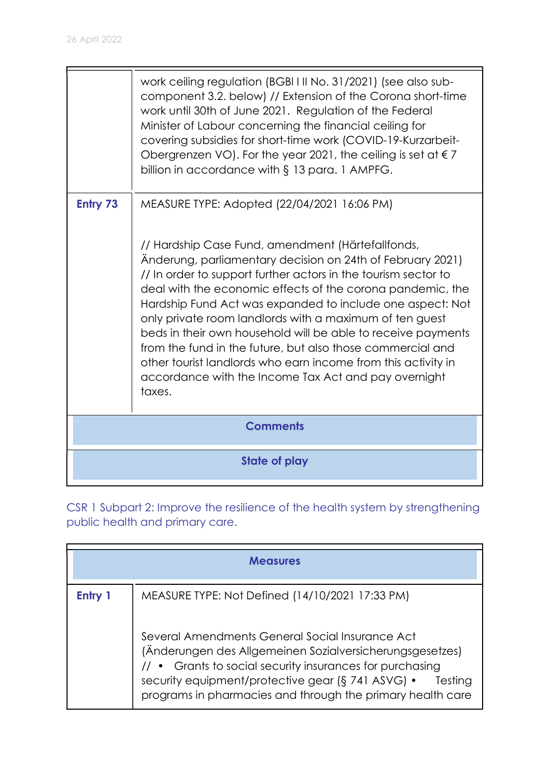|                 | work ceiling regulation (BGBI I II No. 31/2021) (see also sub-<br>component 3.2. below) // Extension of the Corona short-time<br>work until 30th of June 2021. Regulation of the Federal<br>Minister of Labour concerning the financial ceiling for<br>covering subsidies for short-time work (COVID-19-Kurzarbeit-<br>Obergrenzen VO). For the year 2021, the ceiling is set at $\epsilon$ 7<br>billion in accordance with $\S$ 13 para. 1 AMPFG.                                                                                                                                                                                                                                      |
|-----------------|-----------------------------------------------------------------------------------------------------------------------------------------------------------------------------------------------------------------------------------------------------------------------------------------------------------------------------------------------------------------------------------------------------------------------------------------------------------------------------------------------------------------------------------------------------------------------------------------------------------------------------------------------------------------------------------------|
| Entry 73        | MEASURE TYPE: Adopted (22/04/2021 16:06 PM)<br>// Hardship Case Fund, amendment (Härtefallfonds,<br>Änderung, parliamentary decision on 24th of February 2021)<br>// In order to support further actors in the tourism sector to<br>deal with the economic effects of the corona pandemic, the<br>Hardship Fund Act was expanded to include one aspect: Not<br>only private room landlords with a maximum of ten guest<br>beds in their own household will be able to receive payments<br>from the fund in the future, but also those commercial and<br>other tourist landlords who earn income from this activity in<br>accordance with the Income Tax Act and pay overnight<br>taxes. |
| <b>Comments</b> |                                                                                                                                                                                                                                                                                                                                                                                                                                                                                                                                                                                                                                                                                         |
|                 | <b>State of play</b>                                                                                                                                                                                                                                                                                                                                                                                                                                                                                                                                                                                                                                                                    |

CSR 1 Subpart 2: Improve the resilience of the health system by strengthening public health and primary care.

| <b>Measures</b> |                                                                                                                                                                                                                                                                                                       |
|-----------------|-------------------------------------------------------------------------------------------------------------------------------------------------------------------------------------------------------------------------------------------------------------------------------------------------------|
| Entry 1         | MEASURE TYPE: Not Defined (14/10/2021 17:33 PM)                                                                                                                                                                                                                                                       |
|                 | Several Amendments General Social Insurance Act<br>(Änderungen des Allgemeinen Sozialversicherungsgesetzes)<br>// • Grants to social security insurances for purchasing<br>security equipment/protective gear (§ 741 ASVG) •<br>Testing<br>programs in pharmacies and through the primary health care |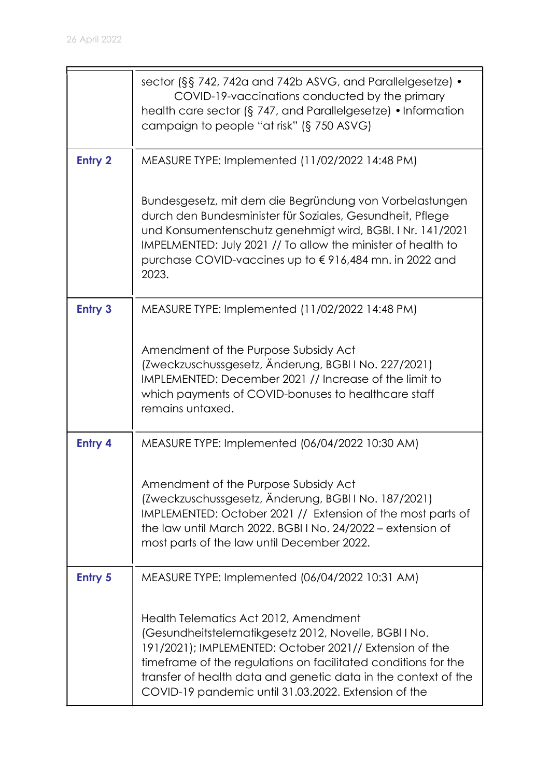|                | sector (§§ 742, 742a and 742b ASVG, and Parallelgesetze) •<br>COVID-19-vaccinations conducted by the primary<br>health care sector ( $\S$ 747, and Parallelgesetze) • Information                                                                                                                                                                     |
|----------------|-------------------------------------------------------------------------------------------------------------------------------------------------------------------------------------------------------------------------------------------------------------------------------------------------------------------------------------------------------|
|                | campaign to people "at risk" (§ 750 ASVG)                                                                                                                                                                                                                                                                                                             |
| <b>Entry 2</b> | MEASURE TYPE: Implemented (11/02/2022 14:48 PM)                                                                                                                                                                                                                                                                                                       |
|                | Bundesgesetz, mit dem die Begründung von Vorbelastungen<br>durch den Bundesminister für Soziales, Gesundheit, Pflege<br>und Konsumentenschutz genehmigt wird, BGBI. I Nr. 141/2021<br>IMPELMENTED: July 2021 // To allow the minister of health to<br>purchase COVID-vaccines up to €916,484 mn. in 2022 and<br>2023.                                 |
| <b>Entry 3</b> | MEASURE TYPE: Implemented (11/02/2022 14:48 PM)                                                                                                                                                                                                                                                                                                       |
|                | Amendment of the Purpose Subsidy Act<br>(Zweckzuschussgesetz, Änderung, BGBI I No. 227/2021)<br>IMPLEMENTED: December 2021 // Increase of the limit to<br>which payments of COVID-bonuses to healthcare staff<br>remains untaxed.                                                                                                                     |
| <b>Entry 4</b> | MEASURE TYPE: Implemented (06/04/2022 10:30 AM)                                                                                                                                                                                                                                                                                                       |
|                | Amendment of the Purpose Subsidy Act<br>(Zweckzuschussgesetz, Änderung, BGBI I No. 187/2021)<br>IMPLEMENTED: October 2021 // Extension of the most parts of<br>the law until March 2022. BGBI I No. 24/2022 – extension of<br>most parts of the law until December 2022.                                                                              |
| <b>Entry 5</b> | MEASURE TYPE: Implemented (06/04/2022 10:31 AM)                                                                                                                                                                                                                                                                                                       |
|                | Health Telematics Act 2012, Amendment<br>(Gesundheitstelematikgesetz 2012, Novelle, BGBI I No.<br>191/2021); IMPLEMENTED: October 2021// Extension of the<br>timeframe of the regulations on facilitated conditions for the<br>transfer of health data and genetic data in the context of the<br>COVID-19 pandemic until 31.03.2022. Extension of the |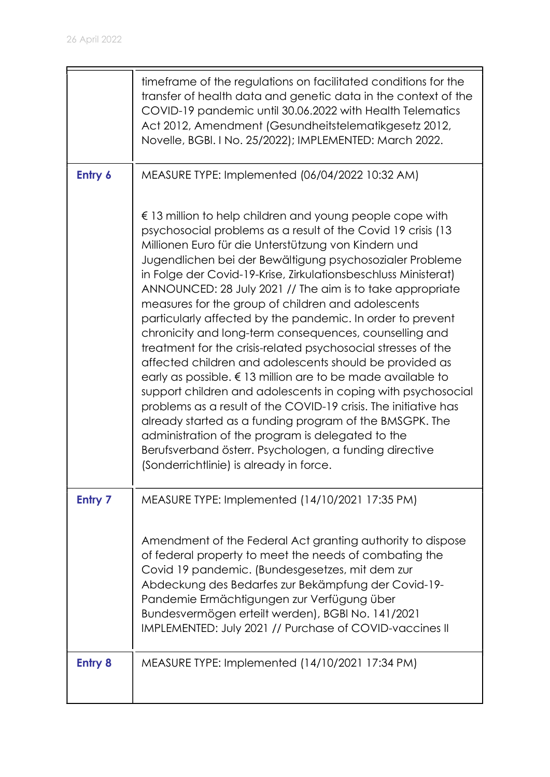|                | timeframe of the regulations on facilitated conditions for the<br>transfer of health data and genetic data in the context of the<br>COVID-19 pandemic until 30.06.2022 with Health Telematics<br>Act 2012, Amendment (Gesundheitstelematikgesetz 2012,<br>Novelle, BGBI. I No. 25/2022); IMPLEMENTED: March 2022.                                                                                                                                                                                                                                                                                                                                                                                                                                                                                                                                                                                                                                                                                                                                                                                                              |
|----------------|--------------------------------------------------------------------------------------------------------------------------------------------------------------------------------------------------------------------------------------------------------------------------------------------------------------------------------------------------------------------------------------------------------------------------------------------------------------------------------------------------------------------------------------------------------------------------------------------------------------------------------------------------------------------------------------------------------------------------------------------------------------------------------------------------------------------------------------------------------------------------------------------------------------------------------------------------------------------------------------------------------------------------------------------------------------------------------------------------------------------------------|
| Entry 6        | MEASURE TYPE: Implemented (06/04/2022 10:32 AM)                                                                                                                                                                                                                                                                                                                                                                                                                                                                                                                                                                                                                                                                                                                                                                                                                                                                                                                                                                                                                                                                                |
|                | $\epsilon$ 13 million to help children and young people cope with<br>psychosocial problems as a result of the Covid 19 crisis (13<br>Millionen Euro für die Unterstützung von Kindern und<br>Jugendlichen bei der Bewältigung psychosozialer Probleme<br>in Folge der Covid-19-Krise, Zirkulationsbeschluss Ministerat)<br>ANNOUNCED: 28 July 2021 // The aim is to take appropriate<br>measures for the group of children and adolescents<br>particularly affected by the pandemic. In order to prevent<br>chronicity and long-term consequences, counselling and<br>treatment for the crisis-related psychosocial stresses of the<br>affected children and adolescents should be provided as<br>early as possible. $\epsilon$ 13 million are to be made available to<br>support children and adolescents in coping with psychosocial<br>problems as a result of the COVID-19 crisis. The initiative has<br>already started as a funding program of the BMSGPK. The<br>administration of the program is delegated to the<br>Berufsverband österr. Psychologen, a funding directive<br>(Sonderrichtlinie) is already in force. |
| <b>Entry 7</b> | MEASURE TYPE: Implemented (14/10/2021 17:35 PM)                                                                                                                                                                                                                                                                                                                                                                                                                                                                                                                                                                                                                                                                                                                                                                                                                                                                                                                                                                                                                                                                                |
|                | Amendment of the Federal Act granting authority to dispose<br>of federal property to meet the needs of combating the<br>Covid 19 pandemic. (Bundesgesetzes, mit dem zur<br>Abdeckung des Bedarfes zur Bekämpfung der Covid-19-<br>Pandemie Ermächtigungen zur Verfügung über<br>Bundesvermögen erteilt werden), BGBI No. 141/2021<br>IMPLEMENTED: July 2021 // Purchase of COVID-vaccines II                                                                                                                                                                                                                                                                                                                                                                                                                                                                                                                                                                                                                                                                                                                                   |
| <b>Entry 8</b> | MEASURE TYPE: Implemented (14/10/2021 17:34 PM)                                                                                                                                                                                                                                                                                                                                                                                                                                                                                                                                                                                                                                                                                                                                                                                                                                                                                                                                                                                                                                                                                |
|                |                                                                                                                                                                                                                                                                                                                                                                                                                                                                                                                                                                                                                                                                                                                                                                                                                                                                                                                                                                                                                                                                                                                                |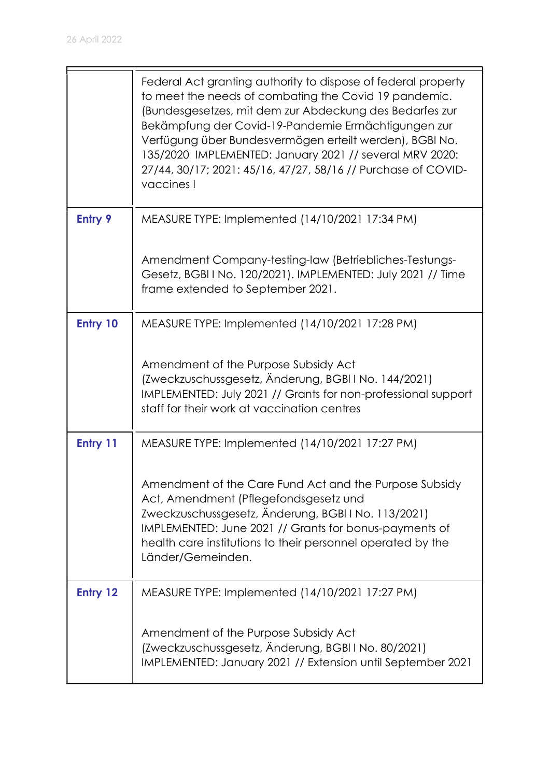|                | Federal Act granting authority to dispose of federal property<br>to meet the needs of combating the Covid 19 pandemic.<br>(Bundesgesetzes, mit dem zur Abdeckung des Bedarfes zur<br>Bekämpfung der Covid-19-Pandemie Ermächtigungen zur<br>Verfügung über Bundesvermögen erteilt werden), BGBI No.<br>135/2020 IMPLEMENTED: January 2021 // several MRV 2020:<br>27/44, 30/17; 2021: 45/16, 47/27, 58/16 // Purchase of COVID-<br>vaccines I |
|----------------|-----------------------------------------------------------------------------------------------------------------------------------------------------------------------------------------------------------------------------------------------------------------------------------------------------------------------------------------------------------------------------------------------------------------------------------------------|
| <b>Entry 9</b> | MEASURE TYPE: Implemented (14/10/2021 17:34 PM)                                                                                                                                                                                                                                                                                                                                                                                               |
|                | Amendment Company-testing-law (Betriebliches-Testungs-<br>Gesetz, BGBI I No. 120/2021). IMPLEMENTED: July 2021 // Time<br>frame extended to September 2021.                                                                                                                                                                                                                                                                                   |
| Entry 10       | MEASURE TYPE: Implemented (14/10/2021 17:28 PM)                                                                                                                                                                                                                                                                                                                                                                                               |
|                | Amendment of the Purpose Subsidy Act<br>(Zweckzuschussgesetz, Änderung, BGBI I No. 144/2021)<br>IMPLEMENTED: July 2021 // Grants for non-professional support<br>staff for their work at vaccination centres                                                                                                                                                                                                                                  |
| Entry 11       | MEASURE TYPE: Implemented (14/10/2021 17:27 PM)                                                                                                                                                                                                                                                                                                                                                                                               |
|                | Amendment of the Care Fund Act and the Purpose Subsidy<br>Act, Amendment (Pflegefondsgesetz und<br>Zweckzuschussgesetz, Änderung, BGBIINo. 113/2021)<br>IMPLEMENTED: June 2021 // Grants for bonus-payments of<br>health care institutions to their personnel operated by the<br>Länder/Gemeinden.                                                                                                                                            |
| Entry 12       | MEASURE TYPE: Implemented (14/10/2021 17:27 PM)                                                                                                                                                                                                                                                                                                                                                                                               |
|                | Amendment of the Purpose Subsidy Act<br>(Zweckzuschussgesetz, Änderung, BGBI I No. 80/2021)<br>IMPLEMENTED: January 2021 // Extension until September 2021                                                                                                                                                                                                                                                                                    |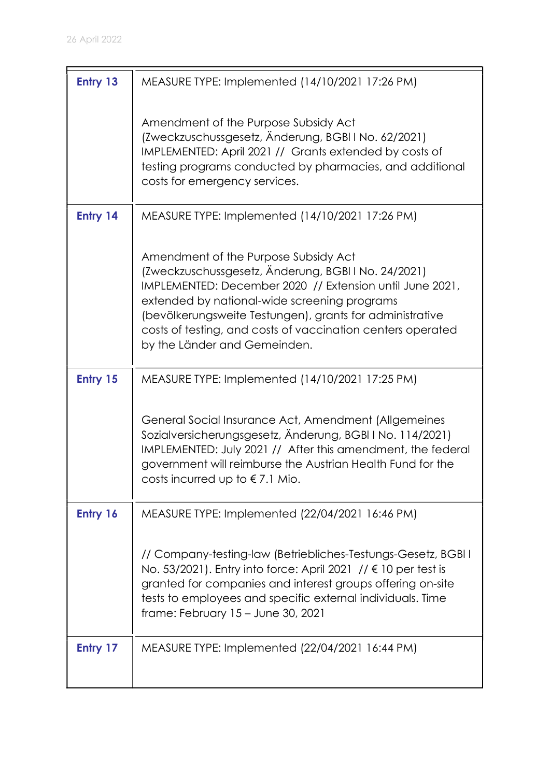| Entry 13 | MEASURE TYPE: Implemented (14/10/2021 17:26 PM)                                                                                                                                                                                                                                                                                                                    |
|----------|--------------------------------------------------------------------------------------------------------------------------------------------------------------------------------------------------------------------------------------------------------------------------------------------------------------------------------------------------------------------|
|          | Amendment of the Purpose Subsidy Act<br>(Zweckzuschussgesetz, Änderung, BGBI I No. 62/2021)<br>IMPLEMENTED: April 2021 // Grants extended by costs of<br>testing programs conducted by pharmacies, and additional<br>costs for emergency services.                                                                                                                 |
| Entry 14 | MEASURE TYPE: Implemented (14/10/2021 17:26 PM)                                                                                                                                                                                                                                                                                                                    |
|          | Amendment of the Purpose Subsidy Act<br>(Zweckzuschussgesetz, Änderung, BGBI I No. 24/2021)<br>IMPLEMENTED: December 2020 // Extension until June 2021,<br>extended by national-wide screening programs<br>(bevölkerungsweite Testungen), grants for administrative<br>costs of testing, and costs of vaccination centers operated<br>by the Länder and Gemeinden. |
| Entry 15 | MEASURE TYPE: Implemented (14/10/2021 17:25 PM)                                                                                                                                                                                                                                                                                                                    |
|          | General Social Insurance Act, Amendment (Allgemeines<br>Sozialversicherungsgesetz, Änderung, BGBI I No. 114/2021)<br>IMPLEMENTED: July 2021 // After this amendment, the federal<br>government will reimburse the Austrian Health Fund for the<br>costs incurred up to $\epsilon$ 7.1 Mio.                                                                         |
| Entry 16 | MEASURE TYPE: Implemented (22/04/2021 16:46 PM)                                                                                                                                                                                                                                                                                                                    |
|          | // Company-testing-law (Betriebliches-Testungs-Gesetz, BGBI I<br>No. 53/2021). Entry into force: April 2021 // € 10 per test is<br>granted for companies and interest groups offering on-site<br>tests to employees and specific external individuals. Time<br>frame: February 15 - June 30, 2021                                                                  |
| Entry 17 | MEASURE TYPE: Implemented (22/04/2021 16:44 PM)                                                                                                                                                                                                                                                                                                                    |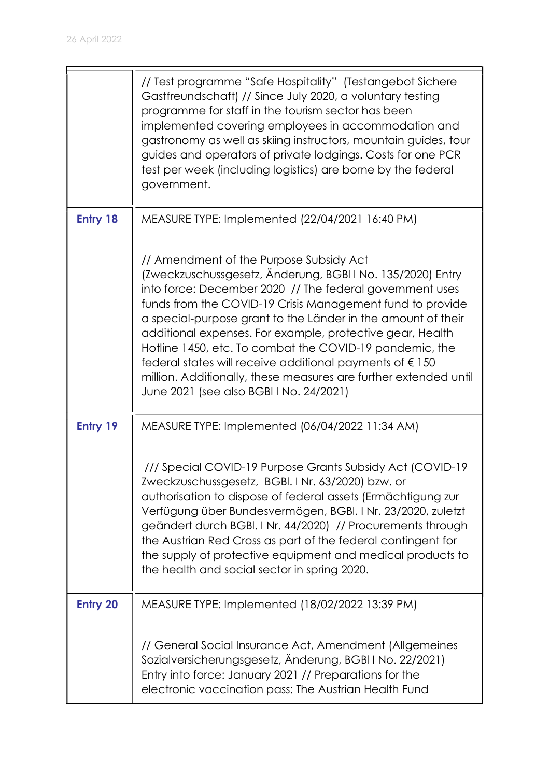|                 | // Test programme "Safe Hospitality" (Testangebot Sichere<br>Gastfreundschaft) // Since July 2020, a voluntary testing<br>programme for staff in the tourism sector has been<br>implemented covering employees in accommodation and<br>gastronomy as well as skiing instructors, mountain guides, tour<br>guides and operators of private lodgings. Costs for one PCR<br>test per week (including logistics) are borne by the federal<br>government.                                                                                                                                                       |
|-----------------|------------------------------------------------------------------------------------------------------------------------------------------------------------------------------------------------------------------------------------------------------------------------------------------------------------------------------------------------------------------------------------------------------------------------------------------------------------------------------------------------------------------------------------------------------------------------------------------------------------|
| Entry 18        | MEASURE TYPE: Implemented (22/04/2021 16:40 PM)                                                                                                                                                                                                                                                                                                                                                                                                                                                                                                                                                            |
|                 | // Amendment of the Purpose Subsidy Act<br>(Zweckzuschussgesetz, Änderung, BGBI I No. 135/2020) Entry<br>into force: December 2020 // The federal government uses<br>funds from the COVID-19 Crisis Management fund to provide<br>a special-purpose grant to the Länder in the amount of their<br>additional expenses. For example, protective gear, Health<br>Hotline 1450, etc. To combat the COVID-19 pandemic, the<br>federal states will receive additional payments of $\epsilon$ 150<br>million. Additionally, these measures are further extended until<br>June 2021 (see also BGBI I No. 24/2021) |
| Entry 19        | MEASURE TYPE: Implemented (06/04/2022 11:34 AM)                                                                                                                                                                                                                                                                                                                                                                                                                                                                                                                                                            |
|                 | /// Special COVID-19 Purpose Grants Subsidy Act (COVID-19<br>Zweckzuschussgesetz, BGBI. I Nr. 63/2020) bzw. or<br>authorisation to dispose of federal assets (Ermächtigung zur<br>Verfügung über Bundesvermögen, BGBI. I Nr. 23/2020, zuletzt<br>geändert durch BGBI. I Nr. 44/2020) // Procurements through<br>the Austrian Red Cross as part of the federal contingent for<br>the supply of protective equipment and medical products to<br>the health and social sector in spring 2020.                                                                                                                 |
| <b>Entry 20</b> | MEASURE TYPE: Implemented (18/02/2022 13:39 PM)                                                                                                                                                                                                                                                                                                                                                                                                                                                                                                                                                            |
|                 | // General Social Insurance Act, Amendment (Allgemeines<br>Sozialversicherungsgesetz, Änderung, BGBI I No. 22/2021)<br>Entry into force: January 2021 // Preparations for the<br>electronic vaccination pass: The Austrian Health Fund                                                                                                                                                                                                                                                                                                                                                                     |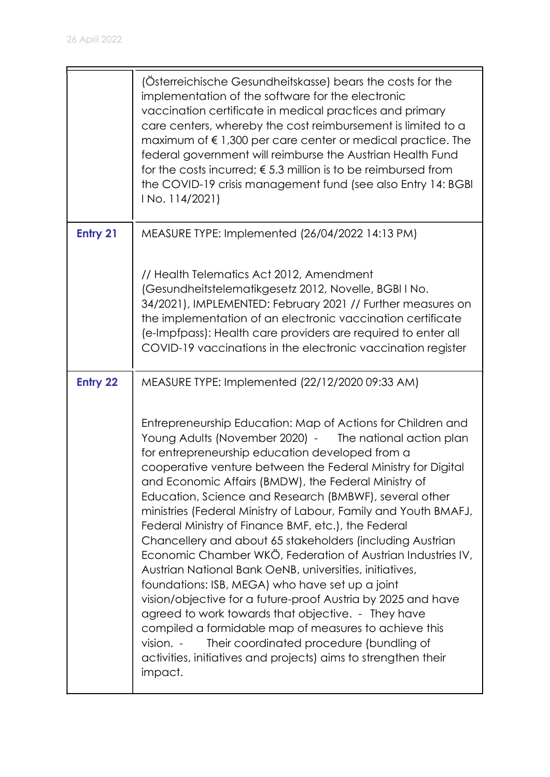|                 | (Österreichische Gesundheitskasse) bears the costs for the<br>implementation of the software for the electronic<br>vaccination certificate in medical practices and primary<br>care centers, whereby the cost reimbursement is limited to a<br>maximum of $\epsilon$ 1,300 per care center or medical practice. The<br>federal government will reimburse the Austrian Health Fund<br>for the costs incurred; $\epsilon$ 5.3 million is to be reimbursed from<br>the COVID-19 crisis management fund (see also Entry 14: BGBI<br>I No. 114/2021)                                                                                                                                                                                                                                                                                                                                                                                                                                                                                                      |
|-----------------|------------------------------------------------------------------------------------------------------------------------------------------------------------------------------------------------------------------------------------------------------------------------------------------------------------------------------------------------------------------------------------------------------------------------------------------------------------------------------------------------------------------------------------------------------------------------------------------------------------------------------------------------------------------------------------------------------------------------------------------------------------------------------------------------------------------------------------------------------------------------------------------------------------------------------------------------------------------------------------------------------------------------------------------------------|
| <b>Entry 21</b> | MEASURE TYPE: Implemented (26/04/2022 14:13 PM)                                                                                                                                                                                                                                                                                                                                                                                                                                                                                                                                                                                                                                                                                                                                                                                                                                                                                                                                                                                                      |
|                 | // Health Telematics Act 2012, Amendment<br>(Gesundheitstelematikgesetz 2012, Novelle, BGBI I No.<br>34/2021), IMPLEMENTED: February 2021 // Further measures on<br>the implementation of an electronic vaccination certificate<br>(e-Impfpass): Health care providers are required to enter all<br>COVID-19 vaccinations in the electronic vaccination register                                                                                                                                                                                                                                                                                                                                                                                                                                                                                                                                                                                                                                                                                     |
| <b>Entry 22</b> | MEASURE TYPE: Implemented (22/12/2020 09:33 AM)                                                                                                                                                                                                                                                                                                                                                                                                                                                                                                                                                                                                                                                                                                                                                                                                                                                                                                                                                                                                      |
|                 | Entrepreneurship Education: Map of Actions for Children and<br>Young Adults (November 2020) - The national action plan<br>for entrepreneurship education developed from a<br>cooperative venture between the Federal Ministry for Digital<br>and Economic Affairs (BMDW), the Federal Ministry of<br>Education, Science and Research (BMBWF), several other<br>ministries (Federal Ministry of Labour, Family and Youth BMAFJ,<br>Federal Ministry of Finance BMF, etc.), the Federal<br>Chancellery and about 65 stakeholders (including Austrian<br>Economic Chamber WKÖ, Federation of Austrian Industries IV,<br>Austrian National Bank OeNB, universities, initiatives,<br>foundations: ISB, MEGA) who have set up a joint<br>vision/objective for a future-proof Austria by 2025 and have<br>agreed to work towards that objective. - They have<br>compiled a formidable map of measures to achieve this<br>vision. -<br>Their coordinated procedure (bundling of<br>activities, initiatives and projects) aims to strengthen their<br>impact. |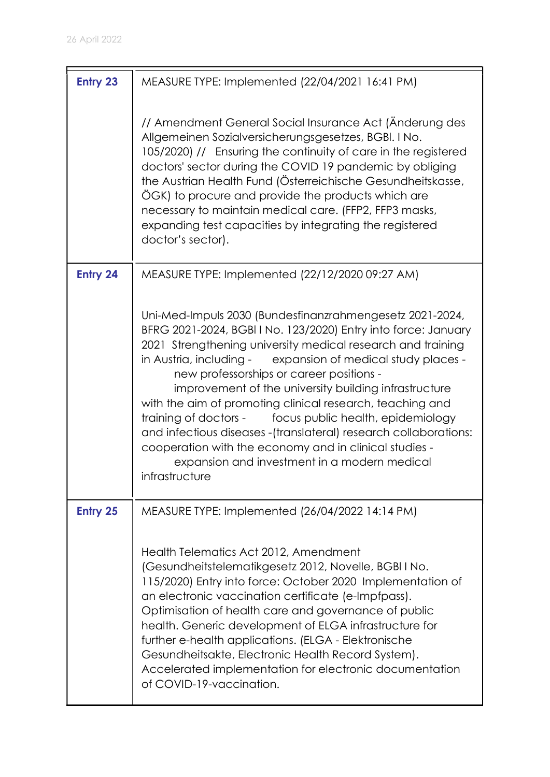| <b>Entry 23</b> | MEASURE TYPE: Implemented (22/04/2021 16:41 PM)                                                                                                                                                                                                                                                                                                                                                                                                                                                                                                                                                                                                                                              |
|-----------------|----------------------------------------------------------------------------------------------------------------------------------------------------------------------------------------------------------------------------------------------------------------------------------------------------------------------------------------------------------------------------------------------------------------------------------------------------------------------------------------------------------------------------------------------------------------------------------------------------------------------------------------------------------------------------------------------|
|                 | // Amendment General Social Insurance Act (Anderung des<br>Allgemeinen Sozialversicherungsgesetzes, BGBI. I No.<br>105/2020) // Ensuring the continuity of care in the registered<br>doctors' sector during the COVID 19 pandemic by obliging<br>the Austrian Health Fund (Österreichische Gesundheitskasse,<br>ÖGK) to procure and provide the products which are<br>necessary to maintain medical care. (FFP2, FFP3 masks,<br>expanding test capacities by integrating the registered<br>doctor's sector).                                                                                                                                                                                 |
| Entry 24        | MEASURE TYPE: Implemented (22/12/2020 09:27 AM)                                                                                                                                                                                                                                                                                                                                                                                                                                                                                                                                                                                                                                              |
|                 | Uni-Med-Impuls 2030 (Bundesfinanzrahmengesetz 2021-2024,<br>BFRG 2021-2024, BGBI I No. 123/2020) Entry into force: January<br>2021 Strengthening university medical research and training<br>in Austria, including -<br>expansion of medical study places -<br>new professorships or career positions -<br>improvement of the university building infrastructure<br>with the aim of promoting clinical research, teaching and<br>training of doctors -<br>focus public health, epidemiology<br>and infectious diseases - (translateral) research collaborations:<br>cooperation with the economy and in clinical studies -<br>expansion and investment in a modern medical<br>infrastructure |
| <b>Entry 25</b> | MEASURE TYPE: Implemented (26/04/2022 14:14 PM)                                                                                                                                                                                                                                                                                                                                                                                                                                                                                                                                                                                                                                              |
|                 | Health Telematics Act 2012, Amendment<br>(Gesundheitstelematikgesetz 2012, Novelle, BGBI I No.<br>115/2020) Entry into force: October 2020 Implementation of<br>an electronic vaccination certificate (e-Impfpass).<br>Optimisation of health care and governance of public<br>health. Generic development of ELGA infrastructure for<br>further e-health applications. (ELGA - Elektronische<br>Gesundheitsakte, Electronic Health Record System).<br>Accelerated implementation for electronic documentation<br>of COVID-19-vaccination.                                                                                                                                                   |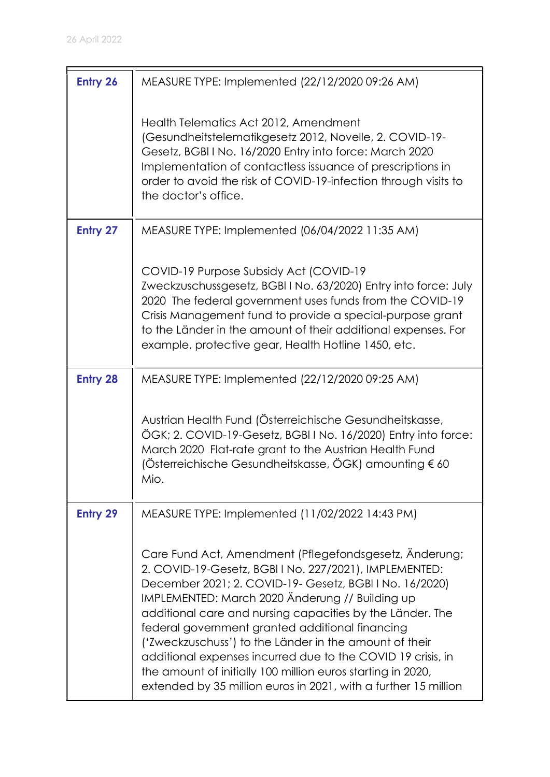| <b>Entry 26</b> | MEASURE TYPE: Implemented (22/12/2020 09:26 AM)                                                                                                                                                                                                                                                                                                                                                                                                                                                                                                                                                           |
|-----------------|-----------------------------------------------------------------------------------------------------------------------------------------------------------------------------------------------------------------------------------------------------------------------------------------------------------------------------------------------------------------------------------------------------------------------------------------------------------------------------------------------------------------------------------------------------------------------------------------------------------|
|                 | Health Telematics Act 2012, Amendment<br>(Gesundheitstelematikgesetz 2012, Novelle, 2. COVID-19-<br>Gesetz, BGBI I No. 16/2020 Entry into force: March 2020<br>Implementation of contactless issuance of prescriptions in<br>order to avoid the risk of COVID-19-infection through visits to<br>the doctor's office.                                                                                                                                                                                                                                                                                      |
| Entry 27        | MEASURE TYPE: Implemented (06/04/2022 11:35 AM)                                                                                                                                                                                                                                                                                                                                                                                                                                                                                                                                                           |
|                 | COVID-19 Purpose Subsidy Act (COVID-19<br>Zweckzuschussgesetz, BGBIINo. 63/2020) Entry into force: July<br>2020 The federal government uses funds from the COVID-19<br>Crisis Management fund to provide a special-purpose grant<br>to the Länder in the amount of their additional expenses. For<br>example, protective gear, Health Hotline 1450, etc.                                                                                                                                                                                                                                                  |
| <b>Entry 28</b> | MEASURE TYPE: Implemented (22/12/2020 09:25 AM)                                                                                                                                                                                                                                                                                                                                                                                                                                                                                                                                                           |
|                 | Austrian Health Fund (Österreichische Gesundheitskasse,<br>ÖGK; 2. COVID-19-Gesetz, BGBI I No. 16/2020) Entry into force:<br>March 2020 Flat-rate grant to the Austrian Health Fund<br>(Österreichische Gesundheitskasse, ÖGK) amounting € 60<br>Mio.                                                                                                                                                                                                                                                                                                                                                     |
| <b>Entry 29</b> | MEASURE TYPE: Implemented (11/02/2022 14:43 PM)                                                                                                                                                                                                                                                                                                                                                                                                                                                                                                                                                           |
|                 | Care Fund Act, Amendment (Pflegefondsgesetz, Anderung;<br>2. COVID-19-Gesetz, BGBI I No. 227/2021), IMPLEMENTED:<br>December 2021; 2. COVID-19- Gesetz, BGBI I No. 16/2020)<br>IMPLEMENTED: March 2020 Änderung // Building up<br>additional care and nursing capacities by the Länder. The<br>federal government granted additional financing<br>('Zweckzuschuss') to the Länder in the amount of their<br>additional expenses incurred due to the COVID 19 crisis, in<br>the amount of initially 100 million euros starting in 2020,<br>extended by 35 million euros in 2021, with a further 15 million |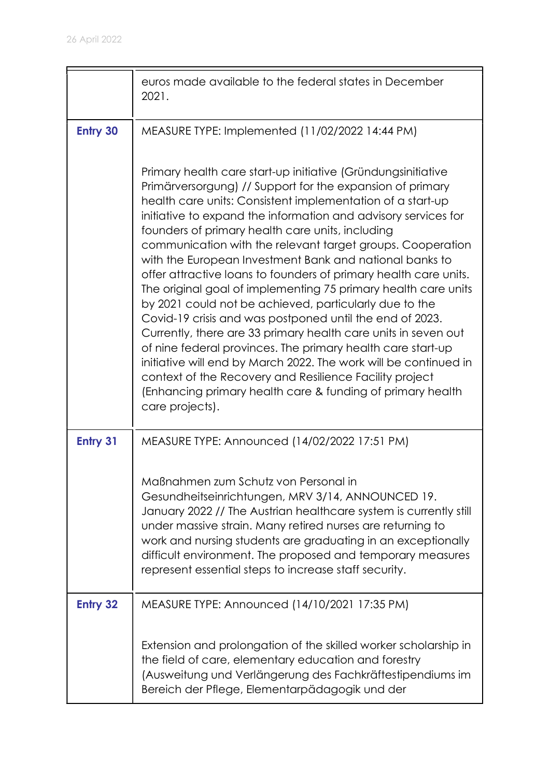|                 | euros made available to the federal states in December<br>2021.                                                                                                                                                                                                                                                                                                                                                                                                                                                                                                                                                                                                                                                                                                                                                                                                                                                                                                                                                                                     |
|-----------------|-----------------------------------------------------------------------------------------------------------------------------------------------------------------------------------------------------------------------------------------------------------------------------------------------------------------------------------------------------------------------------------------------------------------------------------------------------------------------------------------------------------------------------------------------------------------------------------------------------------------------------------------------------------------------------------------------------------------------------------------------------------------------------------------------------------------------------------------------------------------------------------------------------------------------------------------------------------------------------------------------------------------------------------------------------|
| <b>Entry 30</b> | MEASURE TYPE: Implemented (11/02/2022 14:44 PM)                                                                                                                                                                                                                                                                                                                                                                                                                                                                                                                                                                                                                                                                                                                                                                                                                                                                                                                                                                                                     |
|                 | Primary health care start-up initiative (Gründungsinitiative<br>Primärversorgung) // Support for the expansion of primary<br>health care units: Consistent implementation of a start-up<br>initiative to expand the information and advisory services for<br>founders of primary health care units, including<br>communication with the relevant target groups. Cooperation<br>with the European Investment Bank and national banks to<br>offer attractive loans to founders of primary health care units.<br>The original goal of implementing 75 primary health care units<br>by 2021 could not be achieved, particularly due to the<br>Covid-19 crisis and was postponed until the end of 2023.<br>Currently, there are 33 primary health care units in seven out<br>of nine federal provinces. The primary health care start-up<br>initiative will end by March 2022. The work will be continued in<br>context of the Recovery and Resilience Facility project<br>(Enhancing primary health care & funding of primary health<br>care projects). |
| Entry 31        | MEASURE TYPE: Announced (14/02/2022 17:51 PM)                                                                                                                                                                                                                                                                                                                                                                                                                                                                                                                                                                                                                                                                                                                                                                                                                                                                                                                                                                                                       |
|                 | Maßnahmen zum Schutz von Personal in<br>Gesundheitseinrichtungen, MRV 3/14, ANNOUNCED 19.<br>January 2022 // The Austrian healthcare system is currently still<br>under massive strain. Many retired nurses are returning to<br>work and nursing students are graduating in an exceptionally<br>difficult environment. The proposed and temporary measures<br>represent essential steps to increase staff security.                                                                                                                                                                                                                                                                                                                                                                                                                                                                                                                                                                                                                                 |
| <b>Entry 32</b> | MEASURE TYPE: Announced (14/10/2021 17:35 PM)                                                                                                                                                                                                                                                                                                                                                                                                                                                                                                                                                                                                                                                                                                                                                                                                                                                                                                                                                                                                       |
|                 | Extension and prolongation of the skilled worker scholarship in<br>the field of care, elementary education and forestry<br>(Ausweitung und Verlängerung des Fachkräftestipendiums im<br>Bereich der Pflege, Elementarpädagogik und der                                                                                                                                                                                                                                                                                                                                                                                                                                                                                                                                                                                                                                                                                                                                                                                                              |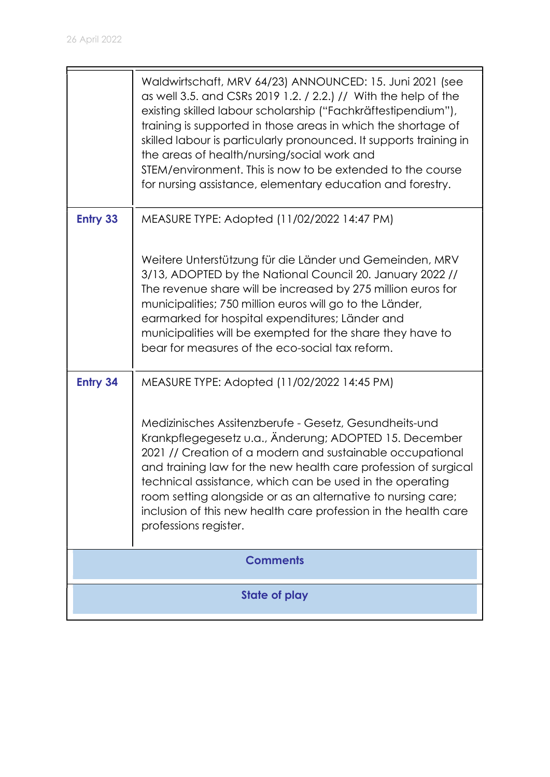|                 | Waldwirtschaft, MRV 64/23) ANNOUNCED: 15. Juni 2021 (see<br>as well 3.5. and CSRs 2019 1.2. / 2.2.) // With the help of the<br>existing skilled labour scholarship ("Fachkräftestipendium"),<br>training is supported in those areas in which the shortage of<br>skilled labour is particularly pronounced. It supports training in<br>the areas of health/nursing/social work and<br>STEM/environment. This is now to be extended to the course<br>for nursing assistance, elementary education and forestry. |
|-----------------|----------------------------------------------------------------------------------------------------------------------------------------------------------------------------------------------------------------------------------------------------------------------------------------------------------------------------------------------------------------------------------------------------------------------------------------------------------------------------------------------------------------|
| <b>Entry 33</b> | MEASURE TYPE: Adopted (11/02/2022 14:47 PM)                                                                                                                                                                                                                                                                                                                                                                                                                                                                    |
|                 | Weitere Unterstützung für die Länder und Gemeinden, MRV<br>3/13, ADOPTED by the National Council 20. January 2022 //<br>The revenue share will be increased by 275 million euros for<br>municipalities; 750 million euros will go to the Länder,<br>earmarked for hospital expenditures; Länder and<br>municipalities will be exempted for the share they have to<br>bear for measures of the eco-social tax reform.                                                                                           |
| <b>Entry 34</b> | MEASURE TYPE: Adopted (11/02/2022 14:45 PM)                                                                                                                                                                                                                                                                                                                                                                                                                                                                    |
|                 | Medizinisches Assitenzberufe - Gesetz, Gesundheits-und<br>Krankpflegegesetz u.a., Änderung; ADOPTED 15. December<br>2021 // Creation of a modern and sustainable occupational<br>and training law for the new health care profession of surgical<br>technical assistance, which can be used in the operating<br>room setting alongside or as an alternative to nursing care;<br>inclusion of this new health care profession in the health care<br>professions register.                                       |
| <b>Comments</b> |                                                                                                                                                                                                                                                                                                                                                                                                                                                                                                                |
|                 | <b>State of play</b>                                                                                                                                                                                                                                                                                                                                                                                                                                                                                           |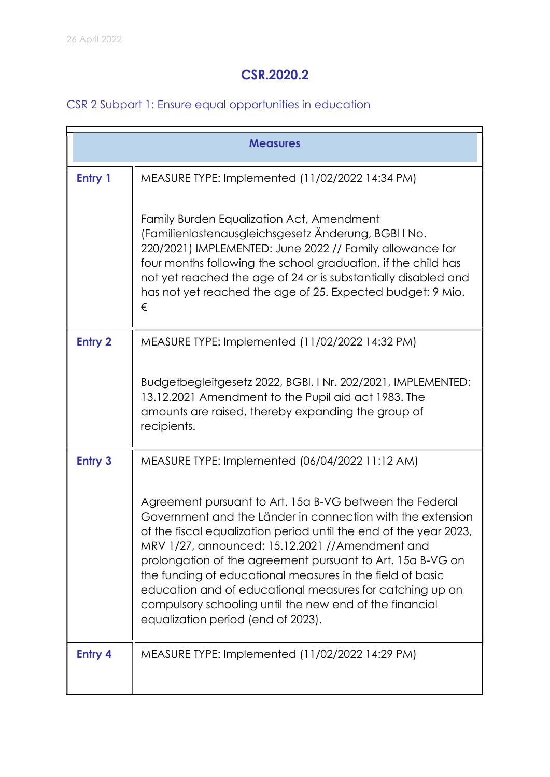# CSR.2020.2

# CSR 2 Subpart 1: Ensure equal opportunities in education

|                | <b>Measures</b>                                                                                                                                                                                                                                                                                                                                                                                                                                                                                                                       |  |
|----------------|---------------------------------------------------------------------------------------------------------------------------------------------------------------------------------------------------------------------------------------------------------------------------------------------------------------------------------------------------------------------------------------------------------------------------------------------------------------------------------------------------------------------------------------|--|
| Entry 1        | MEASURE TYPE: Implemented (11/02/2022 14:34 PM)                                                                                                                                                                                                                                                                                                                                                                                                                                                                                       |  |
|                | Family Burden Equalization Act, Amendment<br>(Familienlastenausgleichsgesetz Änderung, BGBI I No.<br>220/2021) IMPLEMENTED: June 2022 // Family allowance for<br>four months following the school graduation, if the child has<br>not yet reached the age of 24 or is substantially disabled and<br>has not yet reached the age of 25. Expected budget: 9 Mio.<br>€                                                                                                                                                                   |  |
| <b>Entry 2</b> | MEASURE TYPE: Implemented (11/02/2022 14:32 PM)                                                                                                                                                                                                                                                                                                                                                                                                                                                                                       |  |
|                | Budgetbegleitgesetz 2022, BGBI. I Nr. 202/2021, IMPLEMENTED:<br>13.12.2021 Amendment to the Pupil aid act 1983. The<br>amounts are raised, thereby expanding the group of<br>recipients.                                                                                                                                                                                                                                                                                                                                              |  |
| <b>Entry 3</b> | MEASURE TYPE: Implemented (06/04/2022 11:12 AM)                                                                                                                                                                                                                                                                                                                                                                                                                                                                                       |  |
|                | Agreement pursuant to Art. 15a B-VG between the Federal<br>Government and the Länder in connection with the extension<br>of the fiscal equalization period until the end of the year 2023,<br>MRV 1/27, announced: 15.12.2021 //Amendment and<br>prolongation of the agreement pursuant to Art. 15a B-VG on<br>the funding of educational measures in the field of basic<br>education and of educational measures for catching up on<br>compulsory schooling until the new end of the financial<br>equalization period (end of 2023). |  |
| Entry 4        | MEASURE TYPE: Implemented (11/02/2022 14:29 PM)                                                                                                                                                                                                                                                                                                                                                                                                                                                                                       |  |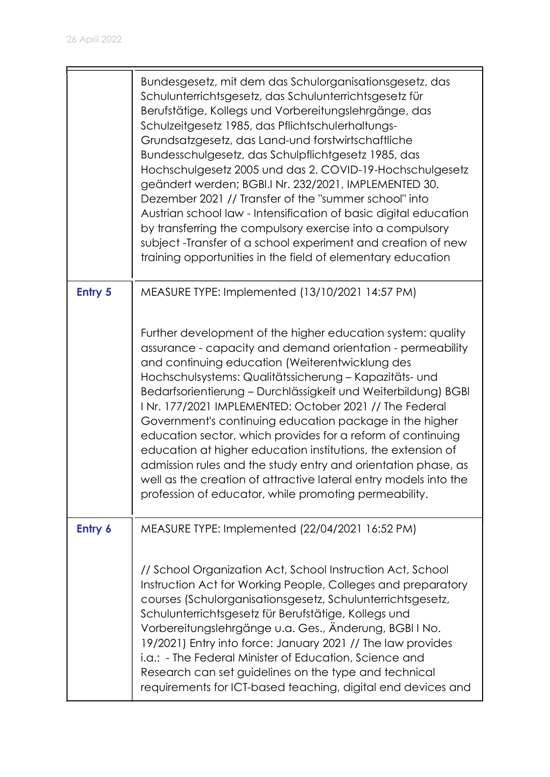|                | Bundesgesetz, mit dem das Schulorganisationsgesetz, das<br>Schulunterrichtsgesetz, das Schulunterrichtsgesetz für<br>Berufstätige, Kollegs und Vorbereitungslehrgänge, das<br>Schulzeitgesetz 1985, das Pflichtschulerhaltungs-<br>Grundsatzgesetz, das Land-und forstwirtschaftliche<br>Bundesschulgesetz, das Schulpflichtgesetz 1985, das<br>Hochschulgesetz 2005 und das 2. COVID-19-Hochschulgesetz<br>geändert werden; BGBI.I Nr. 232/2021, IMPLEMENTED 30.<br>Dezember 2021 // Transfer of the "summer school" into<br>Austrian school law - Intensification of basic digital education<br>by transferring the compulsory exercise into a compulsory<br>subject -Transfer of a school experiment and creation of new<br>training opportunities in the field of elementary education |
|----------------|--------------------------------------------------------------------------------------------------------------------------------------------------------------------------------------------------------------------------------------------------------------------------------------------------------------------------------------------------------------------------------------------------------------------------------------------------------------------------------------------------------------------------------------------------------------------------------------------------------------------------------------------------------------------------------------------------------------------------------------------------------------------------------------------|
| <b>Entry 5</b> | MEASURE TYPE: Implemented (13/10/2021 14:57 PM)                                                                                                                                                                                                                                                                                                                                                                                                                                                                                                                                                                                                                                                                                                                                            |
|                | Further development of the higher education system: quality<br>assurance - capacity and demand orientation - permeability<br>and continuing education (Weiterentwicklung des<br>Hochschulsystems: Qualitätssicherung - Kapazitäts- und<br>Bedarfsorientierung - Durchlässigkeit und Weiterbildung) BGBI<br>INr. 177/2021 IMPLEMENTED: October 2021 // The Federal<br>Government's continuing education package in the higher<br>education sector, which provides for a reform of continuing<br>education at higher education institutions, the extension of<br>admission rules and the study entry and orientation phase, as<br>well as the creation of attractive lateral entry models into the<br>profession of educator, while promoting permeability.                                  |
| Entry 6        | MEASURE TYPE: Implemented (22/04/2021 16:52 PM)                                                                                                                                                                                                                                                                                                                                                                                                                                                                                                                                                                                                                                                                                                                                            |
|                | // School Organization Act, School Instruction Act, School<br>Instruction Act for Working People, Colleges and preparatory<br>courses (Schulorganisationsgesetz, Schulunterrichtsgesetz,<br>Schulunterrichtsgesetz für Berufstätige, Kollegs und<br>Vorbereitungslehrgänge u.a. Ges., Änderung, BGBI I No.<br>19/2021) Entry into force: January 2021 // The law provides<br>i.a.: - The Federal Minister of Education, Science and<br>Research can set guidelines on the type and technical<br>requirements for ICT-based teaching, digital end devices and                                                                                                                                                                                                                               |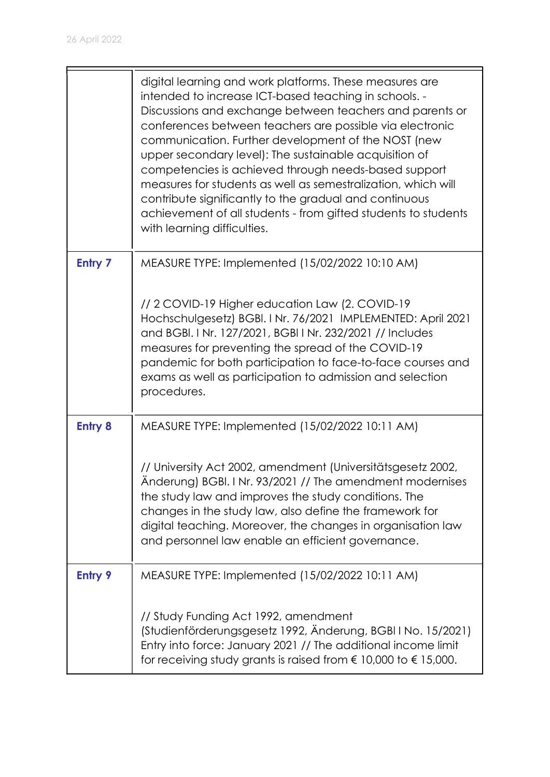|                | digital learning and work platforms. These measures are<br>intended to increase ICT-based teaching in schools. -<br>Discussions and exchange between teachers and parents or<br>conferences between teachers are possible via electronic<br>communication. Further development of the NOST (new<br>upper secondary level): The sustainable acquisition of<br>competencies is achieved through needs-based support<br>measures for students as well as semestralization, which will<br>contribute significantly to the gradual and continuous<br>achievement of all students - from gifted students to students<br>with learning difficulties. |
|----------------|-----------------------------------------------------------------------------------------------------------------------------------------------------------------------------------------------------------------------------------------------------------------------------------------------------------------------------------------------------------------------------------------------------------------------------------------------------------------------------------------------------------------------------------------------------------------------------------------------------------------------------------------------|
| Entry 7        | MEASURE TYPE: Implemented (15/02/2022 10:10 AM)                                                                                                                                                                                                                                                                                                                                                                                                                                                                                                                                                                                               |
|                | // 2 COVID-19 Higher education Law (2. COVID-19<br>Hochschulgesetz) BGBI. I Nr. 76/2021 IMPLEMENTED: April 2021<br>and BGBI. I Nr. 127/2021, BGBI I Nr. 232/2021 // Includes<br>measures for preventing the spread of the COVID-19<br>pandemic for both participation to face-to-face courses and<br>exams as well as participation to admission and selection<br>procedures.                                                                                                                                                                                                                                                                 |
| <b>Entry 8</b> | MEASURE TYPE: Implemented (15/02/2022 10:11 AM)                                                                                                                                                                                                                                                                                                                                                                                                                                                                                                                                                                                               |
|                | // University Act 2002, amendment (Universitätsgesetz 2002,<br>Anderung) BGBI. I Nr. 93/2021 // The amendment modernises<br>the study law and improves the study conditions. The<br>changes in the study law, also define the framework for<br>digital teaching. Moreover, the changes in organisation law<br>and personnel law enable an efficient governance.                                                                                                                                                                                                                                                                               |
| <b>Entry 9</b> | MEASURE TYPE: Implemented (15/02/2022 10:11 AM)                                                                                                                                                                                                                                                                                                                                                                                                                                                                                                                                                                                               |
|                | // Study Funding Act 1992, amendment<br>(Studienförderungsgesetz 1992, Änderung, BGBI I No. 15/2021)<br>Entry into force: January 2021 // The additional income limit<br>for receiving study grants is raised from $\epsilon$ 10,000 to $\epsilon$ 15,000.                                                                                                                                                                                                                                                                                                                                                                                    |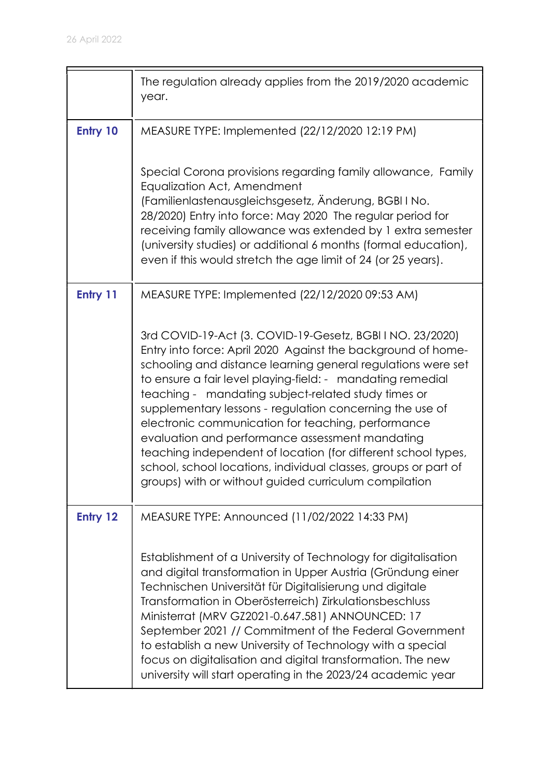|          | The regulation already applies from the 2019/2020 academic<br>year.                                                                                                                                                                                                                                                                                                                                                                                                                                                                                                                                                                                                              |
|----------|----------------------------------------------------------------------------------------------------------------------------------------------------------------------------------------------------------------------------------------------------------------------------------------------------------------------------------------------------------------------------------------------------------------------------------------------------------------------------------------------------------------------------------------------------------------------------------------------------------------------------------------------------------------------------------|
| Entry 10 | MEASURE TYPE: Implemented (22/12/2020 12:19 PM)                                                                                                                                                                                                                                                                                                                                                                                                                                                                                                                                                                                                                                  |
|          | Special Corona provisions regarding family allowance, Family<br>Equalization Act, Amendment<br>(Familienlastenausgleichsgesetz, Änderung, BGBI I No.<br>28/2020) Entry into force: May 2020 The regular period for<br>receiving family allowance was extended by 1 extra semester<br>(university studies) or additional 6 months (formal education),<br>even if this would stretch the age limit of 24 (or 25 years).                                                                                                                                                                                                                                                            |
| Entry 11 | MEASURE TYPE: Implemented (22/12/2020 09:53 AM)                                                                                                                                                                                                                                                                                                                                                                                                                                                                                                                                                                                                                                  |
|          | 3rd COVID-19-Act (3. COVID-19-Gesetz, BGBI I NO. 23/2020)<br>Entry into force: April 2020 Against the background of home-<br>schooling and distance learning general regulations were set<br>to ensure a fair level playing-field: - mandating remedial<br>teaching - mandating subject-related study times or<br>supplementary lessons - regulation concerning the use of<br>electronic communication for teaching, performance<br>evaluation and performance assessment mandating<br>teaching independent of location (for different school types,<br>school, school locations, individual classes, groups or part of<br>groups) with or without guided curriculum compilation |
| Entry 12 | MEASURE TYPE: Announced (11/02/2022 14:33 PM)                                                                                                                                                                                                                                                                                                                                                                                                                                                                                                                                                                                                                                    |
|          | Establishment of a University of Technology for digitalisation<br>and digital transformation in Upper Austria (Gründung einer<br>Technischen Universität für Digitalisierung und digitale<br>Transformation in Oberösterreich) Zirkulationsbeschluss<br>Ministerrat (MRV GZ2021-0.647.581) ANNOUNCED: 17<br>September 2021 // Commitment of the Federal Government<br>to establish a new University of Technology with a special<br>focus on digitalisation and digital transformation. The new<br>university will start operating in the 2023/24 academic year                                                                                                                  |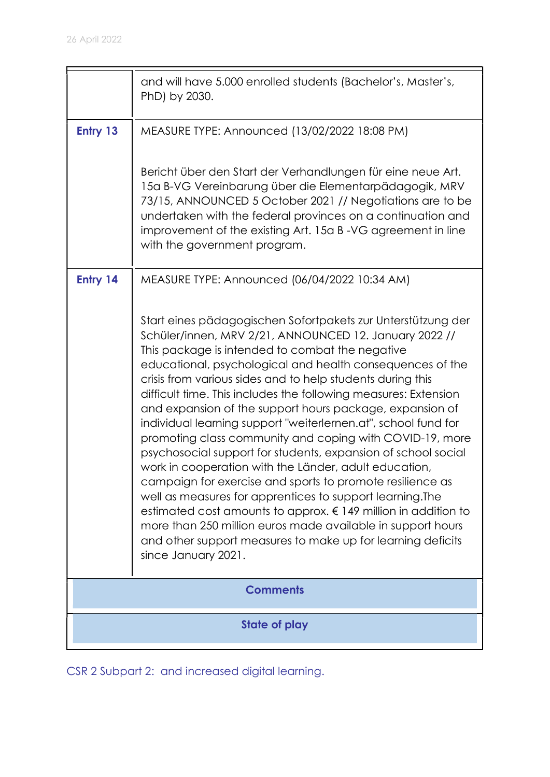|          | and will have 5.000 enrolled students (Bachelor's, Master's,<br>PhD) by 2030.                                                                                                                                                                                                                                                                                                                                                                                                                                                                                                                                                                                                                                                                                                                                                                                                                                                                                                                                                                |
|----------|----------------------------------------------------------------------------------------------------------------------------------------------------------------------------------------------------------------------------------------------------------------------------------------------------------------------------------------------------------------------------------------------------------------------------------------------------------------------------------------------------------------------------------------------------------------------------------------------------------------------------------------------------------------------------------------------------------------------------------------------------------------------------------------------------------------------------------------------------------------------------------------------------------------------------------------------------------------------------------------------------------------------------------------------|
| Entry 13 | MEASURE TYPE: Announced (13/02/2022 18:08 PM)                                                                                                                                                                                                                                                                                                                                                                                                                                                                                                                                                                                                                                                                                                                                                                                                                                                                                                                                                                                                |
|          | Bericht über den Start der Verhandlungen für eine neue Art.<br>15a B-VG Vereinbarung über die Elementarpädagogik, MRV<br>73/15, ANNOUNCED 5 October 2021 // Negotiations are to be<br>undertaken with the federal provinces on a continuation and<br>improvement of the existing Art. 15a B-VG agreement in line<br>with the government program.                                                                                                                                                                                                                                                                                                                                                                                                                                                                                                                                                                                                                                                                                             |
| Entry 14 | MEASURE TYPE: Announced (06/04/2022 10:34 AM)                                                                                                                                                                                                                                                                                                                                                                                                                                                                                                                                                                                                                                                                                                                                                                                                                                                                                                                                                                                                |
|          | Start eines pädagogischen Sofortpakets zur Unterstützung der<br>Schüler/innen, MRV 2/21, ANNOUNCED 12. January 2022 //<br>This package is intended to combat the negative<br>educational, psychological and health consequences of the<br>crisis from various sides and to help students during this<br>difficult time. This includes the following measures: Extension<br>and expansion of the support hours package, expansion of<br>individual learning support "weiterlernen.at", school fund for<br>promoting class community and coping with COVID-19, more<br>psychosocial support for students, expansion of school social<br>work in cooperation with the Länder, adult education,<br>campaign for exercise and sports to promote resilience as<br>well as measures for apprentices to support learning. The<br>estimated cost amounts to approx. € 149 million in addition to<br>more than 250 million euros made available in support hours<br>and other support measures to make up for learning deficits<br>since January 2021. |
|          | <b>Comments</b>                                                                                                                                                                                                                                                                                                                                                                                                                                                                                                                                                                                                                                                                                                                                                                                                                                                                                                                                                                                                                              |
|          | State of play                                                                                                                                                                                                                                                                                                                                                                                                                                                                                                                                                                                                                                                                                                                                                                                                                                                                                                                                                                                                                                |

CSR 2 Subpart 2: and increased digital learning.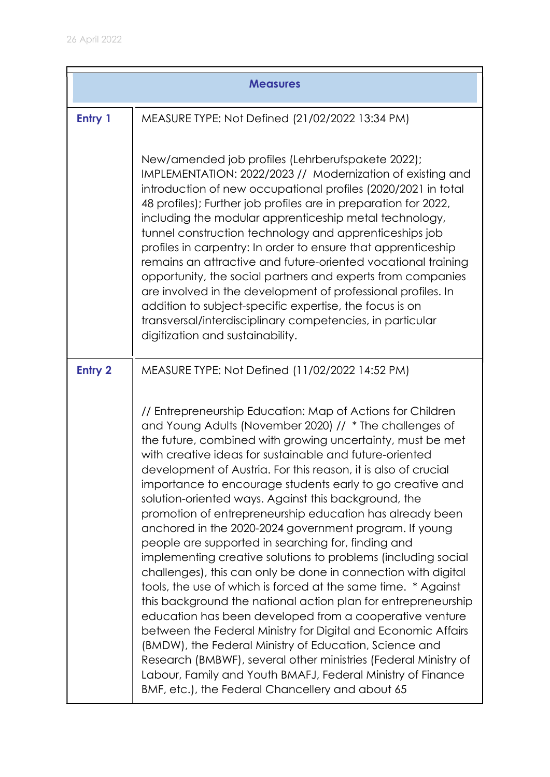| <b>Measures</b> |                                                                                                                                                                                                                                                                                                                                                                                                                                                                                                                                                                                                                                                                                                                                                                                                                                                                                                                                                                                                                                                                                                                                                                                                                                                                   |
|-----------------|-------------------------------------------------------------------------------------------------------------------------------------------------------------------------------------------------------------------------------------------------------------------------------------------------------------------------------------------------------------------------------------------------------------------------------------------------------------------------------------------------------------------------------------------------------------------------------------------------------------------------------------------------------------------------------------------------------------------------------------------------------------------------------------------------------------------------------------------------------------------------------------------------------------------------------------------------------------------------------------------------------------------------------------------------------------------------------------------------------------------------------------------------------------------------------------------------------------------------------------------------------------------|
| Entry 1         | MEASURE TYPE: Not Defined (21/02/2022 13:34 PM)                                                                                                                                                                                                                                                                                                                                                                                                                                                                                                                                                                                                                                                                                                                                                                                                                                                                                                                                                                                                                                                                                                                                                                                                                   |
|                 | New/amended job profiles (Lehrberufspakete 2022);<br>IMPLEMENTATION: 2022/2023 // Modernization of existing and<br>introduction of new occupational profiles (2020/2021 in total<br>48 profiles); Further job profiles are in preparation for 2022,<br>including the modular apprenticeship metal technology,<br>tunnel construction technology and apprenticeships job<br>profiles in carpentry: In order to ensure that apprenticeship<br>remains an attractive and future-oriented vocational training<br>opportunity, the social partners and experts from companies<br>are involved in the development of professional profiles. In<br>addition to subject-specific expertise, the focus is on<br>transversal/interdisciplinary competencies, in particular<br>digitization and sustainability.                                                                                                                                                                                                                                                                                                                                                                                                                                                              |
| <b>Entry 2</b>  | MEASURE TYPE: Not Defined (11/02/2022 14:52 PM)                                                                                                                                                                                                                                                                                                                                                                                                                                                                                                                                                                                                                                                                                                                                                                                                                                                                                                                                                                                                                                                                                                                                                                                                                   |
|                 | // Entrepreneurship Education: Map of Actions for Children<br>and Young Adults (November 2020) // * The challenges of<br>the future, combined with growing uncertainty, must be met<br>with creative ideas for sustainable and future-oriented<br>development of Austria. For this reason, it is also of crucial<br>importance to encourage students early to go creative and<br>solution-oriented ways. Against this background, the<br>promotion of entrepreneurship education has already been<br>anchored in the 2020-2024 government program. If young<br>people are supported in searching for, finding and<br>implementing creative solutions to problems (including social<br>challenges), this can only be done in connection with digital<br>tools, the use of which is forced at the same time. * Against<br>this background the national action plan for entrepreneurship<br>education has been developed from a cooperative venture<br>between the Federal Ministry for Digital and Economic Affairs<br>(BMDW), the Federal Ministry of Education, Science and<br>Research (BMBWF), several other ministries (Federal Ministry of<br>Labour, Family and Youth BMAFJ, Federal Ministry of Finance<br>BMF, etc.), the Federal Chancellery and about 65 |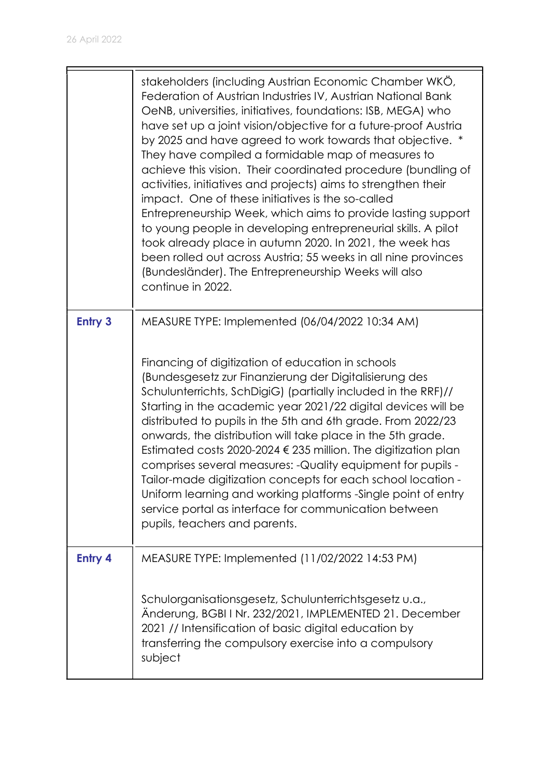|                | stakeholders (including Austrian Economic Chamber WKO,<br>Federation of Austrian Industries IV, Austrian National Bank<br>OeNB, universities, initiatives, foundations: ISB, MEGA) who<br>have set up a joint vision/objective for a future-proof Austria<br>by 2025 and have agreed to work towards that objective. *<br>They have compiled a formidable map of measures to<br>achieve this vision. Their coordinated procedure (bundling of<br>activities, initiatives and projects) aims to strengthen their<br>impact. One of these initiatives is the so-called<br>Entrepreneurship Week, which aims to provide lasting support<br>to young people in developing entrepreneurial skills. A pilot<br>took already place in autumn 2020. In 2021, the week has<br>been rolled out across Austria; 55 weeks in all nine provinces<br>(Bundesländer). The Entrepreneurship Weeks will also<br>continue in 2022. |
|----------------|------------------------------------------------------------------------------------------------------------------------------------------------------------------------------------------------------------------------------------------------------------------------------------------------------------------------------------------------------------------------------------------------------------------------------------------------------------------------------------------------------------------------------------------------------------------------------------------------------------------------------------------------------------------------------------------------------------------------------------------------------------------------------------------------------------------------------------------------------------------------------------------------------------------|
| <b>Entry 3</b> | MEASURE TYPE: Implemented (06/04/2022 10:34 AM)<br>Financing of digitization of education in schools<br>(Bundesgesetz zur Finanzierung der Digitalisierung des<br>Schulunterrichts, SchDigiG) (partially included in the RRF)//<br>Starting in the academic year 2021/22 digital devices will be<br>distributed to pupils in the 5th and 6th grade. From 2022/23                                                                                                                                                                                                                                                                                                                                                                                                                                                                                                                                                 |
|                | onwards, the distribution will take place in the 5th grade.<br>Estimated costs 2020-2024 $\epsilon$ 235 million. The digitization plan<br>comprises several measures: - Quality equipment for pupils -<br>Tailor-made digitization concepts for each school location -<br>Uniform learning and working platforms -Single point of entry<br>service portal as interface for communication between<br>pupils, teachers and parents.                                                                                                                                                                                                                                                                                                                                                                                                                                                                                |
| <b>Entry 4</b> | MEASURE TYPE: Implemented (11/02/2022 14:53 PM)                                                                                                                                                                                                                                                                                                                                                                                                                                                                                                                                                                                                                                                                                                                                                                                                                                                                  |
|                | Schulorganisationsgesetz, Schulunterrichtsgesetz u.a.,<br>Änderung, BGBI I Nr. 232/2021, IMPLEMENTED 21. December<br>2021 // Intensification of basic digital education by<br>transferring the compulsory exercise into a compulsory<br>subject                                                                                                                                                                                                                                                                                                                                                                                                                                                                                                                                                                                                                                                                  |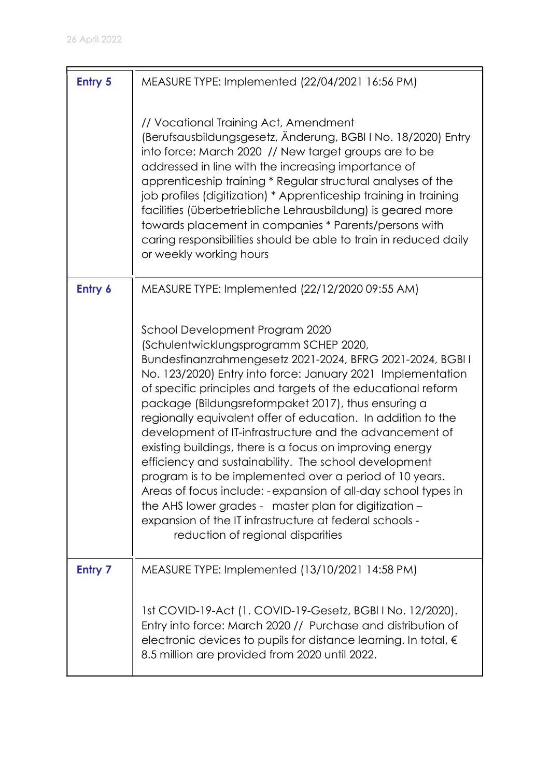| <b>Entry 5</b> | MEASURE TYPE: Implemented (22/04/2021 16:56 PM)                                                                                                                                                                                                                                                                                                                                                                                                                                                                                                                                                                                                                                                                                                                                                                                                                     |
|----------------|---------------------------------------------------------------------------------------------------------------------------------------------------------------------------------------------------------------------------------------------------------------------------------------------------------------------------------------------------------------------------------------------------------------------------------------------------------------------------------------------------------------------------------------------------------------------------------------------------------------------------------------------------------------------------------------------------------------------------------------------------------------------------------------------------------------------------------------------------------------------|
|                | // Vocational Training Act, Amendment<br>(Berufsausbildungsgesetz, Änderung, BGBI I No. 18/2020) Entry<br>into force: March 2020 // New target groups are to be<br>addressed in line with the increasing importance of<br>apprenticeship training * Regular structural analyses of the<br>job profiles (digitization) * Apprenticeship training in training<br>facilities (überbetriebliche Lehrausbildung) is geared more<br>towards placement in companies * Parents/persons with<br>caring responsibilities should be able to train in reduced daily<br>or weekly working hours                                                                                                                                                                                                                                                                                  |
| Entry 6        | MEASURE TYPE: Implemented (22/12/2020 09:55 AM)                                                                                                                                                                                                                                                                                                                                                                                                                                                                                                                                                                                                                                                                                                                                                                                                                     |
|                | School Development Program 2020<br>(Schulentwicklungsprogramm SCHEP 2020,<br>Bundesfinanzrahmengesetz 2021-2024, BFRG 2021-2024, BGBI I<br>No. 123/2020) Entry into force: January 2021 Implementation<br>of specific principles and targets of the educational reform<br>package (Bildungsreformpaket 2017), thus ensuring a<br>regionally equivalent offer of education. In addition to the<br>development of IT-infrastructure and the advancement of<br>existing buildings, there is a focus on improving energy<br>efficiency and sustainability. The school development<br>program is to be implemented over a period of 10 years.<br>Areas of focus include: - expansion of all-day school types in<br>the AHS lower grades - master plan for digitization -<br>expansion of the IT infrastructure at federal schools -<br>reduction of regional disparities |
| <b>Entry 7</b> | MEASURE TYPE: Implemented (13/10/2021 14:58 PM)<br>1st COVID-19-Act (1. COVID-19-Gesetz, BGBI I No. 12/2020).                                                                                                                                                                                                                                                                                                                                                                                                                                                                                                                                                                                                                                                                                                                                                       |
|                | Entry into force: March 2020 // Purchase and distribution of<br>electronic devices to pupils for distance learning. In total, $\epsilon$<br>8.5 million are provided from 2020 until 2022.                                                                                                                                                                                                                                                                                                                                                                                                                                                                                                                                                                                                                                                                          |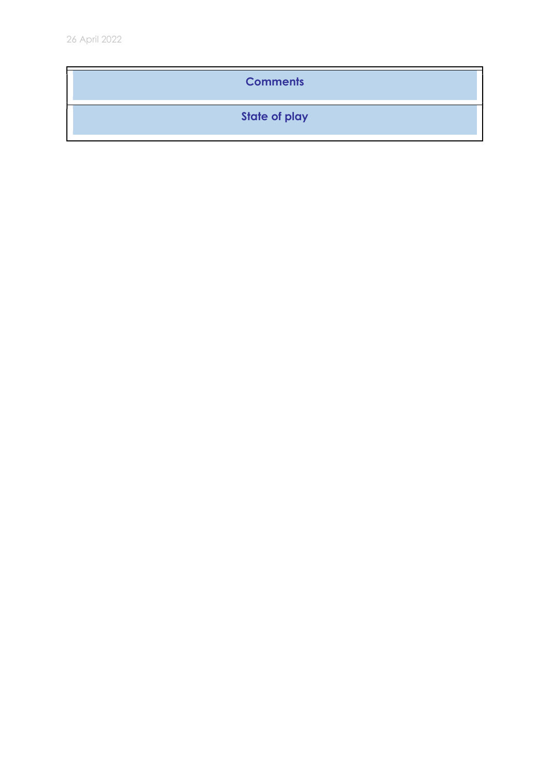#### **Comments**

State of play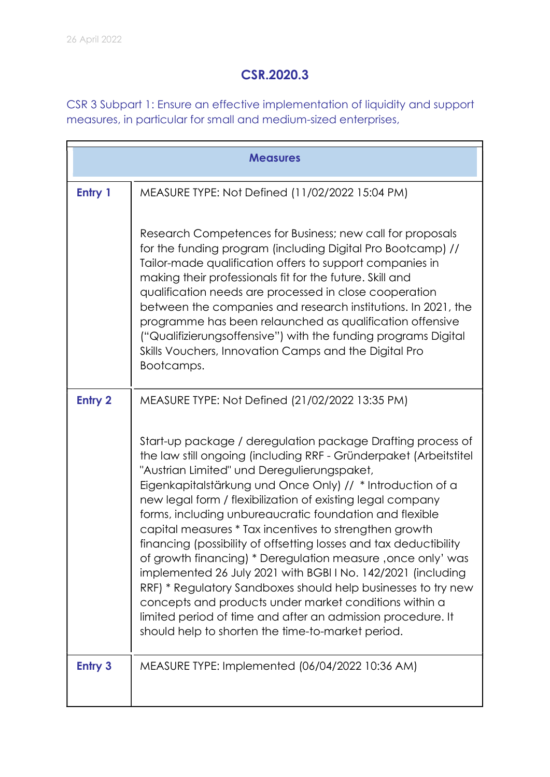### CSR.2020.3

CSR 3 Subpart 1: Ensure an effective implementation of liquidity and support measures, in particular for small and medium-sized enterprises,

|                | <b>Measures</b>                                                                                                                                                                                                                                                                                                                                                                                                                                                                                                                                                                                                                                                                                                                                                                                                                                                                   |
|----------------|-----------------------------------------------------------------------------------------------------------------------------------------------------------------------------------------------------------------------------------------------------------------------------------------------------------------------------------------------------------------------------------------------------------------------------------------------------------------------------------------------------------------------------------------------------------------------------------------------------------------------------------------------------------------------------------------------------------------------------------------------------------------------------------------------------------------------------------------------------------------------------------|
| Entry 1        | MEASURE TYPE: Not Defined (11/02/2022 15:04 PM)                                                                                                                                                                                                                                                                                                                                                                                                                                                                                                                                                                                                                                                                                                                                                                                                                                   |
|                | Research Competences for Business; new call for proposals<br>for the funding program (including Digital Pro Bootcamp) //<br>Tailor-made qualification offers to support companies in<br>making their professionals fit for the future. Skill and<br>qualification needs are processed in close cooperation<br>between the companies and research institutions. In 2021, the<br>programme has been relaunched as qualification offensive<br>("Qualifizierungsoffensive") with the funding programs Digital<br>Skills Vouchers, Innovation Camps and the Digital Pro<br>Bootcamps.                                                                                                                                                                                                                                                                                                  |
| <b>Entry 2</b> | MEASURE TYPE: Not Defined (21/02/2022 13:35 PM)                                                                                                                                                                                                                                                                                                                                                                                                                                                                                                                                                                                                                                                                                                                                                                                                                                   |
|                | Start-up package / deregulation package Drafting process of<br>the law still ongoing (including RRF - Gründerpaket (Arbeitstitel<br>"Austrian Limited" und Deregulierungspaket,<br>Eigenkapitalstärkung und Once Only) // * Introduction of a<br>new legal form / flexibilization of existing legal company<br>forms, including unbureaucratic foundation and flexible<br>capital measures * Tax incentives to strengthen growth<br>financing (possibility of offsetting losses and tax deductibility<br>of growth financing) * Deregulation measure, once only' was<br>implemented 26 July 2021 with BGBITNo. 142/2021 (including<br>RRF) * Regulatory Sandboxes should help businesses to try new<br>concepts and products under market conditions within a<br>limited period of time and after an admission procedure. It<br>should help to shorten the time-to-market period. |
| <b>Entry 3</b> | MEASURE TYPE: Implemented (06/04/2022 10:36 AM)                                                                                                                                                                                                                                                                                                                                                                                                                                                                                                                                                                                                                                                                                                                                                                                                                                   |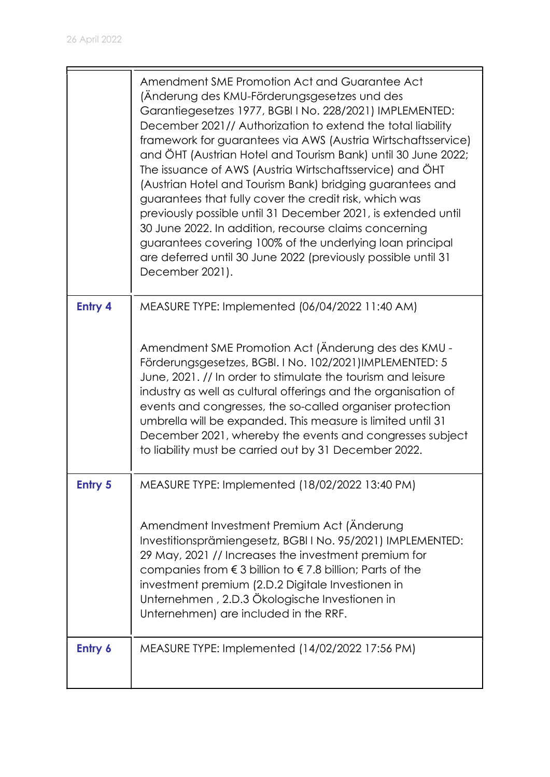|                | Amendment SME Promotion Act and Guarantee Act<br>(Änderung des KMU-Förderungsgesetzes und des<br>Garantiegesetzes 1977, BGBI I No. 228/2021) IMPLEMENTED:<br>December 2021// Authorization to extend the total liability<br>framework for guarantees via AWS (Austria Wirtschaftsservice)<br>and ÖHT (Austrian Hotel and Tourism Bank) until 30 June 2022;<br>The issuance of AWS (Austria Wirtschaftsservice) and ÖHT<br>(Austrian Hotel and Tourism Bank) bridging guarantees and<br>guarantees that fully cover the credit risk, which was<br>previously possible until 31 December 2021, is extended until<br>30 June 2022. In addition, recourse claims concerning<br>guarantees covering 100% of the underlying loan principal<br>are deferred until 30 June 2022 (previously possible until 31<br>December 2021). |
|----------------|--------------------------------------------------------------------------------------------------------------------------------------------------------------------------------------------------------------------------------------------------------------------------------------------------------------------------------------------------------------------------------------------------------------------------------------------------------------------------------------------------------------------------------------------------------------------------------------------------------------------------------------------------------------------------------------------------------------------------------------------------------------------------------------------------------------------------|
| <b>Entry 4</b> | MEASURE TYPE: Implemented (06/04/2022 11:40 AM)<br>Amendment SME Promotion Act (Änderung des des KMU -<br>Förderungsgesetzes, BGBI. I No. 102/2021)IMPLEMENTED: 5<br>June, 2021. // In order to stimulate the tourism and leisure<br>industry as well as cultural offerings and the organisation of<br>events and congresses, the so-called organiser protection<br>umbrella will be expanded. This measure is limited until 31<br>December 2021, whereby the events and congresses subject<br>to liability must be carried out by 31 December 2022.                                                                                                                                                                                                                                                                     |
| <b>Entry 5</b> | MEASURE TYPE: Implemented (18/02/2022 13:40 PM)<br>Amendment Investment Premium Act (Änderung<br>Investitionsprämiengesetz, BGBI I No. 95/2021) IMPLEMENTED:<br>29 May, 2021 // Increases the investment premium for<br>companies from $\epsilon$ 3 billion to $\epsilon$ 7.8 billion; Parts of the<br>investment premium (2.D.2 Digitale Investionen in<br>Unternehmen, 2.D.3 Ökologische Investionen in<br>Unternehmen) are included in the RRF.                                                                                                                                                                                                                                                                                                                                                                       |
| Entry 6        | MEASURE TYPE: Implemented (14/02/2022 17:56 PM)                                                                                                                                                                                                                                                                                                                                                                                                                                                                                                                                                                                                                                                                                                                                                                          |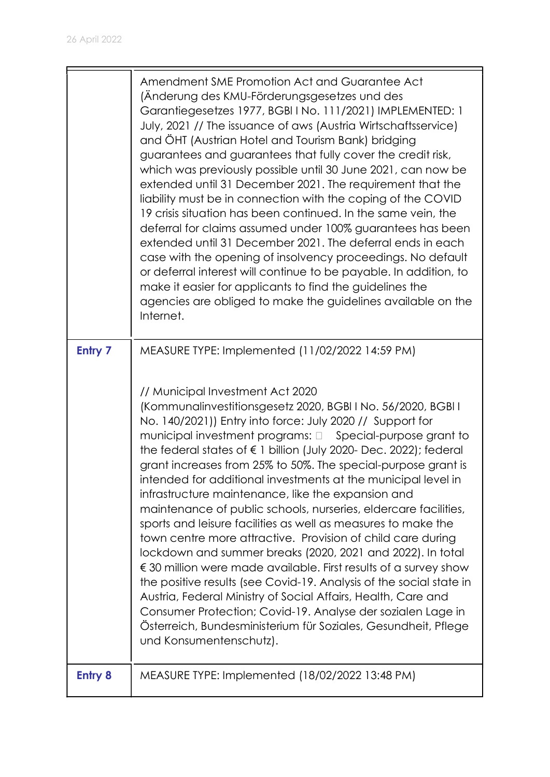|                | Amendment SME Promotion Act and Guarantee Act<br>(Änderung des KMU-Förderungsgesetzes und des<br>Garantiegesetzes 1977, BGBI I No. 111/2021) IMPLEMENTED: 1<br>July, 2021 // The issuance of aws (Austria Wirtschaftsservice)<br>and ÖHT (Austrian Hotel and Tourism Bank) bridging<br>guarantees and guarantees that fully cover the credit risk,<br>which was previously possible until 30 June 2021, can now be<br>extended until 31 December 2021. The requirement that the<br>liability must be in connection with the coping of the COVID<br>19 crisis situation has been continued. In the same vein, the<br>deferral for claims assumed under 100% guarantees has been<br>extended until 31 December 2021. The deferral ends in each<br>case with the opening of insolvency proceedings. No default<br>or deferral interest will continue to be payable. In addition, to<br>make it easier for applicants to find the guidelines the<br>agencies are obliged to make the guidelines available on the<br>Internet. |
|----------------|---------------------------------------------------------------------------------------------------------------------------------------------------------------------------------------------------------------------------------------------------------------------------------------------------------------------------------------------------------------------------------------------------------------------------------------------------------------------------------------------------------------------------------------------------------------------------------------------------------------------------------------------------------------------------------------------------------------------------------------------------------------------------------------------------------------------------------------------------------------------------------------------------------------------------------------------------------------------------------------------------------------------------|
| Entry 7        | MEASURE TYPE: Implemented (11/02/2022 14:59 PM)<br>// Municipal Investment Act 2020<br>(Kommunalinvestitionsgesetz 2020, BGBI I No. 56/2020, BGBI I<br>No. 140/2021)) Entry into force: July 2020 // Support for<br>municipal investment programs: 0 Special-purpose grant to<br>the federal states of $\epsilon$ 1 billion (July 2020- Dec. 2022); federal<br>grant increases from 25% to 50%. The special-purpose grant is<br>intended for additional investments at the municipal level in<br>infrastructure maintenance, like the expansion and<br>maintenance of public schools, nurseries, eldercare facilities,<br>sports and leisure facilities as well as measures to make the<br>town centre more attractive. Provision of child care during<br>lockdown and summer breaks (2020, 2021 and 2022). In total<br>€ 30 million were made available. First results of a survey show                                                                                                                                  |
| <b>Entry 8</b> | the positive results (see Covid-19. Analysis of the social state in<br>Austria, Federal Ministry of Social Affairs, Health, Care and<br>Consumer Protection; Covid-19. Analyse der sozialen Lage in<br>Österreich, Bundesministerium für Soziales, Gesundheit, Pflege<br>und Konsumentenschutz).<br>MEASURE TYPE: Implemented (18/02/2022 13:48 PM)                                                                                                                                                                                                                                                                                                                                                                                                                                                                                                                                                                                                                                                                       |
|                |                                                                                                                                                                                                                                                                                                                                                                                                                                                                                                                                                                                                                                                                                                                                                                                                                                                                                                                                                                                                                           |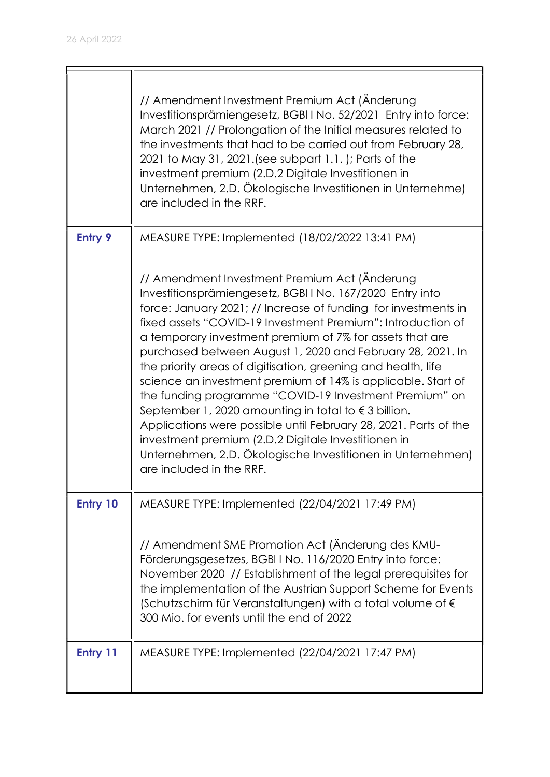|                | // Amendment Investment Premium Act (Änderung<br>Investitionsprämiengesetz, BGBIINo. 52/2021 Entry into force:<br>March 2021 // Prolongation of the Initial measures related to<br>the investments that had to be carried out from February 28,<br>2021 to May 31, 2021. (see subpart 1.1.); Parts of the<br>investment premium (2.D.2 Digitale Investitionen in<br>Unternehmen, 2.D. Ökologische Investitionen in Unternehme)<br>are included in the RRF.                                                                                                                                                                                                                                                                                                                                                                                              |
|----------------|---------------------------------------------------------------------------------------------------------------------------------------------------------------------------------------------------------------------------------------------------------------------------------------------------------------------------------------------------------------------------------------------------------------------------------------------------------------------------------------------------------------------------------------------------------------------------------------------------------------------------------------------------------------------------------------------------------------------------------------------------------------------------------------------------------------------------------------------------------|
| <b>Entry 9</b> | MEASURE TYPE: Implemented (18/02/2022 13:41 PM)                                                                                                                                                                                                                                                                                                                                                                                                                                                                                                                                                                                                                                                                                                                                                                                                         |
|                | // Amendment Investment Premium Act (Änderung<br>Investitionsprämiengesetz, BGBI I No. 167/2020 Entry into<br>force: January 2021; // Increase of funding for investments in<br>fixed assets "COVID-19 Investment Premium": Introduction of<br>a temporary investment premium of 7% for assets that are<br>purchased between August 1, 2020 and February 28, 2021. In<br>the priority areas of digitisation, greening and health, life<br>science an investment premium of 14% is applicable. Start of<br>the funding programme "COVID-19 Investment Premium" on<br>September 1, 2020 amounting in total to $\epsilon$ 3 billion.<br>Applications were possible until February 28, 2021. Parts of the<br>investment premium (2.D.2 Digitale Investitionen in<br>Unternehmen, 2.D. Ökologische Investitionen in Unternehmen)<br>are included in the RRF. |
| Entry 10       | MEASURE TYPE: Implemented (22/04/2021 17:49 PM)                                                                                                                                                                                                                                                                                                                                                                                                                                                                                                                                                                                                                                                                                                                                                                                                         |
|                | // Amendment SME Promotion Act (Anderung des KMU-<br>Förderungsgesetzes, BGBIINo. 116/2020 Entry into force:<br>November 2020 // Establishment of the legal prerequisites for<br>the implementation of the Austrian Support Scheme for Events<br>(Schutzschirm für Veranstaltungen) with a total volume of $\epsilon$<br>300 Mio. for events until the end of 2022                                                                                                                                                                                                                                                                                                                                                                                                                                                                                      |
| Entry 11       | MEASURE TYPE: Implemented (22/04/2021 17:47 PM)                                                                                                                                                                                                                                                                                                                                                                                                                                                                                                                                                                                                                                                                                                                                                                                                         |
|                |                                                                                                                                                                                                                                                                                                                                                                                                                                                                                                                                                                                                                                                                                                                                                                                                                                                         |

 $\overline{\mathsf{a}}$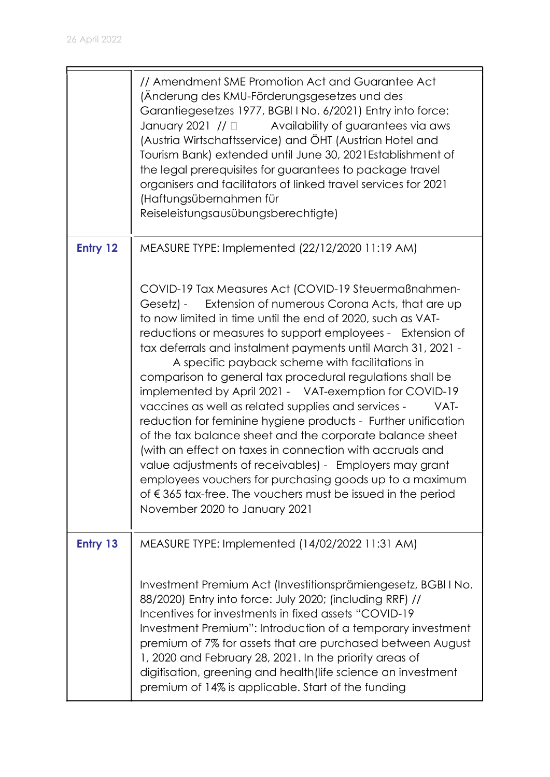|          | // Amendment SME Promotion Act and Guarantee Act<br>(Änderung des KMU-Förderungsgesetzes und des<br>Garantiegesetzes 1977, BGBI I No. 6/2021) Entry into force:<br>Availability of guarantees via aws<br>January 2021 // $\Box$<br>(Austria Wirtschaftsservice) and ÖHT (Austrian Hotel and<br>Tourism Bank) extended until June 30, 2021 Establishment of<br>the legal prerequisites for guarantees to package travel<br>organisers and facilitators of linked travel services for 2021<br>(Haftungsübernahmen für<br>Reiseleistungsausübungsberechtigte)                                                                                                                                                                                                                                                                                                                                                                                                                        |
|----------|-----------------------------------------------------------------------------------------------------------------------------------------------------------------------------------------------------------------------------------------------------------------------------------------------------------------------------------------------------------------------------------------------------------------------------------------------------------------------------------------------------------------------------------------------------------------------------------------------------------------------------------------------------------------------------------------------------------------------------------------------------------------------------------------------------------------------------------------------------------------------------------------------------------------------------------------------------------------------------------|
| Entry 12 | MEASURE TYPE: Implemented (22/12/2020 11:19 AM)                                                                                                                                                                                                                                                                                                                                                                                                                                                                                                                                                                                                                                                                                                                                                                                                                                                                                                                                   |
|          | COVID-19 Tax Measures Act (COVID-19 Steuermaßnahmen-<br>Extension of numerous Corona Acts, that are up<br>Gesetz) -<br>to now limited in time until the end of 2020, such as VAT-<br>reductions or measures to support employees - Extension of<br>tax deferrals and instalment payments until March 31, 2021 -<br>A specific payback scheme with facilitations in<br>comparison to general tax procedural regulations shall be<br>implemented by April 2021 - VAT-exemption for COVID-19<br>vaccines as well as related supplies and services -<br>VAT-<br>reduction for feminine hygiene products - Further unification<br>of the tax balance sheet and the corporate balance sheet<br>(with an effect on taxes in connection with accruals and<br>value adjustments of receivables) - Employers may grant<br>employees vouchers for purchasing goods up to a maximum<br>of $\epsilon$ 365 tax-free. The vouchers must be issued in the period<br>November 2020 to January 2021 |
| Entry 13 | MEASURE TYPE: Implemented (14/02/2022 11:31 AM)                                                                                                                                                                                                                                                                                                                                                                                                                                                                                                                                                                                                                                                                                                                                                                                                                                                                                                                                   |
|          | Investment Premium Act (Investitionsprämiengesetz, BGBI I No.<br>88/2020) Entry into force: July 2020; (including RRF) //<br>Incentives for investments in fixed assets "COVID-19<br>Investment Premium": Introduction of a temporary investment<br>premium of 7% for assets that are purchased between August<br>1, 2020 and February 28, 2021. In the priority areas of<br>digitisation, greening and health (life science an investment<br>premium of 14% is applicable. Start of the funding                                                                                                                                                                                                                                                                                                                                                                                                                                                                                  |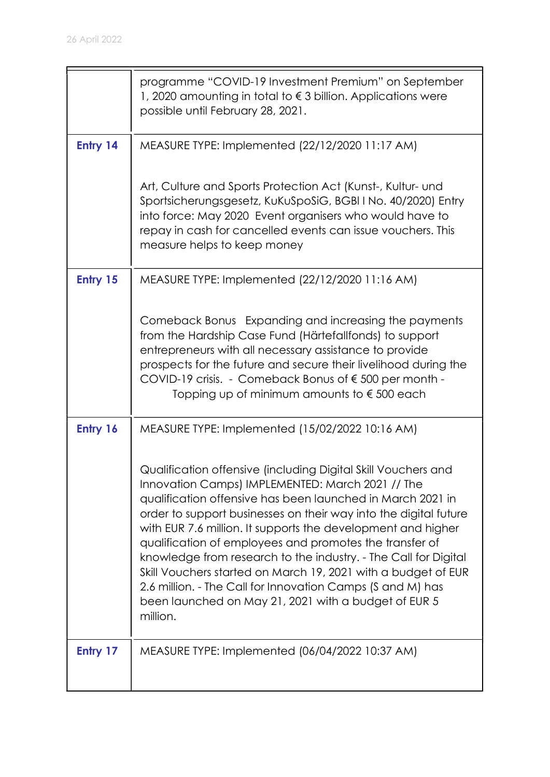|          | programme "COVID-19 Investment Premium" on September<br>1, 2020 amounting in total to $\epsilon$ 3 billion. Applications were<br>possible until February 28, 2021.                                                                                                                                                                                                                                                                                                                                                                                                                                                                                   |
|----------|------------------------------------------------------------------------------------------------------------------------------------------------------------------------------------------------------------------------------------------------------------------------------------------------------------------------------------------------------------------------------------------------------------------------------------------------------------------------------------------------------------------------------------------------------------------------------------------------------------------------------------------------------|
| Entry 14 | MEASURE TYPE: Implemented (22/12/2020 11:17 AM)                                                                                                                                                                                                                                                                                                                                                                                                                                                                                                                                                                                                      |
|          | Art, Culture and Sports Protection Act (Kunst-, Kultur- und<br>Sportsicherungsgesetz, KuKuSpoSiG, BGBI I No. 40/2020) Entry<br>into force: May 2020 Event organisers who would have to<br>repay in cash for cancelled events can issue vouchers. This<br>measure helps to keep money                                                                                                                                                                                                                                                                                                                                                                 |
| Entry 15 | MEASURE TYPE: Implemented (22/12/2020 11:16 AM)                                                                                                                                                                                                                                                                                                                                                                                                                                                                                                                                                                                                      |
|          | Comeback Bonus Expanding and increasing the payments<br>from the Hardship Case Fund (Härtefallfonds) to support<br>entrepreneurs with all necessary assistance to provide<br>prospects for the future and secure their livelihood during the<br>COVID-19 crisis. - Comeback Bonus of €500 per month -<br>Topping up of minimum amounts to $\epsilon$ 500 each                                                                                                                                                                                                                                                                                        |
| Entry 16 | MEASURE TYPE: Implemented (15/02/2022 10:16 AM)                                                                                                                                                                                                                                                                                                                                                                                                                                                                                                                                                                                                      |
|          | Qualification offensive (including Digital Skill Vouchers and<br>Innovation Camps) IMPLEMENTED: March 2021 // The<br>qualification offensive has been launched in March 2021 in<br>order to support businesses on their way into the digital future<br>with EUR 7.6 million. It supports the development and higher<br>qualification of employees and promotes the transfer of<br>knowledge from research to the industry. - The Call for Digital<br>Skill Vouchers started on March 19, 2021 with a budget of EUR<br>2.6 million. - The Call for Innovation Camps (S and M) has<br>been launched on May 21, 2021 with a budget of EUR 5<br>million. |
| Entry 17 | MEASURE TYPE: Implemented (06/04/2022 10:37 AM)                                                                                                                                                                                                                                                                                                                                                                                                                                                                                                                                                                                                      |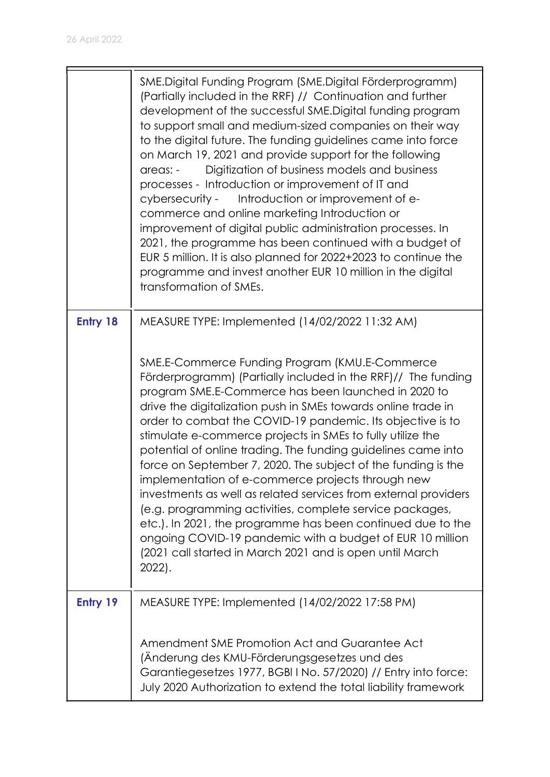|                 | SME.Digital Funding Program (SME.Digital Förderprogramm)<br>(Partially included in the RRF) // Continuation and further<br>development of the successful SME. Digital funding program<br>to support small and medium-sized companies on their way<br>to the digital future. The funding guidelines came into force<br>on March 19, 2021 and provide support for the following<br>Digitization of business models and business<br>areas: -<br>processes - Introduction or improvement of IT and<br>cybersecurity - Introduction or improvement of e-<br>commerce and online marketing Introduction or<br>improvement of digital public administration processes. In<br>2021, the programme has been continued with a budget of<br>EUR 5 million. It is also planned for 2022+2023 to continue the<br>programme and invest another EUR 10 million in the digital<br>transformation of SMEs.                                                      |
|-----------------|------------------------------------------------------------------------------------------------------------------------------------------------------------------------------------------------------------------------------------------------------------------------------------------------------------------------------------------------------------------------------------------------------------------------------------------------------------------------------------------------------------------------------------------------------------------------------------------------------------------------------------------------------------------------------------------------------------------------------------------------------------------------------------------------------------------------------------------------------------------------------------------------------------------------------------------------|
| <b>Entry 18</b> | MEASURE TYPE: Implemented (14/02/2022 11:32 AM)<br>SME.E-Commerce Funding Program (KMU.E-Commerce<br>Förderprogramm) (Partially included in the RRF)// The funding<br>program SME.E-Commerce has been launched in 2020 to<br>drive the digitalization push in SMEs towards online trade in<br>order to combat the COVID-19 pandemic. Its objective is to<br>stimulate e-commerce projects in SMEs to fully utilize the<br>potential of online trading. The funding guidelines came into<br>force on September 7, 2020. The subject of the funding is the<br>implementation of e-commerce projects through new<br>investments as well as related services from external providers<br>(e.g. programming activities, complete service packages,<br>etc.). In 2021, the programme has been continued due to the<br>ongoing COVID-19 pandemic with a budget of EUR 10 million<br>(2021 call started in March 2021 and is open until March<br>2022). |
| Entry 19        | MEASURE TYPE: Implemented (14/02/2022 17:58 PM)<br>Amendment SME Promotion Act and Guarantee Act<br>(Änderung des KMU-Förderungsgesetzes und des<br>Garantiegesetzes 1977, BGBI I No. 57/2020) // Entry into force:<br>July 2020 Authorization to extend the total liability framework                                                                                                                                                                                                                                                                                                                                                                                                                                                                                                                                                                                                                                                         |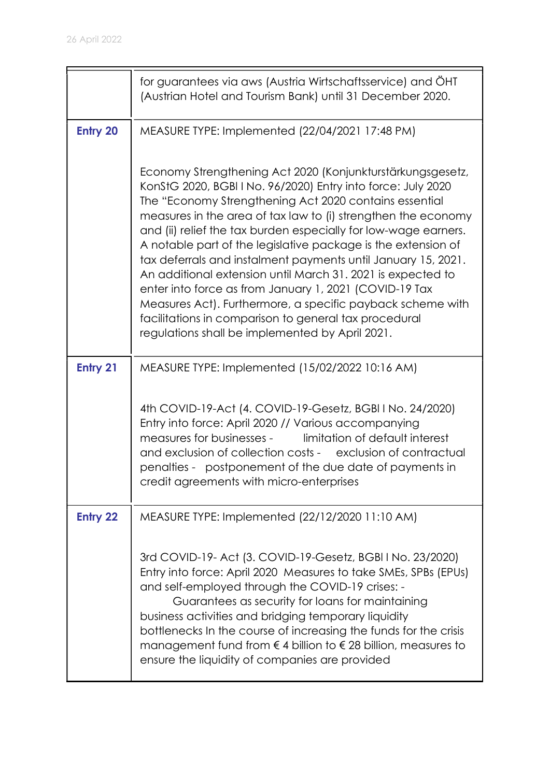|                 | for guarantees via aws (Austria Wirtschaftsservice) and OHT<br>(Austrian Hotel and Tourism Bank) until 31 December 2020.                                                                                                                                                                                                                                                                                                                                                                                                                                                                                                                                                                                                                                      |
|-----------------|---------------------------------------------------------------------------------------------------------------------------------------------------------------------------------------------------------------------------------------------------------------------------------------------------------------------------------------------------------------------------------------------------------------------------------------------------------------------------------------------------------------------------------------------------------------------------------------------------------------------------------------------------------------------------------------------------------------------------------------------------------------|
| <b>Entry 20</b> | MEASURE TYPE: Implemented (22/04/2021 17:48 PM)                                                                                                                                                                                                                                                                                                                                                                                                                                                                                                                                                                                                                                                                                                               |
|                 | Economy Strengthening Act 2020 (Konjunkturstärkungsgesetz,<br>KonStG 2020, BGBI I No. 96/2020) Entry into force: July 2020<br>The "Economy Strengthening Act 2020 contains essential<br>measures in the area of tax law to (i) strengthen the economy<br>and (ii) relief the tax burden especially for low-wage earners.<br>A notable part of the legislative package is the extension of<br>tax deferrals and instalment payments until January 15, 2021.<br>An additional extension until March 31, 2021 is expected to<br>enter into force as from January 1, 2021 (COVID-19 Tax<br>Measures Act). Furthermore, a specific payback scheme with<br>facilitations in comparison to general tax procedural<br>regulations shall be implemented by April 2021. |
| Entry 21        | MEASURE TYPE: Implemented (15/02/2022 10:16 AM)                                                                                                                                                                                                                                                                                                                                                                                                                                                                                                                                                                                                                                                                                                               |
|                 | 4th COVID-19-Act (4. COVID-19-Gesetz, BGBI I No. 24/2020)<br>Entry into force: April 2020 // Various accompanying<br>measures for businesses -<br>limitation of default interest<br>and exclusion of collection costs - exclusion of contractual<br>penalties - postponement of the due date of payments in<br>credit agreements with micro-enterprises                                                                                                                                                                                                                                                                                                                                                                                                       |
| <b>Entry 22</b> | MEASURE TYPE: Implemented (22/12/2020 11:10 AM)                                                                                                                                                                                                                                                                                                                                                                                                                                                                                                                                                                                                                                                                                                               |
|                 | 3rd COVID-19- Act (3. COVID-19-Gesetz, BGBI I No. 23/2020)<br>Entry into force: April 2020 Measures to take SMEs, SPBs (EPUs)<br>and self-employed through the COVID-19 crises: -<br>Guarantees as security for loans for maintaining<br>business activities and bridging temporary liquidity<br>bottlenecks In the course of increasing the funds for the crisis<br>management fund from $\epsilon$ 4 billion to $\epsilon$ 28 billion, measures to<br>ensure the liquidity of companies are provided                                                                                                                                                                                                                                                        |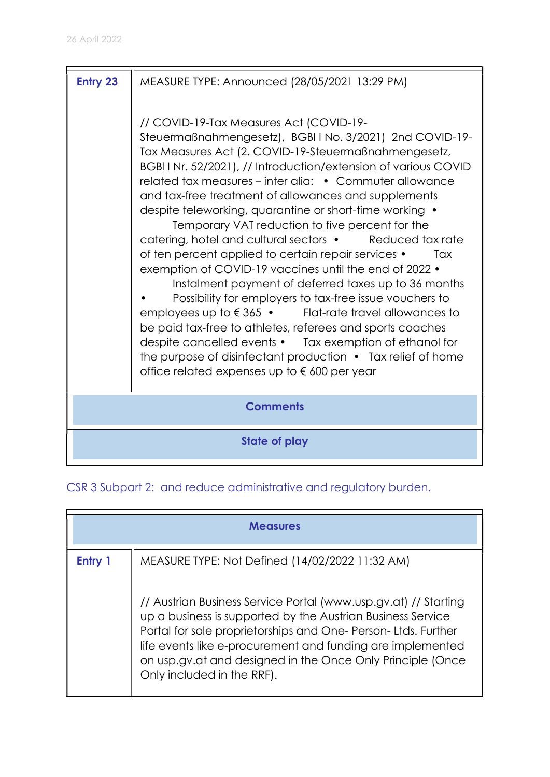| <b>Entry 23</b> | MEASURE TYPE: Announced (28/05/2021 13:29 PM)                                                                                                                                                                                                                                                                                                                                                                                                                                                                                                                                                                                                                                                                                                                                                                                                                                                                                                                                                                                                                                                        |
|-----------------|------------------------------------------------------------------------------------------------------------------------------------------------------------------------------------------------------------------------------------------------------------------------------------------------------------------------------------------------------------------------------------------------------------------------------------------------------------------------------------------------------------------------------------------------------------------------------------------------------------------------------------------------------------------------------------------------------------------------------------------------------------------------------------------------------------------------------------------------------------------------------------------------------------------------------------------------------------------------------------------------------------------------------------------------------------------------------------------------------|
|                 | // COVID-19-Tax Measures Act (COVID-19-<br>Steuermaßnahmengesetz), BGBIINo. 3/2021) 2nd COVID-19-<br>Tax Measures Act (2. COVID-19-Steuermaßnahmengesetz,<br>BGBI I Nr. 52/2021), // Introduction/extension of various COVID<br>related tax measures – inter alia: • Commuter allowance<br>and tax-free treatment of allowances and supplements<br>despite teleworking, quarantine or short-time working •<br>Temporary VAT reduction to five percent for the<br>catering, hotel and cultural sectors • Reduced tax rate<br>of ten percent applied to certain repair services •<br>Tax<br>exemption of COVID-19 vaccines until the end of 2022 •<br>Instalment payment of deferred taxes up to 36 months<br>Possibility for employers to tax-free issue vouchers to<br>employees up to $\epsilon$ 365 $\cdot$ Flat-rate travel allowances to<br>be paid tax-free to athletes, referees and sports coaches<br>despite cancelled events • Tax exemption of ethanol for<br>the purpose of disinfectant production $\bullet$ Tax relief of home<br>office related expenses up to $\epsilon$ 600 per year |
|                 | <b>Comments</b>                                                                                                                                                                                                                                                                                                                                                                                                                                                                                                                                                                                                                                                                                                                                                                                                                                                                                                                                                                                                                                                                                      |
|                 | <b>State of play</b>                                                                                                                                                                                                                                                                                                                                                                                                                                                                                                                                                                                                                                                                                                                                                                                                                                                                                                                                                                                                                                                                                 |

# CSR 3 Subpart 2: and reduce administrative and regulatory burden.

|         | <b>Measures</b>                                                                                                                                                                                                                                                                                                                                          |  |
|---------|----------------------------------------------------------------------------------------------------------------------------------------------------------------------------------------------------------------------------------------------------------------------------------------------------------------------------------------------------------|--|
| Entry 1 | MEASURE TYPE: Not Defined (14/02/2022 11:32 AM)                                                                                                                                                                                                                                                                                                          |  |
|         | // Austrian Business Service Portal (www.usp.gv.at) // Starting<br>up a business is supported by the Austrian Business Service<br>Portal for sole proprietorships and One-Person-Ltds. Further<br>life events like e-procurement and funding are implemented<br>on usp.gv.at and designed in the Once Only Principle (Once<br>Only included in the RRF). |  |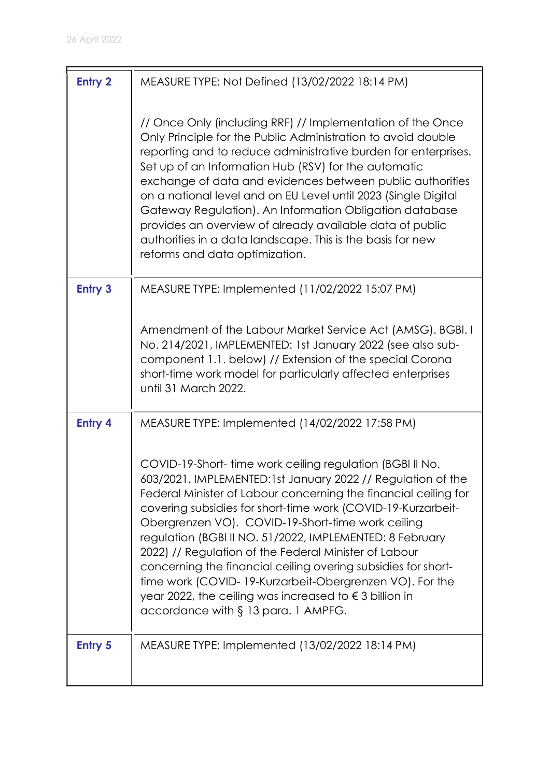| <b>Entry 2</b> | MEASURE TYPE: Not Defined (13/02/2022 18:14 PM)                                                                                                                                                                                                                                                                                                                                                                                                                                                                                                                                                                                                                            |
|----------------|----------------------------------------------------------------------------------------------------------------------------------------------------------------------------------------------------------------------------------------------------------------------------------------------------------------------------------------------------------------------------------------------------------------------------------------------------------------------------------------------------------------------------------------------------------------------------------------------------------------------------------------------------------------------------|
|                | // Once Only (including RRF) // Implementation of the Once<br>Only Principle for the Public Administration to avoid double<br>reporting and to reduce administrative burden for enterprises.<br>Set up of an Information Hub (RSV) for the automatic<br>exchange of data and evidences between public authorities<br>on a national level and on EU Level until 2023 (Single Digital<br>Gateway Regulation). An Information Obligation database<br>provides an overview of already available data of public<br>authorities in a data landscape. This is the basis for new<br>reforms and data optimization.                                                                 |
| <b>Entry 3</b> | MEASURE TYPE: Implemented (11/02/2022 15:07 PM)                                                                                                                                                                                                                                                                                                                                                                                                                                                                                                                                                                                                                            |
|                | Amendment of the Labour Market Service Act (AMSG). BGBI. I<br>No. 214/2021, IMPLEMENTED: 1st January 2022 (see also sub-<br>component 1.1. below) // Extension of the special Corona<br>short-time work model for particularly affected enterprises<br>until 31 March 2022.                                                                                                                                                                                                                                                                                                                                                                                                |
| <b>Entry 4</b> | MEASURE TYPE: Implemented (14/02/2022 17:58 PM)                                                                                                                                                                                                                                                                                                                                                                                                                                                                                                                                                                                                                            |
|                | COVID-19-Short-time work ceiling regulation (BGBI II No.<br>603/2021, IMPLEMENTED:1st January 2022 // Regulation of the<br>Federal Minister of Labour concerning the financial ceiling for<br>covering subsidies for short-time work (COVID-19-Kurzarbeit-<br>Obergrenzen VO). COVID-19-Short-time work ceiling<br>regulation (BGBI II NO. 51/2022, IMPLEMENTED: 8 February<br>2022) // Regulation of the Federal Minister of Labour<br>concerning the financial ceiling overing subsidies for short-<br>time work (COVID-19-Kurzarbeit-Obergrenzen VO). For the<br>year 2022, the ceiling was increased to $\epsilon$ 3 billion in<br>accordance with § 13 para. 1 AMPFG. |
| <b>Entry 5</b> | MEASURE TYPE: Implemented (13/02/2022 18:14 PM)                                                                                                                                                                                                                                                                                                                                                                                                                                                                                                                                                                                                                            |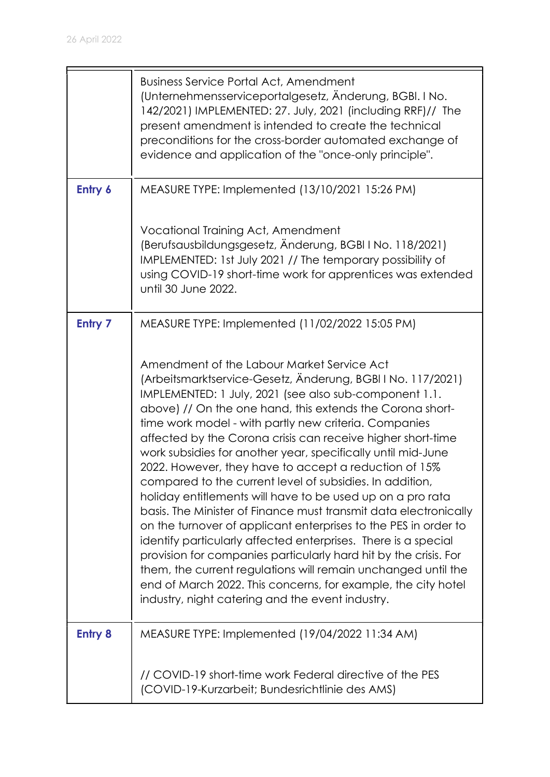|                | <b>Business Service Portal Act, Amendment</b><br>(Unternehmensserviceportalgesetz, Änderung, BGBI. I No.<br>142/2021) IMPLEMENTED: 27. July, 2021 (including RRF)// The<br>present amendment is intended to create the technical<br>preconditions for the cross-border automated exchange of<br>evidence and application of the "once-only principle".                                                                                                                                                                                                                                                                                                                                                                                                                                                                                                                                                                                                                                                                                                                         |
|----------------|--------------------------------------------------------------------------------------------------------------------------------------------------------------------------------------------------------------------------------------------------------------------------------------------------------------------------------------------------------------------------------------------------------------------------------------------------------------------------------------------------------------------------------------------------------------------------------------------------------------------------------------------------------------------------------------------------------------------------------------------------------------------------------------------------------------------------------------------------------------------------------------------------------------------------------------------------------------------------------------------------------------------------------------------------------------------------------|
| Entry 6        | MEASURE TYPE: Implemented (13/10/2021 15:26 PM)                                                                                                                                                                                                                                                                                                                                                                                                                                                                                                                                                                                                                                                                                                                                                                                                                                                                                                                                                                                                                                |
|                | Vocational Training Act, Amendment<br>(Berufsausbildungsgesetz, Änderung, BGBI I No. 118/2021)<br>IMPLEMENTED: 1st July 2021 // The temporary possibility of<br>using COVID-19 short-time work for apprentices was extended<br>until 30 June 2022.                                                                                                                                                                                                                                                                                                                                                                                                                                                                                                                                                                                                                                                                                                                                                                                                                             |
| <b>Entry 7</b> | MEASURE TYPE: Implemented (11/02/2022 15:05 PM)                                                                                                                                                                                                                                                                                                                                                                                                                                                                                                                                                                                                                                                                                                                                                                                                                                                                                                                                                                                                                                |
|                | Amendment of the Labour Market Service Act<br>(Arbeitsmarktservice-Gesetz, Änderung, BGBI I No. 117/2021)<br>IMPLEMENTED: 1 July, 2021 (see also sub-component 1.1.<br>above) // On the one hand, this extends the Corona short-<br>time work model - with partly new criteria. Companies<br>affected by the Corona crisis can receive higher short-time<br>work subsidies for another year, specifically until mid-June<br>2022. However, they have to accept a reduction of 15%<br>compared to the current level of subsidies. In addition,<br>holiday entitlements will have to be used up on a pro rata<br>basis. The Minister of Finance must transmit data electronically<br>on the turnover of applicant enterprises to the PES in order to<br>identify particularly affected enterprises. There is a special<br>provision for companies particularly hard hit by the crisis. For<br>them, the current regulations will remain unchanged until the<br>end of March 2022. This concerns, for example, the city hotel<br>industry, night catering and the event industry. |
| <b>Entry 8</b> | MEASURE TYPE: Implemented (19/04/2022 11:34 AM)                                                                                                                                                                                                                                                                                                                                                                                                                                                                                                                                                                                                                                                                                                                                                                                                                                                                                                                                                                                                                                |
|                | // COVID-19 short-time work Federal directive of the PES<br>(COVID-19-Kurzarbeit; Bundesrichtlinie des AMS)                                                                                                                                                                                                                                                                                                                                                                                                                                                                                                                                                                                                                                                                                                                                                                                                                                                                                                                                                                    |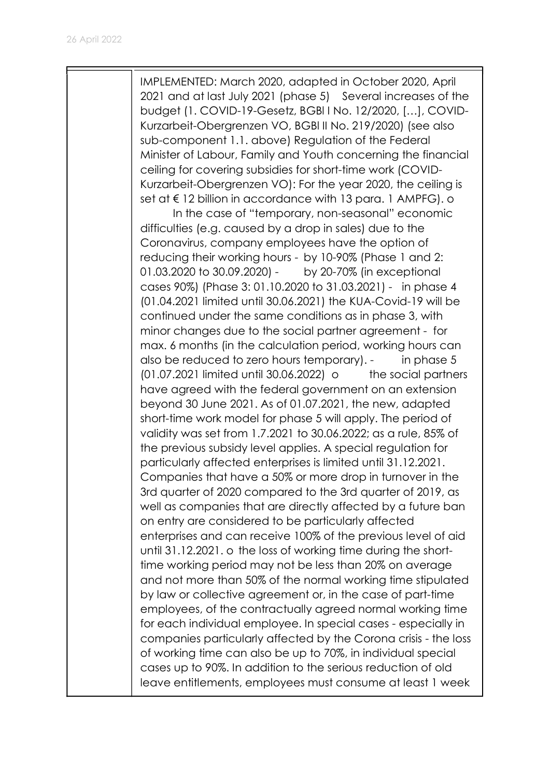IMPLEMENTED: March 2020, adapted in October 2020, April 2021 and at last July 2021 (phase 5) Several increases of the budget (1. COVID-19-Gesetz, BGBl I No. 12/2020, […], COVID-Kurzarbeit-Obergrenzen VO, BGBl II No. 219/2020) (see also sub-component 1.1. above) Regulation of the Federal Minister of Labour, Family and Youth concerning the financial ceiling for covering subsidies for short-time work (COVID-Kurzarbeit-Obergrenzen VO): For the year 2020, the ceiling is set at € 12 billion in accordance with 13 para. 1 AMPFG). o In the case of "temporary, non-seasonal" economic difficulties (e.g. caused by a drop in sales) due to the Coronavirus, company employees have the option of reducing their working hours - by 10-90% (Phase 1 and 2: 01.03.2020 to 30.09.2020) - by 20-70% (in exceptional cases 90%) (Phase 3: 01.10.2020 to 31.03.2021) - in phase 4 (01.04.2021 limited until 30.06.2021) the KUA-Covid-19 will be continued under the same conditions as in phase 3, with minor changes due to the social partner agreement - for max. 6 months (in the calculation period, working hours can also be reduced to zero hours temporary). - in phase 5  $(01.07.2021$  limited until 30.06.2022) o the social partners have agreed with the federal government on an extension beyond 30 June 2021. As of 01.07.2021, the new, adapted short-time work model for phase 5 will apply. The period of validity was set from 1.7.2021 to 30.06.2022; as a rule, 85% of the previous subsidy level applies. A special regulation for particularly affected enterprises is limited until 31.12.2021. Companies that have a 50% or more drop in turnover in the 3rd quarter of 2020 compared to the 3rd quarter of 2019, as well as companies that are directly affected by a future ban on entry are considered to be particularly affected enterprises and can receive 100% of the previous level of aid until 31.12.2021. o the loss of working time during the shorttime working period may not be less than 20% on average and not more than 50% of the normal working time stipulated by law or collective agreement or, in the case of part-time employees, of the contractually agreed normal working time for each individual employee. In special cases - especially in companies particularly affected by the Corona crisis - the loss of working time can also be up to 70%, in individual special cases up to 90%. In addition to the serious reduction of old leave entitlements, employees must consume at least 1 week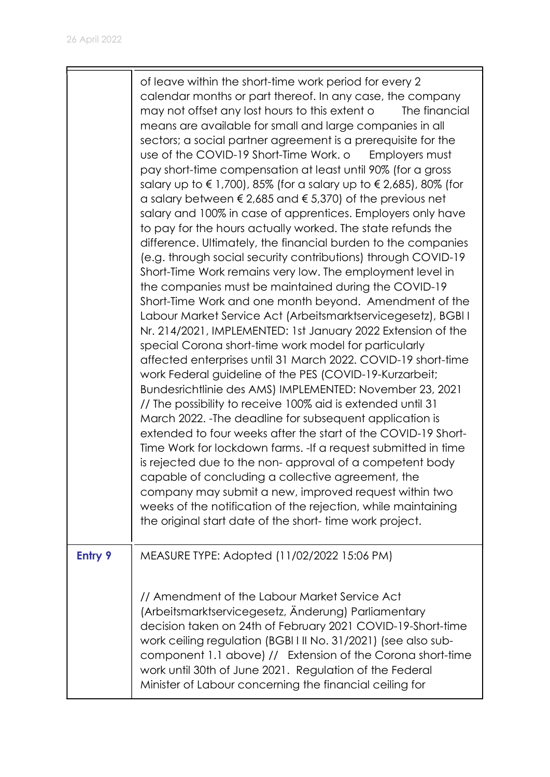|                | of leave within the short-time work period for every 2<br>calendar months or part thereof. In any case, the company<br>may not offset any lost hours to this extent o<br>The financial<br>means are available for small and large companies in all<br>sectors; a social partner agreement is a prerequisite for the<br>use of the COVID-19 Short-Time Work. o<br>Employers must<br>pay short-time compensation at least until 90% (for a gross<br>salary up to €1,700), 85% (for a salary up to €2,685), 80% (for<br>a salary between $\epsilon$ 2,685 and $\epsilon$ 5,370) of the previous net<br>salary and 100% in case of apprentices. Employers only have<br>to pay for the hours actually worked. The state refunds the<br>difference. Ultimately, the financial burden to the companies<br>(e.g. through social security contributions) through COVID-19<br>Short-Time Work remains very low. The employment level in<br>the companies must be maintained during the COVID-19<br>Short-Time Work and one month beyond. Amendment of the<br>Labour Market Service Act (Arbeitsmarktservicegesetz), BGBI I<br>Nr. 214/2021, IMPLEMENTED: 1st January 2022 Extension of the<br>special Corona short-time work model for particularly<br>affected enterprises until 31 March 2022. COVID-19 short-time<br>work Federal guideline of the PES (COVID-19-Kurzarbeit;<br>Bundesrichtlinie des AMS) IMPLEMENTED: November 23, 2021<br>// The possibility to receive 100% aid is extended until 31<br>March 2022. - The deadline for subsequent application is<br>extended to four weeks after the start of the COVID-19 Short-<br>Time Work for lockdown farms. - If a request submitted in time<br>is rejected due to the non-approval of a competent body<br>capable of concluding a collective agreement, the<br>company may submit a new, improved request within two<br>weeks of the notification of the rejection, while maintaining<br>the original start date of the short-time work project. |
|----------------|------------------------------------------------------------------------------------------------------------------------------------------------------------------------------------------------------------------------------------------------------------------------------------------------------------------------------------------------------------------------------------------------------------------------------------------------------------------------------------------------------------------------------------------------------------------------------------------------------------------------------------------------------------------------------------------------------------------------------------------------------------------------------------------------------------------------------------------------------------------------------------------------------------------------------------------------------------------------------------------------------------------------------------------------------------------------------------------------------------------------------------------------------------------------------------------------------------------------------------------------------------------------------------------------------------------------------------------------------------------------------------------------------------------------------------------------------------------------------------------------------------------------------------------------------------------------------------------------------------------------------------------------------------------------------------------------------------------------------------------------------------------------------------------------------------------------------------------------------------------------------------------------------------------------------------------------------------------------------------------------------|
| <b>Entry 9</b> | MEASURE TYPE: Adopted (11/02/2022 15:06 PM)<br>// Amendment of the Labour Market Service Act<br>(Arbeitsmarktservicegesetz, Änderung) Parliamentary<br>decision taken on 24th of February 2021 COVID-19-Short-time<br>work ceiling regulation (BGBI I II No. 31/2021) (see also sub-<br>component 1.1 above) // Extension of the Corona short-time<br>work until 30th of June 2021. Regulation of the Federal<br>Minister of Labour concerning the financial ceiling for                                                                                                                                                                                                                                                                                                                                                                                                                                                                                                                                                                                                                                                                                                                                                                                                                                                                                                                                                                                                                                                                                                                                                                                                                                                                                                                                                                                                                                                                                                                             |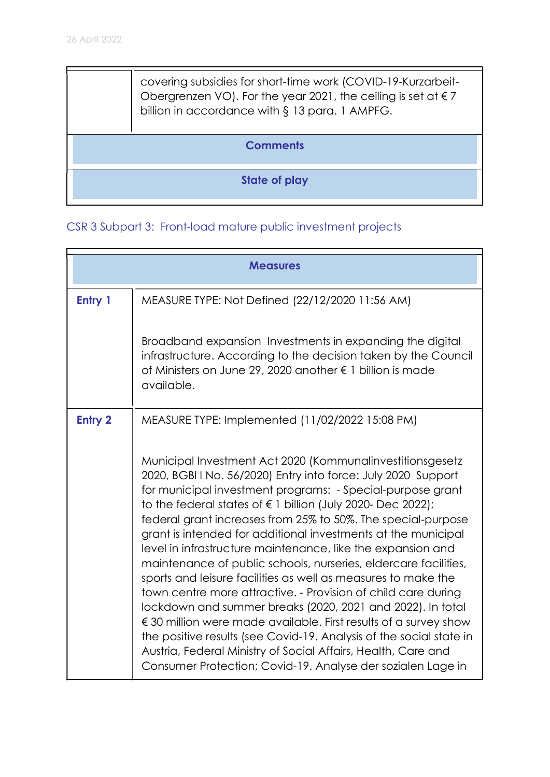$\blacksquare$ 

| covering subsidies for short-time work (COVID-19-Kurzarbeit-<br>Obergrenzen VO). For the year 2021, the ceiling is set at $\epsilon$ 7<br>billion in accordance with § 13 para. 1 AMPFG. |  |
|------------------------------------------------------------------------------------------------------------------------------------------------------------------------------------------|--|
| <b>Comments</b>                                                                                                                                                                          |  |
| <b>State of play</b>                                                                                                                                                                     |  |
|                                                                                                                                                                                          |  |

5

# CSR 3 Subpart 3: Front-load mature public investment projects

|                | <b>Measures</b>                                                                                                                                                                                                                                                                                                                                                                                                                                                                                                                                                                                                                                                                                                                                                                                                                                                                                                                                                                                                         |
|----------------|-------------------------------------------------------------------------------------------------------------------------------------------------------------------------------------------------------------------------------------------------------------------------------------------------------------------------------------------------------------------------------------------------------------------------------------------------------------------------------------------------------------------------------------------------------------------------------------------------------------------------------------------------------------------------------------------------------------------------------------------------------------------------------------------------------------------------------------------------------------------------------------------------------------------------------------------------------------------------------------------------------------------------|
| Entry 1        | MEASURE TYPE: Not Defined (22/12/2020 11:56 AM)                                                                                                                                                                                                                                                                                                                                                                                                                                                                                                                                                                                                                                                                                                                                                                                                                                                                                                                                                                         |
|                | Broadband expansion Investments in expanding the digital<br>infrastructure. According to the decision taken by the Council<br>of Ministers on June 29, 2020 another € 1 billion is made<br>available.                                                                                                                                                                                                                                                                                                                                                                                                                                                                                                                                                                                                                                                                                                                                                                                                                   |
| <b>Entry 2</b> | MEASURE TYPE: Implemented (11/02/2022 15:08 PM)                                                                                                                                                                                                                                                                                                                                                                                                                                                                                                                                                                                                                                                                                                                                                                                                                                                                                                                                                                         |
|                | Municipal Investment Act 2020 (Kommunalinvestitionsgesetz<br>2020, BGBI I No. 56/2020) Entry into force: July 2020 Support<br>for municipal investment programs: - Special-purpose grant<br>to the federal states of $\epsilon$ 1 billion (July 2020- Dec 2022);<br>federal grant increases from 25% to 50%. The special-purpose<br>grant is intended for additional investments at the municipal<br>level in infrastructure maintenance, like the expansion and<br>maintenance of public schools, nurseries, eldercare facilities,<br>sports and leisure facilities as well as measures to make the<br>town centre more attractive. - Provision of child care during<br>lockdown and summer breaks (2020, 2021 and 2022). In total<br>$\epsilon$ 30 million were made available. First results of a survey show<br>the positive results (see Covid-19. Analysis of the social state in<br>Austria, Federal Ministry of Social Affairs, Health, Care and<br>Consumer Protection; Covid-19. Analyse der sozialen Lage in |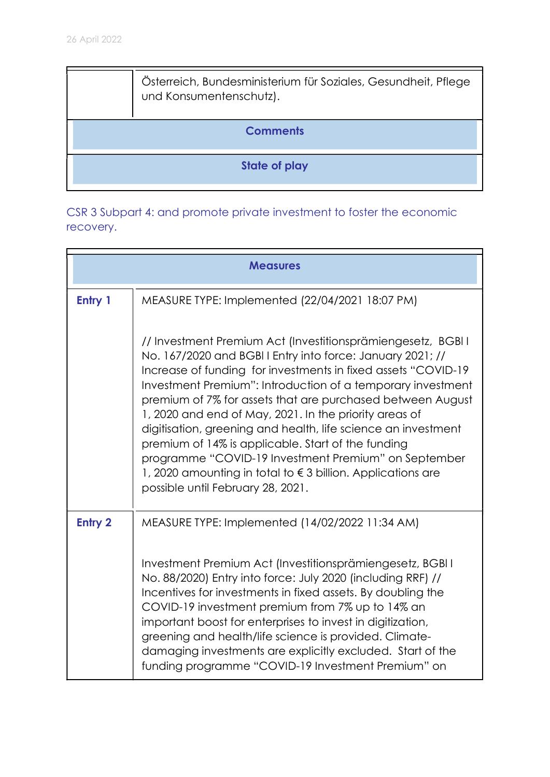| Österreich, Bundesministerium für Soziales, Gesundheit, Pflege<br>und Konsumentenschutz). |
|-------------------------------------------------------------------------------------------|
| <b>Comments</b>                                                                           |
| <b>State of play</b>                                                                      |

CSR 3 Subpart 4: and promote private investment to foster the economic recovery.

|                | <b>Measures</b>                                                                                                                                                                                                                                                                                                                                                                                                                                                                                                                                                                                                                                                                |
|----------------|--------------------------------------------------------------------------------------------------------------------------------------------------------------------------------------------------------------------------------------------------------------------------------------------------------------------------------------------------------------------------------------------------------------------------------------------------------------------------------------------------------------------------------------------------------------------------------------------------------------------------------------------------------------------------------|
| Entry 1        | MEASURE TYPE: Implemented (22/04/2021 18:07 PM)                                                                                                                                                                                                                                                                                                                                                                                                                                                                                                                                                                                                                                |
|                | // Investment Premium Act (Investitionsprämiengesetz, BGBI I<br>No. 167/2020 and BGBII Entry into force: January 2021; //<br>Increase of funding for investments in fixed assets "COVID-19"<br>Investment Premium": Introduction of a temporary investment<br>premium of 7% for assets that are purchased between August<br>1, 2020 and end of May, 2021. In the priority areas of<br>digitisation, greening and health, life science an investment<br>premium of 14% is applicable. Start of the funding<br>programme "COVID-19 Investment Premium" on September<br>1, 2020 amounting in total to $\epsilon$ 3 billion. Applications are<br>possible until February 28, 2021. |
| <b>Entry 2</b> | MEASURE TYPE: Implemented (14/02/2022 11:34 AM)                                                                                                                                                                                                                                                                                                                                                                                                                                                                                                                                                                                                                                |
|                | Investment Premium Act (Investitionsprämiengesetz, BGBI I<br>No. 88/2020) Entry into force: July 2020 (including RRF) //<br>Incentives for investments in fixed assets. By doubling the<br>COVID-19 investment premium from 7% up to 14% an<br>important boost for enterprises to invest in digitization,<br>greening and health/life science is provided. Climate-<br>damaging investments are explicitly excluded. Start of the<br>funding programme "COVID-19 Investment Premium" on                                                                                                                                                                                        |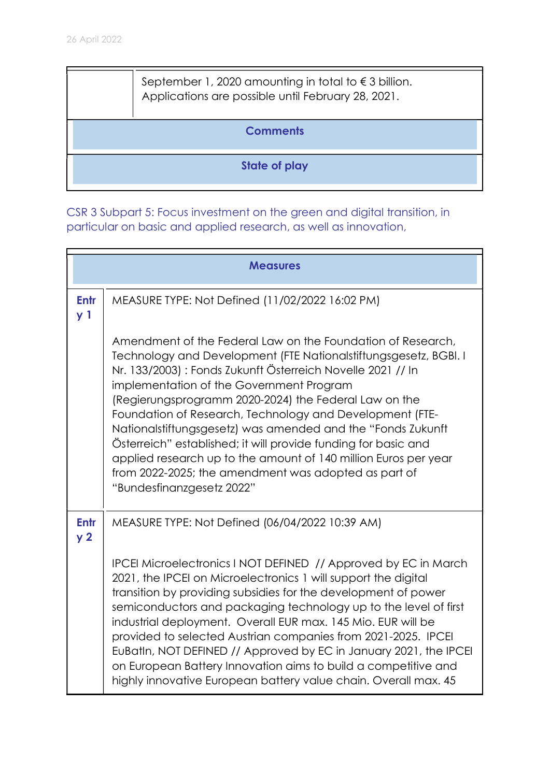| September 1, 2020 amounting in total to $\epsilon$ 3 billion.<br>Applications are possible until February 28, 2021. |
|---------------------------------------------------------------------------------------------------------------------|
| <b>Comments</b>                                                                                                     |
| State of play                                                                                                       |

CSR 3 Subpart 5: Focus investment on the green and digital transition, in particular on basic and applied research, as well as innovation,

|                               | <b>Measures</b>                                                                                                                                                                                                                                                                                                                                                                                                                                                                                                                                                                                                                                          |
|-------------------------------|----------------------------------------------------------------------------------------------------------------------------------------------------------------------------------------------------------------------------------------------------------------------------------------------------------------------------------------------------------------------------------------------------------------------------------------------------------------------------------------------------------------------------------------------------------------------------------------------------------------------------------------------------------|
| <b>Entr</b><br>y <sub>1</sub> | MEASURE TYPE: Not Defined (11/02/2022 16:02 PM)                                                                                                                                                                                                                                                                                                                                                                                                                                                                                                                                                                                                          |
|                               | Amendment of the Federal Law on the Foundation of Research,<br>Technology and Development (FTE Nationalstiftungsgesetz, BGBI. I<br>Nr. 133/2003) : Fonds Zukunft Österreich Novelle 2021 // In<br>implementation of the Government Program<br>(Regierungsprogramm 2020-2024) the Federal Law on the<br>Foundation of Research, Technology and Development (FTE-<br>Nationalstiftungsgesetz) was amended and the "Fonds Zukunft<br>Österreich" established; it will provide funding for basic and<br>applied research up to the amount of 140 million Euros per year<br>from 2022-2025; the amendment was adopted as part of<br>"Bundesfinanzgesetz 2022" |
| <b>Entr</b><br>y <sub>2</sub> | MEASURE TYPE: Not Defined (06/04/2022 10:39 AM)                                                                                                                                                                                                                                                                                                                                                                                                                                                                                                                                                                                                          |
|                               | IPCEI Microelectronics I NOT DEFINED // Approved by EC in March<br>2021, the IPCEI on Microelectronics 1 will support the digital<br>transition by providing subsidies for the development of power<br>semiconductors and packaging technology up to the level of first<br>industrial deployment. Overall EUR max. 145 Mio. EUR will be<br>provided to selected Austrian companies from 2021-2025. IPCEI<br>EuBatIn, NOT DEFINED // Approved by EC in January 2021, the IPCEI<br>on European Battery Innovation aims to build a competitive and<br>highly innovative European battery value chain. Overall max. 45                                       |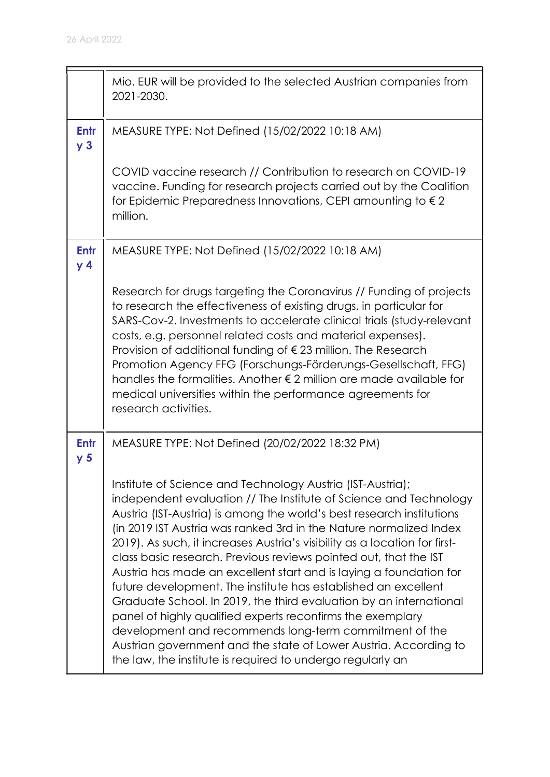|                        | Mio. EUR will be provided to the selected Austrian companies from<br>2021-2030.                                                                                                                                                                                                                                                                                                                                                                                                                                                                                                                                                                                                                                                                                                                                                                                                                          |
|------------------------|----------------------------------------------------------------------------------------------------------------------------------------------------------------------------------------------------------------------------------------------------------------------------------------------------------------------------------------------------------------------------------------------------------------------------------------------------------------------------------------------------------------------------------------------------------------------------------------------------------------------------------------------------------------------------------------------------------------------------------------------------------------------------------------------------------------------------------------------------------------------------------------------------------|
| Entr<br>y <sub>3</sub> | MEASURE TYPE: Not Defined (15/02/2022 10:18 AM)                                                                                                                                                                                                                                                                                                                                                                                                                                                                                                                                                                                                                                                                                                                                                                                                                                                          |
|                        | COVID vaccine research // Contribution to research on COVID-19<br>vaccine. Funding for research projects carried out by the Coalition<br>for Epidemic Preparedness Innovations, CEPI amounting to $\epsilon$ 2<br>million.                                                                                                                                                                                                                                                                                                                                                                                                                                                                                                                                                                                                                                                                               |
| Entr<br>y 4            | MEASURE TYPE: Not Defined (15/02/2022 10:18 AM)                                                                                                                                                                                                                                                                                                                                                                                                                                                                                                                                                                                                                                                                                                                                                                                                                                                          |
|                        | Research for drugs targeting the Coronavirus // Funding of projects<br>to research the effectiveness of existing drugs, in particular for<br>SARS-Cov-2. Investments to accelerate clinical trials (study-relevant<br>costs, e.g. personnel related costs and material expenses).<br>Provision of additional funding of $\epsilon$ 23 million. The Research<br>Promotion Agency FFG (Forschungs-Förderungs-Gesellschaft, FFG)<br>handles the formalities. Another $\epsilon$ 2 million are made available for<br>medical universities within the performance agreements for<br>research activities.                                                                                                                                                                                                                                                                                                      |
| Entr<br>y <sub>5</sub> | MEASURE TYPE: Not Defined (20/02/2022 18:32 PM)                                                                                                                                                                                                                                                                                                                                                                                                                                                                                                                                                                                                                                                                                                                                                                                                                                                          |
|                        | Institute of Science and Technology Austria (IST-Austria);<br>independent evaluation // The Institute of Science and Technology<br>Austria (IST-Austria) is among the world's best research institutions<br>(in 2019 IST Austria was ranked 3rd in the Nature normalized Index<br>2019). As such, it increases Austria's visibility as a location for first-<br>class basic research. Previous reviews pointed out, that the IST<br>Austria has made an excellent start and is laying a foundation for<br>future development. The institute has established an excellent<br>Graduate School. In 2019, the third evaluation by an international<br>panel of highly qualified experts reconfirms the exemplary<br>development and recommends long-term commitment of the<br>Austrian government and the state of Lower Austria. According to<br>the law, the institute is required to undergo regularly an |

 $\blacksquare$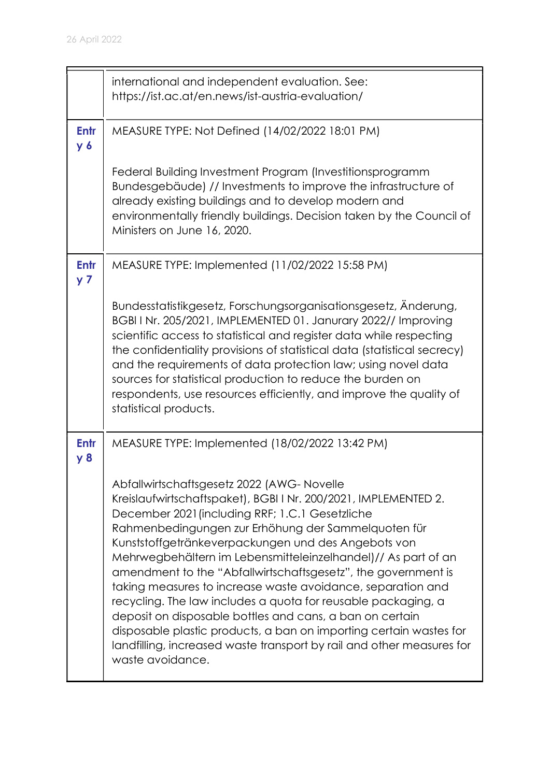|                        | international and independent evaluation. See:<br>https://ist.ac.at/en.news/ist-austria-evaluation/                                                                                                                                                                                                                                                                                                                                                                                                                                                                                                                                                                                                                                                                            |
|------------------------|--------------------------------------------------------------------------------------------------------------------------------------------------------------------------------------------------------------------------------------------------------------------------------------------------------------------------------------------------------------------------------------------------------------------------------------------------------------------------------------------------------------------------------------------------------------------------------------------------------------------------------------------------------------------------------------------------------------------------------------------------------------------------------|
| Entr<br>$y_{6}$        | MEASURE TYPE: Not Defined (14/02/2022 18:01 PM)                                                                                                                                                                                                                                                                                                                                                                                                                                                                                                                                                                                                                                                                                                                                |
|                        | Federal Building Investment Program (Investitionsprogramm<br>Bundesgebäude) // Investments to improve the infrastructure of<br>already existing buildings and to develop modern and<br>environmentally friendly buildings. Decision taken by the Council of<br>Ministers on June 16, 2020.                                                                                                                                                                                                                                                                                                                                                                                                                                                                                     |
| Entr<br>y <sub>7</sub> | MEASURE TYPE: Implemented (11/02/2022 15:58 PM)                                                                                                                                                                                                                                                                                                                                                                                                                                                                                                                                                                                                                                                                                                                                |
|                        | Bundesstatistikgesetz, Forschungsorganisationsgesetz, Änderung,<br>BGBI I Nr. 205/2021, IMPLEMENTED 01. Janurary 2022// Improving<br>scientific access to statistical and register data while respecting<br>the confidentiality provisions of statistical data (statistical secrecy)<br>and the requirements of data protection law; using novel data<br>sources for statistical production to reduce the burden on<br>respondents, use resources efficiently, and improve the quality of<br>statistical products.                                                                                                                                                                                                                                                             |
| Entr<br>y 8            | MEASURE TYPE: Implemented (18/02/2022 13:42 PM)                                                                                                                                                                                                                                                                                                                                                                                                                                                                                                                                                                                                                                                                                                                                |
|                        | Abfallwirtschaftsgesetz 2022 (AWG-Novelle<br>Kreislaufwirtschaftspaket), BGBI I Nr. 200/2021, IMPLEMENTED 2.<br>December 2021 (including RRF; 1.C.1 Gesetzliche<br>Rahmenbedingungen zur Erhöhung der Sammelquoten für<br>Kunststoffgetränkeverpackungen und des Angebots von<br>Mehrwegbehältern im Lebensmitteleinzelhandel)// As part of an<br>amendment to the "Abfallwirtschaftsgesetz", the government is<br>taking measures to increase waste avoidance, separation and<br>recycling. The law includes a quota for reusable packaging, a<br>deposit on disposable bottles and cans, a ban on certain<br>disposable plastic products, a ban on importing certain wastes for<br>landfilling, increased waste transport by rail and other measures for<br>waste avoidance. |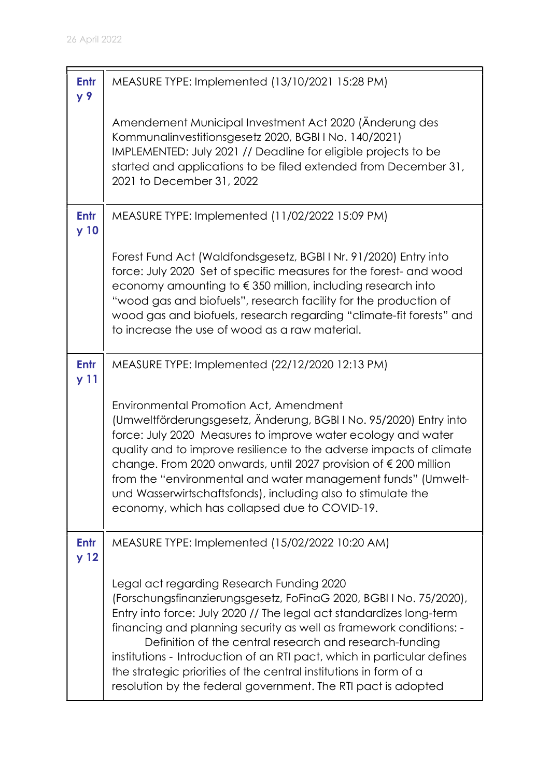| Entr<br>y 9             | MEASURE TYPE: Implemented (13/10/2021 15:28 PM)                                                                                                                                                                                                                                                                                                                                                                                                                                                                                          |
|-------------------------|------------------------------------------------------------------------------------------------------------------------------------------------------------------------------------------------------------------------------------------------------------------------------------------------------------------------------------------------------------------------------------------------------------------------------------------------------------------------------------------------------------------------------------------|
|                         | Amendement Municipal Investment Act 2020 (Änderung des<br>Kommunalinvestitionsgesetz 2020, BGBI I No. 140/2021)<br>IMPLEMENTED: July 2021 // Deadline for eligible projects to be<br>started and applications to be filed extended from December 31,<br>2021 to December 31, 2022                                                                                                                                                                                                                                                        |
| <b>Entr</b><br>y 10     | MEASURE TYPE: Implemented (11/02/2022 15:09 PM)                                                                                                                                                                                                                                                                                                                                                                                                                                                                                          |
|                         | Forest Fund Act (Waldfondsgesetz, BGBI I Nr. 91/2020) Entry into<br>force: July 2020 Set of specific measures for the forest- and wood<br>economy amounting to $\epsilon$ 350 million, including research into<br>"wood gas and biofuels", research facility for the production of<br>wood gas and biofuels, research regarding "climate-fit forests" and<br>to increase the use of wood as a raw material.                                                                                                                              |
| <b>Entr</b><br>y 11     | MEASURE TYPE: Implemented (22/12/2020 12:13 PM)                                                                                                                                                                                                                                                                                                                                                                                                                                                                                          |
|                         | Environmental Promotion Act, Amendment<br>(Umweltförderungsgesetz, Änderung, BGBI I No. 95/2020) Entry into<br>force: July 2020 Measures to improve water ecology and water<br>quality and to improve resilience to the adverse impacts of climate<br>change. From 2020 onwards, until 2027 provision of € 200 million<br>from the "environmental and water management funds" (Umwelt-<br>und Wasserwirtschaftsfonds), including also to stimulate the<br>economy, which has collapsed due to COVID-19.                                  |
| Entr<br>y <sub>12</sub> | MEASURE TYPE: Implemented (15/02/2022 10:20 AM)                                                                                                                                                                                                                                                                                                                                                                                                                                                                                          |
|                         | Legal act regarding Research Funding 2020<br>(Forschungsfinanzierungsgesetz, FoFinaG 2020, BGBI I No. 75/2020),<br>Entry into force: July 2020 // The legal act standardizes long-term<br>financing and planning security as well as framework conditions: -<br>Definition of the central research and research-funding<br>institutions - Introduction of an RTI pact, which in particular defines<br>the strategic priorities of the central institutions in form of a<br>resolution by the federal government. The RTI pact is adopted |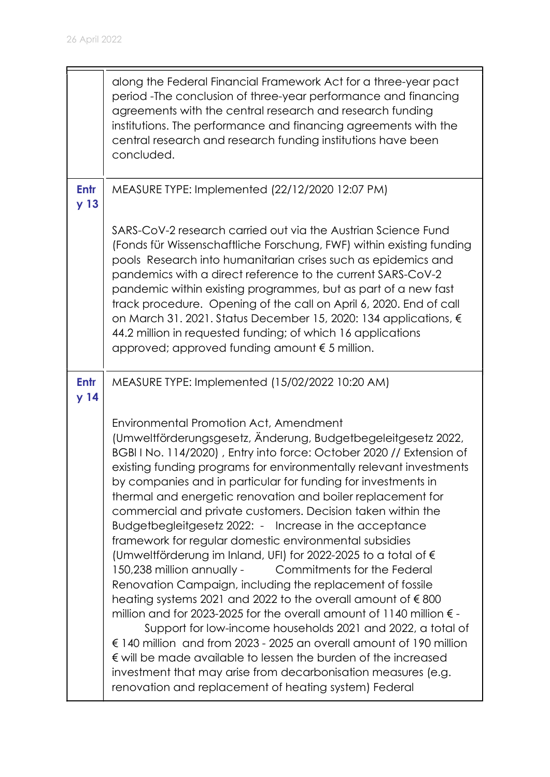|                                | along the Federal Financial Framework Act for a three-year pact<br>period - The conclusion of three-year performance and financing<br>agreements with the central research and research funding<br>institutions. The performance and financing agreements with the<br>central research and research funding institutions have been<br>concluded.                                                                                                                                                                                                                                                                                                                                                                                                                                                                                                                                                                                                                                                                                                                                                                                                                                                                                                                 |
|--------------------------------|------------------------------------------------------------------------------------------------------------------------------------------------------------------------------------------------------------------------------------------------------------------------------------------------------------------------------------------------------------------------------------------------------------------------------------------------------------------------------------------------------------------------------------------------------------------------------------------------------------------------------------------------------------------------------------------------------------------------------------------------------------------------------------------------------------------------------------------------------------------------------------------------------------------------------------------------------------------------------------------------------------------------------------------------------------------------------------------------------------------------------------------------------------------------------------------------------------------------------------------------------------------|
| <b>Entr</b><br>y <sub>13</sub> | MEASURE TYPE: Implemented (22/12/2020 12:07 PM)                                                                                                                                                                                                                                                                                                                                                                                                                                                                                                                                                                                                                                                                                                                                                                                                                                                                                                                                                                                                                                                                                                                                                                                                                  |
|                                | SARS-CoV-2 research carried out via the Austrian Science Fund<br>(Fonds für Wissenschaftliche Forschung, FWF) within existing funding<br>pools Research into humanitarian crises such as epidemics and<br>pandemics with a direct reference to the current SARS-CoV-2<br>pandemic within existing programmes, but as part of a new fast<br>track procedure. Opening of the call on April 6, 2020. End of call<br>on March 31. 2021. Status December 15, 2020: 134 applications, €<br>44.2 million in requested funding; of which 16 applications<br>approved; approved funding amount $\epsilon$ 5 million.                                                                                                                                                                                                                                                                                                                                                                                                                                                                                                                                                                                                                                                      |
| <b>Entr</b><br>y <sub>14</sub> | MEASURE TYPE: Implemented (15/02/2022 10:20 AM)                                                                                                                                                                                                                                                                                                                                                                                                                                                                                                                                                                                                                                                                                                                                                                                                                                                                                                                                                                                                                                                                                                                                                                                                                  |
|                                | Environmental Promotion Act, Amendment<br>(Umweltförderungsgesetz, Änderung, Budgetbegeleitgesetz 2022,<br>BGBI I No. 114/2020), Entry into force: October 2020 // Extension of<br>existing funding programs for environmentally relevant investments<br>by companies and in particular for funding for investments in<br>thermal and energetic renovation and boiler replacement for<br>commercial and private customers. Decision taken within the<br>Budgetbegleitgesetz 2022: - Increase in the acceptance<br>framework for regular domestic environmental subsidies<br>(Umweltförderung im Inland, UFI) for 2022-2025 to a total of €<br>150,238 million annually -<br>Commitments for the Federal<br>Renovation Campaign, including the replacement of fossile<br>heating systems 2021 and 2022 to the overall amount of $\epsilon$ 800<br>million and for 2023-2025 for the overall amount of 1140 million $\epsilon$ -<br>Support for low-income households 2021 and 2022, a total of<br>€ 140 million and from 2023 - 2025 an overall amount of 190 million<br>€ will be made available to lessen the burden of the increased<br>investment that may arise from decarbonisation measures (e.g.<br>renovation and replacement of heating system) Federal |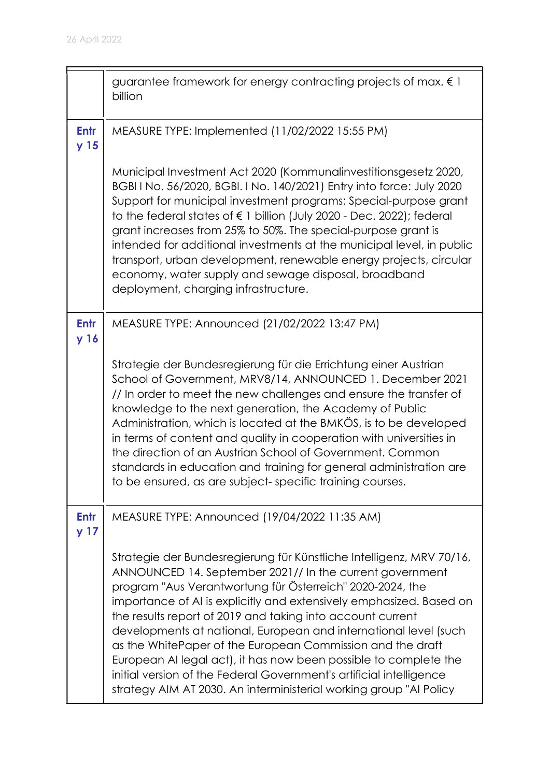|                                | guarantee framework for energy contracting projects of max. $\epsilon$ 1<br>billion                                                                                                                                                                                                                                                                                                                                                                                                                                                                                                                                                                                                   |
|--------------------------------|---------------------------------------------------------------------------------------------------------------------------------------------------------------------------------------------------------------------------------------------------------------------------------------------------------------------------------------------------------------------------------------------------------------------------------------------------------------------------------------------------------------------------------------------------------------------------------------------------------------------------------------------------------------------------------------|
| <b>Entr</b><br>y <sub>15</sub> | MEASURE TYPE: Implemented (11/02/2022 15:55 PM)                                                                                                                                                                                                                                                                                                                                                                                                                                                                                                                                                                                                                                       |
|                                | Municipal Investment Act 2020 (Kommunalinvestitionsgesetz 2020,<br>BGBI I No. 56/2020, BGBI. I No. 140/2021) Entry into force: July 2020<br>Support for municipal investment programs: Special-purpose grant<br>to the federal states of € 1 billion (July 2020 - Dec. 2022); federal<br>grant increases from 25% to 50%. The special-purpose grant is<br>intended for additional investments at the municipal level, in public<br>transport, urban development, renewable energy projects, circular<br>economy, water supply and sewage disposal, broadband<br>deployment, charging infrastructure.                                                                                  |
| <b>Entr</b><br>y 16            | MEASURE TYPE: Announced (21/02/2022 13:47 PM)                                                                                                                                                                                                                                                                                                                                                                                                                                                                                                                                                                                                                                         |
|                                | Strategie der Bundesregierung für die Errichtung einer Austrian<br>School of Government, MRV8/14, ANNOUNCED 1. December 2021<br>// In order to meet the new challenges and ensure the transfer of<br>knowledge to the next generation, the Academy of Public<br>Administration, which is located at the BMKÖS, is to be developed<br>in terms of content and quality in cooperation with universities in<br>the direction of an Austrian School of Government. Common<br>standards in education and training for general administration are<br>to be ensured, as are subject-specific training courses.                                                                               |
| <b>Entr</b><br>y 17            | MEASURE TYPE: Announced (19/04/2022 11:35 AM)                                                                                                                                                                                                                                                                                                                                                                                                                                                                                                                                                                                                                                         |
|                                | Strategie der Bundesregierung für Künstliche Intelligenz, MRV 70/16,<br>ANNOUNCED 14. September 2021// In the current government<br>program "Aus Verantwortung für Österreich" 2020-2024, the<br>importance of AI is explicitly and extensively emphasized. Based on<br>the results report of 2019 and taking into account current<br>developments at national, European and international level (such<br>as the WhitePaper of the European Commission and the draft<br>European AI legal act), it has now been possible to complete the<br>initial version of the Federal Government's artificial intelligence<br>strategy AIM AT 2030. An interministerial working group "AI Policy |

5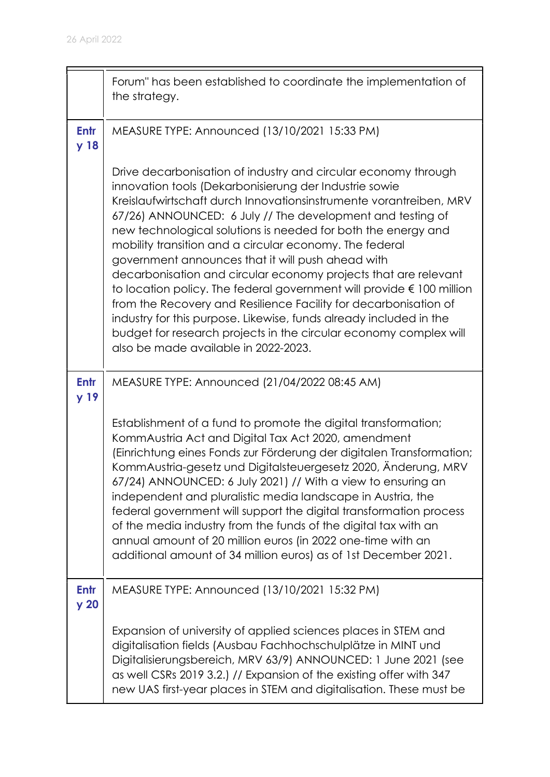$\blacksquare$ 

|                         | Forum" has been established to coordinate the implementation of<br>the strategy.                                                                                                                                                                                                                                                                                                                                                                                                                                                                                                                                                                                                                                                                                                                                                                          |
|-------------------------|-----------------------------------------------------------------------------------------------------------------------------------------------------------------------------------------------------------------------------------------------------------------------------------------------------------------------------------------------------------------------------------------------------------------------------------------------------------------------------------------------------------------------------------------------------------------------------------------------------------------------------------------------------------------------------------------------------------------------------------------------------------------------------------------------------------------------------------------------------------|
| Entr<br>y 18            | MEASURE TYPE: Announced (13/10/2021 15:33 PM)                                                                                                                                                                                                                                                                                                                                                                                                                                                                                                                                                                                                                                                                                                                                                                                                             |
|                         | Drive decarbonisation of industry and circular economy through<br>innovation tools (Dekarbonisierung der Industrie sowie<br>Kreislaufwirtschaft durch Innovationsinstrumente vorantreiben, MRV<br>67/26) ANNOUNCED: 6 July // The development and testing of<br>new technological solutions is needed for both the energy and<br>mobility transition and a circular economy. The federal<br>government announces that it will push ahead with<br>decarbonisation and circular economy projects that are relevant<br>to location policy. The federal government will provide $\epsilon$ 100 million<br>from the Recovery and Resilience Facility for decarbonisation of<br>industry for this purpose. Likewise, funds already included in the<br>budget for research projects in the circular economy complex will<br>also be made available in 2022-2023. |
| <b>Entr</b><br>y 19     | MEASURE TYPE: Announced (21/04/2022 08:45 AM)                                                                                                                                                                                                                                                                                                                                                                                                                                                                                                                                                                                                                                                                                                                                                                                                             |
|                         | Establishment of a fund to promote the digital transformation;<br>KommAustria Act and Digital Tax Act 2020, amendment<br>(Einrichtung eines Fonds zur Förderung der digitalen Transformation;<br>KommAustria-gesetz und Digitalsteuergesetz 2020, Änderung, MRV<br>67/24) ANNOUNCED: 6 July 2021) // With a view to ensuring an<br>independent and pluralistic media landscape in Austria, the<br>federal government will support the digital transformation process<br>of the media industry from the funds of the digital tax with an<br>annual amount of 20 million euros (in 2022 one-time with an<br>additional amount of 34 million euros) as of 1st December 2021.                                                                                                                                                                                 |
| Entr<br>y <sub>20</sub> | MEASURE TYPE: Announced (13/10/2021 15:32 PM)                                                                                                                                                                                                                                                                                                                                                                                                                                                                                                                                                                                                                                                                                                                                                                                                             |
|                         | Expansion of university of applied sciences places in STEM and<br>digitalisation fields (Ausbau Fachhochschulplätze in MINT und<br>Digitalisierungsbereich, MRV 63/9) ANNOUNCED: 1 June 2021 (see<br>as well CSRs 2019 3.2.) // Expansion of the existing offer with 347<br>new UAS first-year places in STEM and digitalisation. These must be                                                                                                                                                                                                                                                                                                                                                                                                                                                                                                           |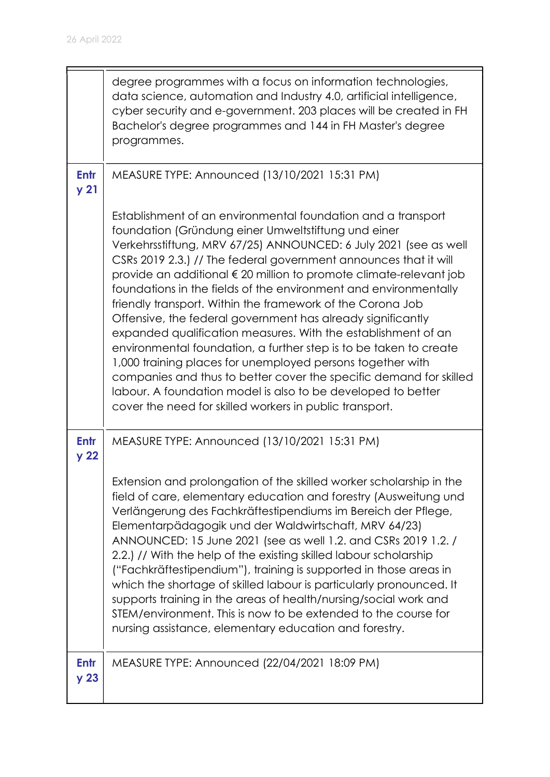|                                | degree programmes with a focus on information technologies,<br>data science, automation and Industry 4.0, artificial intelligence,<br>cyber security and e-government. 203 places will be created in FH<br>Bachelor's degree programmes and 144 in FH Master's degree<br>programmes.                                                                                                                                                                                                                                                                                                                                                                                                                                                                                                                                                                                                                                                    |
|--------------------------------|-----------------------------------------------------------------------------------------------------------------------------------------------------------------------------------------------------------------------------------------------------------------------------------------------------------------------------------------------------------------------------------------------------------------------------------------------------------------------------------------------------------------------------------------------------------------------------------------------------------------------------------------------------------------------------------------------------------------------------------------------------------------------------------------------------------------------------------------------------------------------------------------------------------------------------------------|
| <b>Entr</b><br>y <sub>21</sub> | MEASURE TYPE: Announced (13/10/2021 15:31 PM)                                                                                                                                                                                                                                                                                                                                                                                                                                                                                                                                                                                                                                                                                                                                                                                                                                                                                           |
|                                | Establishment of an environmental foundation and a transport<br>foundation (Gründung einer Umweltstiftung und einer<br>Verkehrsstiftung, MRV 67/25) ANNOUNCED: 6 July 2021 (see as well<br>CSRs 2019 2.3.) // The federal government announces that it will<br>provide an additional € 20 million to promote climate-relevant job<br>foundations in the fields of the environment and environmentally<br>friendly transport. Within the framework of the Corona Job<br>Offensive, the federal government has already significantly<br>expanded qualification measures. With the establishment of an<br>environmental foundation, a further step is to be taken to create<br>1,000 training places for unemployed persons together with<br>companies and thus to better cover the specific demand for skilled<br>labour. A foundation model is also to be developed to better<br>cover the need for skilled workers in public transport. |
| <b>Entr</b><br>y <sub>22</sub> | MEASURE TYPE: Announced (13/10/2021 15:31 PM)                                                                                                                                                                                                                                                                                                                                                                                                                                                                                                                                                                                                                                                                                                                                                                                                                                                                                           |
|                                | Extension and prolongation of the skilled worker scholarship in the<br>field of care, elementary education and forestry (Ausweitung und<br>Verlängerung des Fachkräftestipendiums im Bereich der Pflege,<br>Elementarpädagogik und der Waldwirtschaft, MRV 64/23)<br>ANNOUNCED: 15 June 2021 (see as well 1.2. and CSRs 2019 1.2. /<br>2.2.) // With the help of the existing skilled labour scholarship<br>("Fachkräftestipendium"), training is supported in those areas in<br>which the shortage of skilled labour is particularly pronounced. It<br>supports training in the areas of health/nursing/social work and<br>STEM/environment. This is now to be extended to the course for<br>nursing assistance, elementary education and forestry.                                                                                                                                                                                    |
| Entr<br>y <sub>23</sub>        | MEASURE TYPE: Announced (22/04/2021 18:09 PM)                                                                                                                                                                                                                                                                                                                                                                                                                                                                                                                                                                                                                                                                                                                                                                                                                                                                                           |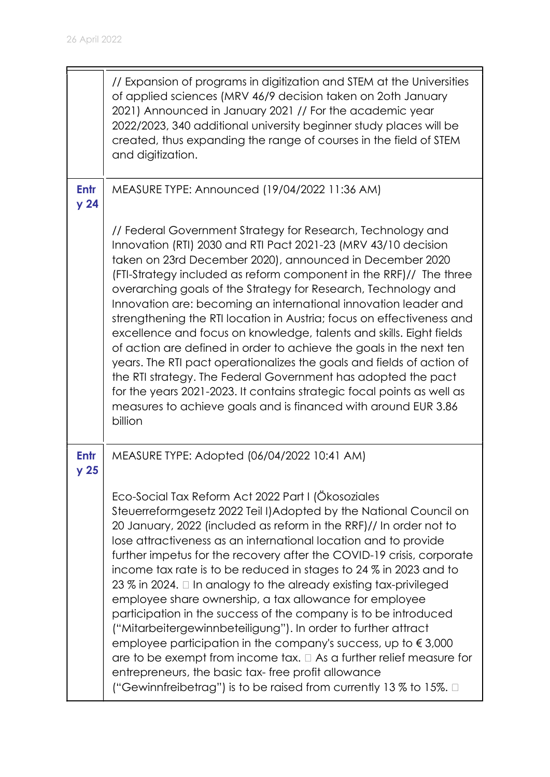|                                | // Expansion of programs in digitization and STEM at the Universities<br>of applied sciences (MRV 46/9 decision taken on 20th January<br>2021) Announced in January 2021 // For the academic year<br>2022/2023, 340 additional university beginner study places will be<br>created, thus expanding the range of courses in the field of STEM<br>and digitization.                                                                                                                                                                                                                                                                                                                                                                                                                                                                                                                                                                                                                                                                 |
|--------------------------------|-----------------------------------------------------------------------------------------------------------------------------------------------------------------------------------------------------------------------------------------------------------------------------------------------------------------------------------------------------------------------------------------------------------------------------------------------------------------------------------------------------------------------------------------------------------------------------------------------------------------------------------------------------------------------------------------------------------------------------------------------------------------------------------------------------------------------------------------------------------------------------------------------------------------------------------------------------------------------------------------------------------------------------------|
| <b>Entr</b><br>y <sub>24</sub> | MEASURE TYPE: Announced (19/04/2022 11:36 AM)                                                                                                                                                                                                                                                                                                                                                                                                                                                                                                                                                                                                                                                                                                                                                                                                                                                                                                                                                                                     |
|                                | // Federal Government Strategy for Research, Technology and<br>Innovation (RTI) 2030 and RTI Pact 2021-23 (MRV 43/10 decision<br>taken on 23rd December 2020), announced in December 2020<br>(FTI-Strategy included as reform component in the RRF)// The three<br>overarching goals of the Strategy for Research, Technology and<br>Innovation are: becoming an international innovation leader and<br>strengthening the RTI location in Austria; focus on effectiveness and<br>excellence and focus on knowledge, talents and skills. Eight fields<br>of action are defined in order to achieve the goals in the next ten<br>years. The RTI pact operationalizes the goals and fields of action of<br>the RTI strategy. The Federal Government has adopted the pact<br>for the years 2021-2023. It contains strategic focal points as well as<br>measures to achieve goals and is financed with around EUR 3.86<br>billion                                                                                                      |
| Entr<br>y <sub>25</sub>        | MEASURE TYPE: Adopted (06/04/2022 10:41 AM)<br>Eco-Social Tax Reform Act 2022 Part I (Ökosoziales<br>Steuerreformgesetz 2022 Teil I) Adopted by the National Council on<br>20 January, 2022 (included as reform in the RRF)// In order not to<br>lose attractiveness as an international location and to provide<br>further impetus for the recovery after the COVID-19 crisis, corporate<br>income tax rate is to be reduced in stages to 24 % in 2023 and to<br>23 % in 2024. $\Box$ In analogy to the already existing tax-privileged<br>employee share ownership, a tax allowance for employee<br>participation in the success of the company is to be introduced<br>("Mitarbeitergewinnbeteiligung"). In order to further attract<br>employee participation in the company's success, up to $\epsilon$ 3,000<br>are to be exempt from income tax. $\Box$ As a further relief measure for<br>entrepreneurs, the basic tax-free profit allowance<br>("Gewinnfreibetrag") is to be raised from currently 13 $\%$ to 15%. $\Box$ |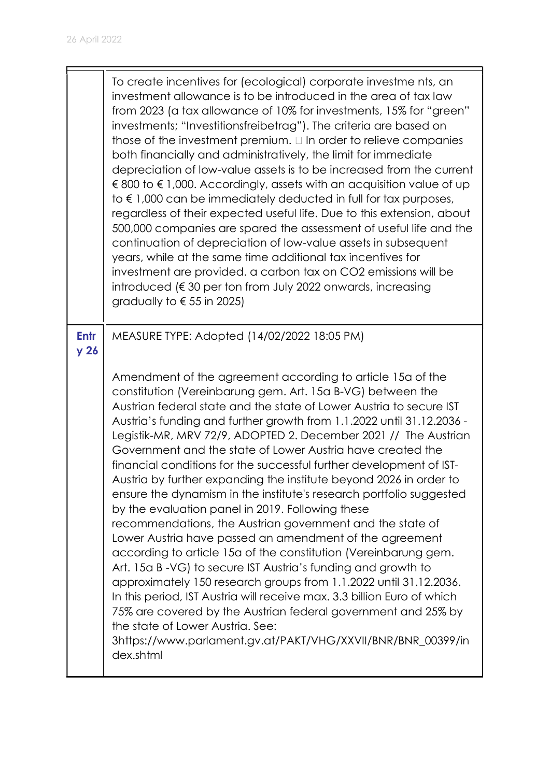|                         | To create incentives for (ecological) corporate investme nts, an<br>investment allowance is to be introduced in the area of tax law<br>from 2023 (a tax allowance of 10% for investments, 15% for "green"<br>investments; "Investitionsfreibetrag"). The criteria are based on<br>those of the investment premium. $\Box$ In order to relieve companies<br>both financially and administratively, the limit for immediate<br>depreciation of low-value assets is to be increased from the current<br>€ 800 to $∈$ 1,000. Accordingly, assets with an acquisition value of up<br>to $\epsilon$ 1,000 can be immediately deducted in full for tax purposes,<br>regardless of their expected useful life. Due to this extension, about<br>500,000 companies are spared the assessment of useful life and the<br>continuation of depreciation of low-value assets in subsequent<br>years, while at the same time additional tax incentives for<br>investment are provided. a carbon tax on CO2 emissions will be<br>introduced ( $\epsilon$ 30 per ton from July 2022 onwards, increasing<br>gradually to $\epsilon$ 55 in 2025)                                                                                                                                                    |
|-------------------------|---------------------------------------------------------------------------------------------------------------------------------------------------------------------------------------------------------------------------------------------------------------------------------------------------------------------------------------------------------------------------------------------------------------------------------------------------------------------------------------------------------------------------------------------------------------------------------------------------------------------------------------------------------------------------------------------------------------------------------------------------------------------------------------------------------------------------------------------------------------------------------------------------------------------------------------------------------------------------------------------------------------------------------------------------------------------------------------------------------------------------------------------------------------------------------------------------------------------------------------------------------------------------------|
| Entr<br>y <sub>26</sub> | MEASURE TYPE: Adopted (14/02/2022 18:05 PM)                                                                                                                                                                                                                                                                                                                                                                                                                                                                                                                                                                                                                                                                                                                                                                                                                                                                                                                                                                                                                                                                                                                                                                                                                                     |
|                         | Amendment of the agreement according to article 15a of the<br>constitution (Vereinbarung gem. Art. 15a B-VG) between the<br>Austrian federal state and the state of Lower Austria to secure IST<br>Austria's funding and further growth from 1.1.2022 until 31.12.2036 -<br>Legistik-MR, MRV 72/9, ADOPTED 2. December 2021 // The Austrian<br>Government and the state of Lower Austria have created the<br>financial conditions for the successful further development of IST-<br>Austria by further expanding the institute beyond 2026 in order to<br>ensure the dynamism in the institute's research portfolio suggested<br>by the evaluation panel in 2019. Following these<br>recommendations, the Austrian government and the state of<br>Lower Austria have passed an amendment of the agreement<br>according to article 15a of the constitution (Vereinbarung gem.<br>Art. 15a B -VG) to secure IST Austria's funding and growth to<br>approximately 150 research groups from 1.1.2022 until 31.12.2036.<br>In this period, IST Austria will receive max. 3.3 billion Euro of which<br>75% are covered by the Austrian federal government and 25% by<br>the state of Lower Austria. See:<br>3https://www.parlament.gv.at/PAKT/VHG/XXVII/BNR/BNR_00399/in<br>dex.shtml |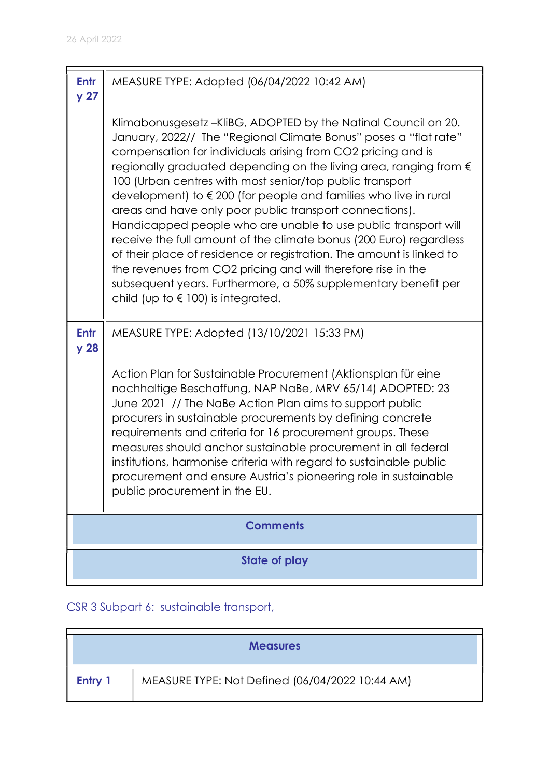| <b>Entr</b><br>y <sub>27</sub> | MEASURE TYPE: Adopted (06/04/2022 10:42 AM)                                                                                                                                                                                                                                                                                                                                                                                                                                                                                                                                                                                                                                                                                                                                                                                                                  |
|--------------------------------|--------------------------------------------------------------------------------------------------------------------------------------------------------------------------------------------------------------------------------------------------------------------------------------------------------------------------------------------------------------------------------------------------------------------------------------------------------------------------------------------------------------------------------------------------------------------------------------------------------------------------------------------------------------------------------------------------------------------------------------------------------------------------------------------------------------------------------------------------------------|
|                                | Klimabonusgesetz-KliBG, ADOPTED by the Natinal Council on 20.<br>January, 2022// The "Regional Climate Bonus" poses a "flat rate"<br>compensation for individuals arising from CO2 pricing and is<br>regionally graduated depending on the living area, ranging from €<br>100 (Urban centres with most senior/top public transport<br>development) to €200 (for people and families who live in rural<br>areas and have only poor public transport connections).<br>Handicapped people who are unable to use public transport will<br>receive the full amount of the climate bonus (200 Euro) regardless<br>of their place of residence or registration. The amount is linked to<br>the revenues from CO2 pricing and will therefore rise in the<br>subsequent years. Furthermore, a 50% supplementary benefit per<br>child (up to $\in$ 100) is integrated. |
| Entr<br>y <sub>28</sub>        | MEASURE TYPE: Adopted (13/10/2021 15:33 PM)                                                                                                                                                                                                                                                                                                                                                                                                                                                                                                                                                                                                                                                                                                                                                                                                                  |
|                                | Action Plan for Sustainable Procurement (Aktionsplan für eine<br>nachhaltige Beschaffung, NAP NaBe, MRV 65/14) ADOPTED: 23<br>June 2021 // The NaBe Action Plan aims to support public<br>procurers in sustainable procurements by defining concrete<br>requirements and criteria for 16 procurement groups. These<br>measures should anchor sustainable procurement in all federal<br>institutions, harmonise criteria with regard to sustainable public<br>procurement and ensure Austria's pioneering role in sustainable<br>public procurement in the EU.                                                                                                                                                                                                                                                                                                |
| <b>Comments</b>                |                                                                                                                                                                                                                                                                                                                                                                                                                                                                                                                                                                                                                                                                                                                                                                                                                                                              |
| <b>State of play</b>           |                                                                                                                                                                                                                                                                                                                                                                                                                                                                                                                                                                                                                                                                                                                                                                                                                                                              |

## CSR 3 Subpart 6: sustainable transport,

|         | <b>Measures</b>                                 |
|---------|-------------------------------------------------|
| Entry 1 | MEASURE TYPE: Not Defined (06/04/2022 10:44 AM) |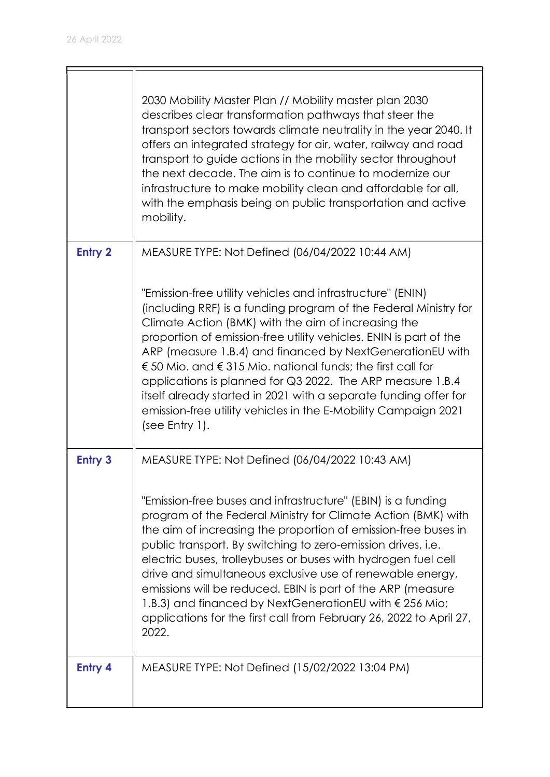|                | 2030 Mobility Master Plan // Mobility master plan 2030<br>describes clear transformation pathways that steer the<br>transport sectors towards climate neutrality in the year 2040. It<br>offers an integrated strategy for air, water, railway and road<br>transport to guide actions in the mobility sector throughout<br>the next decade. The aim is to continue to modernize our<br>infrastructure to make mobility clean and affordable for all,<br>with the emphasis being on public transportation and active<br>mobility.                                                                             |
|----------------|--------------------------------------------------------------------------------------------------------------------------------------------------------------------------------------------------------------------------------------------------------------------------------------------------------------------------------------------------------------------------------------------------------------------------------------------------------------------------------------------------------------------------------------------------------------------------------------------------------------|
| <b>Entry 2</b> | MEASURE TYPE: Not Defined (06/04/2022 10:44 AM)                                                                                                                                                                                                                                                                                                                                                                                                                                                                                                                                                              |
|                | "Emission-free utility vehicles and infrastructure" (ENIN)<br>(including RRF) is a funding program of the Federal Ministry for<br>Climate Action (BMK) with the aim of increasing the<br>proportion of emission-free utility vehicles. ENIN is part of the<br>ARP (measure 1.B.4) and financed by NextGenerationEU with<br>€ 50 Mio, and € 315 Mio, national funds; the first call for<br>applications is planned for Q3 2022. The ARP measure 1.B.4<br>itself already started in 2021 with a separate funding offer for<br>emission-free utility vehicles in the E-Mobility Campaign 2021<br>(see Entry 1). |
| <b>Entry 3</b> | MEASURE TYPE: Not Defined (06/04/2022 10:43 AM)                                                                                                                                                                                                                                                                                                                                                                                                                                                                                                                                                              |
|                | "Emission-free buses and infrastructure" (EBIN) is a funding<br>program of the Federal Ministry for Climate Action (BMK) with<br>the aim of increasing the proportion of emission-free buses in<br>public transport. By switching to zero-emission drives, i.e.<br>electric buses, trolleybuses or buses with hydrogen fuel cell<br>drive and simultaneous exclusive use of renewable energy,<br>emissions will be reduced. EBIN is part of the ARP (measure<br>1.B.3) and financed by NextGenerationEU with € 256 Mio;<br>applications for the first call from February 26, 2022 to April 27,<br>2022.      |
| <b>Entry 4</b> | MEASURE TYPE: Not Defined (15/02/2022 13:04 PM)                                                                                                                                                                                                                                                                                                                                                                                                                                                                                                                                                              |

 $\overline{\phantom{0}}$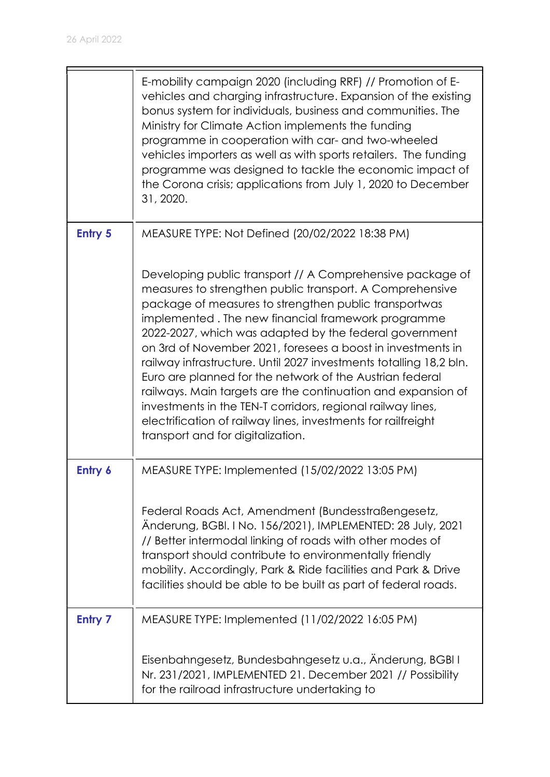|                | E-mobility campaign 2020 (including RRF) // Promotion of E-<br>vehicles and charging infrastructure. Expansion of the existing<br>bonus system for individuals, business and communities. The<br>Ministry for Climate Action implements the funding<br>programme in cooperation with car- and two-wheeled<br>vehicles importers as well as with sports retailers. The funding<br>programme was designed to tackle the economic impact of<br>the Corona crisis; applications from July 1, 2020 to December<br>31, 2020. |
|----------------|------------------------------------------------------------------------------------------------------------------------------------------------------------------------------------------------------------------------------------------------------------------------------------------------------------------------------------------------------------------------------------------------------------------------------------------------------------------------------------------------------------------------|
| <b>Entry 5</b> | MEASURE TYPE: Not Defined (20/02/2022 18:38 PM)<br>Developing public transport // A Comprehensive package of<br>measures to strengthen public transport. A Comprehensive<br>package of measures to strengthen public transportwas<br>implemented. The new financial framework programme<br>2022-2027, which was adapted by the federal government                                                                                                                                                                      |
|                | on 3rd of November 2021, foresees a boost in investments in<br>railway infrastructure. Until 2027 investments totalling 18,2 bln.<br>Euro are planned for the network of the Austrian federal<br>railways. Main targets are the continuation and expansion of<br>investments in the TEN-T corridors, regional railway lines,<br>electrification of railway lines, investments for railfreight<br>transport and for digitalization.                                                                                     |
| Entry 6        | MEASURE TYPE: Implemented (15/02/2022 13:05 PM)                                                                                                                                                                                                                                                                                                                                                                                                                                                                        |
|                | Federal Roads Act, Amendment (Bundesstraßengesetz,<br>Anderung, BGBI. I No. 156/2021), IMPLEMENTED: 28 July, 2021<br>// Better intermodal linking of roads with other modes of<br>transport should contribute to environmentally friendly<br>mobility. Accordingly, Park & Ride facilities and Park & Drive<br>facilities should be able to be built as part of federal roads.                                                                                                                                         |
| <b>Entry 7</b> | MEASURE TYPE: Implemented (11/02/2022 16:05 PM)                                                                                                                                                                                                                                                                                                                                                                                                                                                                        |
|                | Eisenbahngesetz, Bundesbahngesetz u.a., Änderung, BGBI I<br>Nr. 231/2021, IMPLEMENTED 21. December 2021 // Possibility<br>for the railroad infrastructure undertaking to                                                                                                                                                                                                                                                                                                                                               |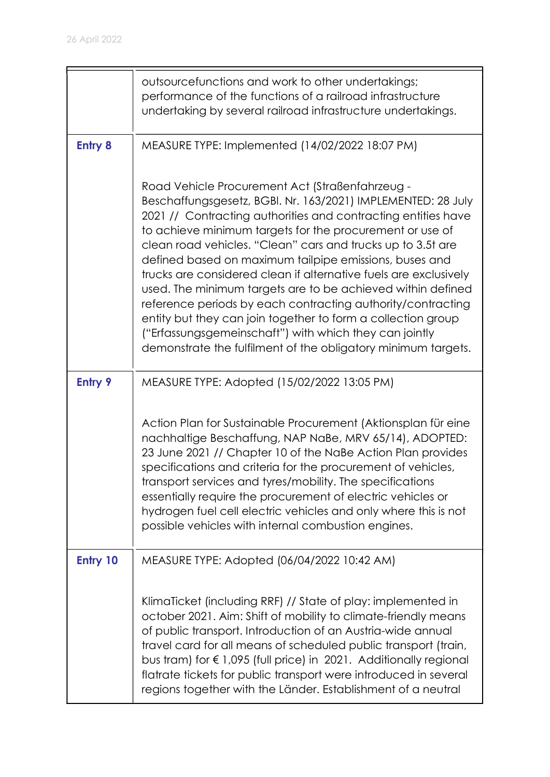|                | outsourcefunctions and work to other undertakings;<br>performance of the functions of a railroad infrastructure<br>undertaking by several railroad infrastructure undertakings.                                                                                                                                                                                                                                                                                                                                                                                                                                                                                                                                                                                    |
|----------------|--------------------------------------------------------------------------------------------------------------------------------------------------------------------------------------------------------------------------------------------------------------------------------------------------------------------------------------------------------------------------------------------------------------------------------------------------------------------------------------------------------------------------------------------------------------------------------------------------------------------------------------------------------------------------------------------------------------------------------------------------------------------|
| <b>Entry 8</b> | MEASURE TYPE: Implemented (14/02/2022 18:07 PM)                                                                                                                                                                                                                                                                                                                                                                                                                                                                                                                                                                                                                                                                                                                    |
|                | Road Vehicle Procurement Act (Straßenfahrzeug -<br>Beschaffungsgesetz, BGBI. Nr. 163/2021) IMPLEMENTED: 28 July<br>2021 // Contracting authorities and contracting entities have<br>to achieve minimum targets for the procurement or use of<br>clean road vehicles. "Clean" cars and trucks up to 3.5t are<br>defined based on maximum tailpipe emissions, buses and<br>trucks are considered clean if alternative fuels are exclusively<br>used. The minimum targets are to be achieved within defined<br>reference periods by each contracting authority/contracting<br>entity but they can join together to form a collection group<br>("Erfassungsgemeinschaft") with which they can jointly<br>demonstrate the fulfilment of the obligatory minimum targets. |
| <b>Entry 9</b> | MEASURE TYPE: Adopted (15/02/2022 13:05 PM)                                                                                                                                                                                                                                                                                                                                                                                                                                                                                                                                                                                                                                                                                                                        |
|                | Action Plan for Sustainable Procurement (Aktionsplan für eine<br>nachhaltige Beschaffung, NAP NaBe, MRV 65/14), ADOPTED:<br>23 June 2021 // Chapter 10 of the NaBe Action Plan provides<br>specifications and criteria for the procurement of vehicles,<br>transport services and tyres/mobility. The specifications<br>essentially require the procurement of electric vehicles or<br>hydrogen fuel cell electric vehicles and only where this is not<br>possible vehicles with internal combustion engines.                                                                                                                                                                                                                                                      |
| Entry 10       | MEASURE TYPE: Adopted (06/04/2022 10:42 AM)                                                                                                                                                                                                                                                                                                                                                                                                                                                                                                                                                                                                                                                                                                                        |
|                | KlimaTicket (including RRF) // State of play: implemented in<br>october 2021. Aim: Shift of mobility to climate-friendly means<br>of public transport. Introduction of an Austria-wide annual<br>travel card for all means of scheduled public transport (train,<br>bus tram) for € 1,095 (full price) in 2021. Additionally regional<br>flatrate tickets for public transport were introduced in several<br>regions together with the Länder. Establishment of a neutral                                                                                                                                                                                                                                                                                          |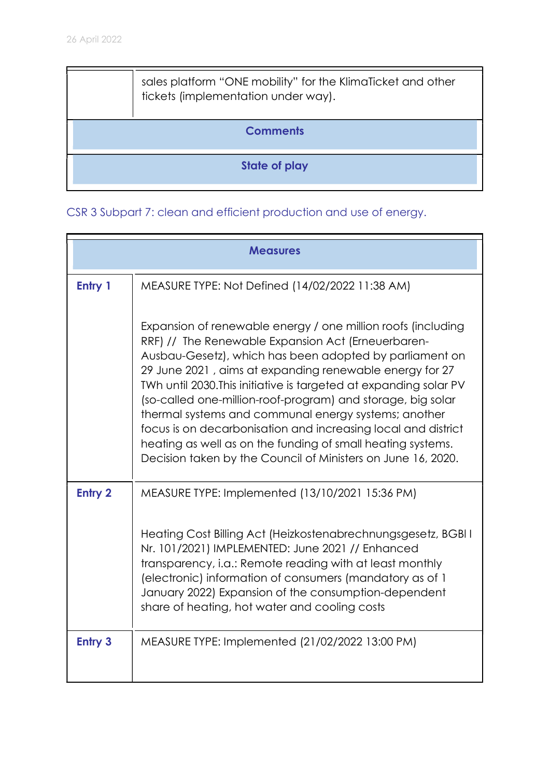|                 | sales platform "ONE mobility" for the KlimaTicket and other<br>tickets (implementation under way). |
|-----------------|----------------------------------------------------------------------------------------------------|
| <b>Comments</b> |                                                                                                    |
| State of play   |                                                                                                    |

CSR 3 Subpart 7: clean and efficient production and use of energy.

|                | <b>Measures</b>                                                                                                                                                                                                                                                                                                                                                                                                                                                                                                                                                                                                                      |
|----------------|--------------------------------------------------------------------------------------------------------------------------------------------------------------------------------------------------------------------------------------------------------------------------------------------------------------------------------------------------------------------------------------------------------------------------------------------------------------------------------------------------------------------------------------------------------------------------------------------------------------------------------------|
| Entry 1        | MEASURE TYPE: Not Defined (14/02/2022 11:38 AM)                                                                                                                                                                                                                                                                                                                                                                                                                                                                                                                                                                                      |
|                | Expansion of renewable energy / one million roofs (including<br>RRF) // The Renewable Expansion Act (Erneuerbaren-<br>Ausbau-Gesetz), which has been adopted by parliament on<br>29 June 2021, aims at expanding renewable energy for 27<br>TWh until 2030. This initiative is targeted at expanding solar PV<br>(so-called one-million-roof-program) and storage, big solar<br>thermal systems and communal energy systems; another<br>focus is on decarbonisation and increasing local and district<br>heating as well as on the funding of small heating systems.<br>Decision taken by the Council of Ministers on June 16, 2020. |
| <b>Entry 2</b> | MEASURE TYPE: Implemented (13/10/2021 15:36 PM)                                                                                                                                                                                                                                                                                                                                                                                                                                                                                                                                                                                      |
|                | Heating Cost Billing Act (Heizkostenabrechnungsgesetz, BGBI I<br>Nr. 101/2021) IMPLEMENTED: June 2021 // Enhanced<br>transparency, i.a.: Remote reading with at least monthly<br>(electronic) information of consumers (mandatory as of 1<br>January 2022) Expansion of the consumption-dependent<br>share of heating, hot water and cooling costs                                                                                                                                                                                                                                                                                   |
| <b>Entry 3</b> | MEASURE TYPE: Implemented (21/02/2022 13:00 PM)                                                                                                                                                                                                                                                                                                                                                                                                                                                                                                                                                                                      |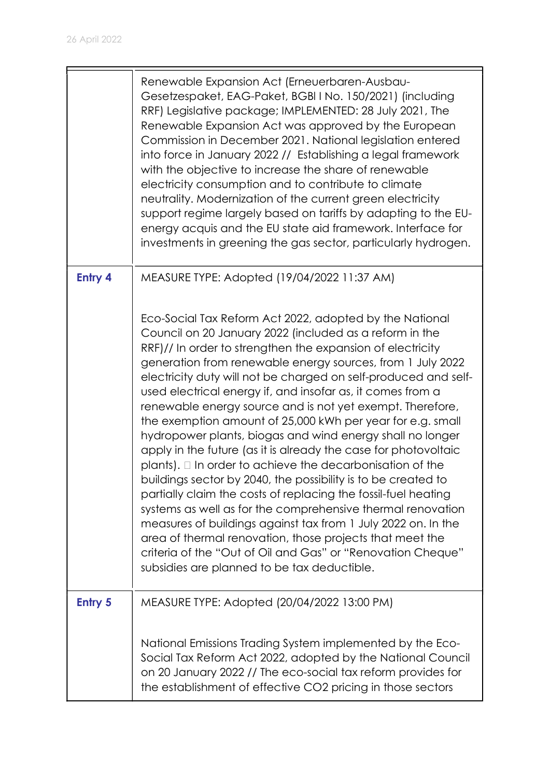|                | Renewable Expansion Act (Erneuerbaren-Ausbau-<br>Gesetzespaket, EAG-Paket, BGBI I No. 150/2021) (including<br>RRF) Legislative package; IMPLEMENTED: 28 July 2021, The<br>Renewable Expansion Act was approved by the European<br>Commission in December 2021. National legislation entered<br>into force in January 2022 // Establishing a legal framework<br>with the objective to increase the share of renewable<br>electricity consumption and to contribute to climate<br>neutrality. Modernization of the current green electricity<br>support regime largely based on tariffs by adapting to the EU-<br>energy acquis and the EU state aid framework. Interface for<br>investments in greening the gas sector, particularly hydrogen.                                                                                                                                                                                                                                                                                                                                                                                                                   |
|----------------|-----------------------------------------------------------------------------------------------------------------------------------------------------------------------------------------------------------------------------------------------------------------------------------------------------------------------------------------------------------------------------------------------------------------------------------------------------------------------------------------------------------------------------------------------------------------------------------------------------------------------------------------------------------------------------------------------------------------------------------------------------------------------------------------------------------------------------------------------------------------------------------------------------------------------------------------------------------------------------------------------------------------------------------------------------------------------------------------------------------------------------------------------------------------|
| <b>Entry 4</b> | MEASURE TYPE: Adopted (19/04/2022 11:37 AM)                                                                                                                                                                                                                                                                                                                                                                                                                                                                                                                                                                                                                                                                                                                                                                                                                                                                                                                                                                                                                                                                                                                     |
|                | Eco-Social Tax Reform Act 2022, adopted by the National<br>Council on 20 January 2022 (included as a reform in the<br>RRF)// In order to strengthen the expansion of electricity<br>generation from renewable energy sources, from 1 July 2022<br>electricity duty will not be charged on self-produced and self-<br>used electrical energy if, and insofar as, it comes from a<br>renewable energy source and is not yet exempt. Therefore,<br>the exemption amount of 25,000 kWh per year for e.g. small<br>hydropower plants, biogas and wind energy shall no longer<br>apply in the future (as it is already the case for photovoltaic<br>$plants$ ). $\square$ In order to achieve the decarbonisation of the<br>buildings sector by 2040, the possibility is to be created to<br>partially claim the costs of replacing the fossil-fuel heating<br>systems as well as for the comprehensive thermal renovation<br>measures of buildings against tax from 1 July 2022 on. In the<br>area of thermal renovation, those projects that meet the<br>criteria of the "Out of Oil and Gas" or "Renovation Cheque"<br>subsidies are planned to be tax deductible. |
| <b>Entry 5</b> | MEASURE TYPE: Adopted (20/04/2022 13:00 PM)                                                                                                                                                                                                                                                                                                                                                                                                                                                                                                                                                                                                                                                                                                                                                                                                                                                                                                                                                                                                                                                                                                                     |
|                | National Emissions Trading System implemented by the Eco-<br>Social Tax Reform Act 2022, adopted by the National Council<br>on 20 January 2022 // The eco-social tax reform provides for<br>the establishment of effective CO2 pricing in those sectors                                                                                                                                                                                                                                                                                                                                                                                                                                                                                                                                                                                                                                                                                                                                                                                                                                                                                                         |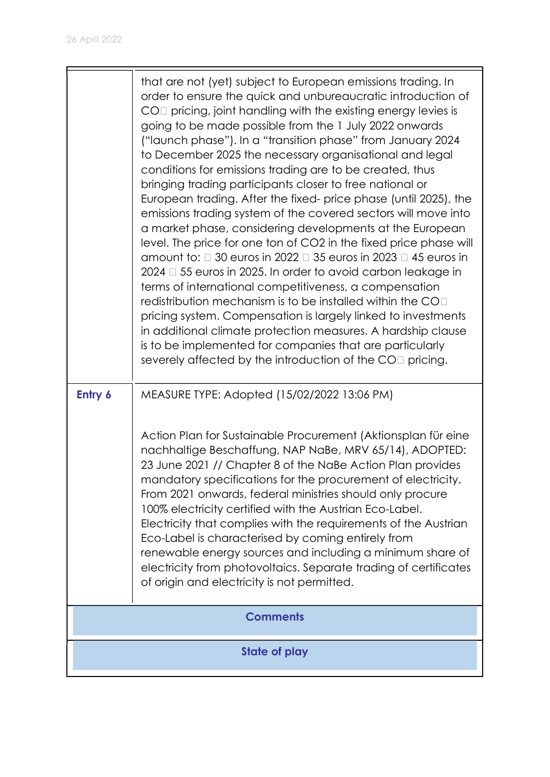|         | that are not (yet) subject to European emissions trading. In<br>order to ensure the quick and unbureaucratic introduction of<br>$COII$ pricing, joint handling with the existing energy levies is<br>going to be made possible from the 1 July 2022 onwards<br>("launch phase"). In a "transition phase" from January 2024<br>to December 2025 the necessary organisational and legal<br>conditions for emissions trading are to be created, thus<br>bringing trading participants closer to free national or<br>European trading. After the fixed- price phase (until 2025), the<br>emissions trading system of the covered sectors will move into<br>a market phase, considering developments at the European<br>level. The price for one ton of CO2 in the fixed price phase will<br>amount to: $\Box$ 30 euros in 2022 $\Box$ 35 euros in 2023 $\Box$ 45 euros in<br>$2024 \square 55$ euros in 2025. In order to avoid carbon leakage in<br>terms of international competitiveness, a compensation<br>redistribution mechanism is to be installed within the CO $\Box$<br>pricing system. Compensation is largely linked to investments<br>in additional climate protection measures. A hardship clause<br>is to be implemented for companies that are particularly<br>severely affected by the introduction of the COI pricing. |
|---------|---------------------------------------------------------------------------------------------------------------------------------------------------------------------------------------------------------------------------------------------------------------------------------------------------------------------------------------------------------------------------------------------------------------------------------------------------------------------------------------------------------------------------------------------------------------------------------------------------------------------------------------------------------------------------------------------------------------------------------------------------------------------------------------------------------------------------------------------------------------------------------------------------------------------------------------------------------------------------------------------------------------------------------------------------------------------------------------------------------------------------------------------------------------------------------------------------------------------------------------------------------------------------------------------------------------------------------------|
| Entry 6 | MEASURE TYPE: Adopted (15/02/2022 13:06 PM)<br>Action Plan for Sustainable Procurement (Aktionsplan für eine<br>nachhaltige Beschaffung, NAP NaBe, MRV 65/14), ADOPTED:<br>23 June 2021 // Chapter 8 of the NaBe Action Plan provides<br>mandatory specifications for the procurement of electricity.<br>From 2021 onwards, federal ministries should only procure<br>100% electricity certified with the Austrian Eco-Label.<br>Electricity that complies with the requirements of the Austrian<br>Eco-Label is characterised by coming entirely from<br>renewable energy sources and including a minimum share of<br>electricity from photovoltaics. Separate trading of certificates<br>of origin and electricity is not permitted.                                                                                                                                                                                                                                                                                                                                                                                                                                                                                                                                                                                                |
|         | <b>Comments</b>                                                                                                                                                                                                                                                                                                                                                                                                                                                                                                                                                                                                                                                                                                                                                                                                                                                                                                                                                                                                                                                                                                                                                                                                                                                                                                                       |
|         | <b>State of play</b>                                                                                                                                                                                                                                                                                                                                                                                                                                                                                                                                                                                                                                                                                                                                                                                                                                                                                                                                                                                                                                                                                                                                                                                                                                                                                                                  |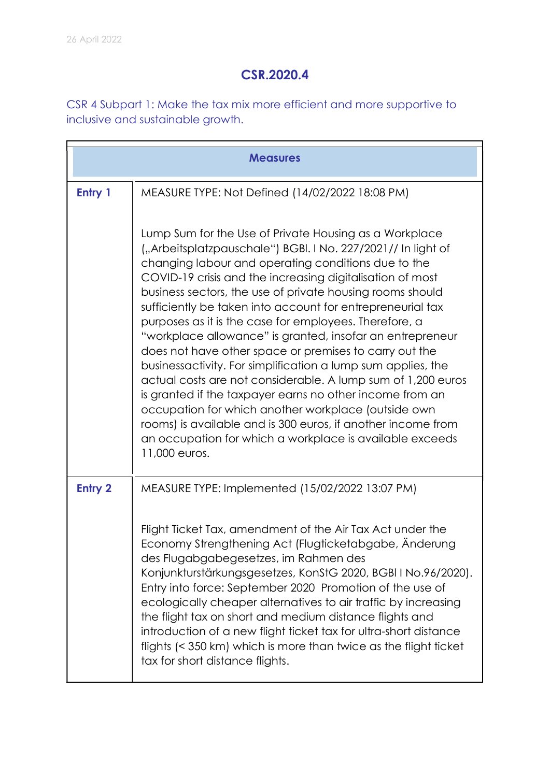### CSR.2020.4

CSR 4 Subpart 1: Make the tax mix more efficient and more supportive to inclusive and sustainable growth.

|                | <b>Measures</b>                                                                                                                                                                                                                                                                                                                                                                                                                                                                                                                                                                                                                                                                                                                                                                                                                                                                                                                                        |  |
|----------------|--------------------------------------------------------------------------------------------------------------------------------------------------------------------------------------------------------------------------------------------------------------------------------------------------------------------------------------------------------------------------------------------------------------------------------------------------------------------------------------------------------------------------------------------------------------------------------------------------------------------------------------------------------------------------------------------------------------------------------------------------------------------------------------------------------------------------------------------------------------------------------------------------------------------------------------------------------|--|
| Entry 1        | MEASURE TYPE: Not Defined (14/02/2022 18:08 PM)                                                                                                                                                                                                                                                                                                                                                                                                                                                                                                                                                                                                                                                                                                                                                                                                                                                                                                        |  |
|                | Lump Sum for the Use of Private Housing as a Workplace<br>("Arbeitsplatzpauschale") BGBI. I No. 227/2021// In light of<br>changing labour and operating conditions due to the<br>COVID-19 crisis and the increasing digitalisation of most<br>business sectors, the use of private housing rooms should<br>sufficiently be taken into account for entrepreneurial tax<br>purposes as it is the case for employees. Therefore, a<br>"workplace allowance" is granted, insofar an entrepreneur<br>does not have other space or premises to carry out the<br>businessactivity. For simplification a lump sum applies, the<br>actual costs are not considerable. A lump sum of 1,200 euros<br>is granted if the taxpayer earns no other income from an<br>occupation for which another workplace (outside own<br>rooms) is available and is 300 euros, if another income from<br>an occupation for which a workplace is available exceeds<br>11,000 euros. |  |
| <b>Entry 2</b> | MEASURE TYPE: Implemented (15/02/2022 13:07 PM)                                                                                                                                                                                                                                                                                                                                                                                                                                                                                                                                                                                                                                                                                                                                                                                                                                                                                                        |  |
|                | Flight Ticket Tax, amendment of the Air Tax Act under the<br>Economy Strengthening Act (Flugticketabgabe, Anderung<br>des Flugabgabegesetzes, im Rahmen des<br>Konjunkturstärkungsgesetzes, KonStG 2020, BGBI I No.96/2020).<br>Entry into force: September 2020 Promotion of the use of<br>ecologically cheaper alternatives to air traffic by increasing<br>the flight tax on short and medium distance flights and<br>introduction of a new flight ticket tax for ultra-short distance<br>flights (< 350 km) which is more than twice as the flight ticket<br>tax for short distance flights.                                                                                                                                                                                                                                                                                                                                                       |  |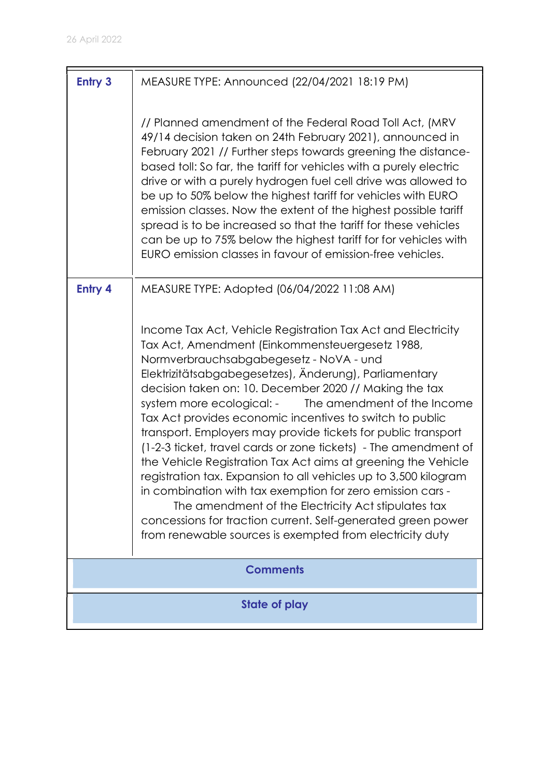| <b>Entry 3</b> | MEASURE TYPE: Announced (22/04/2021 18:19 PM)                                                                                                                                                                                                                                                                                                                                                                                                                                                                                                                                                                                                                                                                                                                                                                                                                                                                                                                                   |
|----------------|---------------------------------------------------------------------------------------------------------------------------------------------------------------------------------------------------------------------------------------------------------------------------------------------------------------------------------------------------------------------------------------------------------------------------------------------------------------------------------------------------------------------------------------------------------------------------------------------------------------------------------------------------------------------------------------------------------------------------------------------------------------------------------------------------------------------------------------------------------------------------------------------------------------------------------------------------------------------------------|
|                | // Planned amendment of the Federal Road Toll Act, (MRV<br>49/14 decision taken on 24th February 2021), announced in<br>February 2021 // Further steps towards greening the distance-<br>based toll: So far, the tariff for vehicles with a purely electric<br>drive or with a purely hydrogen fuel cell drive was allowed to<br>be up to 50% below the highest tariff for vehicles with EURO<br>emission classes. Now the extent of the highest possible tariff<br>spread is to be increased so that the tariff for these vehicles<br>can be up to 75% below the highest tariff for for vehicles with<br>EURO emission classes in favour of emission-free vehicles.                                                                                                                                                                                                                                                                                                            |
| <b>Entry 4</b> | MEASURE TYPE: Adopted (06/04/2022 11:08 AM)<br>Income Tax Act, Vehicle Registration Tax Act and Electricity<br>Tax Act, Amendment (Einkommensteuergesetz 1988,<br>Normverbrauchsabgabegesetz - NoVA - und<br>Elektrizitätsabgabegesetzes), Änderung), Parliamentary<br>decision taken on: 10. December 2020 // Making the tax<br>The amendment of the Income<br>system more ecological: -<br>Tax Act provides economic incentives to switch to public<br>transport. Employers may provide tickets for public transport<br>(1-2-3 ficket, travel cards or zone fickets) - The amendment of<br>the Vehicle Registration Tax Act aims at greening the Vehicle<br>registration tax. Expansion to all vehicles up to 3,500 kilogram<br>in combination with tax exemption for zero emission cars -<br>The amendment of the Electricity Act stipulates tax<br>concessions for traction current. Self-generated green power<br>from renewable sources is exempted from electricity duty |
|                | <b>Comments</b>                                                                                                                                                                                                                                                                                                                                                                                                                                                                                                                                                                                                                                                                                                                                                                                                                                                                                                                                                                 |
|                | <b>State of play</b>                                                                                                                                                                                                                                                                                                                                                                                                                                                                                                                                                                                                                                                                                                                                                                                                                                                                                                                                                            |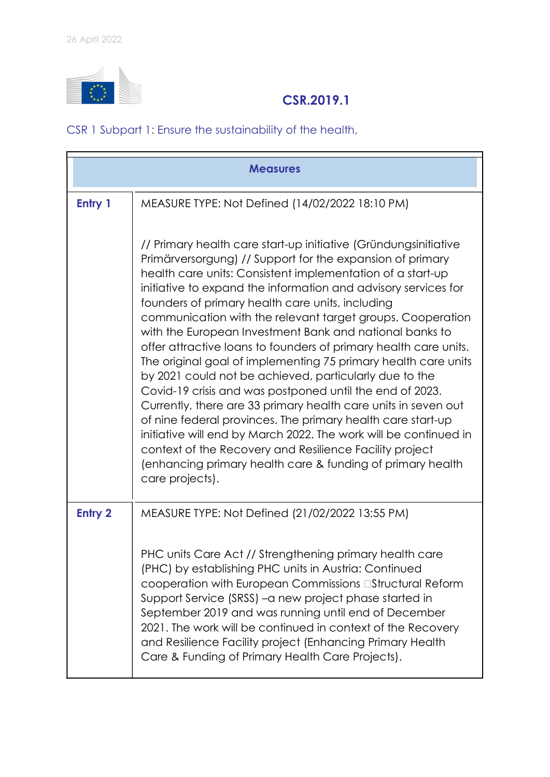

## CSR.2019.1

CSR 1 Subpart 1: Ensure the sustainability of the health,

|                | <b>Measures</b>                                                                                                                                                                                                                                                                                                                                                                                                                                                                                                                                                                                                                                                                                                                                                                                                                                                                                                                                                                                                                                        |  |
|----------------|--------------------------------------------------------------------------------------------------------------------------------------------------------------------------------------------------------------------------------------------------------------------------------------------------------------------------------------------------------------------------------------------------------------------------------------------------------------------------------------------------------------------------------------------------------------------------------------------------------------------------------------------------------------------------------------------------------------------------------------------------------------------------------------------------------------------------------------------------------------------------------------------------------------------------------------------------------------------------------------------------------------------------------------------------------|--|
| Entry 1        | MEASURE TYPE: Not Defined (14/02/2022 18:10 PM)                                                                                                                                                                                                                                                                                                                                                                                                                                                                                                                                                                                                                                                                                                                                                                                                                                                                                                                                                                                                        |  |
|                | // Primary health care start-up initiative (Gründungsinitiative<br>Primärversorgung) // Support for the expansion of primary<br>health care units: Consistent implementation of a start-up<br>initiative to expand the information and advisory services for<br>founders of primary health care units, including<br>communication with the relevant target groups. Cooperation<br>with the European Investment Bank and national banks to<br>offer attractive loans to founders of primary health care units.<br>The original goal of implementing 75 primary health care units<br>by 2021 could not be achieved, particularly due to the<br>Covid-19 crisis and was postponed until the end of 2023.<br>Currently, there are 33 primary health care units in seven out<br>of nine federal provinces. The primary health care start-up<br>initiative will end by March 2022. The work will be continued in<br>context of the Recovery and Resilience Facility project<br>(enhancing primary health care & funding of primary health<br>care projects). |  |
| <b>Entry 2</b> | MEASURE TYPE: Not Defined (21/02/2022 13:55 PM)                                                                                                                                                                                                                                                                                                                                                                                                                                                                                                                                                                                                                                                                                                                                                                                                                                                                                                                                                                                                        |  |
|                | PHC units Care Act // Strengthening primary health care<br>(PHC) by establishing PHC units in Austria: Continued<br>cooperation with European Commissions <b>Elastructural Reform</b><br>Support Service (SRSS) – a new project phase started in<br>September 2019 and was running until end of December<br>2021. The work will be continued in context of the Recovery<br>and Resilience Facility project (Enhancing Primary Health<br>Care & Funding of Primary Health Care Projects).                                                                                                                                                                                                                                                                                                                                                                                                                                                                                                                                                               |  |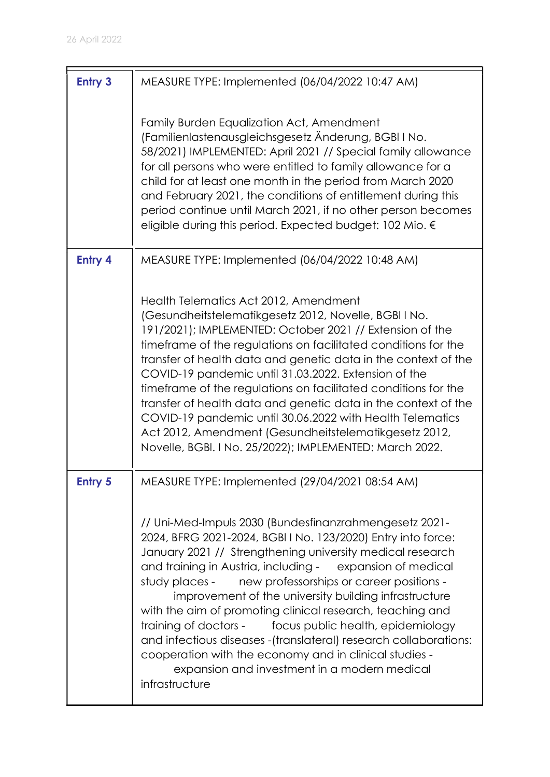| <b>Entry 3</b> | MEASURE TYPE: Implemented (06/04/2022 10:47 AM)                                                                                                                                                                                                                                                                                                                                                                                                                                                                                                                                                                                                                                                     |
|----------------|-----------------------------------------------------------------------------------------------------------------------------------------------------------------------------------------------------------------------------------------------------------------------------------------------------------------------------------------------------------------------------------------------------------------------------------------------------------------------------------------------------------------------------------------------------------------------------------------------------------------------------------------------------------------------------------------------------|
|                | Family Burden Equalization Act, Amendment<br>(Familienlastenausgleichsgesetz Änderung, BGBI I No.<br>58/2021) IMPLEMENTED: April 2021 // Special family allowance<br>for all persons who were entitled to family allowance for a<br>child for at least one month in the period from March 2020<br>and February 2021, the conditions of entitlement during this<br>period continue until March 2021, if no other person becomes<br>eligible during this period. Expected budget: 102 Mio. €                                                                                                                                                                                                          |
| Entry 4        | MEASURE TYPE: Implemented (06/04/2022 10:48 AM)                                                                                                                                                                                                                                                                                                                                                                                                                                                                                                                                                                                                                                                     |
|                | Health Telematics Act 2012, Amendment<br>(Gesundheitstelematikgesetz 2012, Novelle, BGBI I No.<br>191/2021); IMPLEMENTED: October 2021 // Extension of the<br>timeframe of the regulations on facilitated conditions for the<br>transfer of health data and genetic data in the context of the<br>COVID-19 pandemic until 31.03.2022. Extension of the<br>timeframe of the regulations on facilitated conditions for the<br>transfer of health data and genetic data in the context of the<br>COVID-19 pandemic until 30.06.2022 with Health Telematics<br>Act 2012, Amendment (Gesundheitstelematikgesetz 2012,<br>Novelle, BGBI. I No. 25/2022); IMPLEMENTED: March 2022.                         |
| <b>Entry 5</b> | MEASURE TYPE: Implemented (29/04/2021 08:54 AM)                                                                                                                                                                                                                                                                                                                                                                                                                                                                                                                                                                                                                                                     |
|                | // Uni-Med-Impuls 2030 (Bundesfinanzrahmengesetz 2021-<br>2024, BFRG 2021-2024, BGBI I No. 123/2020) Entry into force:<br>January 2021 // Strengthening university medical research<br>and training in Austria, including - expansion of medical<br>study places -<br>new professorships or career positions -<br>improvement of the university building infrastructure<br>with the aim of promoting clinical research, teaching and<br>training of doctors -<br>focus public health, epidemiology<br>and infectious diseases - (translateral) research collaborations:<br>cooperation with the economy and in clinical studies -<br>expansion and investment in a modern medical<br>infrastructure |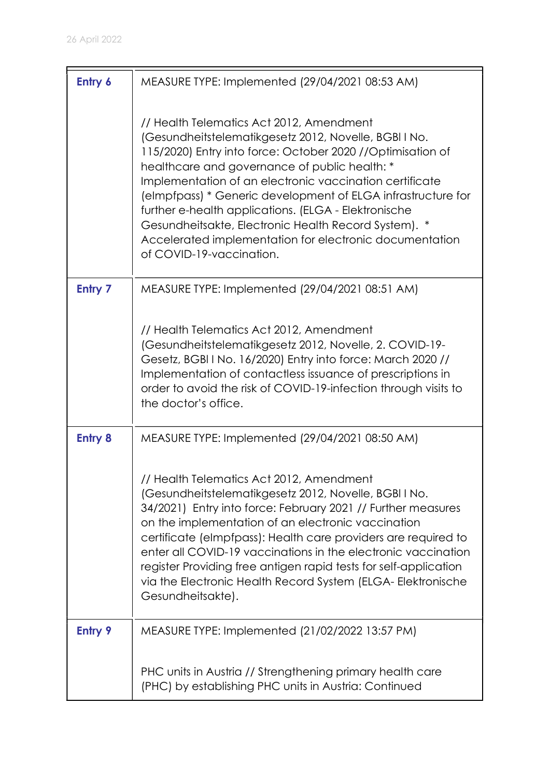| Entry 6        | MEASURE TYPE: Implemented (29/04/2021 08:53 AM)                                                                                                                                                                                                                                                                                                                                                                                                                                                                                                    |
|----------------|----------------------------------------------------------------------------------------------------------------------------------------------------------------------------------------------------------------------------------------------------------------------------------------------------------------------------------------------------------------------------------------------------------------------------------------------------------------------------------------------------------------------------------------------------|
|                | // Health Telematics Act 2012, Amendment<br>(Gesundheitstelematikgesetz 2012, Novelle, BGBI I No.<br>115/2020) Entry into force: October 2020 //Optimisation of<br>healthcare and governance of public health: *<br>Implementation of an electronic vaccination certificate<br>(elmpfpass) * Generic development of ELGA infrastructure for<br>further e-health applications. (ELGA - Elektronische<br>Gesundheitsakte, Electronic Health Record System). *<br>Accelerated implementation for electronic documentation<br>of COVID-19-vaccination. |
| <b>Entry 7</b> | MEASURE TYPE: Implemented (29/04/2021 08:51 AM)                                                                                                                                                                                                                                                                                                                                                                                                                                                                                                    |
|                | // Health Telematics Act 2012, Amendment<br>(Gesundheitstelematikgesetz 2012, Novelle, 2. COVID-19-<br>Gesetz, BGBI I No. 16/2020) Entry into force: March 2020 //<br>Implementation of contactless issuance of prescriptions in<br>order to avoid the risk of COVID-19-infection through visits to<br>the doctor's office.                                                                                                                                                                                                                        |
| <b>Entry 8</b> | MEASURE TYPE: Implemented (29/04/2021 08:50 AM)                                                                                                                                                                                                                                                                                                                                                                                                                                                                                                    |
|                | // Health Telematics Act 2012, Amendment<br>(Gesundheitstelematikgesetz 2012, Novelle, BGBI I No.<br>34/2021) Entry into force: February 2021 // Further measures<br>on the implementation of an electronic vaccination<br>certificate (elmpfpass): Health care providers are required to<br>enter all COVID-19 vaccinations in the electronic vaccination<br>register Providing free antigen rapid tests for self-application<br>via the Electronic Health Record System (ELGA-Elektronische<br>Gesundheitsakte).                                 |
| <b>Entry 9</b> | MEASURE TYPE: Implemented (21/02/2022 13:57 PM)                                                                                                                                                                                                                                                                                                                                                                                                                                                                                                    |
|                | PHC units in Austria // Strengthening primary health care<br>(PHC) by establishing PHC units in Austria: Continued                                                                                                                                                                                                                                                                                                                                                                                                                                 |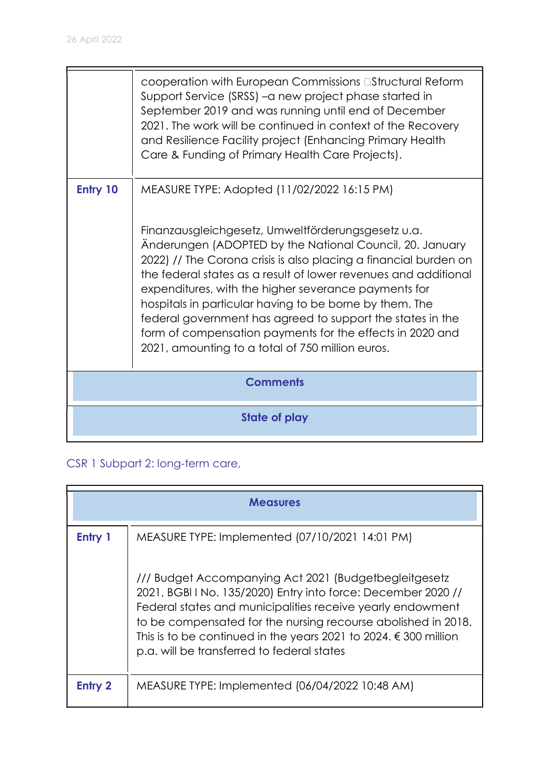|          | cooperation with European Commissions <b>EStructural Reform</b><br>Support Service (SRSS) - a new project phase started in<br>September 2019 and was running until end of December<br>2021. The work will be continued in context of the Recovery<br>and Resilience Facility project (Enhancing Primary Health<br>Care & Funding of Primary Health Care Projects).                                                                                                                                                                                      |  |
|----------|---------------------------------------------------------------------------------------------------------------------------------------------------------------------------------------------------------------------------------------------------------------------------------------------------------------------------------------------------------------------------------------------------------------------------------------------------------------------------------------------------------------------------------------------------------|--|
| Entry 10 | MEASURE TYPE: Adopted (11/02/2022 16:15 PM)                                                                                                                                                                                                                                                                                                                                                                                                                                                                                                             |  |
|          | Finanzausgleichgesetz, Umweltförderungsgesetz u.a.<br>Anderungen (ADOPTED by the National Council, 20. January<br>2022) // The Corona crisis is also placing a financial burden on<br>the federal states as a result of lower revenues and additional<br>expenditures, with the higher severance payments for<br>hospitals in particular having to be borne by them. The<br>federal government has agreed to support the states in the<br>form of compensation payments for the effects in 2020 and<br>2021, amounting to a total of 750 million euros. |  |
|          | <b>Comments</b>                                                                                                                                                                                                                                                                                                                                                                                                                                                                                                                                         |  |
|          | State of play                                                                                                                                                                                                                                                                                                                                                                                                                                                                                                                                           |  |

CSR 1 Subpart 2: long-term care,

|         | <b>Measures</b>                                                                                                                                                                                                                                                                                                                                                                   |  |
|---------|-----------------------------------------------------------------------------------------------------------------------------------------------------------------------------------------------------------------------------------------------------------------------------------------------------------------------------------------------------------------------------------|--|
| Entry 1 | MEASURE TYPE: Implemented (07/10/2021 14:01 PM)                                                                                                                                                                                                                                                                                                                                   |  |
|         | /// Budget Accompanying Act 2021 (Budgetbegleitgesetz)<br>2021, BGBI I No. 135/2020) Entry into force: December 2020 //<br>Federal states and municipalities receive yearly endowment<br>to be compensated for the nursing recourse abolished in 2018.<br>This is to be continued in the years 2021 to 2024. $\epsilon$ 300 million<br>p.a. will be transferred to federal states |  |
| Entry 2 | MEASURE TYPE: Implemented (06/04/2022 10:48 AM)                                                                                                                                                                                                                                                                                                                                   |  |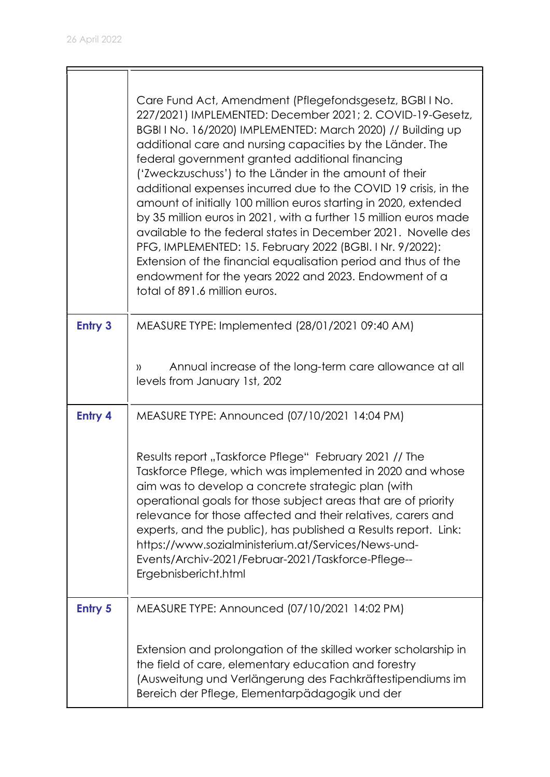|                | Care Fund Act, Amendment (Pflegefondsgesetz, BGBI I No.<br>227/2021) IMPLEMENTED: December 2021; 2. COVID-19-Gesetz,<br>BGBI I No. 16/2020) IMPLEMENTED: March 2020) // Building up<br>additional care and nursing capacities by the Länder. The<br>federal government granted additional financing<br>('Zweckzuschuss') to the Länder in the amount of their<br>additional expenses incurred due to the COVID 19 crisis, in the<br>amount of initially 100 million euros starting in 2020, extended<br>by 35 million euros in 2021, with a further 15 million euros made<br>available to the federal states in December 2021. Novelle des<br>PFG, IMPLEMENTED: 15. February 2022 (BGBI. I Nr. 9/2022):<br>Extension of the financial equalisation period and thus of the<br>endowment for the years 2022 and 2023. Endowment of a<br>total of 891.6 million euros. |
|----------------|---------------------------------------------------------------------------------------------------------------------------------------------------------------------------------------------------------------------------------------------------------------------------------------------------------------------------------------------------------------------------------------------------------------------------------------------------------------------------------------------------------------------------------------------------------------------------------------------------------------------------------------------------------------------------------------------------------------------------------------------------------------------------------------------------------------------------------------------------------------------|
| <b>Entry 3</b> | MEASURE TYPE: Implemented (28/01/2021 09:40 AM)                                                                                                                                                                                                                                                                                                                                                                                                                                                                                                                                                                                                                                                                                                                                                                                                                     |
|                | Annual increase of the long-term care allowance at all<br>))<br>levels from January 1st, 202                                                                                                                                                                                                                                                                                                                                                                                                                                                                                                                                                                                                                                                                                                                                                                        |
| <b>Entry 4</b> | MEASURE TYPE: Announced (07/10/2021 14:04 PM)                                                                                                                                                                                                                                                                                                                                                                                                                                                                                                                                                                                                                                                                                                                                                                                                                       |
|                | Results report "Taskforce Pflege" February 2021 // The<br>Taskforce Pflege, which was implemented in 2020 and whose<br>aim was to develop a concrete strategic plan (with<br>operational goals for those subject areas that are of priority<br>relevance for those affected and their relatives, carers and<br>experts, and the public), has published a Results report. Link:<br>https://www.sozialministerium.at/Services/News-und-<br>Events/Archiv-2021/Februar-2021/Taskforce-Pflege--<br>Ergebnisbericht.html                                                                                                                                                                                                                                                                                                                                                 |
| <b>Entry 5</b> | MEASURE TYPE: Announced (07/10/2021 14:02 PM)                                                                                                                                                                                                                                                                                                                                                                                                                                                                                                                                                                                                                                                                                                                                                                                                                       |
|                | Extension and prolongation of the skilled worker scholarship in<br>the field of care, elementary education and forestry<br>(Ausweitung und Verlängerung des Fachkräftestipendiums im<br>Bereich der Pflege, Elementarpädagogik und der                                                                                                                                                                                                                                                                                                                                                                                                                                                                                                                                                                                                                              |

 $\overline{\mathbf{u}}$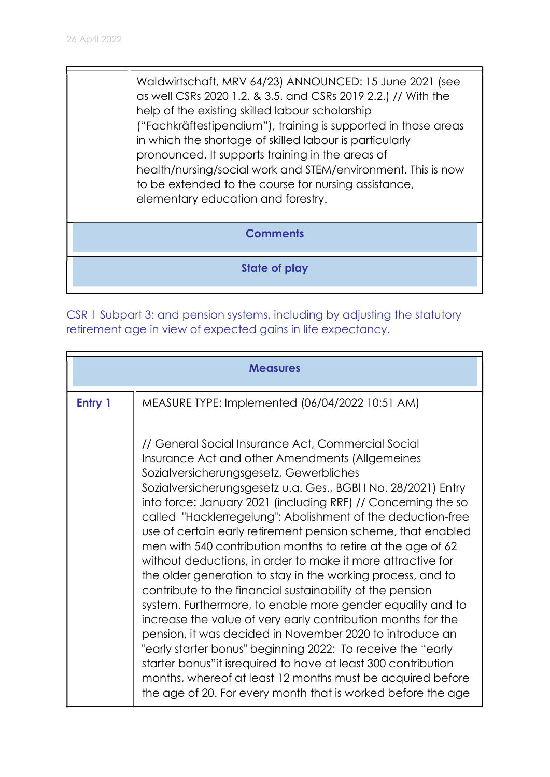Waldwirtschaft, MRV 64/23) ANNOUNCED: 15 June 2021 (see as well CSRs 2020 1.2. & 3.5. and CSRs 2019 2.2.) // With the help of the existing skilled labour scholarship ("Fachkräftestipendium"), training is supported in those areas in which the shortage of skilled labour is particularly pronounced. It supports training in the areas of health/nursing/social work and STEM/environment. This is now to be extended to the course for nursing assistance, elementary education and forestry.

#### **Comments**

State of play

CSR 1 Subpart 3: and pension systems, including by adjusting the statutory retirement age in view of expected gains in life expectancy.

|         | <b>Measures</b>                                                                                                                                                                                                                                                                                                                                                                                                                                                                                                                                                                                                                                                                                                                                                                                                                                                                                                                                                                                                                                                                                                                       |
|---------|---------------------------------------------------------------------------------------------------------------------------------------------------------------------------------------------------------------------------------------------------------------------------------------------------------------------------------------------------------------------------------------------------------------------------------------------------------------------------------------------------------------------------------------------------------------------------------------------------------------------------------------------------------------------------------------------------------------------------------------------------------------------------------------------------------------------------------------------------------------------------------------------------------------------------------------------------------------------------------------------------------------------------------------------------------------------------------------------------------------------------------------|
| Entry 1 | MEASURE TYPE: Implemented (06/04/2022 10:51 AM)                                                                                                                                                                                                                                                                                                                                                                                                                                                                                                                                                                                                                                                                                                                                                                                                                                                                                                                                                                                                                                                                                       |
|         | // General Social Insurance Act, Commercial Social<br>Insurance Act and other Amendments (Allgemeines<br>Sozialversicherungsgesetz, Gewerbliches<br>Sozialversicherungsgesetz u.a. Ges., BGBI I No. 28/2021) Entry<br>into force: January 2021 (including RRF) // Concerning the so<br>called "Hacklerregelung": Abolishment of the deduction-free<br>use of certain early retirement pension scheme, that enabled<br>men with 540 contribution months to retire at the age of 62<br>without deductions, in order to make it more attractive for<br>the older generation to stay in the working process, and to<br>contribute to the financial sustainability of the pension<br>system. Furthermore, to enable more gender equality and to<br>increase the value of very early contribution months for the<br>pension, it was decided in November 2020 to introduce an<br>"early starter bonus" beginning 2022: To receive the "early<br>starter bonus" it isrequired to have at least 300 contribution<br>months, whereof at least 12 months must be acquired before<br>the age of 20. For every month that is worked before the age |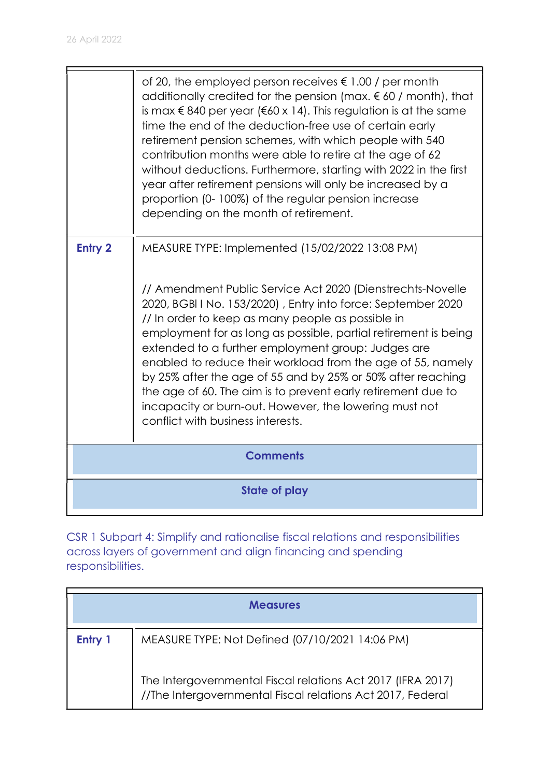|                | of 20, the employed person receives $\epsilon$ 1.00 / per month<br>additionally credited for the pension (max. $\epsilon$ 60 / month), that<br>is max € 840 per year (€60 x 14). This regulation is at the same<br>time the end of the deduction-free use of certain early<br>retirement pension schemes, with which people with 540<br>contribution months were able to retire at the age of 62<br>without deductions. Furthermore, starting with 2022 in the first<br>year after retirement pensions will only be increased by a<br>proportion (0-100%) of the regular pension increase<br>depending on the month of retirement.                       |
|----------------|----------------------------------------------------------------------------------------------------------------------------------------------------------------------------------------------------------------------------------------------------------------------------------------------------------------------------------------------------------------------------------------------------------------------------------------------------------------------------------------------------------------------------------------------------------------------------------------------------------------------------------------------------------|
| <b>Entry 2</b> | MEASURE TYPE: Implemented (15/02/2022 13:08 PM)<br>// Amendment Public Service Act 2020 (Dienstrechts-Novelle<br>2020, BGBI I No. 153/2020), Entry into force: September 2020<br>// In order to keep as many people as possible in<br>employment for as long as possible, partial retirement is being<br>extended to a further employment group: Judges are<br>enabled to reduce their workload from the age of 55, namely<br>by 25% after the age of 55 and by 25% or 50% after reaching<br>the age of 60. The aim is to prevent early retirement due to<br>incapacity or burn-out. However, the lowering must not<br>conflict with business interests. |
|                | <b>Comments</b>                                                                                                                                                                                                                                                                                                                                                                                                                                                                                                                                                                                                                                          |
|                | <b>State of play</b>                                                                                                                                                                                                                                                                                                                                                                                                                                                                                                                                                                                                                                     |

CSR 1 Subpart 4: Simplify and rationalise fiscal relations and responsibilities across layers of government and align financing and spending responsibilities.

| <b>Measures</b> |                                                                                                                           |
|-----------------|---------------------------------------------------------------------------------------------------------------------------|
| Entry 1         | MEASURE TYPE: Not Defined (07/10/2021 14:06 PM)                                                                           |
|                 | The Intergovernmental Fiscal relations Act 2017 (IFRA 2017)<br>//The Intergovernmental Fiscal relations Act 2017, Federal |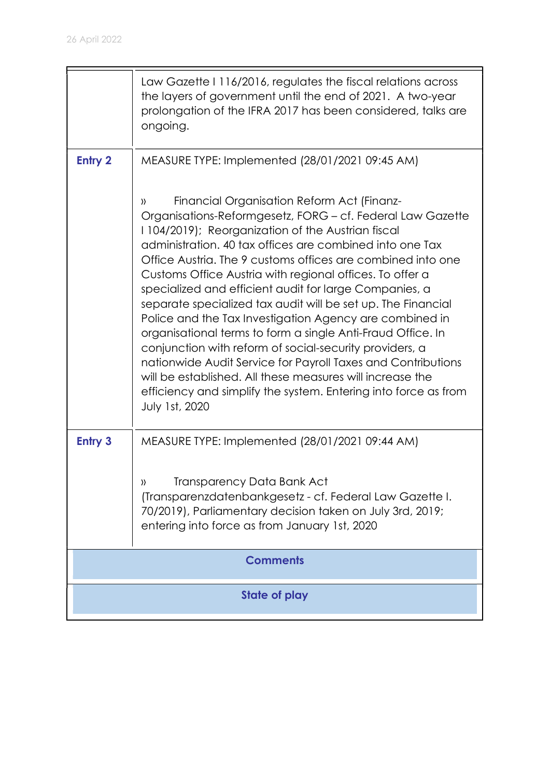|                      | Law Gazette I 116/2016, regulates the fiscal relations across<br>the layers of government until the end of 2021. A two-year<br>prolongation of the IFRA 2017 has been considered, talks are<br>ongoing.                                                                                                                                                                                                                                                                                                                                                                                                                                                                                                                                                                                                                                                                                                                                        |  |
|----------------------|------------------------------------------------------------------------------------------------------------------------------------------------------------------------------------------------------------------------------------------------------------------------------------------------------------------------------------------------------------------------------------------------------------------------------------------------------------------------------------------------------------------------------------------------------------------------------------------------------------------------------------------------------------------------------------------------------------------------------------------------------------------------------------------------------------------------------------------------------------------------------------------------------------------------------------------------|--|
| <b>Entry 2</b>       | MEASURE TYPE: Implemented (28/01/2021 09:45 AM)<br>Financial Organisation Reform Act (Finanz-<br>))<br>Organisations-Reformgesetz, FORG - cf. Federal Law Gazette<br>1104/2019); Reorganization of the Austrian fiscal<br>administration. 40 tax offices are combined into one Tax<br>Office Austria. The 9 customs offices are combined into one<br>Customs Office Austria with regional offices. To offer a<br>specialized and efficient audit for large Companies, a<br>separate specialized tax audit will be set up. The Financial<br>Police and the Tax Investigation Agency are combined in<br>organisational terms to form a single Anti-Fraud Office. In<br>conjunction with reform of social-security providers, a<br>nationwide Audit Service for Payroll Taxes and Contributions<br>will be established. All these measures will increase the<br>efficiency and simplify the system. Entering into force as from<br>July 1st, 2020 |  |
| <b>Entry 3</b>       | MEASURE TYPE: Implemented (28/01/2021 09:44 AM)<br>Transparency Data Bank Act<br>$\mathcal{V}$<br>(Transparenzdatenbankgesetz - cf. Federal Law Gazette I.<br>70/2019), Parliamentary decision taken on July 3rd, 2019;<br>entering into force as from January 1st, 2020                                                                                                                                                                                                                                                                                                                                                                                                                                                                                                                                                                                                                                                                       |  |
|                      | <b>Comments</b>                                                                                                                                                                                                                                                                                                                                                                                                                                                                                                                                                                                                                                                                                                                                                                                                                                                                                                                                |  |
| <b>State of play</b> |                                                                                                                                                                                                                                                                                                                                                                                                                                                                                                                                                                                                                                                                                                                                                                                                                                                                                                                                                |  |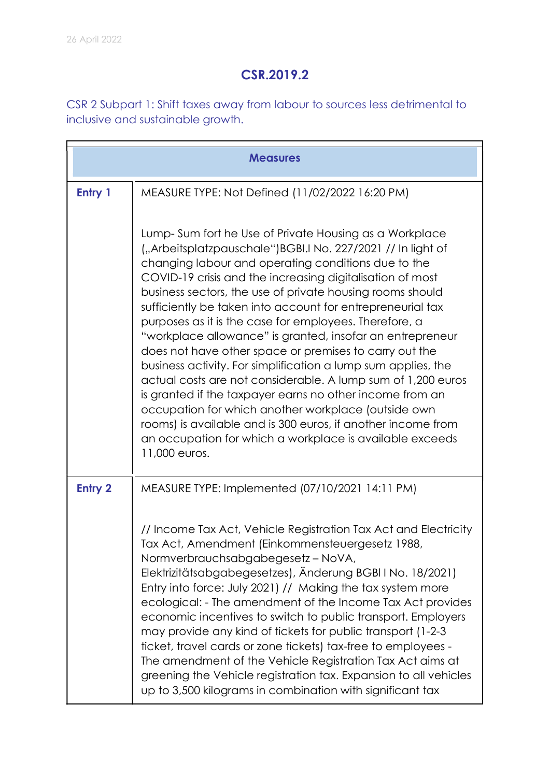## CSR.2019.2

CSR 2 Subpart 1: Shift taxes away from labour to sources less detrimental to inclusive and sustainable growth.

| <b>Measures</b> |                                                                                                                                                                                                                                                                                                                                                                                                                                                                                                                                                                                                                                                                                                                                                                                                                                                                                                                                                        |
|-----------------|--------------------------------------------------------------------------------------------------------------------------------------------------------------------------------------------------------------------------------------------------------------------------------------------------------------------------------------------------------------------------------------------------------------------------------------------------------------------------------------------------------------------------------------------------------------------------------------------------------------------------------------------------------------------------------------------------------------------------------------------------------------------------------------------------------------------------------------------------------------------------------------------------------------------------------------------------------|
| Entry 1         | MEASURE TYPE: Not Defined (11/02/2022 16:20 PM)                                                                                                                                                                                                                                                                                                                                                                                                                                                                                                                                                                                                                                                                                                                                                                                                                                                                                                        |
|                 | Lump-Sum fort he Use of Private Housing as a Workplace<br>("Arbeitsplatzpauschale")BGBI.I No. 227/2021 // In light of<br>changing labour and operating conditions due to the<br>COVID-19 crisis and the increasing digitalisation of most<br>business sectors, the use of private housing rooms should<br>sufficiently be taken into account for entrepreneurial tax<br>purposes as it is the case for employees. Therefore, a<br>"workplace allowance" is granted, insofar an entrepreneur<br>does not have other space or premises to carry out the<br>business activity. For simplification a lump sum applies, the<br>actual costs are not considerable. A lump sum of 1,200 euros<br>is granted if the taxpayer earns no other income from an<br>occupation for which another workplace (outside own<br>rooms) is available and is 300 euros, if another income from<br>an occupation for which a workplace is available exceeds<br>11,000 euros. |
| <b>Entry 2</b>  | MEASURE TYPE: Implemented (07/10/2021 14:11 PM)                                                                                                                                                                                                                                                                                                                                                                                                                                                                                                                                                                                                                                                                                                                                                                                                                                                                                                        |
|                 | // Income Tax Act, Vehicle Registration Tax Act and Electricity<br>Tax Act, Amendment (Einkommensteuergesetz 1988,<br>Normverbrauchsabgabegesetz-NoVA,<br>Elektrizitätsabgabegesetzes), Änderung BGBI I No. 18/2021)<br>Entry into force: July 2021) // Making the tax system more<br>ecological: - The amendment of the Income Tax Act provides<br>economic incentives to switch to public transport. Employers<br>may provide any kind of tickets for public transport (1-2-3)<br>ticket, travel cards or zone tickets) tax-free to employees -<br>The amendment of the Vehicle Registration Tax Act aims at<br>greening the Vehicle registration tax. Expansion to all vehicles<br>up to 3,500 kilograms in combination with significant tax                                                                                                                                                                                                        |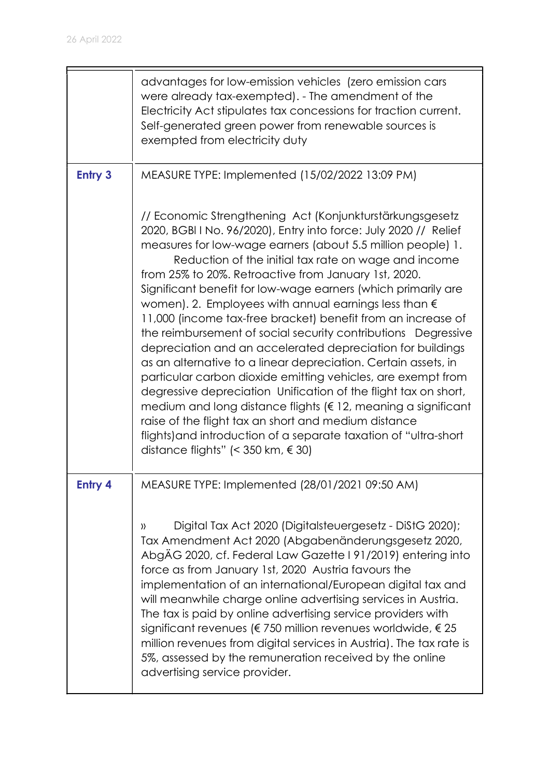$\blacksquare$ 

|                | advantages for low-emission vehicles (zero emission cars<br>were already tax-exempted). - The amendment of the<br>Electricity Act stipulates tax concessions for traction current.<br>Self-generated green power from renewable sources is<br>exempted from electricity duty                                                                                                                                                                                                                                                                                                                                                                                                                                                                                                                                                                                                                                                                                                                                                                                                                     |
|----------------|--------------------------------------------------------------------------------------------------------------------------------------------------------------------------------------------------------------------------------------------------------------------------------------------------------------------------------------------------------------------------------------------------------------------------------------------------------------------------------------------------------------------------------------------------------------------------------------------------------------------------------------------------------------------------------------------------------------------------------------------------------------------------------------------------------------------------------------------------------------------------------------------------------------------------------------------------------------------------------------------------------------------------------------------------------------------------------------------------|
| <b>Entry 3</b> | MEASURE TYPE: Implemented (15/02/2022 13:09 PM)                                                                                                                                                                                                                                                                                                                                                                                                                                                                                                                                                                                                                                                                                                                                                                                                                                                                                                                                                                                                                                                  |
|                | // Economic Strengthening Act (Konjunkturstärkungsgesetz<br>2020, BGBI I No. 96/2020), Entry into force: July 2020 // Relief<br>measures for low-wage earners (about 5.5 million people) 1.<br>Reduction of the initial tax rate on wage and income<br>from 25% to 20%. Retroactive from January 1st, 2020.<br>Significant benefit for low-wage earners (which primarily are<br>women). 2. Employees with annual earnings less than $\epsilon$<br>11,000 (income tax-free bracket) benefit from an increase of<br>the reimbursement of social security contributions Degressive<br>depreciation and an accelerated depreciation for buildings<br>as an alternative to a linear depreciation. Certain assets, in<br>particular carbon dioxide emitting vehicles, are exempt from<br>degressive depreciation Unification of the flight tax on short,<br>medium and long distance flights ( $\epsilon$ 12, meaning a significant<br>raise of the flight tax an short and medium distance<br>flights) and introduction of a separate taxation of "ultra-short"<br>distance flights" (< 350 km, € 30) |
| <b>Entry 4</b> | MEASURE TYPE: Implemented (28/01/2021 09:50 AM)                                                                                                                                                                                                                                                                                                                                                                                                                                                                                                                                                                                                                                                                                                                                                                                                                                                                                                                                                                                                                                                  |
|                | Digital Tax Act 2020 (Digitalsteuergesetz - DiStG 2020);<br>$\rangle$<br>Tax Amendment Act 2020 (Abgabenänderungsgesetz 2020,<br>AbgÄG 2020, cf. Federal Law Gazette 191/2019) entering into<br>force as from January 1st, 2020 Austria favours the<br>implementation of an international/European digital tax and<br>will meanwhile charge online advertising services in Austria.<br>The tax is paid by online advertising service providers with<br>significant revenues (€ 750 million revenues worldwide, € 25<br>million revenues from digital services in Austria). The tax rate is<br>5%, assessed by the remuneration received by the online<br>advertising service provider.                                                                                                                                                                                                                                                                                                                                                                                                           |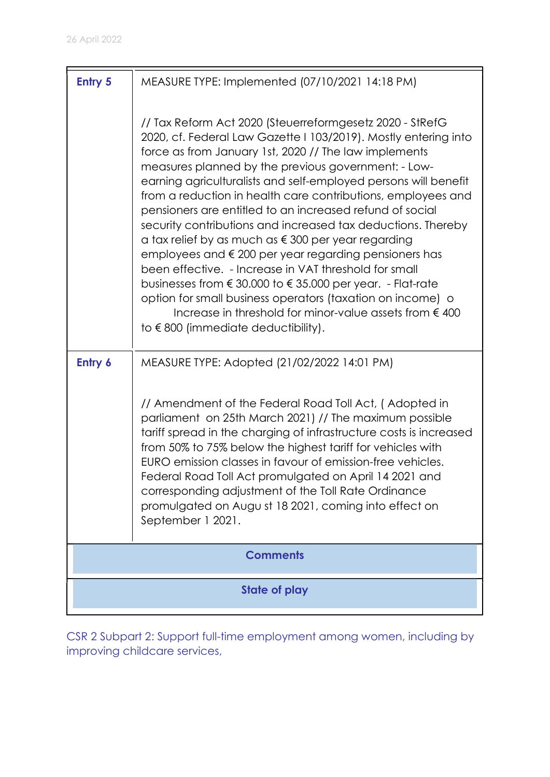| <b>Entry 5</b>       | MEASURE TYPE: Implemented (07/10/2021 14:18 PM)                                                                                                                                                                                                                                                                                                                                                                                                                                                                                                                                                                                                                                                                                                                                                                                                                                                                                                                |
|----------------------|----------------------------------------------------------------------------------------------------------------------------------------------------------------------------------------------------------------------------------------------------------------------------------------------------------------------------------------------------------------------------------------------------------------------------------------------------------------------------------------------------------------------------------------------------------------------------------------------------------------------------------------------------------------------------------------------------------------------------------------------------------------------------------------------------------------------------------------------------------------------------------------------------------------------------------------------------------------|
|                      | // Tax Reform Act 2020 (Steuerreformgesetz 2020 - StRefG<br>2020, cf. Federal Law Gazette I 103/2019). Mostly entering into<br>force as from January 1st, 2020 // The law implements<br>measures planned by the previous government: - Low-<br>earning agriculturalists and self-employed persons will benefit<br>from a reduction in health care contributions, employees and<br>pensioners are entitled to an increased refund of social<br>security contributions and increased tax deductions. Thereby<br>a tax relief by as much as $\epsilon$ 300 per year regarding<br>employees and € 200 per year regarding pensioners has<br>been effective. - Increase in VAT threshold for small<br>businesses from $\epsilon$ 30.000 to $\epsilon$ 35.000 per year. - Flat-rate<br>option for small business operators (taxation on income) o<br>Increase in threshold for minor-value assets from $\epsilon$ 400<br>to $\epsilon$ 800 (immediate deductibility). |
| Entry 6              | MEASURE TYPE: Adopted (21/02/2022 14:01 PM)                                                                                                                                                                                                                                                                                                                                                                                                                                                                                                                                                                                                                                                                                                                                                                                                                                                                                                                    |
|                      | // Amendment of the Federal Road Toll Act, (Adopted in<br>parliament on 25th March 2021) // The maximum possible<br>tariff spread in the charging of infrastructure costs is increased<br>from 50% to 75% below the highest tariff for vehicles with<br>EURO emission classes in favour of emission-free vehicles.<br>Federal Road Toll Act promulgated on April 14 2021 and<br>corresponding adjustment of the Toll Rate Ordinance<br>promulgated on Augu st 18 2021, coming into effect on<br>September 1 2021.                                                                                                                                                                                                                                                                                                                                                                                                                                              |
|                      | <b>Comments</b>                                                                                                                                                                                                                                                                                                                                                                                                                                                                                                                                                                                                                                                                                                                                                                                                                                                                                                                                                |
| <b>State of play</b> |                                                                                                                                                                                                                                                                                                                                                                                                                                                                                                                                                                                                                                                                                                                                                                                                                                                                                                                                                                |

CSR 2 Subpart 2: Support full-time employment among women, including by improving childcare services,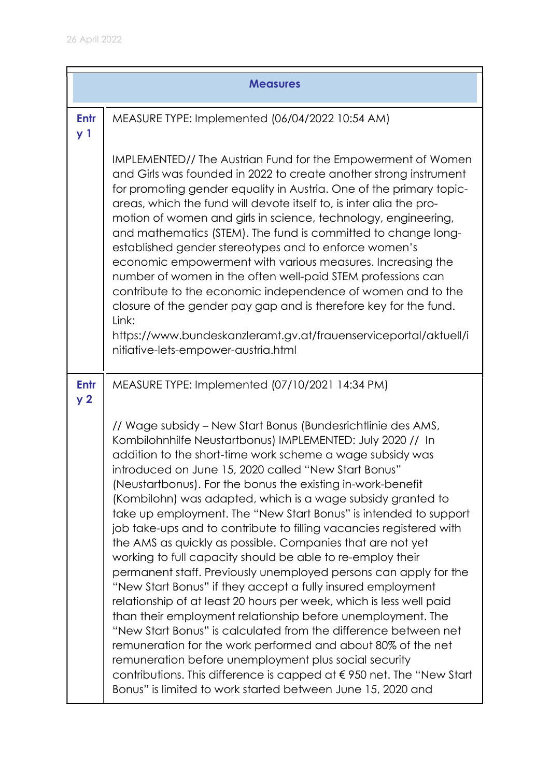|                        | <b>Measures</b>                                                                                                                                                                                                                                                                                                                                                                                                                                                                                                                                                                                                                                                                                                                                                                                                                                                                                                                                                                                                                                                                                                                                                                                                                                                            |
|------------------------|----------------------------------------------------------------------------------------------------------------------------------------------------------------------------------------------------------------------------------------------------------------------------------------------------------------------------------------------------------------------------------------------------------------------------------------------------------------------------------------------------------------------------------------------------------------------------------------------------------------------------------------------------------------------------------------------------------------------------------------------------------------------------------------------------------------------------------------------------------------------------------------------------------------------------------------------------------------------------------------------------------------------------------------------------------------------------------------------------------------------------------------------------------------------------------------------------------------------------------------------------------------------------|
| Entr<br>y <sub>1</sub> | MEASURE TYPE: Implemented (06/04/2022 10:54 AM)                                                                                                                                                                                                                                                                                                                                                                                                                                                                                                                                                                                                                                                                                                                                                                                                                                                                                                                                                                                                                                                                                                                                                                                                                            |
|                        | IMPLEMENTED// The Austrian Fund for the Empowerment of Women<br>and Girls was founded in 2022 to create another strong instrument<br>for promoting gender equality in Austria. One of the primary topic-<br>areas, which the fund will devote itself to, is inter alia the pro-<br>motion of women and girls in science, technology, engineering,<br>and mathematics (STEM). The fund is committed to change long-<br>established gender stereotypes and to enforce women's<br>economic empowerment with various measures. Increasing the<br>number of women in the often well-paid STEM professions can<br>contribute to the economic independence of women and to the<br>closure of the gender pay gap and is therefore key for the fund.<br>Link:<br>https://www.bundeskanzleramt.gv.at/frauenserviceportal/aktuell/i<br>nitiative-lets-empower-austria.html                                                                                                                                                                                                                                                                                                                                                                                                            |
| Entr<br>y <sub>2</sub> | MEASURE TYPE: Implemented (07/10/2021 14:34 PM)                                                                                                                                                                                                                                                                                                                                                                                                                                                                                                                                                                                                                                                                                                                                                                                                                                                                                                                                                                                                                                                                                                                                                                                                                            |
|                        | // Wage subsidy - New Start Bonus (Bundesrichtlinie des AMS,<br>Kombilohnhilfe Neustartbonus) IMPLEMENTED: July 2020 // In<br>addition to the short-time work scheme a wage subsidy was<br>introduced on June 15, 2020 called "New Start Bonus"<br>(Neustartbonus). For the bonus the existing in-work-benefit<br>(Kombilohn) was adapted, which is a wage subsidy granted to<br>take up employment. The "New Start Bonus" is intended to support<br>job take-ups and to contribute to filling vacancies registered with<br>the AMS as quickly as possible. Companies that are not yet<br>working to full capacity should be able to re-employ their<br>permanent staff. Previously unemployed persons can apply for the<br>"New Start Bonus" if they accept a fully insured employment<br>relationship of at least 20 hours per week, which is less well paid<br>than their employment relationship before unemployment. The<br>"New Start Bonus" is calculated from the difference between net<br>remuneration for the work performed and about 80% of the net<br>remuneration before unemployment plus social security<br>contributions. This difference is capped at $\epsilon$ 950 net. The "New Start<br>Bonus" is limited to work started between June 15, 2020 and |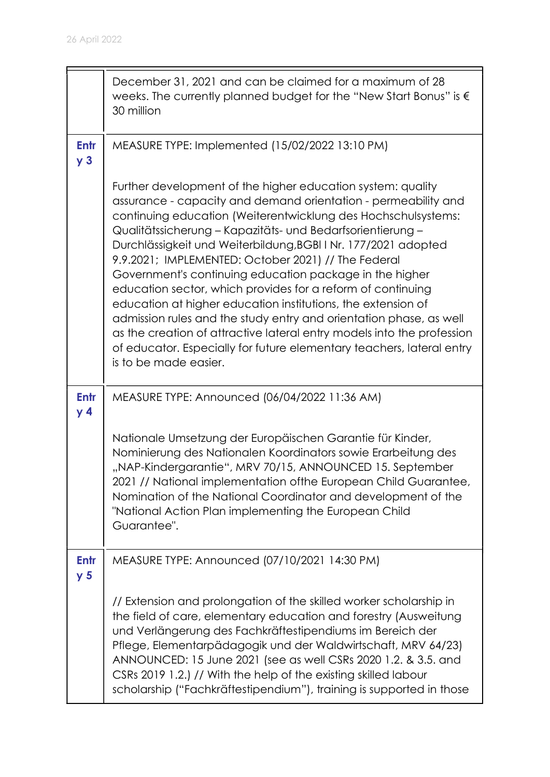|                               | December 31, 2021 and can be claimed for a maximum of 28<br>weeks. The currently planned budget for the "New Start Bonus" is $\epsilon$<br>30 million                                                                                                                                                                                                                                                                                                                                                                                                                                                                                                                                                                                                                                                                             |
|-------------------------------|-----------------------------------------------------------------------------------------------------------------------------------------------------------------------------------------------------------------------------------------------------------------------------------------------------------------------------------------------------------------------------------------------------------------------------------------------------------------------------------------------------------------------------------------------------------------------------------------------------------------------------------------------------------------------------------------------------------------------------------------------------------------------------------------------------------------------------------|
| Entr<br>y <sub>3</sub>        | MEASURE TYPE: Implemented (15/02/2022 13:10 PM)                                                                                                                                                                                                                                                                                                                                                                                                                                                                                                                                                                                                                                                                                                                                                                                   |
|                               | Further development of the higher education system: quality<br>assurance - capacity and demand orientation - permeability and<br>continuing education (Weiterentwicklung des Hochschulsystems:<br>Qualitätssicherung – Kapazitäts- und Bedarfsorientierung –<br>Durchlässigkeit und Weiterbildung, BGBI I Nr. 177/2021 adopted<br>9.9.2021; IMPLEMENTED: October 2021) // The Federal<br>Government's continuing education package in the higher<br>education sector, which provides for a reform of continuing<br>education at higher education institutions, the extension of<br>admission rules and the study entry and orientation phase, as well<br>as the creation of attractive lateral entry models into the profession<br>of educator. Especially for future elementary teachers, lateral entry<br>is to be made easier. |
| <b>Entr</b><br>y <sub>4</sub> | MEASURE TYPE: Announced (06/04/2022 11:36 AM)                                                                                                                                                                                                                                                                                                                                                                                                                                                                                                                                                                                                                                                                                                                                                                                     |
|                               | Nationale Umsetzung der Europäischen Garantie für Kinder,<br>Nominierung des Nationalen Koordinators sowie Erarbeitung des<br>"NAP-Kindergarantie", MRV 70/15, ANNOUNCED 15. September<br>2021 // National implementation of the European Child Guarantee,<br>Nomination of the National Coordinator and development of the<br>"National Action Plan implementing the European Child<br>Guarantee".                                                                                                                                                                                                                                                                                                                                                                                                                               |
| Entr<br>y <sub>5</sub>        | MEASURE TYPE: Announced (07/10/2021 14:30 PM)                                                                                                                                                                                                                                                                                                                                                                                                                                                                                                                                                                                                                                                                                                                                                                                     |
|                               | // Extension and prolongation of the skilled worker scholarship in<br>the field of care, elementary education and forestry (Ausweitung<br>und Verlängerung des Fachkräftestipendiums im Bereich der<br>Pflege, Elementarpädagogik und der Waldwirtschaft, MRV 64/23)<br>ANNOUNCED: 15 June 2021 (see as well CSRs 2020 1.2. & 3.5. and<br>CSRs 2019 1.2.) // With the help of the existing skilled labour<br>scholarship ("Fachkräftestipendium"), training is supported in those                                                                                                                                                                                                                                                                                                                                                 |

 $\blacksquare$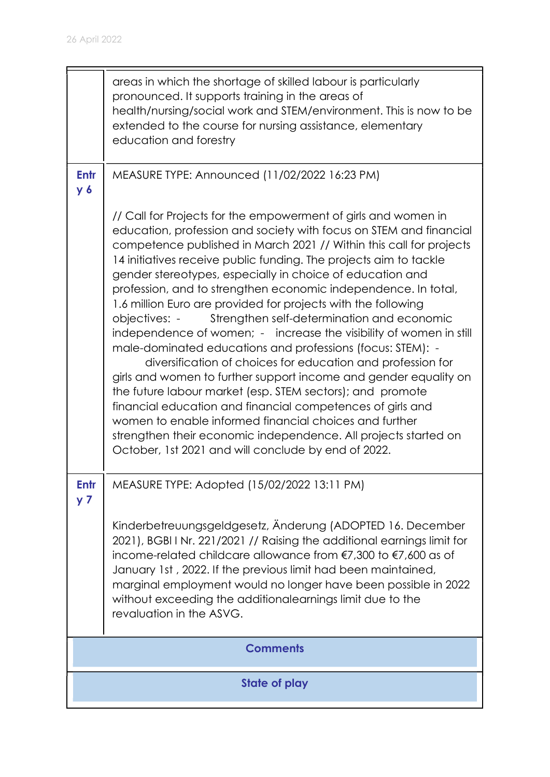|                        | areas in which the shortage of skilled labour is particularly<br>pronounced. It supports training in the areas of<br>health/nursing/social work and STEM/environment. This is now to be<br>extended to the course for nursing assistance, elementary<br>education and forestry                                                                                                                                                                                                                                                                                                                                                                                                                                                                                                                                                                                                                                                                                                                                                                                                                                                        |  |
|------------------------|---------------------------------------------------------------------------------------------------------------------------------------------------------------------------------------------------------------------------------------------------------------------------------------------------------------------------------------------------------------------------------------------------------------------------------------------------------------------------------------------------------------------------------------------------------------------------------------------------------------------------------------------------------------------------------------------------------------------------------------------------------------------------------------------------------------------------------------------------------------------------------------------------------------------------------------------------------------------------------------------------------------------------------------------------------------------------------------------------------------------------------------|--|
| Entr<br>$y_{6}$        | MEASURE TYPE: Announced (11/02/2022 16:23 PM)                                                                                                                                                                                                                                                                                                                                                                                                                                                                                                                                                                                                                                                                                                                                                                                                                                                                                                                                                                                                                                                                                         |  |
|                        | // Call for Projects for the empowerment of girls and women in<br>education, profession and society with focus on STEM and financial<br>competence published in March 2021 // Within this call for projects<br>14 initiatives receive public funding. The projects aim to tackle<br>gender stereotypes, especially in choice of education and<br>profession, and to strengthen economic independence. In total,<br>1.6 million Euro are provided for projects with the following<br>Strengthen self-determination and economic<br>objectives: -<br>independence of women; - increase the visibility of women in still<br>male-dominated educations and professions (focus: STEM): -<br>diversification of choices for education and profession for<br>girls and women to further support income and gender equality on<br>the future labour market (esp. STEM sectors); and promote<br>financial education and financial competences of girls and<br>women to enable informed financial choices and further<br>strengthen their economic independence. All projects started on<br>October, 1st 2021 and will conclude by end of 2022. |  |
| Entr<br>y <sub>7</sub> | MEASURE TYPE: Adopted (15/02/2022 13:11 PM)                                                                                                                                                                                                                                                                                                                                                                                                                                                                                                                                                                                                                                                                                                                                                                                                                                                                                                                                                                                                                                                                                           |  |
|                        | Kinderbetreuungsgeldgesetz, Änderung (ADOPTED 16. December<br>2021), BGBI I Nr. 221/2021 // Raising the additional earnings limit for<br>income-related childcare allowance from €7,300 to €7,600 as of<br>January 1st, 2022. If the previous limit had been maintained,<br>marginal employment would no longer have been possible in 2022<br>without exceeding the additionalearnings limit due to the<br>revaluation in the ASVG.                                                                                                                                                                                                                                                                                                                                                                                                                                                                                                                                                                                                                                                                                                   |  |
|                        | <b>Comments</b>                                                                                                                                                                                                                                                                                                                                                                                                                                                                                                                                                                                                                                                                                                                                                                                                                                                                                                                                                                                                                                                                                                                       |  |
|                        | State of play                                                                                                                                                                                                                                                                                                                                                                                                                                                                                                                                                                                                                                                                                                                                                                                                                                                                                                                                                                                                                                                                                                                         |  |

 $\blacksquare$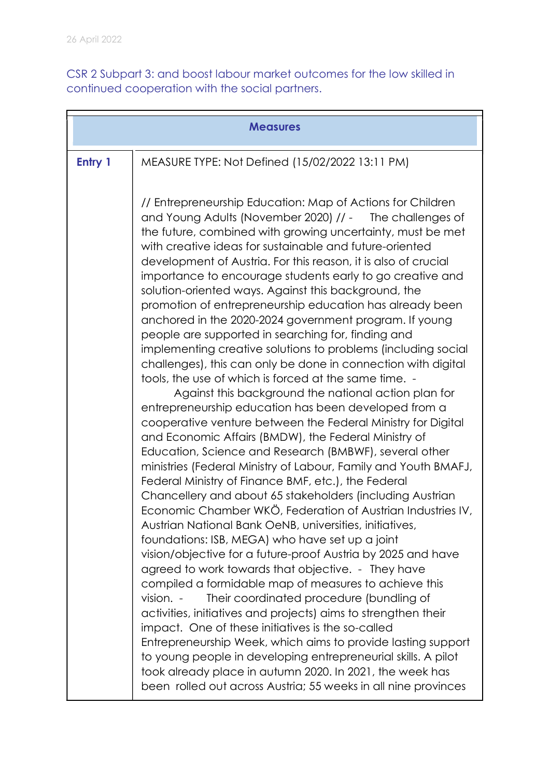CSR 2 Subpart 3: and boost labour market outcomes for the low skilled in continued cooperation with the social partners.

| <b>Measures</b> |                                                                                                                                                                                                                                                                                                                                                                                                                                                                                                                                                                                                                                                                                                                                                                                                                                                                                                                                                                                                                                                                                                                                                                                                                                                                                                                                                                                                                                                                                                                                                                                                                                                                   |
|-----------------|-------------------------------------------------------------------------------------------------------------------------------------------------------------------------------------------------------------------------------------------------------------------------------------------------------------------------------------------------------------------------------------------------------------------------------------------------------------------------------------------------------------------------------------------------------------------------------------------------------------------------------------------------------------------------------------------------------------------------------------------------------------------------------------------------------------------------------------------------------------------------------------------------------------------------------------------------------------------------------------------------------------------------------------------------------------------------------------------------------------------------------------------------------------------------------------------------------------------------------------------------------------------------------------------------------------------------------------------------------------------------------------------------------------------------------------------------------------------------------------------------------------------------------------------------------------------------------------------------------------------------------------------------------------------|
| Entry 1         | MEASURE TYPE: Not Defined (15/02/2022 13:11 PM)                                                                                                                                                                                                                                                                                                                                                                                                                                                                                                                                                                                                                                                                                                                                                                                                                                                                                                                                                                                                                                                                                                                                                                                                                                                                                                                                                                                                                                                                                                                                                                                                                   |
|                 | // Entrepreneurship Education: Map of Actions for Children<br>and Young Adults (November 2020) // - The challenges of<br>the future, combined with growing uncertainty, must be met<br>with creative ideas for sustainable and future-oriented<br>development of Austria. For this reason, it is also of crucial<br>importance to encourage students early to go creative and<br>solution-oriented ways. Against this background, the<br>promotion of entrepreneurship education has already been<br>anchored in the 2020-2024 government program. If young<br>people are supported in searching for, finding and<br>implementing creative solutions to problems (including social<br>challenges), this can only be done in connection with digital<br>tools, the use of which is forced at the same time. -<br>Against this background the national action plan for<br>entrepreneurship education has been developed from a<br>cooperative venture between the Federal Ministry for Digital<br>and Economic Affairs (BMDW), the Federal Ministry of<br>Education, Science and Research (BMBWF), several other<br>ministries (Federal Ministry of Labour, Family and Youth BMAFJ,<br>Federal Ministry of Finance BMF, etc.), the Federal<br>Chancellery and about 65 stakeholders (including Austrian<br>Economic Chamber WKÖ, Federation of Austrian Industries IV,<br>Austrian National Bank OeNB, universities, initiatives,<br>foundations: ISB, MEGA) who have set up a joint<br>vision/objective for a future-proof Austria by 2025 and have<br>agreed to work towards that objective. - They have<br>compiled a formidable map of measures to achieve this |
|                 | vision. -<br>Their coordinated procedure (bundling of<br>activities, initiatives and projects) aims to strengthen their<br>impact. One of these initiatives is the so-called<br>Entrepreneurship Week, which aims to provide lasting support<br>to young people in developing entrepreneurial skills. A pilot                                                                                                                                                                                                                                                                                                                                                                                                                                                                                                                                                                                                                                                                                                                                                                                                                                                                                                                                                                                                                                                                                                                                                                                                                                                                                                                                                     |
|                 | took already place in autumn 2020. In 2021, the week has<br>been rolled out across Austria; 55 weeks in all nine provinces                                                                                                                                                                                                                                                                                                                                                                                                                                                                                                                                                                                                                                                                                                                                                                                                                                                                                                                                                                                                                                                                                                                                                                                                                                                                                                                                                                                                                                                                                                                                        |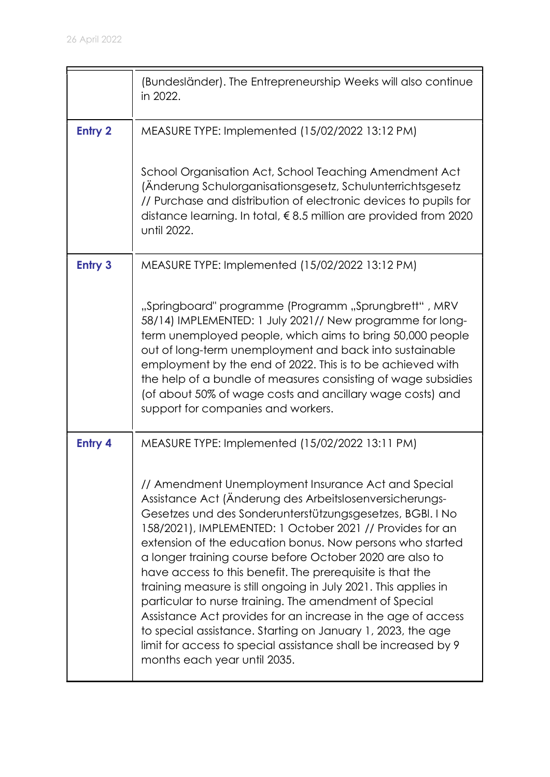|                | (Bundesländer). The Entrepreneurship Weeks will also continue<br>in 2022.                                                                                                                                                                                                                                                                                                                                                                                                                                                                                                                                                                                                                                                                                                                    |
|----------------|----------------------------------------------------------------------------------------------------------------------------------------------------------------------------------------------------------------------------------------------------------------------------------------------------------------------------------------------------------------------------------------------------------------------------------------------------------------------------------------------------------------------------------------------------------------------------------------------------------------------------------------------------------------------------------------------------------------------------------------------------------------------------------------------|
| <b>Entry 2</b> | MEASURE TYPE: Implemented (15/02/2022 13:12 PM)                                                                                                                                                                                                                                                                                                                                                                                                                                                                                                                                                                                                                                                                                                                                              |
|                | School Organisation Act, School Teaching Amendment Act<br>(Änderung Schulorganisationsgesetz, Schulunterrichtsgesetz<br>// Purchase and distribution of electronic devices to pupils for<br>distance learning. In total, €8.5 million are provided from 2020<br>until 2022.                                                                                                                                                                                                                                                                                                                                                                                                                                                                                                                  |
| <b>Entry 3</b> | MEASURE TYPE: Implemented (15/02/2022 13:12 PM)                                                                                                                                                                                                                                                                                                                                                                                                                                                                                                                                                                                                                                                                                                                                              |
|                | "Springboard" programme (Programm "Sprungbrett", MRV<br>58/14) IMPLEMENTED: 1 July 2021// New programme for long-<br>term unemployed people, which aims to bring 50,000 people<br>out of long-term unemployment and back into sustainable<br>employment by the end of 2022. This is to be achieved with<br>the help of a bundle of measures consisting of wage subsidies<br>(of about 50% of wage costs and ancillary wage costs) and<br>support for companies and workers.                                                                                                                                                                                                                                                                                                                  |
| Entry 4        | MEASURE TYPE: Implemented (15/02/2022 13:11 PM)                                                                                                                                                                                                                                                                                                                                                                                                                                                                                                                                                                                                                                                                                                                                              |
|                | // Amendment Unemployment Insurance Act and Special<br>Assistance Act (Änderung des Arbeitslosenversicherungs-<br>Gesetzes und des Sonderunterstützungsgesetzes, BGBI. I No<br>158/2021), IMPLEMENTED: 1 October 2021 // Provides for an<br>extension of the education bonus. Now persons who started<br>a longer training course before October 2020 are also to<br>have access to this benefit. The prerequisite is that the<br>training measure is still ongoing in July 2021. This applies in<br>particular to nurse training. The amendment of Special<br>Assistance Act provides for an increase in the age of access<br>to special assistance. Starting on January 1, 2023, the age<br>limit for access to special assistance shall be increased by 9<br>months each year until 2035. |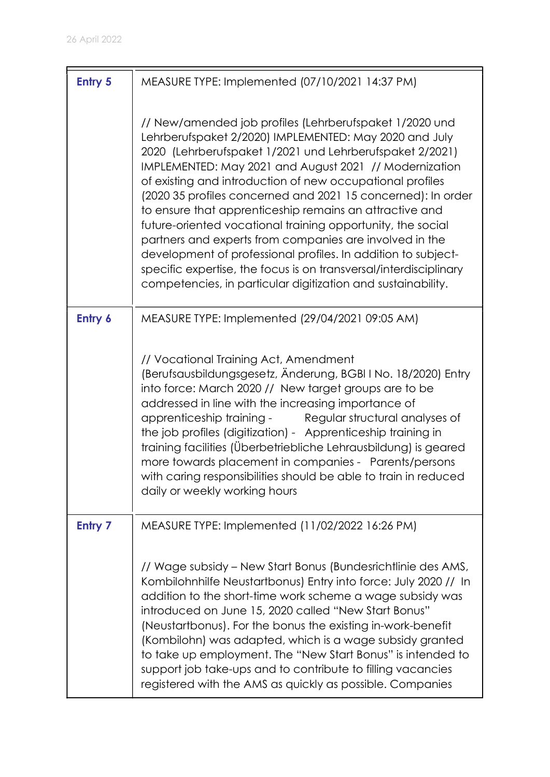| <b>Entry 5</b> | MEASURE TYPE: Implemented (07/10/2021 14:37 PM)                                                                                                                                                                                                                                                                                                                                                                                                                                                                                                                                                                                                                                                                                                                 |
|----------------|-----------------------------------------------------------------------------------------------------------------------------------------------------------------------------------------------------------------------------------------------------------------------------------------------------------------------------------------------------------------------------------------------------------------------------------------------------------------------------------------------------------------------------------------------------------------------------------------------------------------------------------------------------------------------------------------------------------------------------------------------------------------|
|                | // New/amended job profiles (Lehrberufspaket 1/2020 und<br>Lehrberufspaket 2/2020) IMPLEMENTED: May 2020 and July<br>2020 (Lehrberufspaket 1/2021 und Lehrberufspaket 2/2021)<br>IMPLEMENTED: May 2021 and August 2021 // Modernization<br>of existing and introduction of new occupational profiles<br>(2020 35 profiles concerned and 2021 15 concerned): In order<br>to ensure that apprenticeship remains an attractive and<br>future-oriented vocational training opportunity, the social<br>partners and experts from companies are involved in the<br>development of professional profiles. In addition to subject-<br>specific expertise, the focus is on transversal/interdisciplinary<br>competencies, in particular digitization and sustainability. |
| Entry 6        | MEASURE TYPE: Implemented (29/04/2021 09:05 AM)                                                                                                                                                                                                                                                                                                                                                                                                                                                                                                                                                                                                                                                                                                                 |
|                | // Vocational Training Act, Amendment<br>(Berufsausbildungsgesetz, Änderung, BGBI I No. 18/2020) Entry<br>into force: March 2020 // New target groups are to be<br>addressed in line with the increasing importance of<br>apprenticeship training -<br>Regular structural analyses of<br>the job profiles (digitization) - Apprenticeship training in<br>training facilities (Überbetriebliche Lehrausbildung) is geared<br>more towards placement in companies - Parents/persons<br>with caring responsibilities should be able to train in reduced<br>daily or weekly working hours                                                                                                                                                                           |
| <b>Entry 7</b> | MEASURE TYPE: Implemented (11/02/2022 16:26 PM)                                                                                                                                                                                                                                                                                                                                                                                                                                                                                                                                                                                                                                                                                                                 |
|                | // Wage subsidy – New Start Bonus (Bundesrichtlinie des AMS,<br>Kombilohnhilfe Neustartbonus) Entry into force: July 2020 // In<br>addition to the short-time work scheme a wage subsidy was<br>introduced on June 15, 2020 called "New Start Bonus"<br>(Neustartbonus). For the bonus the existing in-work-benefit<br>(Kombilohn) was adapted, which is a wage subsidy granted<br>to take up employment. The "New Start Bonus" is intended to<br>support job take-ups and to contribute to filling vacancies<br>registered with the AMS as quickly as possible. Companies                                                                                                                                                                                      |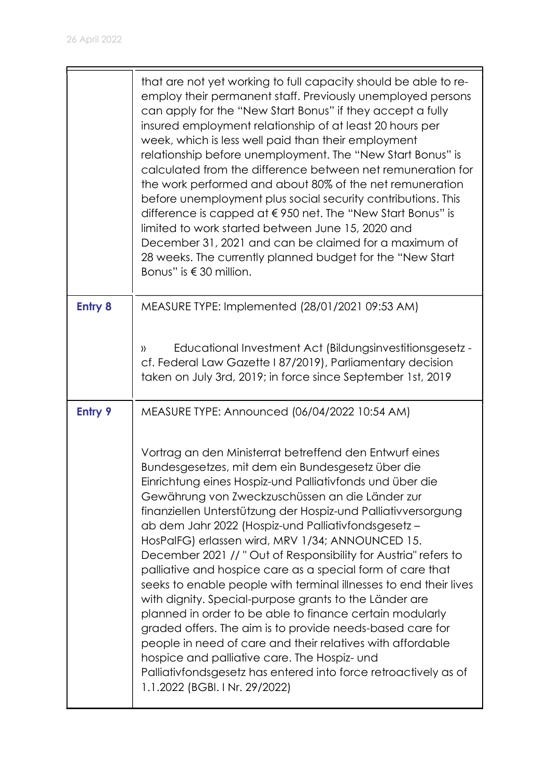|                | that are not yet working to full capacity should be able to re-<br>employ their permanent staff. Previously unemployed persons<br>can apply for the "New Start Bonus" if they accept a fully<br>insured employment relationship of at least 20 hours per<br>week, which is less well paid than their employment<br>relationship before unemployment. The "New Start Bonus" is<br>calculated from the difference between net remuneration for<br>the work performed and about 80% of the net remuneration<br>before unemployment plus social security contributions. This<br>difference is capped at $\epsilon$ 950 net. The "New Start Bonus" is<br>limited to work started between June 15, 2020 and<br>December 31, 2021 and can be claimed for a maximum of<br>28 weeks. The currently planned budget for the "New Start"<br>Bonus" is $\in$ 30 million.                                                                                                                                                       |
|----------------|-------------------------------------------------------------------------------------------------------------------------------------------------------------------------------------------------------------------------------------------------------------------------------------------------------------------------------------------------------------------------------------------------------------------------------------------------------------------------------------------------------------------------------------------------------------------------------------------------------------------------------------------------------------------------------------------------------------------------------------------------------------------------------------------------------------------------------------------------------------------------------------------------------------------------------------------------------------------------------------------------------------------|
| <b>Entry 8</b> | MEASURE TYPE: Implemented (28/01/2021 09:53 AM)                                                                                                                                                                                                                                                                                                                                                                                                                                                                                                                                                                                                                                                                                                                                                                                                                                                                                                                                                                   |
|                | Educational Investment Act (Bildungsinvestitionsgesetz -<br>))<br>cf. Federal Law Gazette I 87/2019), Parliamentary decision<br>taken on July 3rd, 2019; in force since September 1st, 2019                                                                                                                                                                                                                                                                                                                                                                                                                                                                                                                                                                                                                                                                                                                                                                                                                       |
| <b>Entry 9</b> | MEASURE TYPE: Announced (06/04/2022 10:54 AM)                                                                                                                                                                                                                                                                                                                                                                                                                                                                                                                                                                                                                                                                                                                                                                                                                                                                                                                                                                     |
|                | Vortrag an den Ministerrat betreffend den Entwurf eines<br>Bundesgesetzes, mit dem ein Bundesgesetz über die<br>Einrichtung eines Hospiz-und Palliativfonds und über die<br>Gewährung von Zweckzuschüssen an die Länder zur<br>finanziellen Unterstützung der Hospiz-und Palliativversorgung<br>ab dem Jahr 2022 (Hospiz-und Palliativfondsgesetz-<br>HosPalFG) erlassen wird, MRV 1/34; ANNOUNCED 15.<br>December 2021 // "Out of Responsibility for Austria" refers to<br>palliative and hospice care as a special form of care that<br>seeks to enable people with terminal illnesses to end their lives<br>with dignity. Special-purpose grants to the Länder are<br>planned in order to be able to finance certain modularly<br>graded offers. The aim is to provide needs-based care for<br>people in need of care and their relatives with affordable<br>hospice and palliative care. The Hospiz- und<br>Palliativfondsgesetz has entered into force retroactively as of<br>1.1.2022 (BGBI. I Nr. 29/2022) |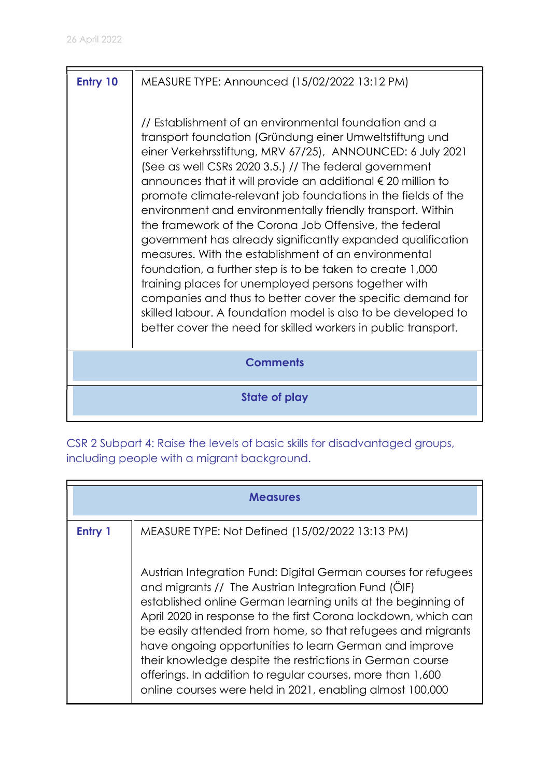# **Entry 10** | MEASURE TYPE: Announced (15/02/2022 13:12 PM) // Establishment of an environmental foundation and a transport foundation (Gründung einer Umweltstiftung und einer Verkehrsstiftung, MRV 67/25), ANNOUNCED: 6 July 2021 (See as well CSRs 2020 3.5.) // The federal government announces that it will provide an additional € 20 million to promote climate-relevant job foundations in the fields of the environment and environmentally friendly transport. Within the framework of the Corona Job Offensive, the federal government has already significantly expanded qualification measures. With the establishment of an environmental foundation, a further step is to be taken to create 1,000 training places for unemployed persons together with companies and thus to better cover the specific demand for skilled labour. A foundation model is also to be developed to better cover the need for skilled workers in public transport. **Comments** State of play

CSR 2 Subpart 4: Raise the levels of basic skills for disadvantaged groups, including people with a migrant background.

|         | <b>Measures</b>                                                                                                                                                                                                                                                                                                                                                                                                                                                                                                                                                          |  |
|---------|--------------------------------------------------------------------------------------------------------------------------------------------------------------------------------------------------------------------------------------------------------------------------------------------------------------------------------------------------------------------------------------------------------------------------------------------------------------------------------------------------------------------------------------------------------------------------|--|
| Entry 1 | MEASURE TYPE: Not Defined (15/02/2022 13:13 PM)                                                                                                                                                                                                                                                                                                                                                                                                                                                                                                                          |  |
|         | Austrian Integration Fund: Digital German courses for refugees<br>and migrants // The Austrian Integration Fund (ÖIF)<br>established online German learning units at the beginning of<br>April 2020 in response to the first Corona lockdown, which can<br>be easily attended from home, so that refugees and migrants<br>have ongoing opportunities to learn German and improve<br>their knowledge despite the restrictions in German course<br>offerings. In addition to regular courses, more than 1,600<br>online courses were held in 2021, enabling almost 100,000 |  |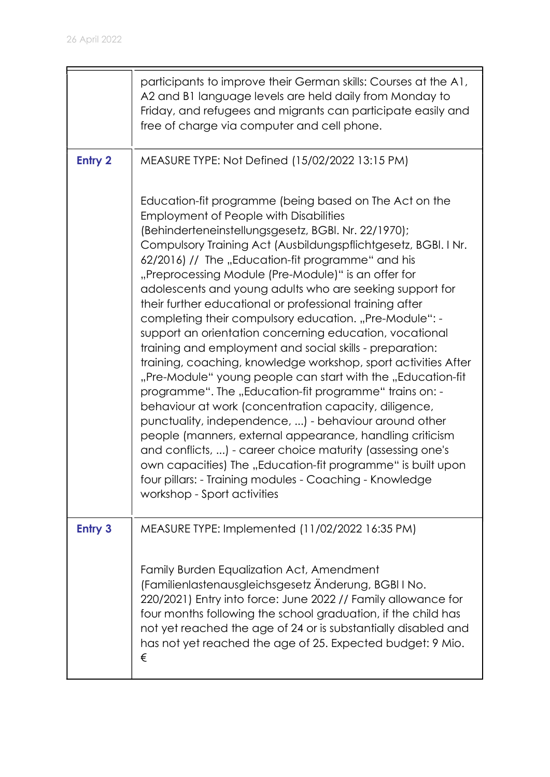|                | participants to improve their German skills: Courses at the A1,<br>A2 and B1 language levels are held daily from Monday to<br>Friday, and refugees and migrants can participate easily and<br>free of charge via computer and cell phone.                                                                                                                                                                                                                                                                                                                                                                                                                                                                                                                                                                                                                                                                                                                                                                                                                                                                                                                                                                                                             |
|----------------|-------------------------------------------------------------------------------------------------------------------------------------------------------------------------------------------------------------------------------------------------------------------------------------------------------------------------------------------------------------------------------------------------------------------------------------------------------------------------------------------------------------------------------------------------------------------------------------------------------------------------------------------------------------------------------------------------------------------------------------------------------------------------------------------------------------------------------------------------------------------------------------------------------------------------------------------------------------------------------------------------------------------------------------------------------------------------------------------------------------------------------------------------------------------------------------------------------------------------------------------------------|
| <b>Entry 2</b> | MEASURE TYPE: Not Defined (15/02/2022 13:15 PM)                                                                                                                                                                                                                                                                                                                                                                                                                                                                                                                                                                                                                                                                                                                                                                                                                                                                                                                                                                                                                                                                                                                                                                                                       |
|                | Education-fit programme (being based on The Act on the<br><b>Employment of People with Disabilities</b><br>(Behinderteneinstellungsgesetz, BGBI. Nr. 22/1970);<br>Compulsory Training Act (Ausbildungspflichtgesetz, BGBI. I Nr.<br>62/2016) // The "Education-fit programme" and his<br>"Preprocessing Module (Pre-Module)" is an offer for<br>adolescents and young adults who are seeking support for<br>their further educational or professional training after<br>completing their compulsory education. "Pre-Module": -<br>support an orientation concerning education, vocational<br>training and employment and social skills - preparation:<br>training, coaching, knowledge workshop, sport activities After<br>"Pre-Module" young people can start with the "Education-fit<br>programme". The "Education-fit programme" trains on: -<br>behaviour at work (concentration capacity, diligence,<br>punctuality, independence, ) - behaviour around other<br>people (manners, external appearance, handling criticism<br>and conflicts, ) - career choice maturity (assessing one's<br>own capacities) The "Education-fit programme" is built upon<br>four pillars: - Training modules - Coaching - Knowledge<br>workshop - Sport activities |
| <b>Entry 3</b> | MEASURE TYPE: Implemented (11/02/2022 16:35 PM)                                                                                                                                                                                                                                                                                                                                                                                                                                                                                                                                                                                                                                                                                                                                                                                                                                                                                                                                                                                                                                                                                                                                                                                                       |
|                | Family Burden Equalization Act, Amendment<br>(Familienlastenausgleichsgesetz Änderung, BGBI I No.<br>220/2021) Entry into force: June 2022 // Family allowance for<br>four months following the school graduation, if the child has<br>not yet reached the age of 24 or is substantially disabled and<br>has not yet reached the age of 25. Expected budget: 9 Mio.<br>€                                                                                                                                                                                                                                                                                                                                                                                                                                                                                                                                                                                                                                                                                                                                                                                                                                                                              |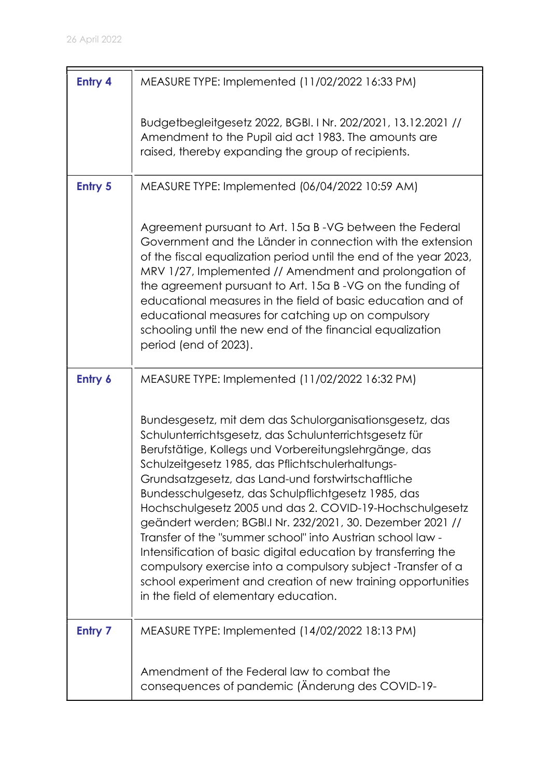| <b>Entry 4</b> | MEASURE TYPE: Implemented (11/02/2022 16:33 PM)                                                                                                                                                                                                                                                                                                                                                                                                                                                                                                                                                                                                                                                                                                                                 |
|----------------|---------------------------------------------------------------------------------------------------------------------------------------------------------------------------------------------------------------------------------------------------------------------------------------------------------------------------------------------------------------------------------------------------------------------------------------------------------------------------------------------------------------------------------------------------------------------------------------------------------------------------------------------------------------------------------------------------------------------------------------------------------------------------------|
|                | Budgetbegleitgesetz 2022, BGBI. I Nr. 202/2021, 13.12.2021 //<br>Amendment to the Pupil aid act 1983. The amounts are<br>raised, thereby expanding the group of recipients.                                                                                                                                                                                                                                                                                                                                                                                                                                                                                                                                                                                                     |
| <b>Entry 5</b> | MEASURE TYPE: Implemented (06/04/2022 10:59 AM)                                                                                                                                                                                                                                                                                                                                                                                                                                                                                                                                                                                                                                                                                                                                 |
|                | Agreement pursuant to Art. 15a B-VG between the Federal<br>Government and the Länder in connection with the extension<br>of the fiscal equalization period until the end of the year 2023,<br>MRV 1/27, Implemented // Amendment and prolongation of<br>the agreement pursuant to Art. 15a B-VG on the funding of<br>educational measures in the field of basic education and of<br>educational measures for catching up on compulsory<br>schooling until the new end of the financial equalization<br>period (end of 2023).                                                                                                                                                                                                                                                    |
| Entry 6        | MEASURE TYPE: Implemented (11/02/2022 16:32 PM)                                                                                                                                                                                                                                                                                                                                                                                                                                                                                                                                                                                                                                                                                                                                 |
|                | Bundesgesetz, mit dem das Schulorganisationsgesetz, das<br>Schulunterrichtsgesetz, das Schulunterrichtsgesetz für<br>Berufstätige, Kollegs und Vorbereitungslehrgänge, das<br>Schulzeitgesetz 1985, das Pflichtschulerhaltungs-<br>Grundsatzgesetz, das Land-und forstwirtschaftliche<br>Bundesschulgesetz, das Schulpflichtgesetz 1985, das<br>Hochschulgesetz 2005 und das 2. COVID-19-Hochschulgesetz<br>geändert werden; BGBI.I Nr. 232/2021, 30. Dezember 2021 //<br>Transfer of the "summer school" into Austrian school law -<br>Intensification of basic digital education by transferring the<br>compulsory exercise into a compulsory subject -Transfer of a<br>school experiment and creation of new training opportunities<br>in the field of elementary education. |
| <b>Entry 7</b> | MEASURE TYPE: Implemented (14/02/2022 18:13 PM)                                                                                                                                                                                                                                                                                                                                                                                                                                                                                                                                                                                                                                                                                                                                 |
|                | Amendment of the Federal law to combat the<br>consequences of pandemic (Anderung des COVID-19-                                                                                                                                                                                                                                                                                                                                                                                                                                                                                                                                                                                                                                                                                  |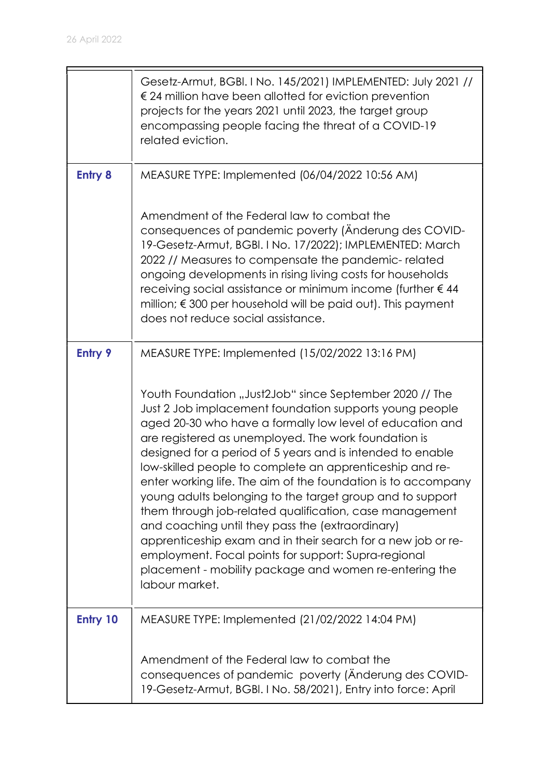|                 | Gesetz-Armut, BGBI. I No. 145/2021) IMPLEMENTED: July 2021 //<br>€ 24 million have been allotted for eviction prevention<br>projects for the years 2021 until 2023, the target group<br>encompassing people facing the threat of a COVID-19<br>related eviction.                                                                                                                                                                                                                                                                                                                                                                                                                                                                                                                                                   |
|-----------------|--------------------------------------------------------------------------------------------------------------------------------------------------------------------------------------------------------------------------------------------------------------------------------------------------------------------------------------------------------------------------------------------------------------------------------------------------------------------------------------------------------------------------------------------------------------------------------------------------------------------------------------------------------------------------------------------------------------------------------------------------------------------------------------------------------------------|
| <b>Entry 8</b>  | MEASURE TYPE: Implemented (06/04/2022 10:56 AM)                                                                                                                                                                                                                                                                                                                                                                                                                                                                                                                                                                                                                                                                                                                                                                    |
|                 | Amendment of the Federal law to combat the<br>consequences of pandemic poverty (Anderung des COVID-<br>19-Gesetz-Armut, BGBI. I No. 17/2022); IMPLEMENTED: March<br>2022 // Measures to compensate the pandemic-related<br>ongoing developments in rising living costs for households<br>receiving social assistance or minimum income (further €44<br>million; $\epsilon$ 300 per household will be paid out). This payment<br>does not reduce social assistance.                                                                                                                                                                                                                                                                                                                                                 |
| <b>Entry 9</b>  | MEASURE TYPE: Implemented (15/02/2022 13:16 PM)                                                                                                                                                                                                                                                                                                                                                                                                                                                                                                                                                                                                                                                                                                                                                                    |
|                 | Youth Foundation "Just2Job" since September 2020 // The<br>Just 2 Job implacement foundation supports young people<br>aged 20-30 who have a formally low level of education and<br>are registered as unemployed. The work foundation is<br>designed for a period of 5 years and is intended to enable<br>low-skilled people to complete an apprenticeship and re-<br>enter working life. The aim of the foundation is to accompany<br>young adults belonging to the target group and to support<br>them through job-related qualification, case management<br>and coaching until they pass the (extraordinary)<br>apprenticeship exam and in their search for a new job or re-<br>employment. Focal points for support: Supra-regional<br>placement - mobility package and women re-entering the<br>labour market. |
| <b>Entry 10</b> | MEASURE TYPE: Implemented (21/02/2022 14:04 PM)                                                                                                                                                                                                                                                                                                                                                                                                                                                                                                                                                                                                                                                                                                                                                                    |
|                 | Amendment of the Federal law to combat the<br>consequences of pandemic poverty (Anderung des COVID-<br>19-Gesetz-Armut, BGBI. I No. 58/2021), Entry into force: April                                                                                                                                                                                                                                                                                                                                                                                                                                                                                                                                                                                                                                              |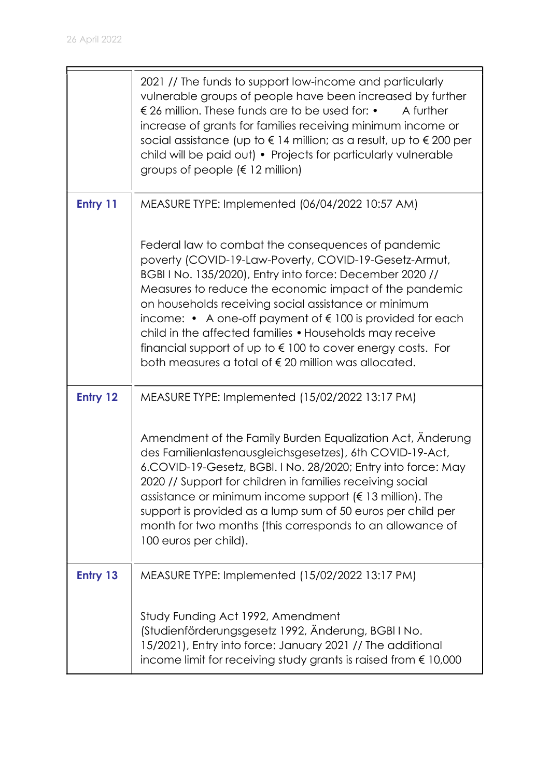|          | 2021 // The funds to support low-income and particularly<br>vulnerable groups of people have been increased by further<br>€ 26 million. These funds are to be used for: •<br>A further<br>increase of grants for families receiving minimum income or<br>social assistance (up to $\epsilon$ 14 million; as a result, up to $\epsilon$ 200 per<br>child will be paid out) • Projects for particularly vulnerable<br>groups of people ( $\in$ 12 million)                                                                                                                    |
|----------|-----------------------------------------------------------------------------------------------------------------------------------------------------------------------------------------------------------------------------------------------------------------------------------------------------------------------------------------------------------------------------------------------------------------------------------------------------------------------------------------------------------------------------------------------------------------------------|
| Entry 11 | MEASURE TYPE: Implemented (06/04/2022 10:57 AM)                                                                                                                                                                                                                                                                                                                                                                                                                                                                                                                             |
|          | Federal law to combat the consequences of pandemic<br>poverty (COVID-19-Law-Poverty, COVID-19-Gesetz-Armut,<br>BGBI I No. 135/2020), Entry into force: December 2020 //<br>Measures to reduce the economic impact of the pandemic<br>on households receiving social assistance or minimum<br>income: $\bullet$ A one-off payment of $\epsilon$ 100 is provided for each<br>child in the affected families • Households may receive<br>financial support of up to $\epsilon$ 100 to cover energy costs. For<br>both measures a total of $\epsilon$ 20 million was allocated. |
| Entry 12 | MEASURE TYPE: Implemented (15/02/2022 13:17 PM)                                                                                                                                                                                                                                                                                                                                                                                                                                                                                                                             |
|          | Amendment of the Family Burden Equalization Act, Anderung<br>des Familienlastenausgleichsgesetzes), 6th COVID-19-Act,<br>6.COVID-19-Gesetz, BGBI. I No. 28/2020; Entry into force: May<br>2020 // Support for children in families receiving social<br>assistance or minimum income support ( $\epsilon$ 13 million). The<br>support is provided as a lump sum of 50 euros per child per<br>month for two months (this corresponds to an allowance of<br>100 euros per child).                                                                                              |
| Entry 13 | MEASURE TYPE: Implemented (15/02/2022 13:17 PM)                                                                                                                                                                                                                                                                                                                                                                                                                                                                                                                             |
|          | Study Funding Act 1992, Amendment<br>(Studienförderungsgesetz 1992, Änderung, BGBI I No.<br>15/2021), Entry into force: January 2021 // The additional<br>income limit for receiving study grants is raised from $\epsilon$ 10,000                                                                                                                                                                                                                                                                                                                                          |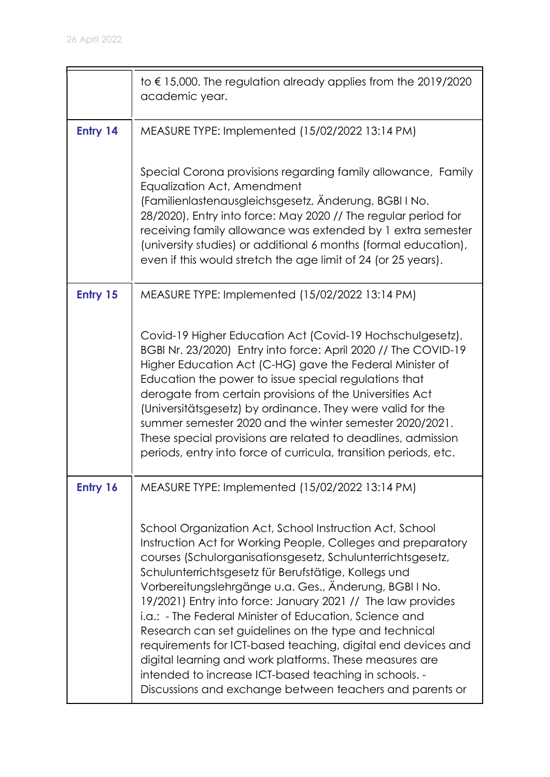|          | to $\epsilon$ 15,000. The regulation already applies from the 2019/2020<br>academic year.                                                                                                                                                                                                                                                                                                                                                                                                                                                                                                                                                                                                                                                 |
|----------|-------------------------------------------------------------------------------------------------------------------------------------------------------------------------------------------------------------------------------------------------------------------------------------------------------------------------------------------------------------------------------------------------------------------------------------------------------------------------------------------------------------------------------------------------------------------------------------------------------------------------------------------------------------------------------------------------------------------------------------------|
| Entry 14 | MEASURE TYPE: Implemented (15/02/2022 13:14 PM)                                                                                                                                                                                                                                                                                                                                                                                                                                                                                                                                                                                                                                                                                           |
|          | Special Corona provisions regarding family allowance, Family<br>Equalization Act, Amendment<br>(Familienlastenausgleichsgesetz, Änderung, BGBI I No.<br>28/2020), Entry into force: May 2020 // The regular period for<br>receiving family allowance was extended by 1 extra semester<br>(university studies) or additional 6 months (formal education),<br>even if this would stretch the age limit of 24 (or 25 years).                                                                                                                                                                                                                                                                                                                 |
| Entry 15 | MEASURE TYPE: Implemented (15/02/2022 13:14 PM)                                                                                                                                                                                                                                                                                                                                                                                                                                                                                                                                                                                                                                                                                           |
|          | Covid-19 Higher Education Act (Covid-19 Hochschulgesetz),<br>BGBI Nr. 23/2020) Entry into force: April 2020 // The COVID-19<br>Higher Education Act (C-HG) gave the Federal Minister of<br>Education the power to issue special regulations that<br>derogate from certain provisions of the Universities Act<br>(Universitätsgesetz) by ordinance. They were valid for the<br>summer semester 2020 and the winter semester 2020/2021.<br>These special provisions are related to deadlines, admission<br>periods, entry into force of curricula, transition periods, etc.                                                                                                                                                                 |
| Entry 16 | MEASURE TYPE: Implemented (15/02/2022 13:14 PM)                                                                                                                                                                                                                                                                                                                                                                                                                                                                                                                                                                                                                                                                                           |
|          | School Organization Act, School Instruction Act, School<br>Instruction Act for Working People, Colleges and preparatory<br>courses (Schulorganisationsgesetz, Schulunterrichtsgesetz,<br>Schulunterrichtsgesetz für Berufstätige, Kollegs und<br>Vorbereitungslehrgänge u.a. Ges., Änderung, BGBI I No.<br>19/2021) Entry into force: January 2021 // The law provides<br>i.a.: - The Federal Minister of Education, Science and<br>Research can set guidelines on the type and technical<br>requirements for ICT-based teaching, digital end devices and<br>digital learning and work platforms. These measures are<br>intended to increase ICT-based teaching in schools. -<br>Discussions and exchange between teachers and parents or |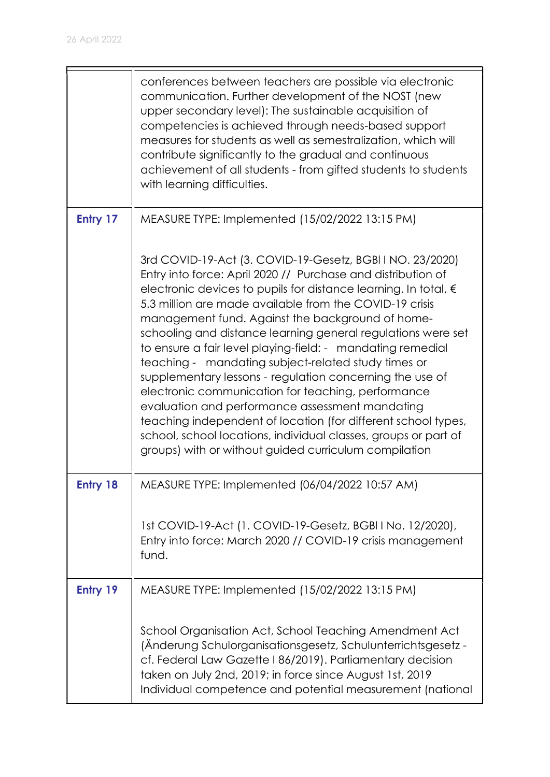|                 | conferences between teachers are possible via electronic<br>communication. Further development of the NOST (new<br>upper secondary level): The sustainable acquisition of<br>competencies is achieved through needs-based support<br>measures for students as well as semestralization, which will<br>contribute significantly to the gradual and continuous<br>achievement of all students - from gifted students to students<br>with learning difficulties.                                                                                                                                                                                                                                                                                                                                                                                                      |
|-----------------|--------------------------------------------------------------------------------------------------------------------------------------------------------------------------------------------------------------------------------------------------------------------------------------------------------------------------------------------------------------------------------------------------------------------------------------------------------------------------------------------------------------------------------------------------------------------------------------------------------------------------------------------------------------------------------------------------------------------------------------------------------------------------------------------------------------------------------------------------------------------|
| Entry 17        | MEASURE TYPE: Implemented (15/02/2022 13:15 PM)                                                                                                                                                                                                                                                                                                                                                                                                                                                                                                                                                                                                                                                                                                                                                                                                                    |
|                 | 3rd COVID-19-Act (3. COVID-19-Gesetz, BGBI I NO. 23/2020)<br>Entry into force: April 2020 // Purchase and distribution of<br>electronic devices to pupils for distance learning. In total, €<br>5.3 million are made available from the COVID-19 crisis<br>management fund. Against the background of home-<br>schooling and distance learning general regulations were set<br>to ensure a fair level playing-field: - mandating remedial<br>teaching - mandating subject-related study times or<br>supplementary lessons - regulation concerning the use of<br>electronic communication for teaching, performance<br>evaluation and performance assessment mandating<br>teaching independent of location (for different school types,<br>school, school locations, individual classes, groups or part of<br>groups) with or without guided curriculum compilation |
| <b>Entry 18</b> | MEASURE TYPE: Implemented (06/04/2022 10:57 AM)                                                                                                                                                                                                                                                                                                                                                                                                                                                                                                                                                                                                                                                                                                                                                                                                                    |
|                 | 1st COVID-19-Act (1. COVID-19-Gesetz, BGBI I No. 12/2020),<br>Entry into force: March 2020 // COVID-19 crisis management<br>fund.                                                                                                                                                                                                                                                                                                                                                                                                                                                                                                                                                                                                                                                                                                                                  |
| Entry 19        | MEASURE TYPE: Implemented (15/02/2022 13:15 PM)                                                                                                                                                                                                                                                                                                                                                                                                                                                                                                                                                                                                                                                                                                                                                                                                                    |
|                 | School Organisation Act, School Teaching Amendment Act<br>(Änderung Schulorganisationsgesetz, Schulunterrichtsgesetz -<br>cf. Federal Law Gazette I 86/2019). Parliamentary decision<br>taken on July 2nd, 2019; in force since August 1st, 2019<br>Individual competence and potential measurement (national                                                                                                                                                                                                                                                                                                                                                                                                                                                                                                                                                      |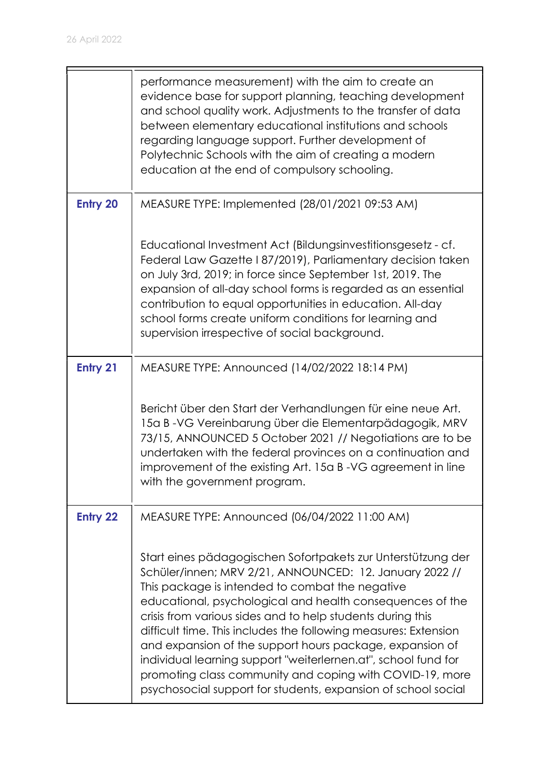F

|                 | performance measurement) with the aim to create an<br>evidence base for support planning, teaching development<br>and school quality work. Adjustments to the transfer of data<br>between elementary educational institutions and schools<br>regarding language support. Further development of<br>Polytechnic Schools with the aim of creating a modern<br>education at the end of compulsory schooling.                                                                                                                                                                                                                           |
|-----------------|-------------------------------------------------------------------------------------------------------------------------------------------------------------------------------------------------------------------------------------------------------------------------------------------------------------------------------------------------------------------------------------------------------------------------------------------------------------------------------------------------------------------------------------------------------------------------------------------------------------------------------------|
| <b>Entry 20</b> | MEASURE TYPE: Implemented (28/01/2021 09:53 AM)                                                                                                                                                                                                                                                                                                                                                                                                                                                                                                                                                                                     |
|                 | Educational Investment Act (Bildungsinvestitionsgesetz - cf.<br>Federal Law Gazette I 87/2019), Parliamentary decision taken<br>on July 3rd, 2019; in force since September 1st, 2019. The<br>expansion of all-day school forms is regarded as an essential<br>contribution to equal opportunities in education. All-day<br>school forms create uniform conditions for learning and<br>supervision irrespective of social background.                                                                                                                                                                                               |
| <b>Entry 21</b> | MEASURE TYPE: Announced (14/02/2022 18:14 PM)                                                                                                                                                                                                                                                                                                                                                                                                                                                                                                                                                                                       |
|                 | Bericht über den Start der Verhandlungen für eine neue Art.<br>15a B-VG Vereinbarung über die Elementarpädagogik, MRV<br>73/15, ANNOUNCED 5 October 2021 // Negotiations are to be<br>undertaken with the federal provinces on a continuation and<br>improvement of the existing Art. 15a B-VG agreement in line<br>with the government program.                                                                                                                                                                                                                                                                                    |
| <b>Entry 22</b> | MEASURE TYPE: Announced (06/04/2022 11:00 AM)                                                                                                                                                                                                                                                                                                                                                                                                                                                                                                                                                                                       |
|                 | Start eines pädagogischen Sofortpakets zur Unterstützung der<br>Schüler/innen; MRV 2/21, ANNOUNCED: 12. January 2022 //<br>This package is intended to combat the negative<br>educational, psychological and health consequences of the<br>crisis from various sides and to help students during this<br>difficult time. This includes the following measures: Extension<br>and expansion of the support hours package, expansion of<br>individual learning support "weiterlernen.at", school fund for<br>promoting class community and coping with COVID-19, more<br>psychosocial support for students, expansion of school social |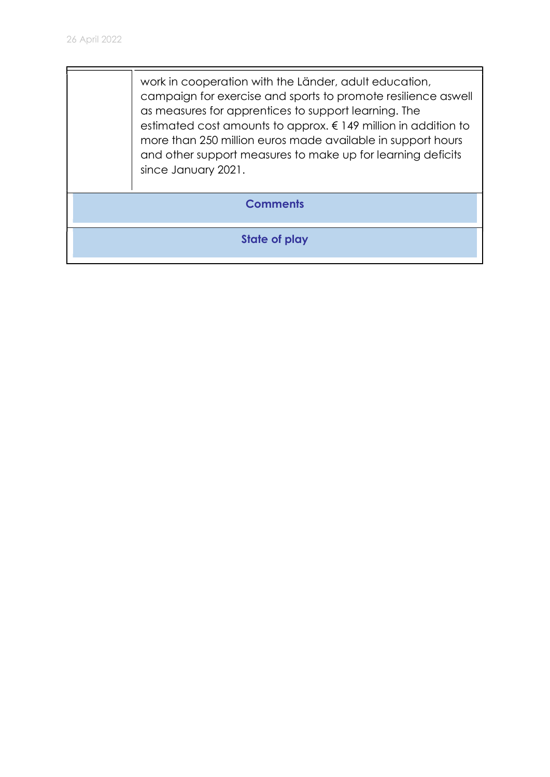work in cooperation with the Länder, adult education, campaign for exercise and sports to promote resilience aswell as measures for apprentices to support learning. The estimated cost amounts to approx. € 149 million in addition to more than 250 million euros made available in support hours and other support measures to make up for learning deficits since January 2021.

**Comments** 

State of play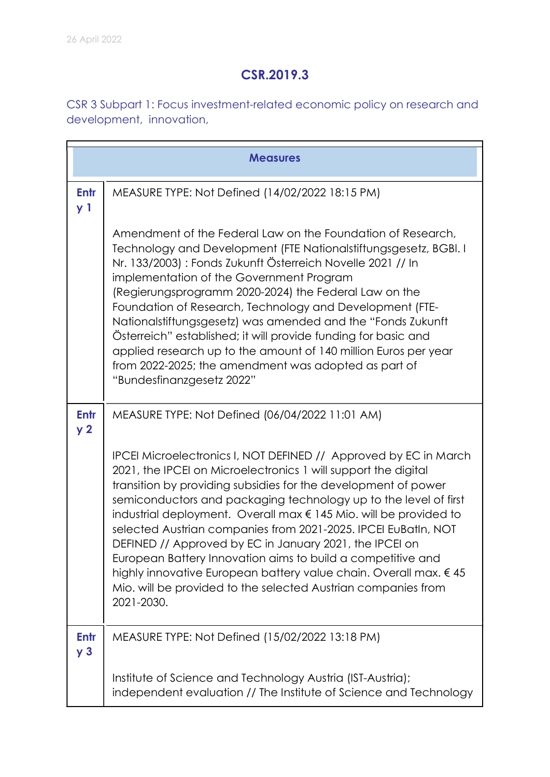## CSR.2019.3

CSR 3 Subpart 1: Focus investment-related economic policy on research and development, innovation,

|                               | <b>Measures</b>                                                                                                                                                                                                                                                                                                                                                                                                                                                                                                                                                                                                                                                                                       |  |
|-------------------------------|-------------------------------------------------------------------------------------------------------------------------------------------------------------------------------------------------------------------------------------------------------------------------------------------------------------------------------------------------------------------------------------------------------------------------------------------------------------------------------------------------------------------------------------------------------------------------------------------------------------------------------------------------------------------------------------------------------|--|
| <b>Entr</b><br>y <sub>1</sub> | MEASURE TYPE: Not Defined (14/02/2022 18:15 PM)                                                                                                                                                                                                                                                                                                                                                                                                                                                                                                                                                                                                                                                       |  |
|                               | Amendment of the Federal Law on the Foundation of Research,<br>Technology and Development (FTE Nationalstiftungsgesetz, BGBI. I<br>Nr. 133/2003) : Fonds Zukunft Österreich Novelle 2021 // In<br>implementation of the Government Program<br>(Regierungsprogramm 2020-2024) the Federal Law on the<br>Foundation of Research, Technology and Development (FTE-<br>Nationalstiftungsgesetz) was amended and the "Fonds Zukunft"<br>Österreich" established; it will provide funding for basic and<br>applied research up to the amount of 140 million Euros per year<br>from 2022-2025; the amendment was adopted as part of<br>"Bundesfinanzgesetz 2022"                                             |  |
| <b>Entr</b><br>y <sub>2</sub> | MEASURE TYPE: Not Defined (06/04/2022 11:01 AM)                                                                                                                                                                                                                                                                                                                                                                                                                                                                                                                                                                                                                                                       |  |
|                               | IPCEI Microelectronics I, NOT DEFINED // Approved by EC in March<br>2021, the IPCEI on Microelectronics 1 will support the digital<br>transition by providing subsidies for the development of power<br>semiconductors and packaging technology up to the level of first<br>industrial deployment. Overall max $\epsilon$ 145 Mio. will be provided to<br>selected Austrian companies from 2021-2025. IPCEI EuBatIn, NOT<br>DEFINED // Approved by EC in January 2021, the IPCEI on<br>European Battery Innovation aims to build a competitive and<br>highly innovative European battery value chain. Overall max. €45<br>Mio. will be provided to the selected Austrian companies from<br>2021-2030. |  |
| <b>Entr</b><br>y <sub>3</sub> | MEASURE TYPE: Not Defined (15/02/2022 13:18 PM)                                                                                                                                                                                                                                                                                                                                                                                                                                                                                                                                                                                                                                                       |  |
|                               | Institute of Science and Technology Austria (IST-Austria);<br>independent evaluation // The Institute of Science and Technology                                                                                                                                                                                                                                                                                                                                                                                                                                                                                                                                                                       |  |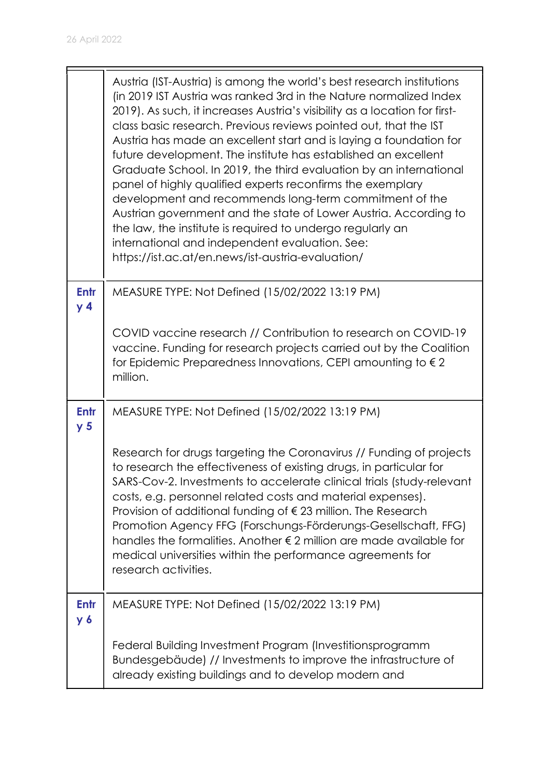|                        | Austria (IST-Austria) is among the world's best research institutions<br>(in 2019 IST Austria was ranked 3rd in the Nature normalized Index<br>2019). As such, it increases Austria's visibility as a location for first-<br>class basic research. Previous reviews pointed out, that the IST<br>Austria has made an excellent start and is laying a foundation for<br>future development. The institute has established an excellent<br>Graduate School. In 2019, the third evaluation by an international<br>panel of highly qualified experts reconfirms the exemplary<br>development and recommends long-term commitment of the<br>Austrian government and the state of Lower Austria. According to<br>the law, the institute is required to undergo regularly an<br>international and independent evaluation. See:<br>https://ist.ac.at/en.news/ist-austria-evaluation/ |
|------------------------|------------------------------------------------------------------------------------------------------------------------------------------------------------------------------------------------------------------------------------------------------------------------------------------------------------------------------------------------------------------------------------------------------------------------------------------------------------------------------------------------------------------------------------------------------------------------------------------------------------------------------------------------------------------------------------------------------------------------------------------------------------------------------------------------------------------------------------------------------------------------------|
| Entr<br>y <sub>4</sub> | MEASURE TYPE: Not Defined (15/02/2022 13:19 PM)                                                                                                                                                                                                                                                                                                                                                                                                                                                                                                                                                                                                                                                                                                                                                                                                                              |
|                        | COVID vaccine research // Contribution to research on COVID-19<br>vaccine. Funding for research projects carried out by the Coalition<br>for Epidemic Preparedness Innovations, CEPI amounting to $\epsilon$ 2<br>million.                                                                                                                                                                                                                                                                                                                                                                                                                                                                                                                                                                                                                                                   |
| Entr<br>y <sub>5</sub> | MEASURE TYPE: Not Defined (15/02/2022 13:19 PM)                                                                                                                                                                                                                                                                                                                                                                                                                                                                                                                                                                                                                                                                                                                                                                                                                              |
|                        | Research for drugs targeting the Coronavirus // Funding of projects<br>to research the effectiveness of existing drugs, in particular for<br>SARS-Cov-2. Investments to accelerate clinical trials (study-relevant<br>costs, e.g. personnel related costs and material expenses).<br>Provision of additional funding of $\epsilon$ 23 million. The Research<br>Promotion Agency FFG (Forschungs-Förderungs-Gesellschaft, FFG)<br>handles the formalities. Another $\epsilon$ 2 million are made available for<br>medical universities within the performance agreements for<br>research activities.                                                                                                                                                                                                                                                                          |
| Entr<br>$y_{6}$        | MEASURE TYPE: Not Defined (15/02/2022 13:19 PM)                                                                                                                                                                                                                                                                                                                                                                                                                                                                                                                                                                                                                                                                                                                                                                                                                              |
|                        | Federal Building Investment Program (Investitionsprogramm<br>Bundesgebäude) // Investments to improve the infrastructure of<br>already existing buildings and to develop modern and                                                                                                                                                                                                                                                                                                                                                                                                                                                                                                                                                                                                                                                                                          |

 $\blacksquare$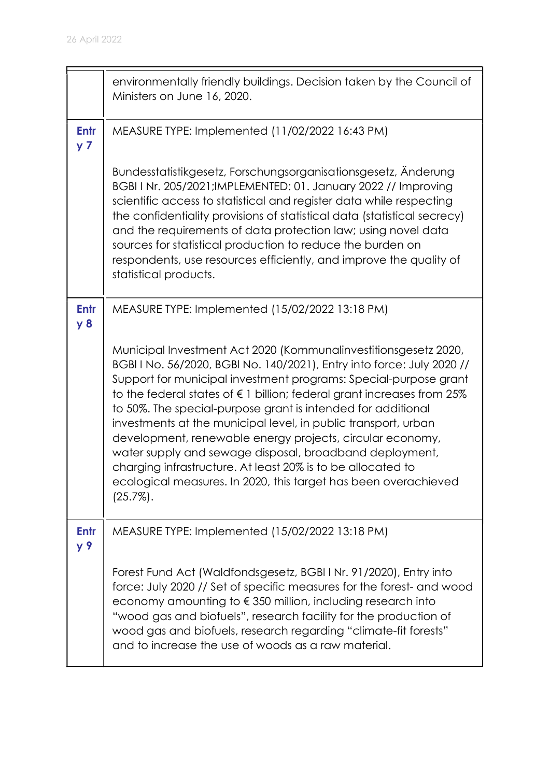|                        | environmentally friendly buildings. Decision taken by the Council of<br>Ministers on June 16, 2020.                                                                                                                                                                                                                                                                                                                                                                                                                                                                                                                                                                                                |
|------------------------|----------------------------------------------------------------------------------------------------------------------------------------------------------------------------------------------------------------------------------------------------------------------------------------------------------------------------------------------------------------------------------------------------------------------------------------------------------------------------------------------------------------------------------------------------------------------------------------------------------------------------------------------------------------------------------------------------|
| Entr<br>y <sub>7</sub> | MEASURE TYPE: Implemented (11/02/2022 16:43 PM)                                                                                                                                                                                                                                                                                                                                                                                                                                                                                                                                                                                                                                                    |
|                        | Bundesstatistikgesetz, Forschungsorganisationsgesetz, Änderung<br>BGBI I Nr. 205/2021; IMPLEMENTED: 01. January 2022 // Improving<br>scientific access to statistical and register data while respecting<br>the confidentiality provisions of statistical data (statistical secrecy)<br>and the requirements of data protection law; using novel data<br>sources for statistical production to reduce the burden on<br>respondents, use resources efficiently, and improve the quality of<br>statistical products.                                                                                                                                                                                 |
| Entr<br><b>y 8</b>     | MEASURE TYPE: Implemented (15/02/2022 13:18 PM)                                                                                                                                                                                                                                                                                                                                                                                                                                                                                                                                                                                                                                                    |
|                        | Municipal Investment Act 2020 (Kommunalinvestitionsgesetz 2020,<br>BGBI I No. 56/2020, BGBI No. 140/2021), Entry into force: July 2020 //<br>Support for municipal investment programs: Special-purpose grant<br>to the federal states of €1 billion; federal grant increases from 25%<br>to 50%. The special-purpose grant is intended for additional<br>investments at the municipal level, in public transport, urban<br>development, renewable energy projects, circular economy,<br>water supply and sewage disposal, broadband deployment,<br>charging infrastructure. At least 20% is to be allocated to<br>ecological measures. In 2020, this target has been overachieved<br>$(25.7\%)$ . |
| Entr<br>y 9            | MEASURE TYPE: Implemented (15/02/2022 13:18 PM)                                                                                                                                                                                                                                                                                                                                                                                                                                                                                                                                                                                                                                                    |
|                        | Forest Fund Act (Waldfondsgesetz, BGBI I Nr. 91/2020), Entry into<br>force: July 2020 // Set of specific measures for the forest- and wood<br>economy amounting to €350 million, including research into<br>"wood gas and biofuels", research facility for the production of<br>wood gas and biofuels, research regarding "climate-fit forests"<br>and to increase the use of woods as a raw material.                                                                                                                                                                                                                                                                                             |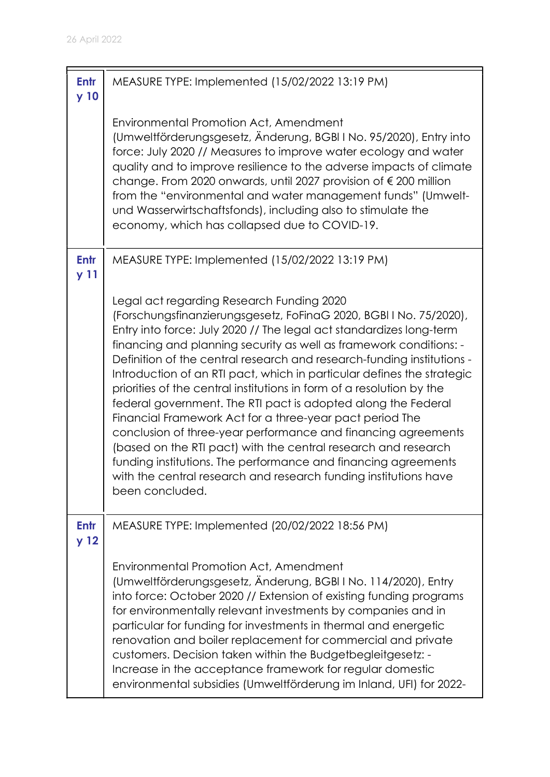| <b>Entr</b><br>y 10     | MEASURE TYPE: Implemented (15/02/2022 13:19 PM)                                                                                                                                                                                                                                                                                                                                                                                                                                                                                                                                                                                                                                                                                                                                                                                                                                                                    |
|-------------------------|--------------------------------------------------------------------------------------------------------------------------------------------------------------------------------------------------------------------------------------------------------------------------------------------------------------------------------------------------------------------------------------------------------------------------------------------------------------------------------------------------------------------------------------------------------------------------------------------------------------------------------------------------------------------------------------------------------------------------------------------------------------------------------------------------------------------------------------------------------------------------------------------------------------------|
|                         | <b>Environmental Promotion Act, Amendment</b><br>(Umweltförderungsgesetz, Änderung, BGBI I No. 95/2020), Entry into<br>force: July 2020 // Measures to improve water ecology and water<br>quality and to improve resilience to the adverse impacts of climate<br>change. From 2020 onwards, until 2027 provision of € 200 million<br>from the "environmental and water management funds" (Umwelt-<br>und Wasserwirtschaftsfonds), including also to stimulate the<br>economy, which has collapsed due to COVID-19.                                                                                                                                                                                                                                                                                                                                                                                                 |
| <b>Entr</b><br>y 11     | MEASURE TYPE: Implemented (15/02/2022 13:19 PM)                                                                                                                                                                                                                                                                                                                                                                                                                                                                                                                                                                                                                                                                                                                                                                                                                                                                    |
|                         | Legal act regarding Research Funding 2020<br>(Forschungsfinanzierungsgesetz, FoFinaG 2020, BGBI I No. 75/2020),<br>Entry into force: July 2020 // The legal act standardizes long-term<br>financing and planning security as well as framework conditions: -<br>Definition of the central research and research-funding institutions -<br>Introduction of an RTI pact, which in particular defines the strategic<br>priorities of the central institutions in form of a resolution by the<br>federal government. The RTI pact is adopted along the Federal<br>Financial Framework Act for a three-year pact period The<br>conclusion of three-year performance and financing agreements<br>(based on the RTI pact) with the central research and research<br>funding institutions. The performance and financing agreements<br>with the central research and research funding institutions have<br>been concluded. |
| Entr<br>y <sub>12</sub> | MEASURE TYPE: Implemented (20/02/2022 18:56 PM)                                                                                                                                                                                                                                                                                                                                                                                                                                                                                                                                                                                                                                                                                                                                                                                                                                                                    |
|                         | <b>Environmental Promotion Act, Amendment</b><br>(Umweltförderungsgesetz, Änderung, BGBI I No. 114/2020), Entry<br>into force: October 2020 // Extension of existing funding programs<br>for environmentally relevant investments by companies and in<br>particular for funding for investments in thermal and energetic<br>renovation and boiler replacement for commercial and private<br>customers. Decision taken within the Budgetbegleitgesetz: -<br>Increase in the acceptance framework for regular domestic<br>environmental subsidies (Umweltförderung im Inland, UFI) for 2022-                                                                                                                                                                                                                                                                                                                         |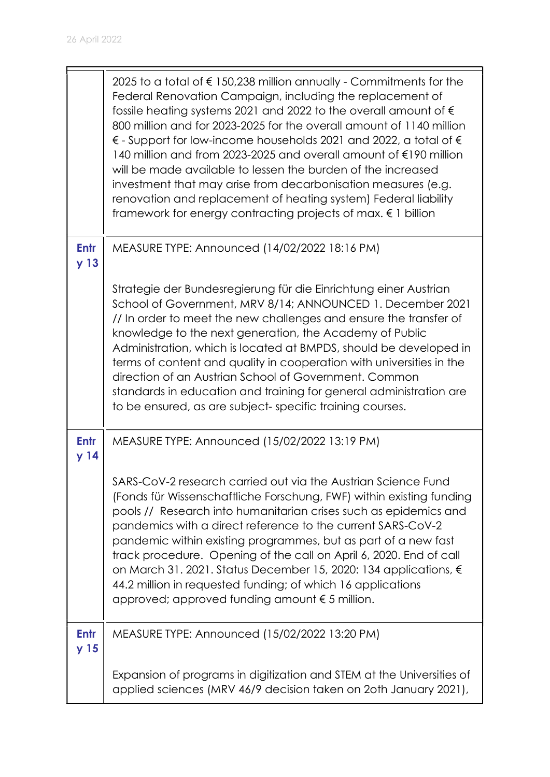|                                | 2025 to a total of € 150,238 million annually - Commitments for the<br>Federal Renovation Campaign, including the replacement of<br>fossile heating systems 2021 and 2022 to the overall amount of $\epsilon$<br>800 million and for 2023-2025 for the overall amount of 1140 million<br>$\epsilon$ - Support for low-income households 2021 and 2022, a total of $\epsilon$<br>140 million and from 2023-2025 and overall amount of €190 million<br>will be made available to lessen the burden of the increased<br>investment that may arise from decarbonisation measures (e.g.<br>renovation and replacement of heating system) Federal liability<br>framework for energy contracting projects of max. $\epsilon$ 1 billion |
|--------------------------------|---------------------------------------------------------------------------------------------------------------------------------------------------------------------------------------------------------------------------------------------------------------------------------------------------------------------------------------------------------------------------------------------------------------------------------------------------------------------------------------------------------------------------------------------------------------------------------------------------------------------------------------------------------------------------------------------------------------------------------|
| <b>Entr</b><br>y <sub>13</sub> | MEASURE TYPE: Announced (14/02/2022 18:16 PM)                                                                                                                                                                                                                                                                                                                                                                                                                                                                                                                                                                                                                                                                                   |
|                                | Strategie der Bundesregierung für die Einrichtung einer Austrian<br>School of Government, MRV 8/14; ANNOUNCED 1. December 2021<br>// In order to meet the new challenges and ensure the transfer of<br>knowledge to the next generation, the Academy of Public<br>Administration, which is located at BMPDS, should be developed in<br>terms of content and quality in cooperation with universities in the<br>direction of an Austrian School of Government. Common<br>standards in education and training for general administration are<br>to be ensured, as are subject-specific training courses.                                                                                                                          |
| <b>Entr</b><br>y <sub>14</sub> | MEASURE TYPE: Announced (15/02/2022 13:19 PM)                                                                                                                                                                                                                                                                                                                                                                                                                                                                                                                                                                                                                                                                                   |
|                                | SARS-CoV-2 research carried out via the Austrian Science Fund<br>(Fonds für Wissenschaftliche Forschung, FWF) within existing funding<br>pools // Research into humanitarian crises such as epidemics and<br>pandemics with a direct reference to the current SARS-CoV-2<br>pandemic within existing programmes, but as part of a new fast<br>track procedure. Opening of the call on April 6, 2020. End of call<br>on March 31. 2021. Status December 15, 2020: 134 applications, €<br>44.2 million in requested funding; of which 16 applications<br>approved; approved funding amount $\epsilon$ 5 million.                                                                                                                  |
| Entr<br>y <sub>15</sub>        | MEASURE TYPE: Announced (15/02/2022 13:20 PM)                                                                                                                                                                                                                                                                                                                                                                                                                                                                                                                                                                                                                                                                                   |
|                                | Expansion of programs in digitization and STEM at the Universities of<br>applied sciences (MRV 46/9 decision taken on 20th January 2021),                                                                                                                                                                                                                                                                                                                                                                                                                                                                                                                                                                                       |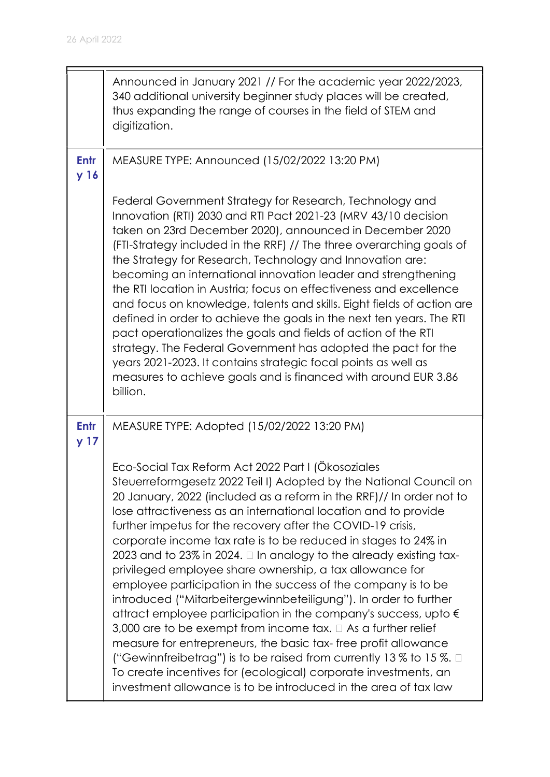|                                | Announced in January 2021 // For the academic year 2022/2023,<br>340 additional university beginner study places will be created,<br>thus expanding the range of courses in the field of STEM and<br>digitization.                                                                                                                                                                                                                                                                                                                                                                                                                                                                                                                                                                                                                                                                                                                                                                                                                                                                                                     |
|--------------------------------|------------------------------------------------------------------------------------------------------------------------------------------------------------------------------------------------------------------------------------------------------------------------------------------------------------------------------------------------------------------------------------------------------------------------------------------------------------------------------------------------------------------------------------------------------------------------------------------------------------------------------------------------------------------------------------------------------------------------------------------------------------------------------------------------------------------------------------------------------------------------------------------------------------------------------------------------------------------------------------------------------------------------------------------------------------------------------------------------------------------------|
| Entr<br>y <sub>16</sub>        | MEASURE TYPE: Announced (15/02/2022 13:20 PM)                                                                                                                                                                                                                                                                                                                                                                                                                                                                                                                                                                                                                                                                                                                                                                                                                                                                                                                                                                                                                                                                          |
|                                | Federal Government Strategy for Research, Technology and<br>Innovation (RTI) 2030 and RTI Pact 2021-23 (MRV 43/10 decision<br>taken on 23rd December 2020), announced in December 2020<br>(FTI-Strategy included in the RRF) // The three overarching goals of<br>the Strategy for Research, Technology and Innovation are:<br>becoming an international innovation leader and strengthening<br>the RTI location in Austria; focus on effectiveness and excellence<br>and focus on knowledge, talents and skills. Eight fields of action are<br>defined in order to achieve the goals in the next ten years. The RTI<br>pact operationalizes the goals and fields of action of the RTI<br>strategy. The Federal Government has adopted the pact for the<br>years 2021-2023. It contains strategic focal points as well as<br>measures to achieve goals and is financed with around EUR 3.86<br>billion.                                                                                                                                                                                                                |
| <b>Entr</b><br>y <sub>17</sub> | MEASURE TYPE: Adopted (15/02/2022 13:20 PM)                                                                                                                                                                                                                                                                                                                                                                                                                                                                                                                                                                                                                                                                                                                                                                                                                                                                                                                                                                                                                                                                            |
|                                | Eco-Social Tax Reform Act 2022 Part I (Ökosoziales<br>Steuerreformgesetz 2022 Teil I) Adopted by the National Council on<br>20 January, 2022 (included as a reform in the RRF)// In order not to<br>lose attractiveness as an international location and to provide<br>further impetus for the recovery after the COVID-19 crisis,<br>corporate income tax rate is to be reduced in stages to 24% in<br>2023 and to 23% in 2024. $\Box$ In analogy to the already existing tax-<br>privileged employee share ownership, a tax allowance for<br>employee participation in the success of the company is to be<br>introduced ("Mitarbeitergewinnbeteiligung"). In order to further<br>attract employee participation in the company's success, upto $\epsilon$<br>3,000 are to be exempt from income tax. $\Box$ As a further relief<br>measure for entrepreneurs, the basic tax-free profit allowance<br>("Gewinnfreibetrag") is to be raised from currently 13 % to 15 %. $\Box$<br>To create incentives for (ecological) corporate investments, an<br>investment allowance is to be introduced in the area of tax law |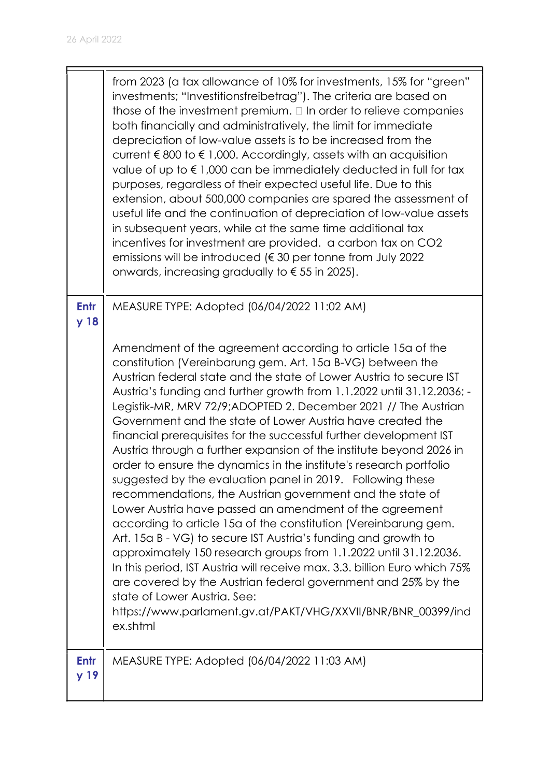|              | from 2023 (a tax allowance of 10% for investments, 15% for "green"<br>investments; "Investitionsfreibetrag"). The criteria are based on<br>those of the investment premium. $\Box$ In order to relieve companies<br>both financially and administratively, the limit for immediate<br>depreciation of low-value assets is to be increased from the<br>current $\epsilon$ 800 to $\epsilon$ 1,000. Accordingly, assets with an acquisition<br>value of up to €1,000 can be immediately deducted in full for tax<br>purposes, regardless of their expected useful life. Due to this<br>extension, about 500,000 companies are spared the assessment of<br>useful life and the continuation of depreciation of low-value assets<br>in subsequent years, while at the same time additional tax<br>incentives for investment are provided. a carbon tax on CO2<br>emissions will be introduced (€30 per tonne from July 2022<br>onwards, increasing gradually to $\epsilon$ 55 in 2025).                                                                                                                                                                                                                                                                                                                                                   |
|--------------|---------------------------------------------------------------------------------------------------------------------------------------------------------------------------------------------------------------------------------------------------------------------------------------------------------------------------------------------------------------------------------------------------------------------------------------------------------------------------------------------------------------------------------------------------------------------------------------------------------------------------------------------------------------------------------------------------------------------------------------------------------------------------------------------------------------------------------------------------------------------------------------------------------------------------------------------------------------------------------------------------------------------------------------------------------------------------------------------------------------------------------------------------------------------------------------------------------------------------------------------------------------------------------------------------------------------------------------|
| Entr<br>y 18 | MEASURE TYPE: Adopted (06/04/2022 11:02 AM)<br>Amendment of the agreement according to article 15a of the<br>constitution (Vereinbarung gem. Art. 15a B-VG) between the<br>Austrian federal state and the state of Lower Austria to secure IST<br>Austria's funding and further growth from 1.1.2022 until 31.12.2036; -<br>Legistik-MR, MRV 72/9;ADOPTED 2. December 2021 // The Austrian<br>Government and the state of Lower Austria have created the<br>financial prerequisites for the successful further development IST<br>Austria through a further expansion of the institute beyond 2026 in<br>order to ensure the dynamics in the institute's research portfolio<br>suggested by the evaluation panel in 2019. Following these<br>recommendations, the Austrian government and the state of<br>Lower Austria have passed an amendment of the agreement<br>according to article 15a of the constitution (Vereinbarung gem.<br>Art. 15a B - VG) to secure IST Austria's funding and growth to<br>approximately 150 research groups from 1.1.2022 until 31.12.2036.<br>In this period, IST Austria will receive max. 3.3. billion Euro which 75%<br>are covered by the Austrian federal government and 25% by the<br>state of Lower Austria. See:<br>https://www.parlament.gv.at/PAKT/VHG/XXVII/BNR/BNR_00399/ind<br>ex.shtml |
| Entr<br>y 19 | MEASURE TYPE: Adopted (06/04/2022 11:03 AM)                                                                                                                                                                                                                                                                                                                                                                                                                                                                                                                                                                                                                                                                                                                                                                                                                                                                                                                                                                                                                                                                                                                                                                                                                                                                                           |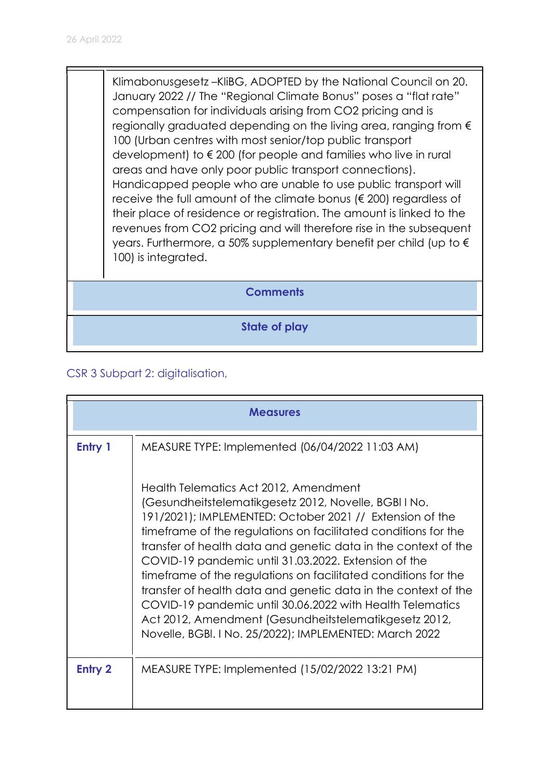Klimabonusgesetz –KliBG, ADOPTED by the National Council on 20. January 2022 // The "Regional Climate Bonus" poses a "flat rate" compensation for individuals arising from CO2 pricing and is regionally graduated depending on the living area, ranging from € 100 (Urban centres with most senior/top public transport development) to € 200 (for people and families who live in rural areas and have only poor public transport connections). Handicapped people who are unable to use public transport will receive the full amount of the climate bonus (€ 200) regardless of their place of residence or registration. The amount is linked to the revenues from CO2 pricing and will therefore rise in the subsequent years. Furthermore, a 50% supplementary benefit per child (up to € 100) is integrated.

## Comments

State of play

## CSR 3 Subpart 2: digitalisation,

| <b>Measures</b> |                                                                                                                                                                                                                                                                                                                                                                                                                                                                                                                                                                                                                                                                            |
|-----------------|----------------------------------------------------------------------------------------------------------------------------------------------------------------------------------------------------------------------------------------------------------------------------------------------------------------------------------------------------------------------------------------------------------------------------------------------------------------------------------------------------------------------------------------------------------------------------------------------------------------------------------------------------------------------------|
| Entry 1         | MEASURE TYPE: Implemented (06/04/2022 11:03 AM)                                                                                                                                                                                                                                                                                                                                                                                                                                                                                                                                                                                                                            |
|                 | Health Telematics Act 2012, Amendment<br>(Gesundheitstelematikgesetz 2012, Novelle, BGBI I No.<br>191/2021); IMPLEMENTED: October 2021 // Extension of the<br>timeframe of the regulations on facilitated conditions for the<br>transfer of health data and genetic data in the context of the<br>COVID-19 pandemic until 31.03.2022. Extension of the<br>timeframe of the regulations on facilitated conditions for the<br>transfer of health data and genetic data in the context of the<br>COVID-19 pandemic until 30.06.2022 with Health Telematics<br>Act 2012, Amendment (Gesundheitstelematikgesetz 2012,<br>Novelle, BGBI. I No. 25/2022); IMPLEMENTED: March 2022 |
| <b>Entry 2</b>  | MEASURE TYPE: Implemented (15/02/2022 13:21 PM)                                                                                                                                                                                                                                                                                                                                                                                                                                                                                                                                                                                                                            |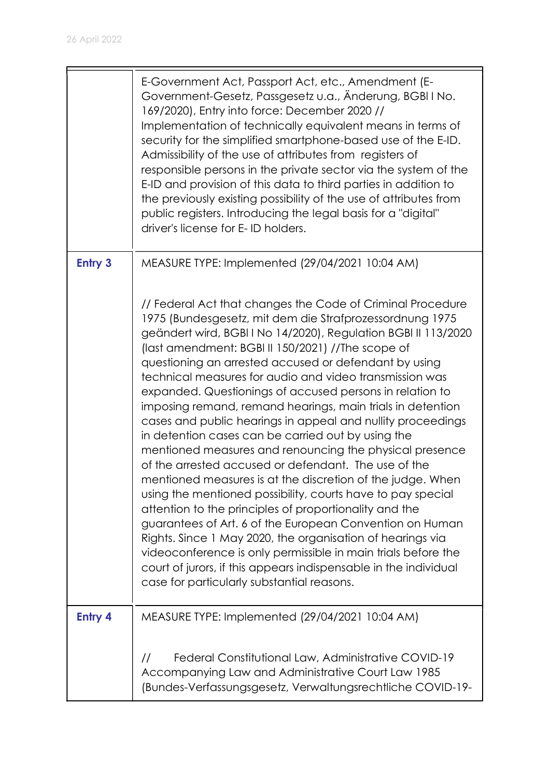|                | E-Government Act, Passport Act, etc., Amendment (E-<br>Government-Gesetz, Passgesetz u.a., Änderung, BGBI I No.<br>169/2020), Entry into force: December 2020 //<br>Implementation of technically equivalent means in terms of<br>security for the simplified smartphone-based use of the E-ID.<br>Admissibility of the use of attributes from registers of<br>responsible persons in the private sector via the system of the<br>E-ID and provision of this data to third parties in addition to<br>the previously existing possibility of the use of attributes from<br>public registers. Introducing the legal basis for a "digital"<br>driver's license for E-ID holders.                                                                                                                                                                                                                                                                                                                                                                                                                                                                                                                                                           |
|----------------|-----------------------------------------------------------------------------------------------------------------------------------------------------------------------------------------------------------------------------------------------------------------------------------------------------------------------------------------------------------------------------------------------------------------------------------------------------------------------------------------------------------------------------------------------------------------------------------------------------------------------------------------------------------------------------------------------------------------------------------------------------------------------------------------------------------------------------------------------------------------------------------------------------------------------------------------------------------------------------------------------------------------------------------------------------------------------------------------------------------------------------------------------------------------------------------------------------------------------------------------|
| <b>Entry 3</b> | MEASURE TYPE: Implemented (29/04/2021 10:04 AM)                                                                                                                                                                                                                                                                                                                                                                                                                                                                                                                                                                                                                                                                                                                                                                                                                                                                                                                                                                                                                                                                                                                                                                                         |
|                | // Federal Act that changes the Code of Criminal Procedure<br>1975 (Bundesgesetz, mit dem die Strafprozessordnung 1975<br>geändert wird, BGBI I No 14/2020), Regulation BGBI II 113/2020<br>(last amendment: BGBI II 150/2021) //The scope of<br>questioning an arrested accused or defendant by using<br>technical measures for audio and video transmission was<br>expanded. Questionings of accused persons in relation to<br>imposing remand, remand hearings, main trials in detention<br>cases and public hearings in appeal and nullity proceedings<br>in detention cases can be carried out by using the<br>mentioned measures and renouncing the physical presence<br>of the arrested accused or defendant. The use of the<br>mentioned measures is at the discretion of the judge. When<br>using the mentioned possibility, courts have to pay special<br>attention to the principles of proportionality and the<br>guarantees of Art. 6 of the European Convention on Human<br>Rights. Since 1 May 2020, the organisation of hearings via<br>videoconference is only permissible in main trials before the<br>court of jurors, if this appears indispensable in the individual<br>case for particularly substantial reasons. |
| <b>Entry 4</b> | MEASURE TYPE: Implemented (29/04/2021 10:04 AM)                                                                                                                                                                                                                                                                                                                                                                                                                                                                                                                                                                                                                                                                                                                                                                                                                                                                                                                                                                                                                                                                                                                                                                                         |
|                | Federal Constitutional Law, Administrative COVID-19<br>$\frac{1}{2}$<br>Accompanying Law and Administrative Court Law 1985<br>(Bundes-Verfassungsgesetz, Verwaltungsrechtliche COVID-19-                                                                                                                                                                                                                                                                                                                                                                                                                                                                                                                                                                                                                                                                                                                                                                                                                                                                                                                                                                                                                                                |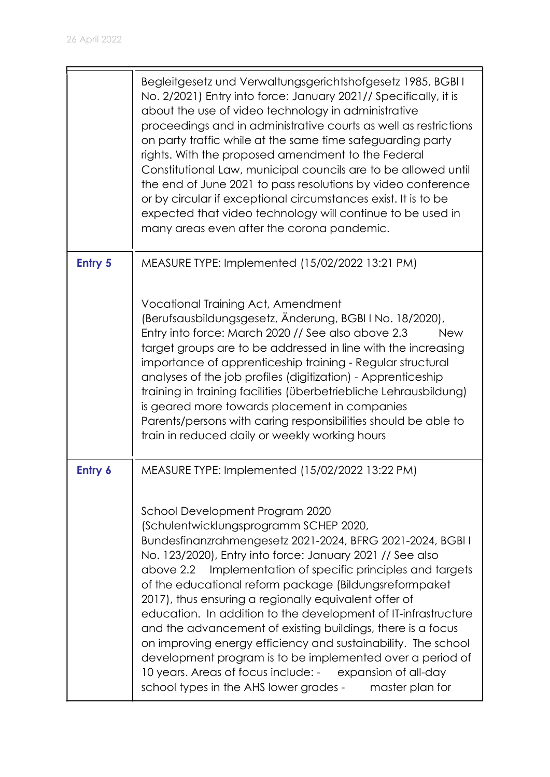|                | Begleitgesetz und Verwaltungsgerichtshofgesetz 1985, BGBI I<br>No. 2/2021) Entry into force: January 2021// Specifically, it is<br>about the use of video technology in administrative<br>proceedings and in administrative courts as well as restrictions<br>on party traffic while at the same time safeguarding party<br>rights. With the proposed amendment to the Federal<br>Constitutional Law, municipal councils are to be allowed until<br>the end of June 2021 to pass resolutions by video conference<br>or by circular if exceptional circumstances exist. It is to be<br>expected that video technology will continue to be used in<br>many areas even after the corona pandemic.                                                                                                                                    |
|----------------|-----------------------------------------------------------------------------------------------------------------------------------------------------------------------------------------------------------------------------------------------------------------------------------------------------------------------------------------------------------------------------------------------------------------------------------------------------------------------------------------------------------------------------------------------------------------------------------------------------------------------------------------------------------------------------------------------------------------------------------------------------------------------------------------------------------------------------------|
| <b>Entry 5</b> | MEASURE TYPE: Implemented (15/02/2022 13:21 PM)<br>Vocational Training Act, Amendment<br>(Berufsausbildungsgesetz, Änderung, BGBI I No. 18/2020),<br>Entry into force: March 2020 // See also above 2.3<br><b>New</b><br>target groups are to be addressed in line with the increasing<br>importance of apprenticeship training - Regular structural<br>analyses of the job profiles (digitization) - Apprenticeship<br>training in training facilities (überbetriebliche Lehrausbildung)<br>is geared more towards placement in companies<br>Parents/persons with caring responsibilities should be able to<br>train in reduced daily or weekly working hours                                                                                                                                                                    |
| Entry 6        | MEASURE TYPE: Implemented (15/02/2022 13:22 PM)<br>School Development Program 2020<br>(Schulentwicklungsprogramm SCHEP 2020,<br>Bundesfinanzrahmengesetz 2021-2024, BFRG 2021-2024, BGBI I<br>No. 123/2020), Entry into force: January 2021 // See also<br>above 2.2 Implementation of specific principles and targets<br>of the educational reform package (Bildungsreformpaket<br>2017), thus ensuring a regionally equivalent offer of<br>education. In addition to the development of IT-infrastructure<br>and the advancement of existing buildings, there is a focus<br>on improving energy efficiency and sustainability. The school<br>development program is to be implemented over a period of<br>10 years. Areas of focus include: - expansion of all-day<br>school types in the AHS lower grades -<br>master plan for |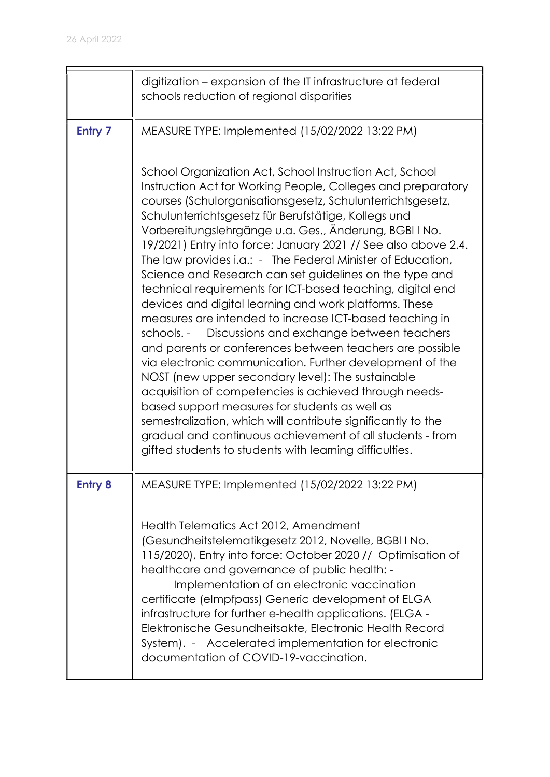|                | digitization - expansion of the IT infrastructure at federal<br>schools reduction of regional disparities                                                                                                                                                                                                                                                                                                                                                                                                                                                                                                                                                                                                                                                                                                                                                                                                                                                                                                                                                                                                                                                                                                                       |
|----------------|---------------------------------------------------------------------------------------------------------------------------------------------------------------------------------------------------------------------------------------------------------------------------------------------------------------------------------------------------------------------------------------------------------------------------------------------------------------------------------------------------------------------------------------------------------------------------------------------------------------------------------------------------------------------------------------------------------------------------------------------------------------------------------------------------------------------------------------------------------------------------------------------------------------------------------------------------------------------------------------------------------------------------------------------------------------------------------------------------------------------------------------------------------------------------------------------------------------------------------|
| <b>Entry 7</b> | MEASURE TYPE: Implemented (15/02/2022 13:22 PM)                                                                                                                                                                                                                                                                                                                                                                                                                                                                                                                                                                                                                                                                                                                                                                                                                                                                                                                                                                                                                                                                                                                                                                                 |
|                | School Organization Act, School Instruction Act, School<br>Instruction Act for Working People, Colleges and preparatory<br>courses (Schulorganisationsgesetz, Schulunterrichtsgesetz,<br>Schulunterrichtsgesetz für Berufstätige, Kollegs und<br>Vorbereitungslehrgänge u.a. Ges., Änderung, BGBI I No.<br>19/2021) Entry into force: January 2021 // See also above 2.4.<br>The law provides i.a.: - The Federal Minister of Education,<br>Science and Research can set guidelines on the type and<br>technical requirements for ICT-based teaching, digital end<br>devices and digital learning and work platforms. These<br>measures are intended to increase ICT-based teaching in<br>schools. - Discussions and exchange between teachers<br>and parents or conferences between teachers are possible<br>via electronic communication. Further development of the<br>NOST (new upper secondary level): The sustainable<br>acquisition of competencies is achieved through needs-<br>based support measures for students as well as<br>semestralization, which will contribute significantly to the<br>gradual and continuous achievement of all students - from<br>gifted students to students with learning difficulties. |
| <b>Entry 8</b> | MEASURE TYPE: Implemented (15/02/2022 13:22 PM)                                                                                                                                                                                                                                                                                                                                                                                                                                                                                                                                                                                                                                                                                                                                                                                                                                                                                                                                                                                                                                                                                                                                                                                 |
|                | Health Telematics Act 2012, Amendment<br>(Gesundheitstelematikgesetz 2012, Novelle, BGBI I No.<br>115/2020), Entry into force: October 2020 // Optimisation of<br>healthcare and governance of public health: -<br>Implementation of an electronic vaccination<br>certificate (elmpfpass) Generic development of ELGA<br>infrastructure for further e-health applications. (ELGA -<br>Elektronische Gesundheitsakte, Electronic Health Record<br>System). - Accelerated implementation for electronic<br>documentation of COVID-19-vaccination.                                                                                                                                                                                                                                                                                                                                                                                                                                                                                                                                                                                                                                                                                 |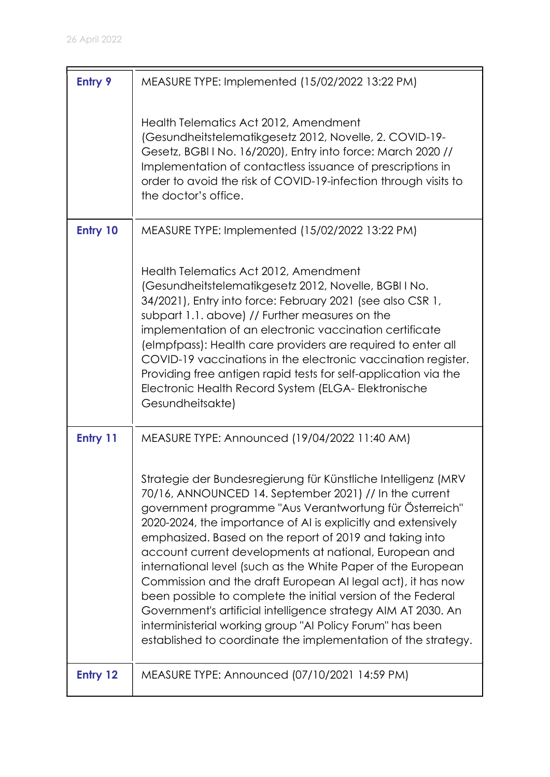| <b>Entry 9</b> | MEASURE TYPE: Implemented (15/02/2022 13:22 PM)                                                                                                                                                                                                                                                                                                                                                                                                                                                                                                                                                                                                                                                                                                                        |
|----------------|------------------------------------------------------------------------------------------------------------------------------------------------------------------------------------------------------------------------------------------------------------------------------------------------------------------------------------------------------------------------------------------------------------------------------------------------------------------------------------------------------------------------------------------------------------------------------------------------------------------------------------------------------------------------------------------------------------------------------------------------------------------------|
|                | Health Telematics Act 2012, Amendment<br>(Gesundheitstelematikgesetz 2012, Novelle, 2. COVID-19-<br>Gesetz, BGBI I No. 16/2020), Entry into force: March 2020 //<br>Implementation of contactless issuance of prescriptions in<br>order to avoid the risk of COVID-19-infection through visits to<br>the doctor's office.                                                                                                                                                                                                                                                                                                                                                                                                                                              |
| Entry 10       | MEASURE TYPE: Implemented (15/02/2022 13:22 PM)                                                                                                                                                                                                                                                                                                                                                                                                                                                                                                                                                                                                                                                                                                                        |
|                | Health Telematics Act 2012, Amendment<br>(Gesundheitstelematikgesetz 2012, Novelle, BGBI I No.<br>34/2021), Entry into force: February 2021 (see also CSR 1,<br>subpart 1.1. above) // Further measures on the<br>implementation of an electronic vaccination certificate<br>(elmpfpass): Health care providers are required to enter all<br>COVID-19 vaccinations in the electronic vaccination register.<br>Providing free antigen rapid tests for self-application via the<br>Electronic Health Record System (ELGA- Elektronische<br>Gesundheitsakte)                                                                                                                                                                                                              |
| Entry 11       | MEASURE TYPE: Announced (19/04/2022 11:40 AM)                                                                                                                                                                                                                                                                                                                                                                                                                                                                                                                                                                                                                                                                                                                          |
|                | Strategie der Bundesregierung für Künstliche Intelligenz (MRV<br>70/16, ANNOUNCED 14. September 2021) // In the current<br>government programme "Aus Verantwortung für Österreich"<br>2020-2024, the importance of AI is explicitly and extensively<br>emphasized. Based on the report of 2019 and taking into<br>account current developments at national, European and<br>international level (such as the White Paper of the European<br>Commission and the draft European AI legal act), it has now<br>been possible to complete the initial version of the Federal<br>Government's artificial intelligence strategy AIM AT 2030. An<br>interministerial working group "AI Policy Forum" has been<br>established to coordinate the implementation of the strategy. |
| Entry 12       | MEASURE TYPE: Announced (07/10/2021 14:59 PM)                                                                                                                                                                                                                                                                                                                                                                                                                                                                                                                                                                                                                                                                                                                          |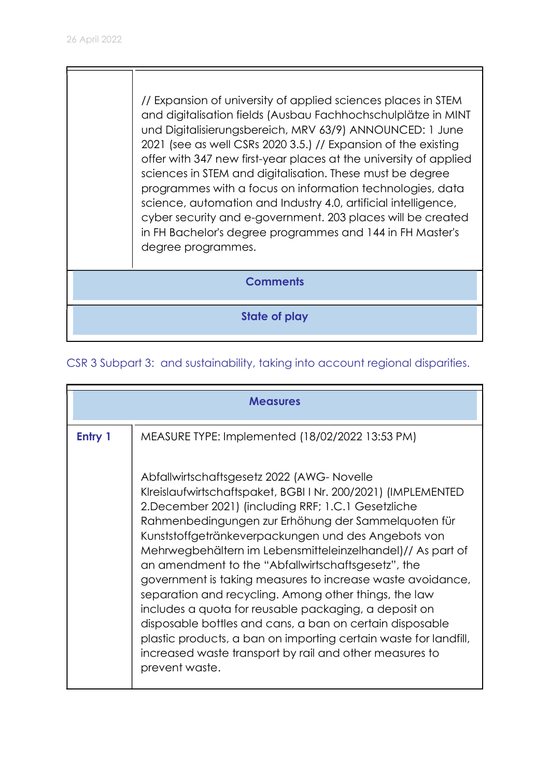// Expansion of university of applied sciences places in STEM and digitalisation fields (Ausbau Fachhochschulplätze in MINT und Digitalisierungsbereich, MRV 63/9) ANNOUNCED: 1 June 2021 (see as well CSRs 2020 3.5.) // Expansion of the existing offer with 347 new first-year places at the university of applied sciences in STEM and digitalisation. These must be degree programmes with a focus on information technologies, data science, automation and Industry 4.0, artificial intelligence, cyber security and e-government. 203 places will be created in FH Bachelor's degree programmes and 144 in FH Master's degree programmes.

**Comments** 

State of play

## CSR 3 Subpart 3: and sustainability, taking into account regional disparities.

|         | <b>Measures</b>                                                                                                                                                                                                                                                                                                                                                                                                                                                                                                                                                                                                                                                                                                                                                                                  |
|---------|--------------------------------------------------------------------------------------------------------------------------------------------------------------------------------------------------------------------------------------------------------------------------------------------------------------------------------------------------------------------------------------------------------------------------------------------------------------------------------------------------------------------------------------------------------------------------------------------------------------------------------------------------------------------------------------------------------------------------------------------------------------------------------------------------|
| Entry 1 | MEASURE TYPE: Implemented (18/02/2022 13:53 PM)                                                                                                                                                                                                                                                                                                                                                                                                                                                                                                                                                                                                                                                                                                                                                  |
|         | Abfallwirtschaftsgesetz 2022 (AWG-Novelle<br>Klreislaufwirtschaftspaket, BGBI I Nr. 200/2021) (IMPLEMENTED<br>2. December 2021) (including RRF; 1.C.1 Gesetzliche<br>Rahmenbedingungen zur Erhöhung der Sammelquoten für<br>Kunststoffgetränkeverpackungen und des Angebots von<br>Mehrwegbehältern im Lebensmitteleinzelhandel)// As part of<br>an amendment to the "Abfallwirtschaftsgesetz", the<br>government is taking measures to increase waste avoidance,<br>separation and recycling. Among other things, the law<br>includes a quota for reusable packaging, a deposit on<br>disposable bottles and cans, a ban on certain disposable<br>plastic products, a ban on importing certain waste for landfill,<br>increased waste transport by rail and other measures to<br>prevent waste. |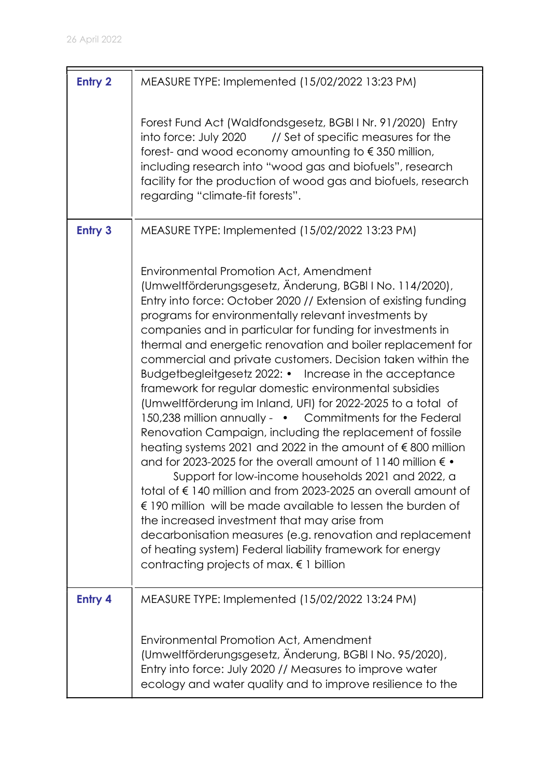| <b>Entry 2</b> | MEASURE TYPE: Implemented (15/02/2022 13:23 PM)                                                                                                                                                                                                                                                                                                                                                                                                                                                                                                                                                                                                                                                                                                                                                                                                                                                                                                                                                                                                                                                                                                                                                                                                                                                                     |
|----------------|---------------------------------------------------------------------------------------------------------------------------------------------------------------------------------------------------------------------------------------------------------------------------------------------------------------------------------------------------------------------------------------------------------------------------------------------------------------------------------------------------------------------------------------------------------------------------------------------------------------------------------------------------------------------------------------------------------------------------------------------------------------------------------------------------------------------------------------------------------------------------------------------------------------------------------------------------------------------------------------------------------------------------------------------------------------------------------------------------------------------------------------------------------------------------------------------------------------------------------------------------------------------------------------------------------------------|
|                | Forest Fund Act (Waldfondsgesetz, BGBI I Nr. 91/2020) Entry<br>into force: July 2020<br>// Set of specific measures for the<br>forest- and wood economy amounting to $\epsilon$ 350 million,<br>including research into "wood gas and biofuels", research<br>facility for the production of wood gas and biofuels, research<br>regarding "climate-fit forests".                                                                                                                                                                                                                                                                                                                                                                                                                                                                                                                                                                                                                                                                                                                                                                                                                                                                                                                                                     |
| <b>Entry 3</b> | MEASURE TYPE: Implemented (15/02/2022 13:23 PM)                                                                                                                                                                                                                                                                                                                                                                                                                                                                                                                                                                                                                                                                                                                                                                                                                                                                                                                                                                                                                                                                                                                                                                                                                                                                     |
|                | Environmental Promotion Act, Amendment<br>(Umweltförderungsgesetz, Änderung, BGBI I No. 114/2020),<br>Entry into force: October 2020 // Extension of existing funding<br>programs for environmentally relevant investments by<br>companies and in particular for funding for investments in<br>thermal and energetic renovation and boiler replacement for<br>commercial and private customers. Decision taken within the<br>Budgetbegleitgesetz 2022: • Increase in the acceptance<br>framework for regular domestic environmental subsidies<br>(Umweltförderung im Inland, UFI) for 2022-2025 to a total of<br>150,238 million annually - • Commitments for the Federal<br>Renovation Campaign, including the replacement of fossile<br>heating systems 2021 and 2022 in the amount of €800 million<br>and for 2023-2025 for the overall amount of 1140 million $\epsilon \bullet$<br>Support for low-income households 2021 and 2022, a<br>total of €140 million and from 2023-2025 an overall amount of<br>$\epsilon$ 190 million will be made available to lessen the burden of<br>the increased investment that may arise from<br>decarbonisation measures (e.g. renovation and replacement<br>of heating system) Federal liability framework for energy<br>contracting projects of max. $\epsilon$ 1 billion |
| <b>Entry 4</b> | MEASURE TYPE: Implemented (15/02/2022 13:24 PM)                                                                                                                                                                                                                                                                                                                                                                                                                                                                                                                                                                                                                                                                                                                                                                                                                                                                                                                                                                                                                                                                                                                                                                                                                                                                     |
|                | <b>Environmental Promotion Act, Amendment</b><br>(Umweltförderungsgesetz, Änderung, BGBI I No. 95/2020),<br>Entry into force: July 2020 // Measures to improve water<br>ecology and water quality and to improve resilience to the                                                                                                                                                                                                                                                                                                                                                                                                                                                                                                                                                                                                                                                                                                                                                                                                                                                                                                                                                                                                                                                                                  |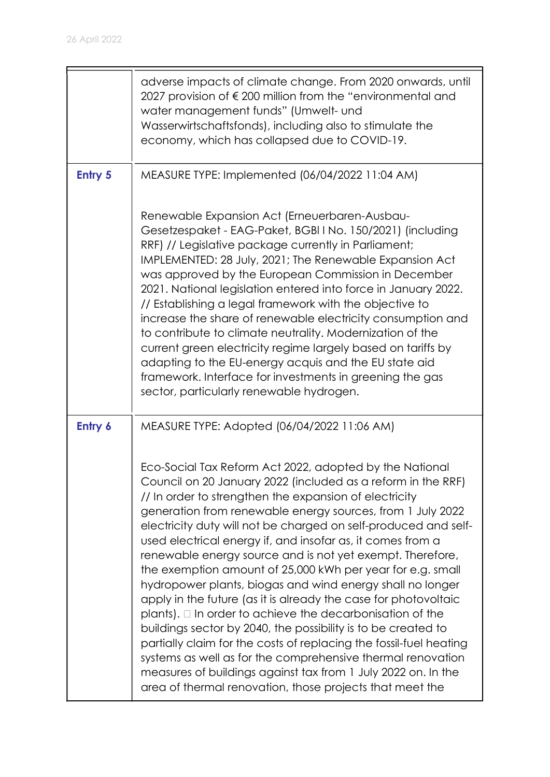|                | adverse impacts of climate change. From 2020 onwards, until<br>2027 provision of €200 million from the "environmental and<br>water management funds" (Umwelt- und<br>Wasserwirtschaftsfonds), including also to stimulate the<br>economy, which has collapsed due to COVID-19.                                                                                                                                                                                                                                                                                                                                                                                                                                                                                                                                                                                                                                                                                                                                                                   |
|----------------|--------------------------------------------------------------------------------------------------------------------------------------------------------------------------------------------------------------------------------------------------------------------------------------------------------------------------------------------------------------------------------------------------------------------------------------------------------------------------------------------------------------------------------------------------------------------------------------------------------------------------------------------------------------------------------------------------------------------------------------------------------------------------------------------------------------------------------------------------------------------------------------------------------------------------------------------------------------------------------------------------------------------------------------------------|
| <b>Entry 5</b> | MEASURE TYPE: Implemented (06/04/2022 11:04 AM)                                                                                                                                                                                                                                                                                                                                                                                                                                                                                                                                                                                                                                                                                                                                                                                                                                                                                                                                                                                                  |
|                | Renewable Expansion Act (Erneuerbaren-Ausbau-<br>Gesetzespaket - EAG-Paket, BGBI I No. 150/2021) (including<br>RRF) // Legislative package currently in Parliament;<br>IMPLEMENTED: 28 July, 2021; The Renewable Expansion Act<br>was approved by the European Commission in December<br>2021. National legislation entered into force in January 2022.<br>// Establishing a legal framework with the objective to<br>increase the share of renewable electricity consumption and<br>to contribute to climate neutrality. Modernization of the<br>current green electricity regime largely based on tariffs by<br>adapting to the EU-energy acquis and the EU state aid<br>framework. Interface for investments in greening the gas<br>sector, particularly renewable hydrogen.                                                                                                                                                                                                                                                                  |
| Entry 6        | MEASURE TYPE: Adopted (06/04/2022 11:06 AM)                                                                                                                                                                                                                                                                                                                                                                                                                                                                                                                                                                                                                                                                                                                                                                                                                                                                                                                                                                                                      |
|                | Eco-Social Tax Reform Act 2022, adopted by the National<br>Council on 20 January 2022 (included as a reform in the RRF)<br>// In order to strengthen the expansion of electricity<br>generation from renewable energy sources, from 1 July 2022<br>electricity duty will not be charged on self-produced and self-<br>used electrical energy if, and insofar as, it comes from a<br>renewable energy source and is not yet exempt. Therefore,<br>the exemption amount of 25,000 kWh per year for e.g. small<br>hydropower plants, biogas and wind energy shall no longer<br>apply in the future (as it is already the case for photovoltaic<br>plants). $\Box$ In order to achieve the decarbonisation of the<br>buildings sector by 2040, the possibility is to be created to<br>partially claim for the costs of replacing the fossil-fuel heating<br>systems as well as for the comprehensive thermal renovation<br>measures of buildings against tax from 1 July 2022 on. In the<br>area of thermal renovation, those projects that meet the |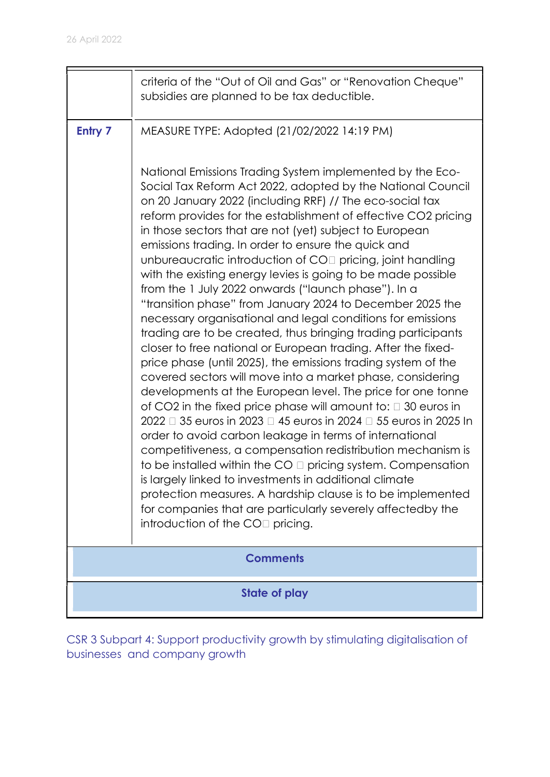|                | criteria of the "Out of Oil and Gas" or "Renovation Cheque"<br>subsidies are planned to be tax deductible.                                                                                                                                                                                                                                                                                                                                                                                                                                                                                                                                                                                                                                                                                                                                                                                                                                               |  |
|----------------|----------------------------------------------------------------------------------------------------------------------------------------------------------------------------------------------------------------------------------------------------------------------------------------------------------------------------------------------------------------------------------------------------------------------------------------------------------------------------------------------------------------------------------------------------------------------------------------------------------------------------------------------------------------------------------------------------------------------------------------------------------------------------------------------------------------------------------------------------------------------------------------------------------------------------------------------------------|--|
| <b>Entry 7</b> | MEASURE TYPE: Adopted (21/02/2022 14:19 PM)<br>National Emissions Trading System implemented by the Eco-<br>Social Tax Reform Act 2022, adopted by the National Council<br>on 20 January 2022 (including RRF) // The eco-social tax<br>reform provides for the establishment of effective CO2 pricing<br>in those sectors that are not (yet) subject to European<br>emissions trading. In order to ensure the quick and<br>unbureaucratic introduction of CO <sub>[]</sub> pricing, joint handling<br>with the existing energy levies is going to be made possible<br>from the 1 July 2022 onwards ("launch phase"). In a<br>"transition phase" from January 2024 to December 2025 the<br>necessary organisational and legal conditions for emissions<br>trading are to be created, thus bringing trading participants<br>closer to free national or European trading. After the fixed-<br>price phase (until 2025), the emissions trading system of the |  |
|                | covered sectors will move into a market phase, considering<br>developments at the European level. The price for one tonne<br>of CO2 in the fixed price phase will amount to: $\Box$ 30 euros in<br>2022 □ 35 euros in 2023 □ 45 euros in 2024 □ 55 euros in 2025 In<br>order to avoid carbon leakage in terms of international<br>competitiveness, a compensation redistribution mechanism is<br>to be installed within the $CO \square$ pricing system. Compensation<br>is laraely linked to investments in additional climate<br>protection measures. A hardship clause is to be implemented<br>for companies that are particularly severely affectedby the<br>introduction of the $COII$ pricing.<br><b>Comments</b>                                                                                                                                                                                                                                  |  |
|                |                                                                                                                                                                                                                                                                                                                                                                                                                                                                                                                                                                                                                                                                                                                                                                                                                                                                                                                                                          |  |
|                | State of play                                                                                                                                                                                                                                                                                                                                                                                                                                                                                                                                                                                                                                                                                                                                                                                                                                                                                                                                            |  |

CSR 3 Subpart 4: Support productivity growth by stimulating digitalisation of businesses and company growth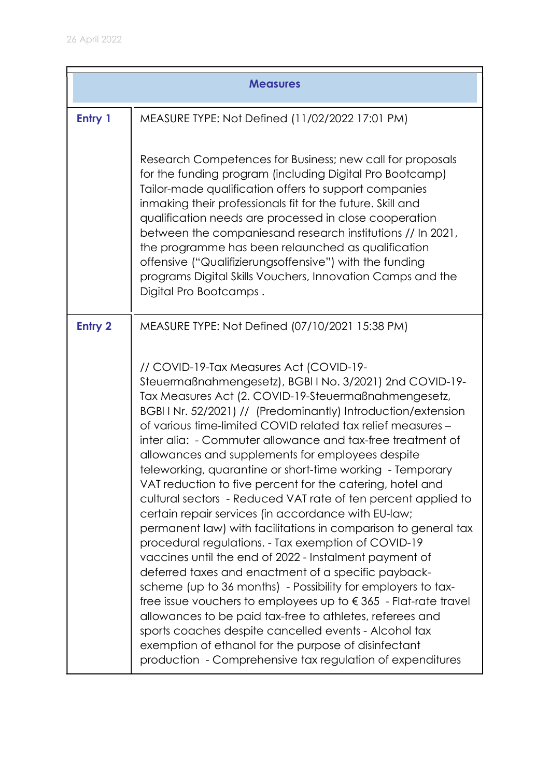|                | <b>Measures</b>                                                                                                                                                                                                                                                                                                                                                                                                                                                                                                                                                                                                                                                                                                                                                                                                                                                                                                                                                                                                                                                                                                                                                                                                                                                                               |  |
|----------------|-----------------------------------------------------------------------------------------------------------------------------------------------------------------------------------------------------------------------------------------------------------------------------------------------------------------------------------------------------------------------------------------------------------------------------------------------------------------------------------------------------------------------------------------------------------------------------------------------------------------------------------------------------------------------------------------------------------------------------------------------------------------------------------------------------------------------------------------------------------------------------------------------------------------------------------------------------------------------------------------------------------------------------------------------------------------------------------------------------------------------------------------------------------------------------------------------------------------------------------------------------------------------------------------------|--|
| Entry 1        | MEASURE TYPE: Not Defined (11/02/2022 17:01 PM)                                                                                                                                                                                                                                                                                                                                                                                                                                                                                                                                                                                                                                                                                                                                                                                                                                                                                                                                                                                                                                                                                                                                                                                                                                               |  |
|                | Research Competences for Business; new call for proposals<br>for the funding program (including Digital Pro Bootcamp)<br>Tailor-made qualification offers to support companies<br>inmaking their professionals fit for the future. Skill and<br>qualification needs are processed in close cooperation<br>between the companiesand research institutions // In 2021,<br>the programme has been relaunched as qualification<br>offensive ("Qualifizierungsoffensive") with the funding<br>programs Digital Skills Vouchers, Innovation Camps and the<br>Digital Pro Bootcamps.                                                                                                                                                                                                                                                                                                                                                                                                                                                                                                                                                                                                                                                                                                                 |  |
| <b>Entry 2</b> | MEASURE TYPE: Not Defined (07/10/2021 15:38 PM)                                                                                                                                                                                                                                                                                                                                                                                                                                                                                                                                                                                                                                                                                                                                                                                                                                                                                                                                                                                                                                                                                                                                                                                                                                               |  |
|                | // COVID-19-Tax Measures Act (COVID-19-<br>Steuermaßnahmengesetz), BGBIINo. 3/2021) 2nd COVID-19-<br>Tax Measures Act (2. COVID-19-Steuermaßnahmengesetz,<br>BGBI I Nr. 52/2021) // (Predominantly) Introduction/extension<br>of various time-limited COVID related tax relief measures -<br>inter alia: - Commuter allowance and tax-free treatment of<br>allowances and supplements for employees despite<br>teleworking, quarantine or short-time working - Temporary<br>VAT reduction to five percent for the catering, hotel and<br>cultural sectors - Reduced VAT rate of ten percent applied to<br>certain repair services (in accordance with EU-law;<br>permanent law) with facilitations in comparison to general tax<br>procedural regulations. - Tax exemption of COVID-19<br>vaccines until the end of 2022 - Instalment payment of<br>deferred taxes and enactment of a specific payback-<br>scheme (up to 36 months) - Possibility for employers to tax-<br>free issue vouchers to employees up to $\epsilon$ 365 - Flat-rate travel<br>allowances to be paid tax-free to athletes, referees and<br>sports coaches despite cancelled events - Alcohol tax<br>exemption of ethanol for the purpose of disinfectant<br>production - Comprehensive tax regulation of expenditures |  |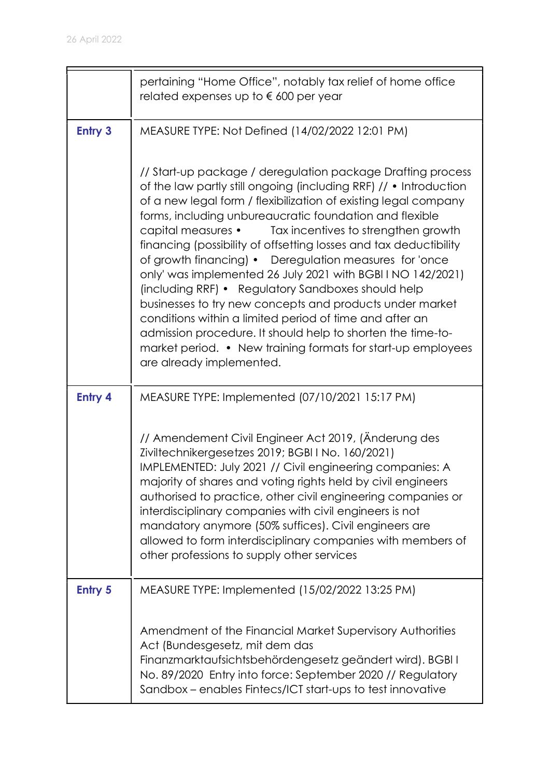|                | pertaining "Home Office", notably tax relief of home office<br>related expenses up to $\epsilon$ 600 per year                                                                                                                                                                                                                                                                                                                                                                                                                                                                                                                                                                                                                                                                                                                                                  |
|----------------|----------------------------------------------------------------------------------------------------------------------------------------------------------------------------------------------------------------------------------------------------------------------------------------------------------------------------------------------------------------------------------------------------------------------------------------------------------------------------------------------------------------------------------------------------------------------------------------------------------------------------------------------------------------------------------------------------------------------------------------------------------------------------------------------------------------------------------------------------------------|
| <b>Entry 3</b> | MEASURE TYPE: Not Defined (14/02/2022 12:01 PM)                                                                                                                                                                                                                                                                                                                                                                                                                                                                                                                                                                                                                                                                                                                                                                                                                |
|                | // Start-up package / deregulation package Drafting process<br>of the law partly still ongoing (including RRF) // • Introduction<br>of a new legal form / flexibilization of existing legal company<br>forms, including unbureaucratic foundation and flexible<br>capital measures • Tax incentives to strengthen growth<br>financing (possibility of offsetting losses and tax deductibility<br>of growth financing) • Deregulation measures for 'once<br>only' was implemented 26 July 2021 with BGBI I NO 142/2021)<br>(including RRF) • Regulatory Sandboxes should help<br>businesses to try new concepts and products under market<br>conditions within a limited period of time and after an<br>admission procedure. It should help to shorten the time-to-<br>market period. • New training formats for start-up employees<br>are already implemented. |
| <b>Entry 4</b> | MEASURE TYPE: Implemented (07/10/2021 15:17 PM)                                                                                                                                                                                                                                                                                                                                                                                                                                                                                                                                                                                                                                                                                                                                                                                                                |
|                | // Amendement Civil Engineer Act 2019, (Änderung des<br>Ziviltechnikergesetzes 2019; BGBI I No. 160/2021)<br>IMPLEMENTED: July 2021 // Civil engineering companies: A<br>majority of shares and voting rights held by civil engineers<br>authorised to practice, other civil engineering companies or<br>interdisciplinary companies with civil engineers is not<br>mandatory anymore (50% suffices). Civil engineers are<br>allowed to form interdisciplinary companies with members of<br>other professions to supply other services                                                                                                                                                                                                                                                                                                                         |
| <b>Entry 5</b> | MEASURE TYPE: Implemented (15/02/2022 13:25 PM)                                                                                                                                                                                                                                                                                                                                                                                                                                                                                                                                                                                                                                                                                                                                                                                                                |
|                | Amendment of the Financial Market Supervisory Authorities<br>Act (Bundesgesetz, mit dem das<br>Finanzmarktaufsichtsbehördengesetz geändert wird). BGBI I<br>No. 89/2020 Entry into force: September 2020 // Regulatory<br>Sandbox – enables Fintecs/ICT start-ups to test innovative                                                                                                                                                                                                                                                                                                                                                                                                                                                                                                                                                                           |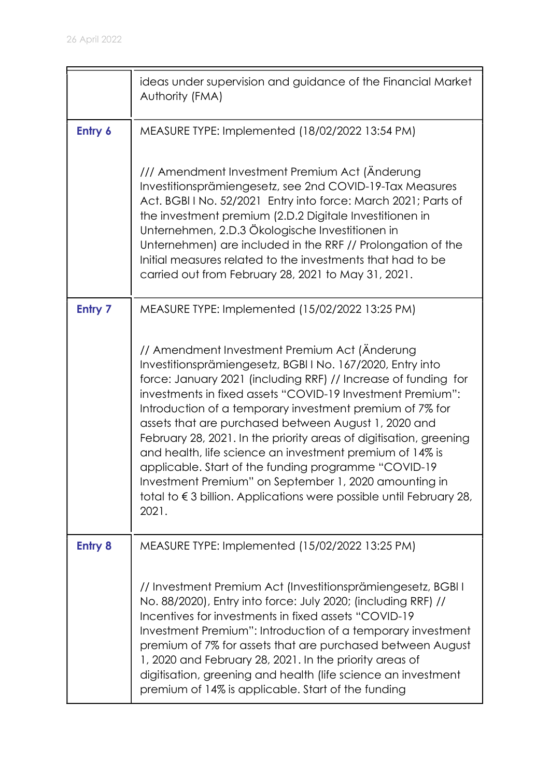|                | ideas under supervision and guidance of the Financial Market<br>Authority (FMA)                                                                                                                                                                                                                                                                                                                                                                                                                                                                                                                                                                                                                             |
|----------------|-------------------------------------------------------------------------------------------------------------------------------------------------------------------------------------------------------------------------------------------------------------------------------------------------------------------------------------------------------------------------------------------------------------------------------------------------------------------------------------------------------------------------------------------------------------------------------------------------------------------------------------------------------------------------------------------------------------|
| Entry 6        | MEASURE TYPE: Implemented (18/02/2022 13:54 PM)<br>/// Amendment Investment Premium Act (Änderung                                                                                                                                                                                                                                                                                                                                                                                                                                                                                                                                                                                                           |
|                | Investitionsprämiengesetz, see 2nd COVID-19-Tax Measures<br>Act. BGBI I No. 52/2021 Entry into force: March 2021; Parts of<br>the investment premium (2.D.2 Digitale Investitionen in<br>Unternehmen, 2.D.3 Ökologische Investitionen in<br>Unternehmen) are included in the RRF // Prolongation of the<br>Initial measures related to the investments that had to be<br>carried out from February 28, 2021 to May 31, 2021.                                                                                                                                                                                                                                                                                |
| <b>Entry 7</b> | MEASURE TYPE: Implemented (15/02/2022 13:25 PM)                                                                                                                                                                                                                                                                                                                                                                                                                                                                                                                                                                                                                                                             |
|                | // Amendment Investment Premium Act (Änderung<br>Investitionsprämiengesetz, BGBI I No. 167/2020, Entry into<br>force: January 2021 (including RRF) // Increase of funding for<br>investments in fixed assets "COVID-19 Investment Premium":<br>Introduction of a temporary investment premium of 7% for<br>assets that are purchased between August 1, 2020 and<br>February 28, 2021. In the priority areas of digitisation, greening<br>and health, life science an investment premium of 14% is<br>applicable. Start of the funding programme "COVID-19<br>Investment Premium" on September 1, 2020 amounting in<br>total to $\epsilon$ 3 billion. Applications were possible until February 28,<br>2021. |
| <b>Entry 8</b> | MEASURE TYPE: Implemented (15/02/2022 13:25 PM)                                                                                                                                                                                                                                                                                                                                                                                                                                                                                                                                                                                                                                                             |
|                | // Investment Premium Act (Investitionsprämiengesetz, BGBI I<br>No. 88/2020), Entry into force: July 2020; (including RRF) //<br>Incentives for investments in fixed assets "COVID-19"<br>Investment Premium": Introduction of a temporary investment<br>premium of 7% for assets that are purchased between August<br>1, 2020 and February 28, 2021. In the priority areas of<br>digitisation, greening and health (life science an investment<br>premium of 14% is applicable. Start of the funding                                                                                                                                                                                                       |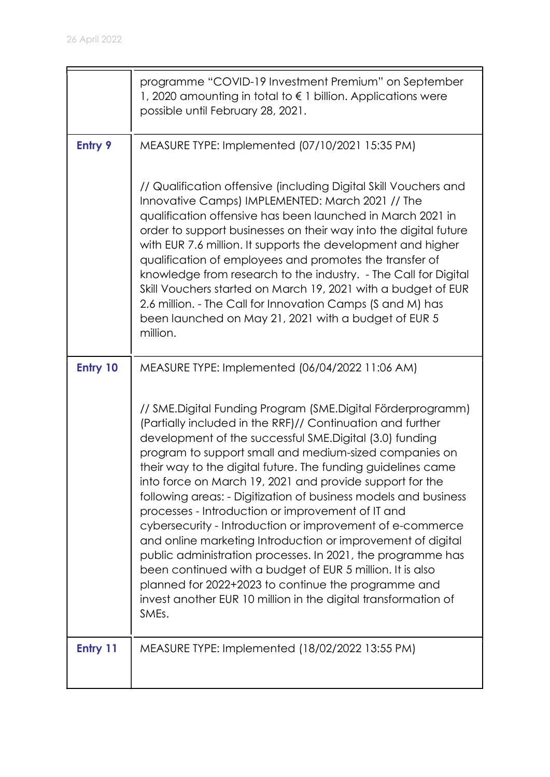|                | programme "COVID-19 Investment Premium" on September<br>1, 2020 amounting in total to $\epsilon$ 1 billion. Applications were<br>possible until February 28, 2021.                                                                                                                                                                                                                                                                                                                                                                                                                                                                                                                                                                                                                                                                                                                           |
|----------------|----------------------------------------------------------------------------------------------------------------------------------------------------------------------------------------------------------------------------------------------------------------------------------------------------------------------------------------------------------------------------------------------------------------------------------------------------------------------------------------------------------------------------------------------------------------------------------------------------------------------------------------------------------------------------------------------------------------------------------------------------------------------------------------------------------------------------------------------------------------------------------------------|
| <b>Entry 9</b> | MEASURE TYPE: Implemented (07/10/2021 15:35 PM)                                                                                                                                                                                                                                                                                                                                                                                                                                                                                                                                                                                                                                                                                                                                                                                                                                              |
|                | // Qualification offensive (including Digital Skill Vouchers and<br>Innovative Camps) IMPLEMENTED: March 2021 // The<br>qualification offensive has been launched in March 2021 in<br>order to support businesses on their way into the digital future<br>with EUR 7.6 million. It supports the development and higher<br>qualification of employees and promotes the transfer of<br>knowledge from research to the industry. - The Call for Digital<br>Skill Vouchers started on March 19, 2021 with a budget of EUR<br>2.6 million. - The Call for Innovation Camps (S and M) has<br>been launched on May 21, 2021 with a budget of EUR 5<br>million.                                                                                                                                                                                                                                      |
| Entry 10       | MEASURE TYPE: Implemented (06/04/2022 11:06 AM)                                                                                                                                                                                                                                                                                                                                                                                                                                                                                                                                                                                                                                                                                                                                                                                                                                              |
|                | // SME.Digital Funding Program (SME.Digital Förderprogramm)<br>(Partially included in the RRF)// Continuation and further<br>development of the successful SME.Digital (3.0) funding<br>program to support small and medium-sized companies on<br>their way to the digital future. The funding guidelines came<br>into force on March 19, 2021 and provide support for the<br>following areas: - Digitization of business models and business<br>processes - Introduction or improvement of IT and<br>cybersecurity - Introduction or improvement of e-commerce<br>and online marketing Introduction or improvement of digital<br>public administration processes. In 2021, the programme has<br>been continued with a budget of EUR 5 million. It is also<br>planned for 2022+2023 to continue the programme and<br>invest another EUR 10 million in the digital transformation of<br>SMEs. |
| Entry 11       | MEASURE TYPE: Implemented (18/02/2022 13:55 PM)                                                                                                                                                                                                                                                                                                                                                                                                                                                                                                                                                                                                                                                                                                                                                                                                                                              |
|                |                                                                                                                                                                                                                                                                                                                                                                                                                                                                                                                                                                                                                                                                                                                                                                                                                                                                                              |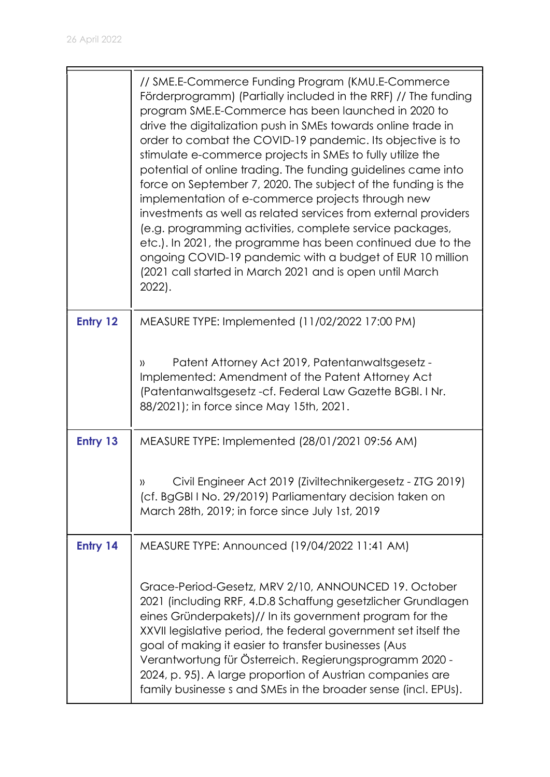|          | // SME.E-Commerce Funding Program (KMU.E-Commerce)<br>Förderprogramm) (Partially included in the RRF) // The funding<br>program SME.E-Commerce has been launched in 2020 to<br>drive the digitalization push in SMEs towards online trade in<br>order to combat the COVID-19 pandemic. Its objective is to<br>stimulate e-commerce projects in SMEs to fully utilize the<br>potential of online trading. The funding guidelines came into<br>force on September 7, 2020. The subject of the funding is the<br>implementation of e-commerce projects through new<br>investments as well as related services from external providers<br>(e.g. programming activities, complete service packages,<br>etc.). In 2021, the programme has been continued due to the<br>ongoing COVID-19 pandemic with a budget of EUR 10 million<br>(2021 call started in March 2021 and is open until March<br>$2022$ ). |
|----------|-----------------------------------------------------------------------------------------------------------------------------------------------------------------------------------------------------------------------------------------------------------------------------------------------------------------------------------------------------------------------------------------------------------------------------------------------------------------------------------------------------------------------------------------------------------------------------------------------------------------------------------------------------------------------------------------------------------------------------------------------------------------------------------------------------------------------------------------------------------------------------------------------------|
| Entry 12 | MEASURE TYPE: Implemented (11/02/2022 17:00 PM)                                                                                                                                                                                                                                                                                                                                                                                                                                                                                                                                                                                                                                                                                                                                                                                                                                                     |
|          | Patent Attorney Act 2019, Patentanwaltsgesetz -<br>$\mathcal{Y}$<br>Implemented: Amendment of the Patent Attorney Act<br>(Patentanwaltsgesetz -cf. Federal Law Gazette BGBI. I Nr.<br>88/2021); in force since May 15th, 2021.                                                                                                                                                                                                                                                                                                                                                                                                                                                                                                                                                                                                                                                                      |
| Entry 13 | MEASURE TYPE: Implemented (28/01/2021 09:56 AM)                                                                                                                                                                                                                                                                                                                                                                                                                                                                                                                                                                                                                                                                                                                                                                                                                                                     |
|          | Civil Engineer Act 2019 (Ziviltechnikergesetz - ZTG 2019)<br>))<br>(cf. BgGBI I No. 29/2019) Parliamentary decision taken on<br>March 28th, 2019; in force since July 1st, 2019                                                                                                                                                                                                                                                                                                                                                                                                                                                                                                                                                                                                                                                                                                                     |
| Entry 14 | MEASURE TYPE: Announced (19/04/2022 11:41 AM)                                                                                                                                                                                                                                                                                                                                                                                                                                                                                                                                                                                                                                                                                                                                                                                                                                                       |
|          | Grace-Period-Gesetz, MRV 2/10, ANNOUNCED 19. October<br>2021 (including RRF, 4.D.8 Schaffung gesetzlicher Grundlagen<br>eines Gründerpakets)// In its government program for the<br>XXVII legislative period, the federal government set itself the<br>goal of making it easier to transfer businesses (Aus<br>Verantwortung für Österreich. Regierungsprogramm 2020 -<br>2024, p. 95). A large proportion of Austrian companies are<br>family businesse s and SMEs in the broader sense (incl. EPUs).                                                                                                                                                                                                                                                                                                                                                                                              |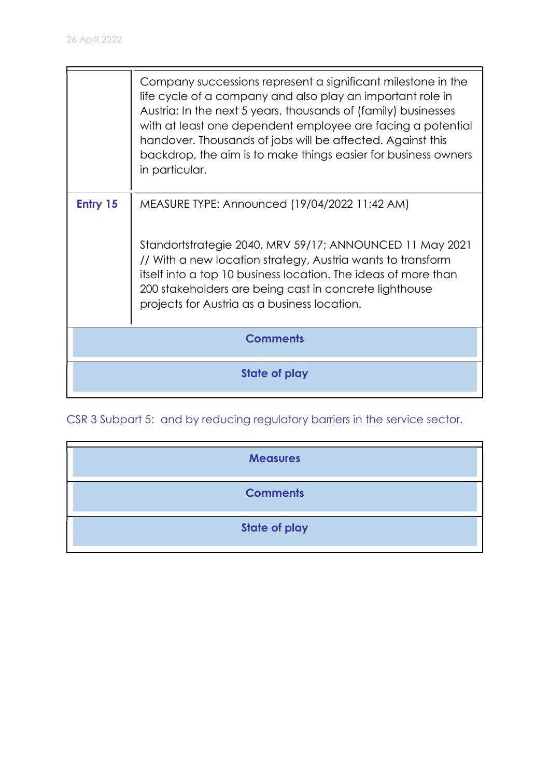|                 | Company successions represent a significant milestone in the<br>life cycle of a company and also play an important role in<br>Austria: In the next 5 years, thousands of (family) businesses<br>with at least one dependent employee are facing a potential<br>handover. Thousands of jobs will be affected. Against this<br>backdrop, the aim is to make things easier for business owners<br>in particular. |
|-----------------|---------------------------------------------------------------------------------------------------------------------------------------------------------------------------------------------------------------------------------------------------------------------------------------------------------------------------------------------------------------------------------------------------------------|
| Entry 15        | MEASURE TYPE: Announced (19/04/2022 11:42 AM)<br>Standortstrategie 2040, MRV 59/17; ANNOUNCED 11 May 2021<br>// With a new location strategy, Austria wants to transform<br>itself into a top 10 business location. The ideas of more than<br>200 stakeholders are being cast in concrete lighthouse<br>projects for Austria as a business location.                                                          |
| <b>Comments</b> |                                                                                                                                                                                                                                                                                                                                                                                                               |
| State of play   |                                                                                                                                                                                                                                                                                                                                                                                                               |

CSR 3 Subpart 5: and by reducing regulatory barriers in the service sector.